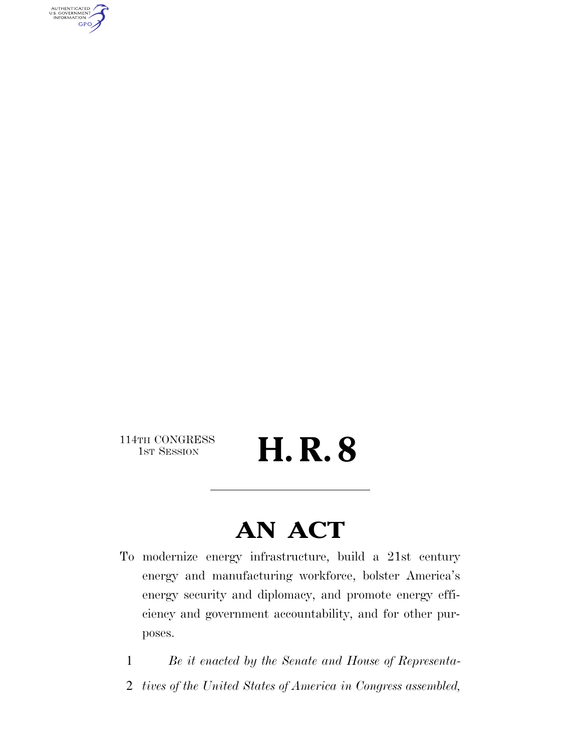AUTHENTICATED<br>U.S. GOVERNMENT<br>INFORMATION **GPO** 

114TH CONGRESS<br>1st Session

H. R. 8

# **AN ACT**

To modernize energy infrastructure, build a 21st century energy and manufacturing workforce, bolster America's energy security and diplomacy, and promote energy efficiency and government accountability, and for other purposes.

1 *Be it enacted by the Senate and House of Representa-*

2 *tives of the United States of America in Congress assembled,*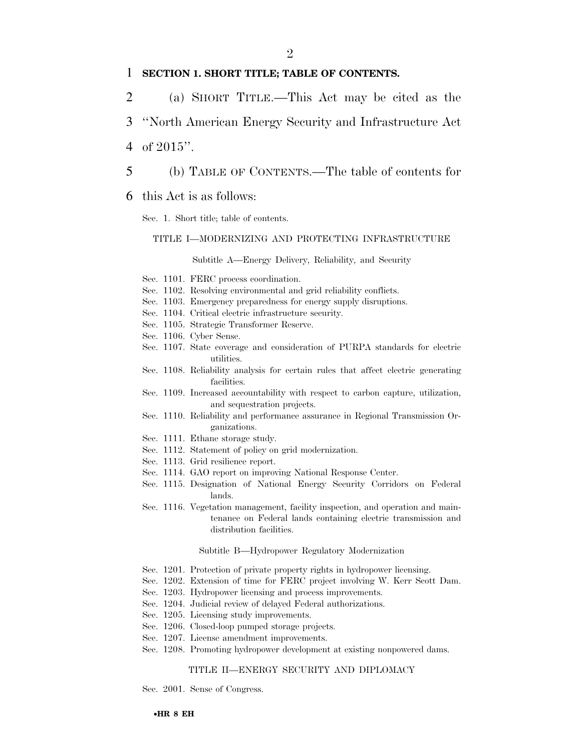#### $\mathfrak{D}$

### 1 **SECTION 1. SHORT TITLE; TABLE OF CONTENTS.**

- 2 (a) SHORT TITLE.—This Act may be cited as the
- 3 ''North American Energy Security and Infrastructure Act
- 4 of 2015''.
- 5 (b) TABLE OF CONTENTS.—The table of contents for

#### 6 this Act is as follows:

Sec. 1. Short title; table of contents.

#### TITLE I—MODERNIZING AND PROTECTING INFRASTRUCTURE

Subtitle A—Energy Delivery, Reliability, and Security

- Sec. 1101. FERC process coordination.
- Sec. 1102. Resolving environmental and grid reliability conflicts.
- Sec. 1103. Emergency preparedness for energy supply disruptions.
- Sec. 1104. Critical electric infrastructure security.
- Sec. 1105. Strategic Transformer Reserve.
- Sec. 1106. Cyber Sense.
- Sec. 1107. State coverage and consideration of PURPA standards for electric utilities.
- Sec. 1108. Reliability analysis for certain rules that affect electric generating facilities.
- Sec. 1109. Increased accountability with respect to carbon capture, utilization, and sequestration projects.
- Sec. 1110. Reliability and performance assurance in Regional Transmission Organizations.
- Sec. 1111. Ethane storage study.
- Sec. 1112. Statement of policy on grid modernization.
- Sec. 1113. Grid resilience report.
- Sec. 1114. GAO report on improving National Response Center.
- Sec. 1115. Designation of National Energy Security Corridors on Federal lands.
- Sec. 1116. Vegetation management, facility inspection, and operation and maintenance on Federal lands containing electric transmission and distribution facilities.

#### Subtitle B—Hydropower Regulatory Modernization

- Sec. 1201. Protection of private property rights in hydropower licensing.
- Sec. 1202. Extension of time for FERC project involving W. Kerr Scott Dam.
- Sec. 1203. Hydropower licensing and process improvements.
- Sec. 1204. Judicial review of delayed Federal authorizations.
- Sec. 1205. Licensing study improvements.
- Sec. 1206. Closed-loop pumped storage projects.
- Sec. 1207. License amendment improvements.
- Sec. 1208. Promoting hydropower development at existing nonpowered dams.

#### TITLE II—ENERGY SECURITY AND DIPLOMACY

Sec. 2001. Sense of Congress.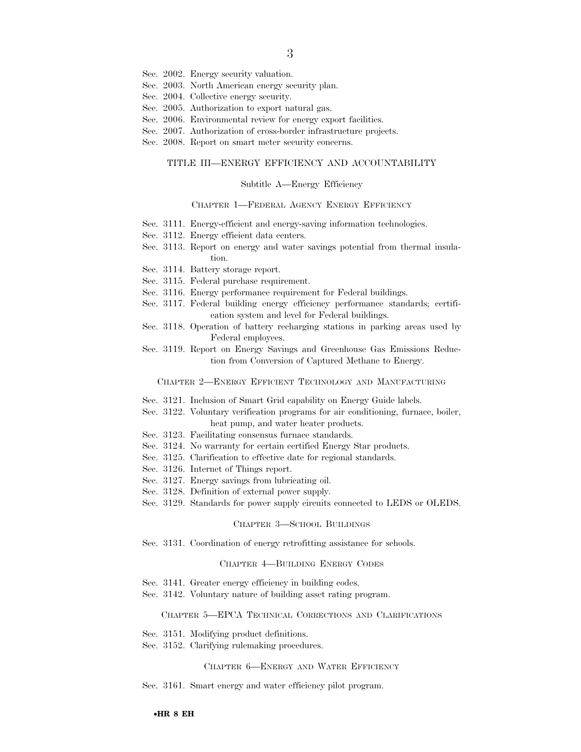- Sec. 2002. Energy security valuation.
- Sec. 2003. North American energy security plan.
- Sec. 2004. Collective energy security.
- Sec. 2005. Authorization to export natural gas.
- Sec. 2006. Environmental review for energy export facilities.
- Sec. 2007. Authorization of cross-border infrastructure projects.
- Sec. 2008. Report on smart meter security concerns.

#### TITLE III—ENERGY EFFICIENCY AND ACCOUNTABILITY

#### Subtitle A—Energy Efficiency

#### CHAPTER 1—FEDERAL AGENCY ENERGY EFFICIENCY

- Sec. 3111. Energy-efficient and energy-saving information technologies.
- Sec. 3112. Energy efficient data centers.
- Sec. 3113. Report on energy and water savings potential from thermal insulation.
- Sec. 3114. Battery storage report.
- Sec. 3115. Federal purchase requirement.
- Sec. 3116. Energy performance requirement for Federal buildings.
- Sec. 3117. Federal building energy efficiency performance standards; certification system and level for Federal buildings.
- Sec. 3118. Operation of battery recharging stations in parking areas used by Federal employees.
- Sec. 3119. Report on Energy Savings and Greenhouse Gas Emissions Reduction from Conversion of Captured Methane to Energy.

#### CHAPTER 2—ENERGY EFFICIENT TECHNOLOGY AND MANUFACTURING

- Sec. 3121. Inclusion of Smart Grid capability on Energy Guide labels.
- Sec. 3122. Voluntary verification programs for air conditioning, furnace, boiler, heat pump, and water heater products.
- Sec. 3123. Facilitating consensus furnace standards.
- Sec. 3124. No warranty for certain certified Energy Star products.
- Sec. 3125. Clarification to effective date for regional standards.
- Sec. 3126. Internet of Things report.
- Sec. 3127. Energy savings from lubricating oil.
- Sec. 3128. Definition of external power supply.
- Sec. 3129. Standards for power supply circuits connected to LEDS or OLEDS.

#### CHAPTER 3—SCHOOL BUILDINGS

Sec. 3131. Coordination of energy retrofitting assistance for schools.

#### CHAPTER 4—BUILDING ENERGY CODES

- Sec. 3141. Greater energy efficiency in building codes.
- Sec. 3142. Voluntary nature of building asset rating program.

#### CHAPTER 5—EPCA TECHNICAL CORRECTIONS AND CLARIFICATIONS

- Sec. 3151. Modifying product definitions.
- Sec. 3152. Clarifying rulemaking procedures.

#### CHAPTER 6—ENERGY AND WATER EFFICIENCY

Sec. 3161. Smart energy and water efficiency pilot program.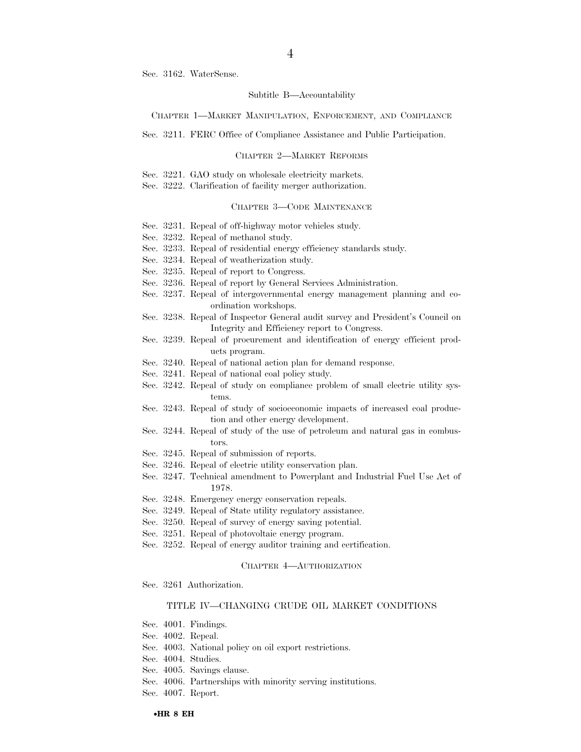Sec. 3162. WaterSense.

#### Subtitle B—Accountability

#### CHAPTER 1—MARKET MANIPULATION, ENFORCEMENT, AND COMPLIANCE

Sec. 3211. FERC Office of Compliance Assistance and Public Participation.

#### CHAPTER 2—MARKET REFORMS

Sec. 3221. GAO study on wholesale electricity markets.

Sec. 3222. Clarification of facility merger authorization.

#### CHAPTER 3—CODE MAINTENANCE

- Sec. 3231. Repeal of off-highway motor vehicles study.
- Sec. 3232. Repeal of methanol study.
- Sec. 3233. Repeal of residential energy efficiency standards study.
- Sec. 3234. Repeal of weatherization study.
- Sec. 3235. Repeal of report to Congress.
- Sec. 3236. Repeal of report by General Services Administration.
- Sec. 3237. Repeal of intergovernmental energy management planning and coordination workshops.
- Sec. 3238. Repeal of Inspector General audit survey and President's Council on Integrity and Efficiency report to Congress.
- Sec. 3239. Repeal of procurement and identification of energy efficient products program.
- Sec. 3240. Repeal of national action plan for demand response.
- Sec. 3241. Repeal of national coal policy study.
- Sec. 3242. Repeal of study on compliance problem of small electric utility systems.
- Sec. 3243. Repeal of study of socioeconomic impacts of increased coal production and other energy development.
- Sec. 3244. Repeal of study of the use of petroleum and natural gas in combustors.
- Sec. 3245. Repeal of submission of reports.
- Sec. 3246. Repeal of electric utility conservation plan.
- Sec. 3247. Technical amendment to Powerplant and Industrial Fuel Use Act of 1978.
- Sec. 3248. Emergency energy conservation repeals.
- Sec. 3249. Repeal of State utility regulatory assistance.
- Sec. 3250. Repeal of survey of energy saving potential.
- Sec. 3251. Repeal of photovoltaic energy program.
- Sec. 3252. Repeal of energy auditor training and certification.

#### CHAPTER 4—AUTHORIZATION

Sec. 3261 Authorization.

#### TITLE IV—CHANGING CRUDE OIL MARKET CONDITIONS

- Sec. 4001. Findings.
- Sec. 4002. Repeal.
- Sec. 4003. National policy on oil export restrictions.
- Sec. 4004. Studies.
- Sec. 4005. Savings clause.
- Sec. 4006. Partnerships with minority serving institutions.
- Sec. 4007. Report.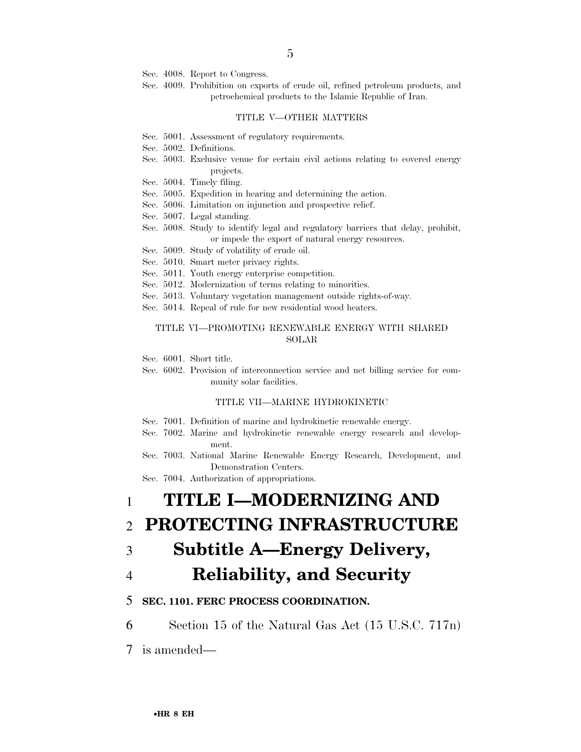Sec. 4008. Report to Congress.

Sec. 4009. Prohibition on exports of crude oil, refined petroleum products, and petrochemical products to the Islamic Republic of Iran.

#### TITLE V—OTHER MATTERS

- Sec. 5001. Assessment of regulatory requirements.
- Sec. 5002. Definitions.
- Sec. 5003. Exclusive venue for certain civil actions relating to covered energy projects.
- Sec. 5004. Timely filing.
- Sec. 5005. Expedition in hearing and determining the action.
- Sec. 5006. Limitation on injunction and prospective relief.
- Sec. 5007. Legal standing.
- Sec. 5008. Study to identify legal and regulatory barriers that delay, prohibit, or impede the export of natural energy resources.
- Sec. 5009. Study of volatility of crude oil.
- Sec. 5010. Smart meter privacy rights.
- Sec. 5011. Youth energy enterprise competition.
- Sec. 5012. Modernization of terms relating to minorities.
- Sec. 5013. Voluntary vegetation management outside rights-of-way.
- Sec. 5014. Repeal of rule for new residential wood heaters.

#### TITLE VI—PROMOTING RENEWABLE ENERGY WITH SHARED SOLAR

Sec. 6001. Short title.

Sec. 6002. Provision of interconnection service and net billing service for community solar facilities.

#### TITLE VII—MARINE HYDROKINETIC

- Sec. 7001. Definition of marine and hydrokinetic renewable energy.
- Sec. 7002. Marine and hydrokinetic renewable energy research and development.
- Sec. 7003. National Marine Renewable Energy Research, Development, and Demonstration Centers.

Sec. 7004. Authorization of appropriations.

# 1 **TITLE I—MODERNIZING AND**

### 2 **PROTECTING INFRASTRUCTURE**

### 3 **Subtitle A—Energy Delivery,**

### 4 **Reliability, and Security**

### 5 **SEC. 1101. FERC PROCESS COORDINATION.**

6 Section 15 of the Natural Gas Act (15 U.S.C. 717n)

7 is amended—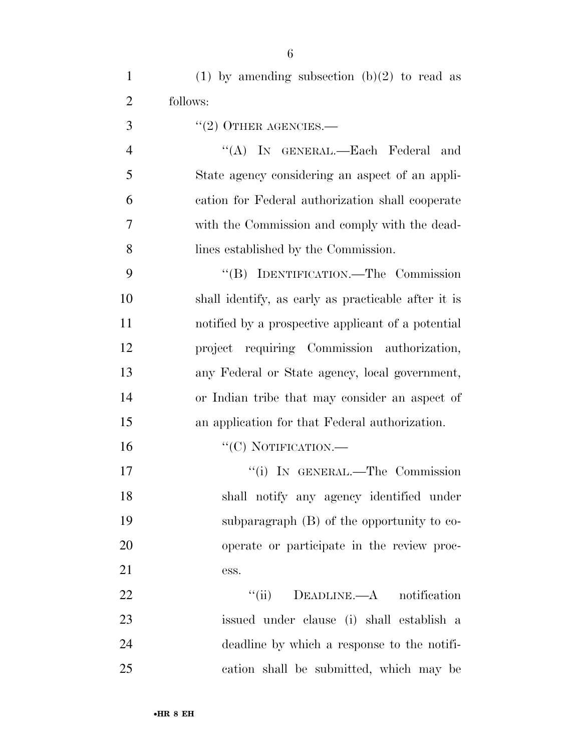| $\mathbf{1}$   | (1) by amending subsection (b)(2) to read as        |
|----------------|-----------------------------------------------------|
| $\overline{2}$ | follows:                                            |
| 3              | $"(2)$ OTHER AGENCIES.—                             |
| $\overline{4}$ | "(A) IN GENERAL.—Each Federal<br>and                |
| 5              | State agency considering an aspect of an appli-     |
| 6              | cation for Federal authorization shall cooperate    |
| 7              | with the Commission and comply with the dead-       |
| 8              | lines established by the Commission.                |
| 9              | "(B) IDENTIFICATION.—The Commission                 |
| 10             | shall identify, as early as practicable after it is |
| 11             | notified by a prospective applicant of a potential  |
| 12             | project requiring Commission authorization,         |
| 13             | any Federal or State agency, local government,      |
| 14             | or Indian tribe that may consider an aspect of      |
| 15             | an application for that Federal authorization.      |
| 16             | "(C) NOTIFICATION.-                                 |
| 17             | "(i) IN GENERAL.—The Commission                     |
| 18             | shall notify any agency identified under            |
| 19             | subparagraph $(B)$ of the opportunity to co-        |
| 20             | operate or participate in the review proc-          |
| 21             | ess.                                                |
| 22             | ``(ii)<br>$DEADLINE. -A$ notification               |
| 23             | issued under clause (i) shall establish a           |
| 24             | deadline by which a response to the notifi-         |
| 25             | cation shall be submitted, which may be             |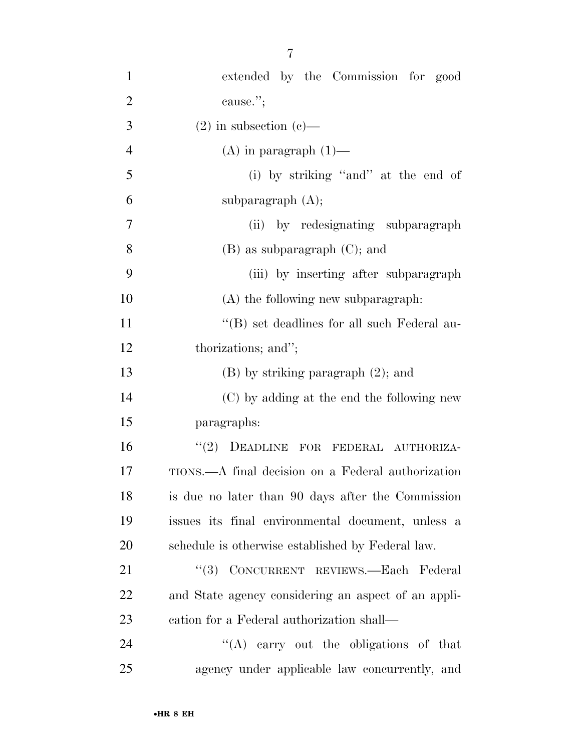| $\mathbf{1}$   | extended by the Commission for good                 |
|----------------|-----------------------------------------------------|
| $\overline{2}$ | cause.";                                            |
| 3              | $(2)$ in subsection $(e)$ —                         |
| $\overline{4}$ | (A) in paragraph $(1)$ —                            |
| 5              | (i) by striking "and" at the end of                 |
| 6              | subparagraph $(A)$ ;                                |
| 7              | (ii) by redesignating subparagraph                  |
| 8              | $(B)$ as subparagraph $(C)$ ; and                   |
| 9              | (iii) by inserting after subparagraph               |
| 10             | (A) the following new subparagraph:                 |
| 11             | "(B) set deadlines for all such Federal au-         |
| 12             | thorizations; and";                                 |
| 13             | $(B)$ by striking paragraph $(2)$ ; and             |
| 14             | (C) by adding at the end the following new          |
| 15             | paragraphs:                                         |
| 16             | "(2) DEADLINE FOR FEDERAL AUTHORIZA-                |
| 17             | TIONS.—A final decision on a Federal authorization  |
| 18             | is due no later than 90 days after the Commission   |
| 19             | issues its final environmental document, unless a   |
| 20             | schedule is otherwise established by Federal law.   |
| 21             | "(3) CONCURRENT REVIEWS.—Each Federal               |
| 22             | and State agency considering an aspect of an appli- |
| 23             | cation for a Federal authorization shall—           |
| 24             | "(A) carry out the obligations of that              |
| 25             | agency under applicable law concurrently, and       |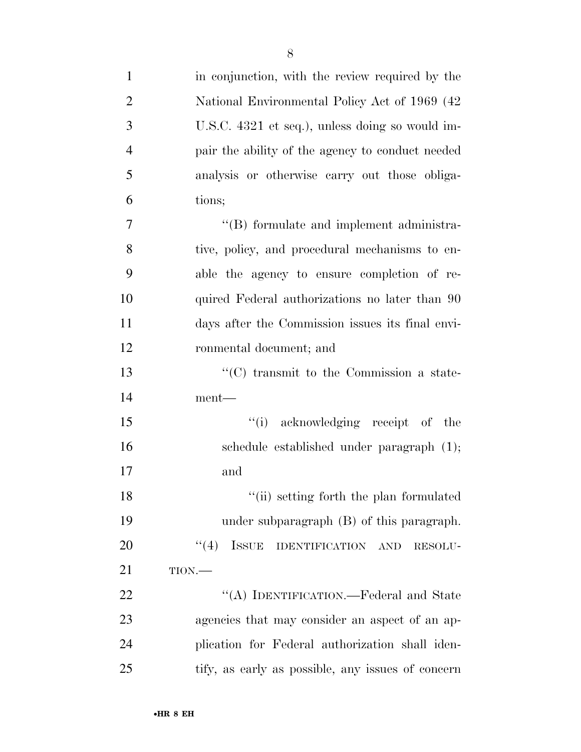| $\mathbf{1}$   | in conjunction, with the review required by the   |
|----------------|---------------------------------------------------|
| $\overline{2}$ | National Environmental Policy Act of 1969 (42     |
| 3              | U.S.C. 4321 et seq.), unless doing so would im-   |
| $\overline{4}$ | pair the ability of the agency to conduct needed  |
| 5              | analysis or otherwise carry out those obliga-     |
| 6              | tions;                                            |
| 7              | "(B) formulate and implement administra-          |
| 8              | tive, policy, and procedural mechanisms to en-    |
| 9              | able the agency to ensure completion of re-       |
| 10             | quired Federal authorizations no later than 90    |
| 11             | days after the Commission issues its final envi-  |
| 12             | ronmental document; and                           |
| 13             | $\cdot$ (C) transmit to the Commission a state-   |
| 14             | ment—                                             |
| 15             | "(i) acknowledging receipt of the                 |
| 16             | schedule established under paragraph (1);         |
| 17             | and                                               |
| 18             | "(ii) setting forth the plan formulated           |
| 19             | under subparagraph $(B)$ of this paragraph.       |
| 20             | $\lq(4)$ ISSUE<br>IDENTIFICATION AND<br>RESOLU-   |
| 21             | $TION$ .                                          |
| 22             | "(A) IDENTIFICATION.—Federal and State            |
| 23             | agencies that may consider an aspect of an ap-    |
| 24             | plication for Federal authorization shall iden-   |
| 25             | tify, as early as possible, any issues of concern |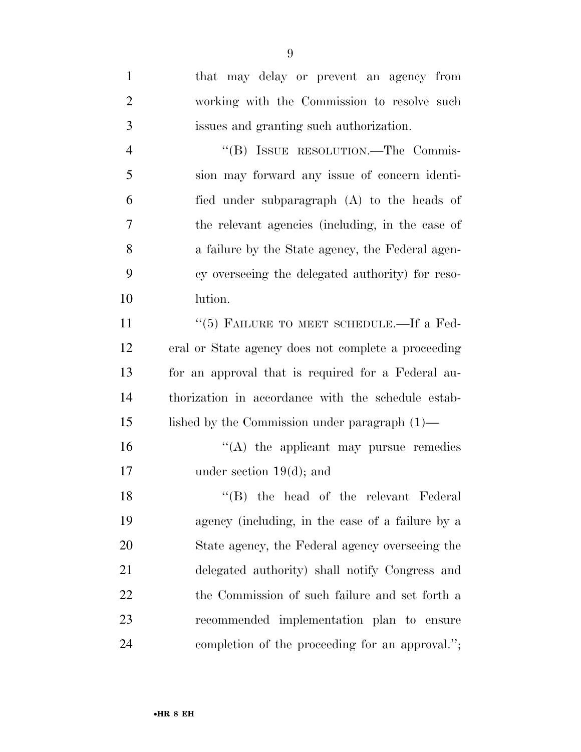| $\mathbf{1}$   | that may delay or prevent an agency from            |
|----------------|-----------------------------------------------------|
| $\overline{2}$ | working with the Commission to resolve such         |
| 3              | issues and granting such authorization.             |
| $\overline{4}$ | "(B) ISSUE RESOLUTION.—The Commis-                  |
| 5              | sion may forward any issue of concern identi-       |
| 6              | fied under subparagraph (A) to the heads of         |
| 7              | the relevant agencies (including, in the case of    |
| 8              | a failure by the State agency, the Federal agen-    |
| 9              | cy overseeing the delegated authority) for reso-    |
| 10             | lution.                                             |
| 11             | " $(5)$ FAILURE TO MEET SCHEDULE.—If a Fed-         |
| 12             | eral or State agency does not complete a proceeding |
| 13             | for an approval that is required for a Federal au-  |
| 14             | thorization in accordance with the schedule estab-  |
| 15             | lished by the Commission under paragraph $(1)$ —    |
| 16             | $\lq\lq$ the applicant may pursue remedies          |
| 17             | under section $19(d)$ ; and                         |
| 18             | "(B) the head of the relevant Federal               |
| 19             | agency (including, in the case of a failure by a    |
| 20             | State agency, the Federal agency overseeing the     |
| 21             | delegated authority) shall notify Congress and      |
| 22             | the Commission of such failure and set forth a      |
| 23             | recommended implementation plan to ensure           |
| 24             | completion of the proceeding for an approval.";     |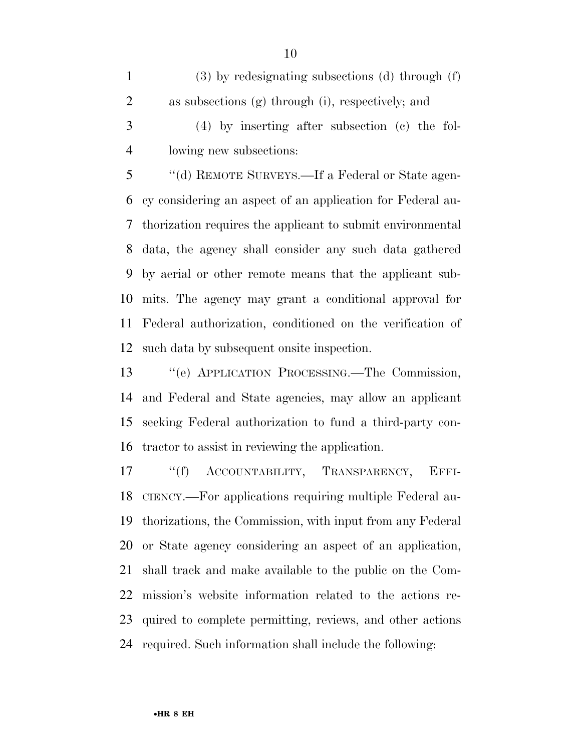(3) by redesignating subsections (d) through (f) as subsections (g) through (i), respectively; and (4) by inserting after subsection (c) the fol-

lowing new subsections:

 ''(d) REMOTE SURVEYS.—If a Federal or State agen- cy considering an aspect of an application for Federal au- thorization requires the applicant to submit environmental data, the agency shall consider any such data gathered by aerial or other remote means that the applicant sub- mits. The agency may grant a conditional approval for Federal authorization, conditioned on the verification of such data by subsequent onsite inspection.

 ''(e) APPLICATION PROCESSING.—The Commission, and Federal and State agencies, may allow an applicant seeking Federal authorization to fund a third-party con-tractor to assist in reviewing the application.

17 "(f) ACCOUNTABILITY, TRANSPARENCY, EFFI- CIENCY.—For applications requiring multiple Federal au- thorizations, the Commission, with input from any Federal or State agency considering an aspect of an application, shall track and make available to the public on the Com- mission's website information related to the actions re- quired to complete permitting, reviews, and other actions required. Such information shall include the following: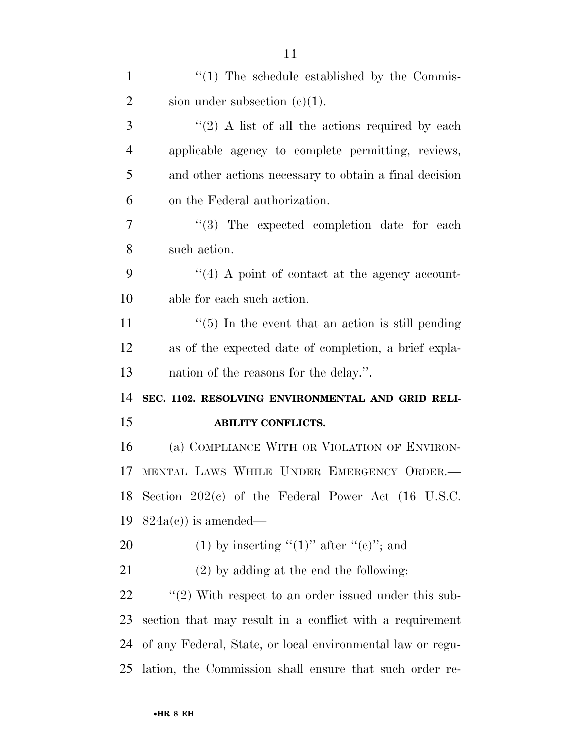| $\mathbf{1}$   | $\lq(1)$ The schedule established by the Commis-              |
|----------------|---------------------------------------------------------------|
| $\overline{2}$ | sion under subsection $(c)(1)$ .                              |
| 3              | $\lq(2)$ A list of all the actions required by each           |
| $\overline{4}$ | applicable agency to complete permitting, reviews,            |
| 5              | and other actions necessary to obtain a final decision        |
| 6              | on the Federal authorization.                                 |
| 7              | "(3) The expected completion date for each                    |
| 8              | such action.                                                  |
| 9              | $\lq(4)$ A point of contact at the agency account-            |
| 10             | able for each such action.                                    |
| 11             | $\cdot\cdot$ (5) In the event that an action is still pending |
| 12             | as of the expected date of completion, a brief expla-         |
| 13             | nation of the reasons for the delay.".                        |
| 14             | SEC. 1102. RESOLVING ENVIRONMENTAL AND GRID RELI-             |
| 15             | <b>ABILITY CONFLICTS.</b>                                     |
| 16             | (a) COMPLIANCE WITH OR VIOLATION OF ENVIRON-                  |
| 17             | MENTAL LAWS WHILE UNDER EMERGENCY ORDER.                      |
| 18             | Section $202(c)$ of the Federal Power Act (16 U.S.C.          |
| 19             | $824a(c)$ is amended—                                         |
| 20             | (1) by inserting " $(1)$ " after " $(e)$ "; and               |
| 21             | $(2)$ by adding at the end the following:                     |
| 22             | $\lq(2)$ With respect to an order issued under this sub-      |
| 23             | section that may result in a conflict with a requirement      |
| 24             | of any Federal, State, or local environmental law or regu-    |
| 25             | lation, the Commission shall ensure that such order re-       |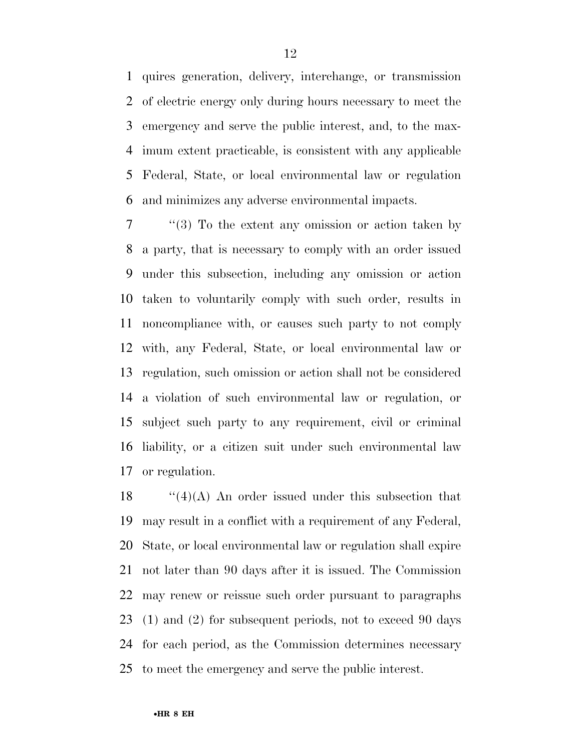quires generation, delivery, interchange, or transmission of electric energy only during hours necessary to meet the emergency and serve the public interest, and, to the max- imum extent practicable, is consistent with any applicable Federal, State, or local environmental law or regulation and minimizes any adverse environmental impacts.

 ''(3) To the extent any omission or action taken by a party, that is necessary to comply with an order issued under this subsection, including any omission or action taken to voluntarily comply with such order, results in noncompliance with, or causes such party to not comply with, any Federal, State, or local environmental law or regulation, such omission or action shall not be considered a violation of such environmental law or regulation, or subject such party to any requirement, civil or criminal liability, or a citizen suit under such environmental law or regulation.

 $\frac{1}{4}(4)$  An order issued under this subsection that may result in a conflict with a requirement of any Federal, State, or local environmental law or regulation shall expire not later than 90 days after it is issued. The Commission may renew or reissue such order pursuant to paragraphs (1) and (2) for subsequent periods, not to exceed 90 days for each period, as the Commission determines necessary to meet the emergency and serve the public interest.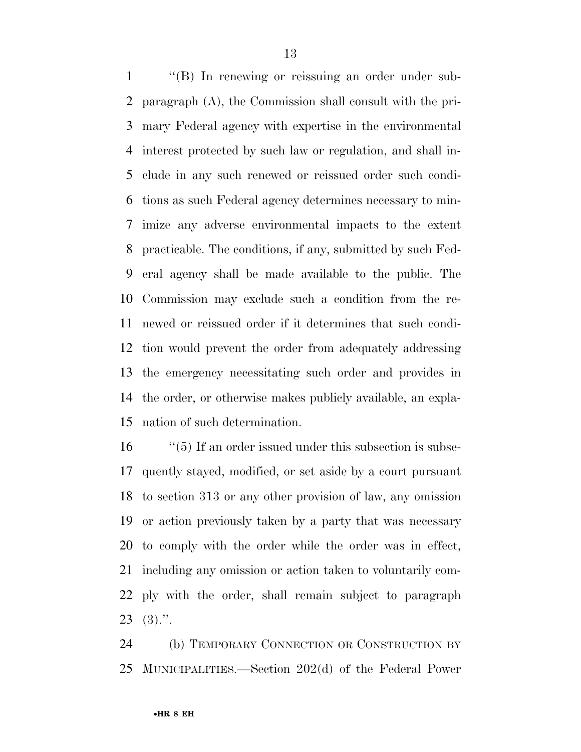1 ''(B) In renewing or reissuing an order under sub- paragraph (A), the Commission shall consult with the pri- mary Federal agency with expertise in the environmental interest protected by such law or regulation, and shall in- clude in any such renewed or reissued order such condi- tions as such Federal agency determines necessary to min- imize any adverse environmental impacts to the extent practicable. The conditions, if any, submitted by such Fed- eral agency shall be made available to the public. The Commission may exclude such a condition from the re- newed or reissued order if it determines that such condi- tion would prevent the order from adequately addressing the emergency necessitating such order and provides in the order, or otherwise makes publicly available, an expla-nation of such determination.

 ''(5) If an order issued under this subsection is subse- quently stayed, modified, or set aside by a court pursuant to section 313 or any other provision of law, any omission or action previously taken by a party that was necessary to comply with the order while the order was in effect, including any omission or action taken to voluntarily com- ply with the order, shall remain subject to paragraph (3).".

 (b) TEMPORARY CONNECTION OR CONSTRUCTION BY MUNICIPALITIES.—Section 202(d) of the Federal Power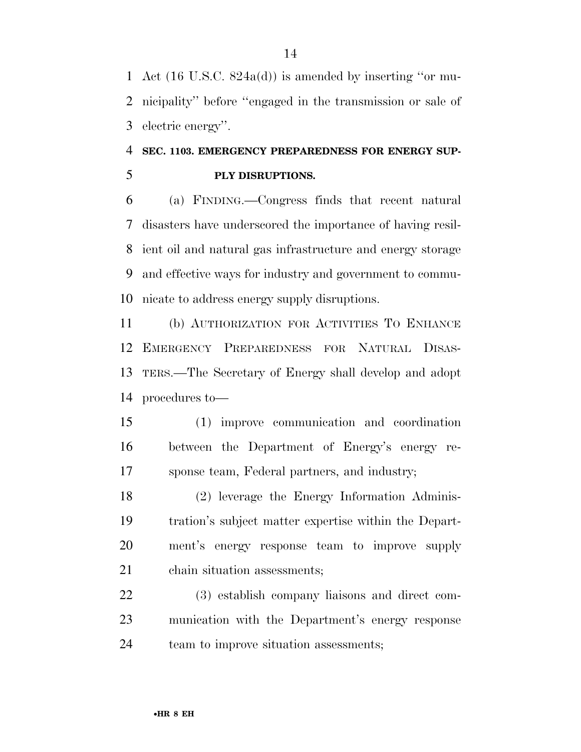Act (16 U.S.C. 824a(d)) is amended by inserting ''or mu- nicipality'' before ''engaged in the transmission or sale of electric energy''.

## **SEC. 1103. EMERGENCY PREPAREDNESS FOR ENERGY SUP-PLY DISRUPTIONS.**

 (a) FINDING.—Congress finds that recent natural disasters have underscored the importance of having resil- ient oil and natural gas infrastructure and energy storage and effective ways for industry and government to commu-nicate to address energy supply disruptions.

 (b) AUTHORIZATION FOR ACTIVITIES TO ENHANCE EMERGENCY PREPAREDNESS FOR NATURAL DISAS- TERS.—The Secretary of Energy shall develop and adopt procedures to—

 (1) improve communication and coordination between the Department of Energy's energy re-sponse team, Federal partners, and industry;

 (2) leverage the Energy Information Adminis- tration's subject matter expertise within the Depart- ment's energy response team to improve supply chain situation assessments;

 (3) establish company liaisons and direct com- munication with the Department's energy response team to improve situation assessments;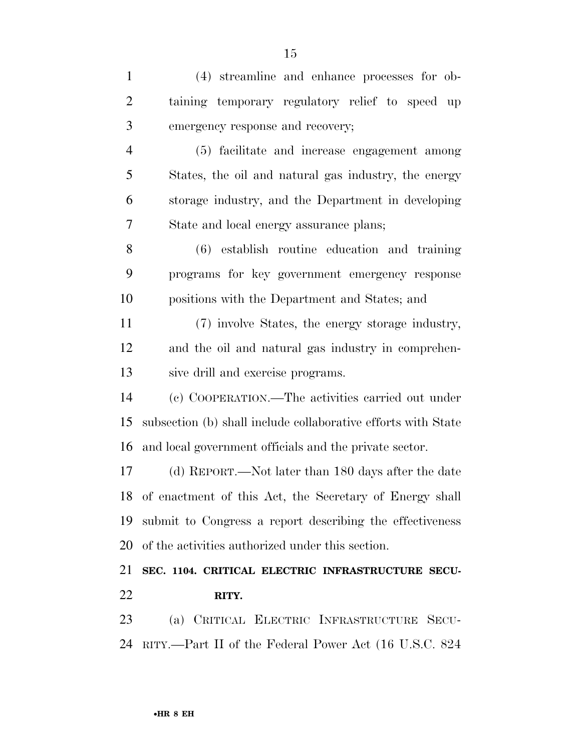(4) streamline and enhance processes for ob- taining temporary regulatory relief to speed up emergency response and recovery; (5) facilitate and increase engagement among States, the oil and natural gas industry, the energy storage industry, and the Department in developing State and local energy assurance plans; (6) establish routine education and training programs for key government emergency response positions with the Department and States; and (7) involve States, the energy storage industry, and the oil and natural gas industry in comprehen- sive drill and exercise programs. (c) COOPERATION.—The activities carried out under subsection (b) shall include collaborative efforts with State and local government officials and the private sector. (d) REPORT.—Not later than 180 days after the date of enactment of this Act, the Secretary of Energy shall submit to Congress a report describing the effectiveness of the activities authorized under this section. **SEC. 1104. CRITICAL ELECTRIC INFRASTRUCTURE SECU- RITY.**  (a) CRITICAL ELECTRIC INFRASTRUCTURE SECU-

RITY.—Part II of the Federal Power Act (16 U.S.C. 824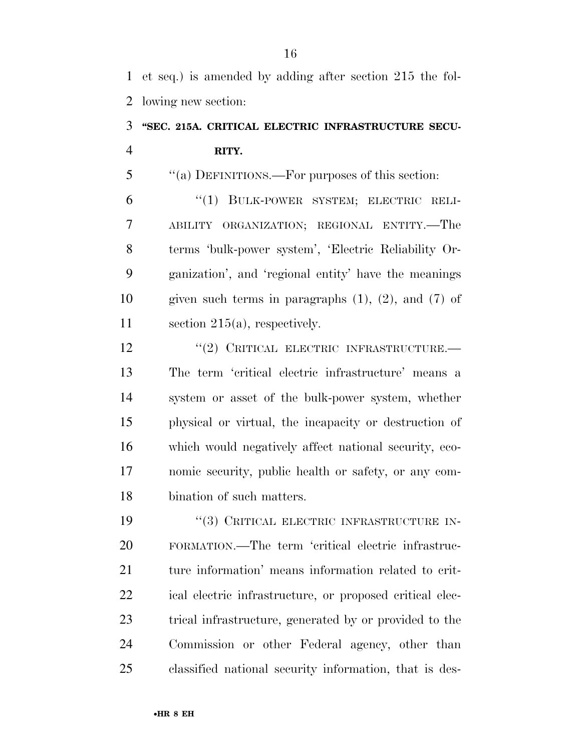et seq.) is amended by adding after section 215 the fol-lowing new section:

# **''SEC. 215A. CRITICAL ELECTRIC INFRASTRUCTURE SECU-RITY.**

''(a) DEFINITIONS.—For purposes of this section:

 ''(1) BULK-POWER SYSTEM; ELECTRIC RELI- ABILITY ORGANIZATION; REGIONAL ENTITY.—The terms 'bulk-power system', 'Electric Reliability Or- ganization', and 'regional entity' have the meanings given such terms in paragraphs (1), (2), and (7) of section 215(a), respectively.

12 "(2) CRITICAL ELECTRIC INFRASTRUCTURE.— The term 'critical electric infrastructure' means a system or asset of the bulk-power system, whether physical or virtual, the incapacity or destruction of which would negatively affect national security, eco- nomic security, public health or safety, or any com-bination of such matters.

 $(3)$  Critical electric infrastructure in- FORMATION.—The term 'critical electric infrastruc- ture information' means information related to crit- ical electric infrastructure, or proposed critical elec- trical infrastructure, generated by or provided to the Commission or other Federal agency, other than classified national security information, that is des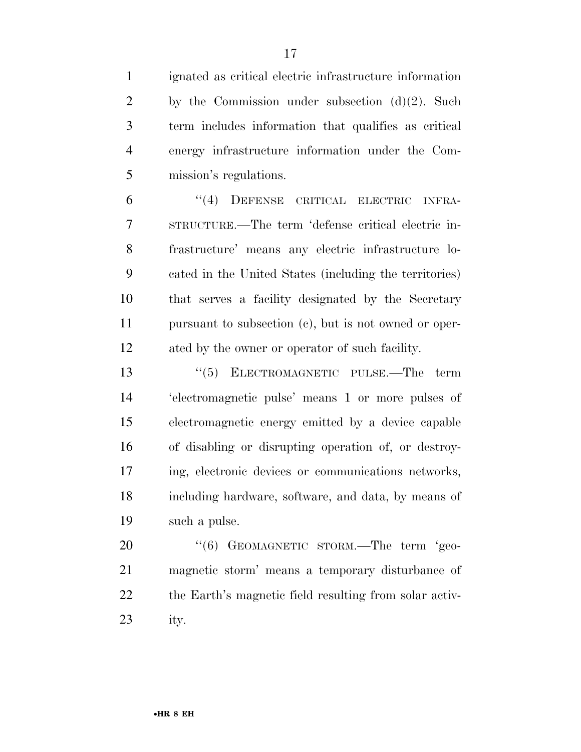ignated as critical electric infrastructure information 2 by the Commission under subsection  $(d)(2)$ . Such term includes information that qualifies as critical energy infrastructure information under the Com-mission's regulations.

 ''(4) DEFENSE CRITICAL ELECTRIC INFRA- STRUCTURE.—The term 'defense critical electric in- frastructure' means any electric infrastructure lo- cated in the United States (including the territories) that serves a facility designated by the Secretary pursuant to subsection (c), but is not owned or oper-ated by the owner or operator of such facility.

13 "(5) ELECTROMAGNETIC PULSE.—The term 'electromagnetic pulse' means 1 or more pulses of electromagnetic energy emitted by a device capable of disabling or disrupting operation of, or destroy- ing, electronic devices or communications networks, including hardware, software, and data, by means of such a pulse.

20 "(6) GEOMAGNETIC STORM.—The term 'geo- magnetic storm' means a temporary disturbance of the Earth's magnetic field resulting from solar activ-ity.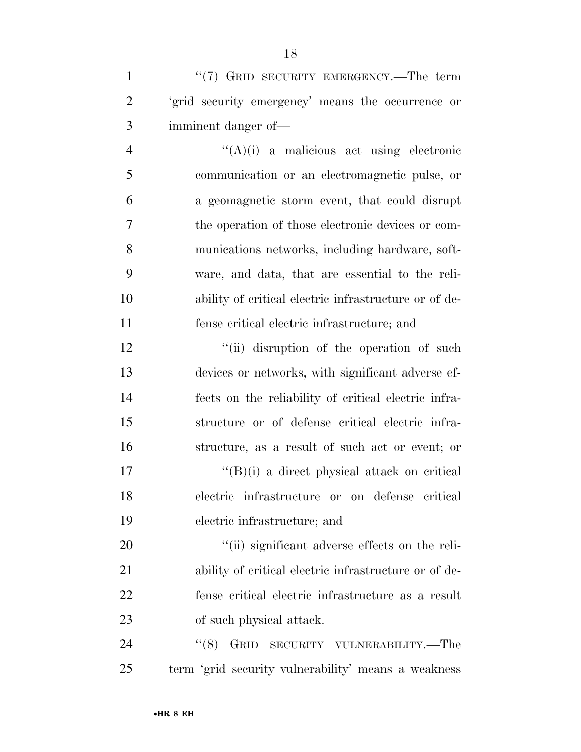1 "(7) GRID SECURITY EMERGENCY.—The term 'grid security emergency' means the occurrence or imminent danger of—

 ''(A)(i) a malicious act using electronic communication or an electromagnetic pulse, or a geomagnetic storm event, that could disrupt the operation of those electronic devices or com- munications networks, including hardware, soft- ware, and data, that are essential to the reli- ability of critical electric infrastructure or of de-fense critical electric infrastructure; and

12 ''(ii) disruption of the operation of such devices or networks, with significant adverse ef- fects on the reliability of critical electric infra- structure or of defense critical electric infra- structure, as a result of such act or event; or  $\mathcal{L}^{\prime\prime}(\mathbf{B})(i)$  a direct physical attack on critical

 electric infrastructure or on defense critical electric infrastructure; and

 $\frac{1}{2}$  (ii) significant adverse effects on the reli- ability of critical electric infrastructure or of de- fense critical electric infrastructure as a result of such physical attack.

24 "(8) GRID SECURITY VULNERABILITY.—The term 'grid security vulnerability' means a weakness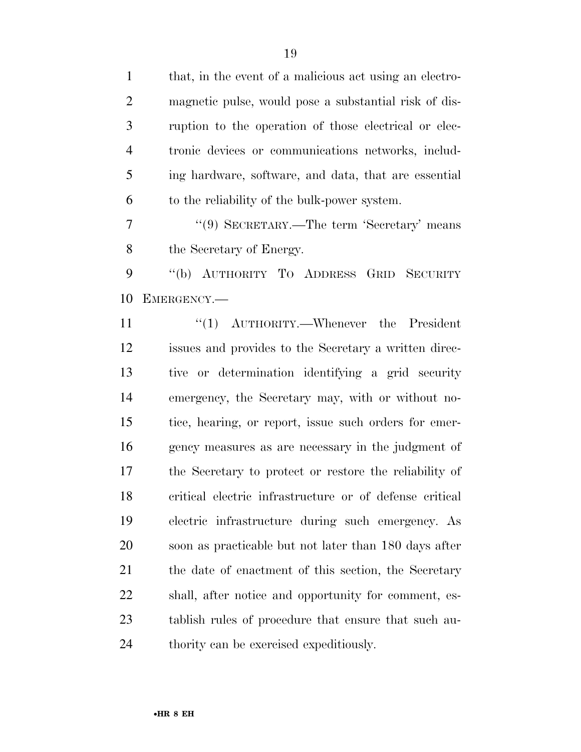that, in the event of a malicious act using an electro- magnetic pulse, would pose a substantial risk of dis- ruption to the operation of those electrical or elec- tronic devices or communications networks, includ- ing hardware, software, and data, that are essential to the reliability of the bulk-power system.

7 "(9) SECRETARY.—The term 'Secretary' means the Secretary of Energy.

 ''(b) AUTHORITY TO ADDRESS GRID SECURITY EMERGENCY.—

11 ''(1) AUTHORITY.—Whenever the President issues and provides to the Secretary a written direc- tive or determination identifying a grid security emergency, the Secretary may, with or without no- tice, hearing, or report, issue such orders for emer- gency measures as are necessary in the judgment of the Secretary to protect or restore the reliability of critical electric infrastructure or of defense critical electric infrastructure during such emergency. As soon as practicable but not later than 180 days after 21 the date of enactment of this section, the Secretary shall, after notice and opportunity for comment, es- tablish rules of procedure that ensure that such au-thority can be exercised expeditiously.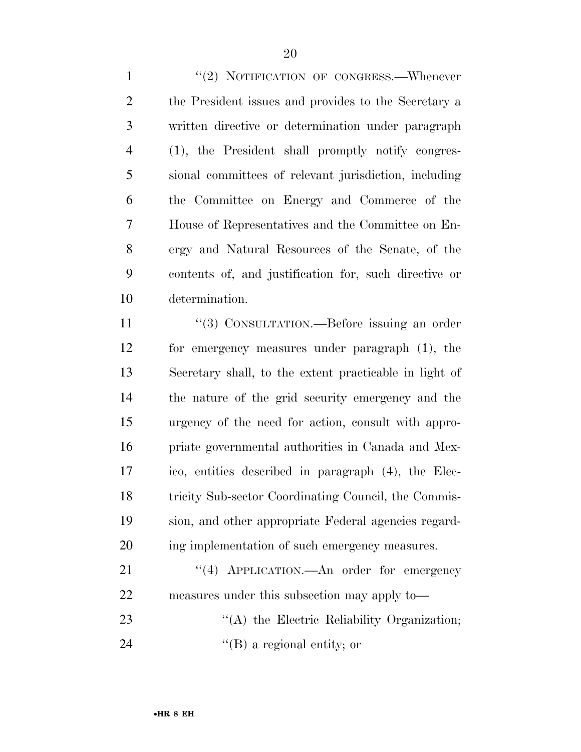1 "(2) NOTIFICATION OF CONGRESS.—Whenever the President issues and provides to the Secretary a written directive or determination under paragraph (1), the President shall promptly notify congres- sional committees of relevant jurisdiction, including the Committee on Energy and Commerce of the House of Representatives and the Committee on En- ergy and Natural Resources of the Senate, of the contents of, and justification for, such directive or determination.

11 "(3) CONSULTATION.—Before issuing an order for emergency measures under paragraph (1), the Secretary shall, to the extent practicable in light of the nature of the grid security emergency and the urgency of the need for action, consult with appro- priate governmental authorities in Canada and Mex- ico, entities described in paragraph (4), the Elec- tricity Sub-sector Coordinating Council, the Commis- sion, and other appropriate Federal agencies regard-ing implementation of such emergency measures.

21 "(4) APPLICATION.—An order for emergency measures under this subsection may apply to— 23 "(A) the Electric Reliability Organization; 24  $\text{``(B) a regional entity; or}$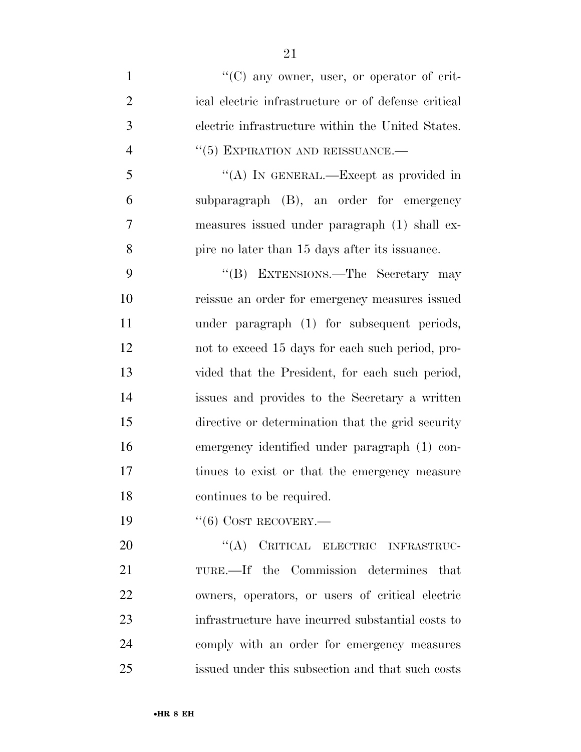$\lq(0)$  any owner, user, or operator of crit- ical electric infrastructure or of defense critical electric infrastructure within the United States.  $(5)$  EXPIRATION AND REISSUANCE.— ''(A) IN GENERAL.—Except as provided in subparagraph (B), an order for emergency measures issued under paragraph (1) shall ex- pire no later than 15 days after its issuance. ''(B) EXTENSIONS.—The Secretary may reissue an order for emergency measures issued under paragraph (1) for subsequent periods, not to exceed 15 days for each such period, pro- vided that the President, for each such period, issues and provides to the Secretary a written directive or determination that the grid security emergency identified under paragraph (1) con- tinues to exist or that the emergency measure continues to be required.

19 "(6) COST RECOVERY.—

20 "(A) CRITICAL ELECTRIC INFRASTRUC- TURE.—If the Commission determines that owners, operators, or users of critical electric infrastructure have incurred substantial costs to comply with an order for emergency measures issued under this subsection and that such costs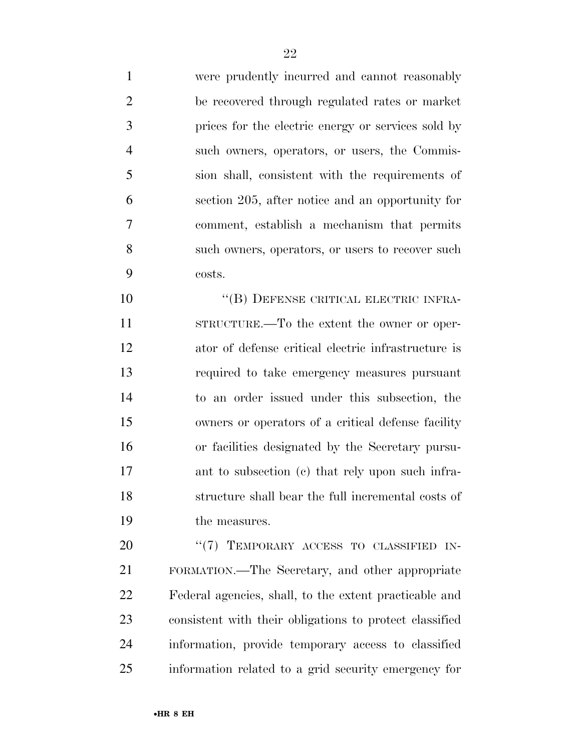were prudently incurred and cannot reasonably be recovered through regulated rates or market prices for the electric energy or services sold by such owners, operators, or users, the Commis- sion shall, consistent with the requirements of section 205, after notice and an opportunity for comment, establish a mechanism that permits such owners, operators, or users to recover such costs.

10 "(B) DEFENSE CRITICAL ELECTRIC INFRA- STRUCTURE.—To the extent the owner or oper- ator of defense critical electric infrastructure is required to take emergency measures pursuant to an order issued under this subsection, the owners or operators of a critical defense facility or facilities designated by the Secretary pursu- ant to subsection (c) that rely upon such infra- structure shall bear the full incremental costs of the measures.

20 "(7) TEMPORARY ACCESS TO CLASSIFIED IN- FORMATION.—The Secretary, and other appropriate Federal agencies, shall, to the extent practicable and consistent with their obligations to protect classified information, provide temporary access to classified information related to a grid security emergency for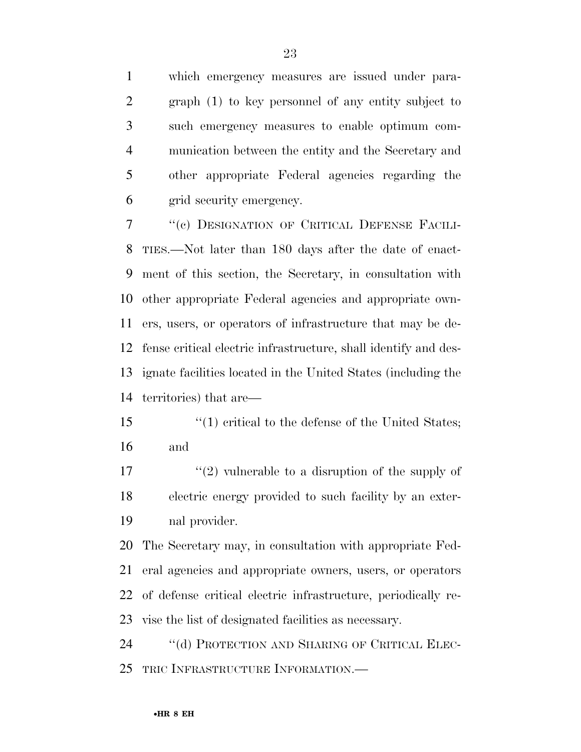which emergency measures are issued under para- graph (1) to key personnel of any entity subject to such emergency measures to enable optimum com- munication between the entity and the Secretary and other appropriate Federal agencies regarding the grid security emergency.

 ''(c) DESIGNATION OF CRITICAL DEFENSE FACILI- TIES.—Not later than 180 days after the date of enact- ment of this section, the Secretary, in consultation with other appropriate Federal agencies and appropriate own- ers, users, or operators of infrastructure that may be de- fense critical electric infrastructure, shall identify and des- ignate facilities located in the United States (including the territories) that are—

15 ''(1) critical to the defense of the United States; and

 $\mathcal{L}^{\prime}(2)$  vulnerable to a disruption of the supply of electric energy provided to such facility by an exter-nal provider.

 The Secretary may, in consultation with appropriate Fed- eral agencies and appropriate owners, users, or operators of defense critical electric infrastructure, periodically re-vise the list of designated facilities as necessary.

24 "(d) PROTECTION AND SHARING OF CRITICAL ELEC-TRIC INFRASTRUCTURE INFORMATION.—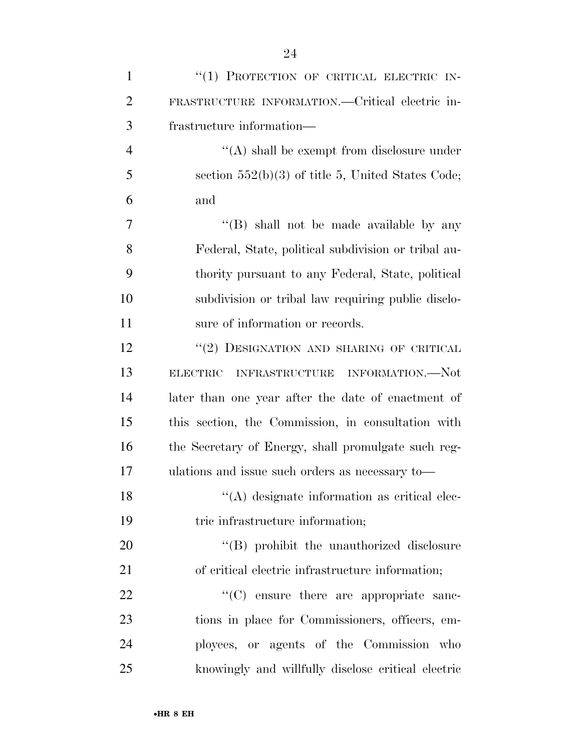| $\mathbf{1}$   | "(1) PROTECTION OF CRITICAL ELECTRIC IN-            |
|----------------|-----------------------------------------------------|
| $\overline{2}$ | FRASTRUCTURE INFORMATION.—Critical electric in-     |
| 3              | frastructure information—                           |
| $\overline{4}$ | $\lq\lq$ shall be exempt from disclosure under      |
| 5              | section $552(b)(3)$ of title 5, United States Code; |
| 6              | and                                                 |
| 7              | "(B) shall not be made available by any             |
| 8              | Federal, State, political subdivision or tribal au- |
| 9              | thority pursuant to any Federal, State, political   |
| 10             | subdivision or tribal law requiring public disclo-  |
| 11             | sure of information or records.                     |
| 12             | "(2) DESIGNATION AND SHARING OF CRITICAL            |
| 13             | ELECTRIC INFRASTRUCTURE INFORMATION.--Not           |
| 14             | later than one year after the date of enactment of  |
| 15             | this section, the Commission, in consultation with  |
| 16             | the Secretary of Energy, shall promulgate such reg- |
| 17             | ulations and issue such orders as necessary to-     |
| 18             | "(A) designate information as critical elec-        |
| 19             | tric infrastructure information;                    |
| 20             | "(B) prohibit the unauthorized disclosure           |
| 21             | of critical electric infrastructure information;    |
| 22             | $\cdot$ (C) ensure there are appropriate sanc-      |
| 23             | tions in place for Commissioners, officers, em-     |
| 24             | ployees, or agents of the Commission who            |
| 25             | knowingly and willfully disclose critical electric  |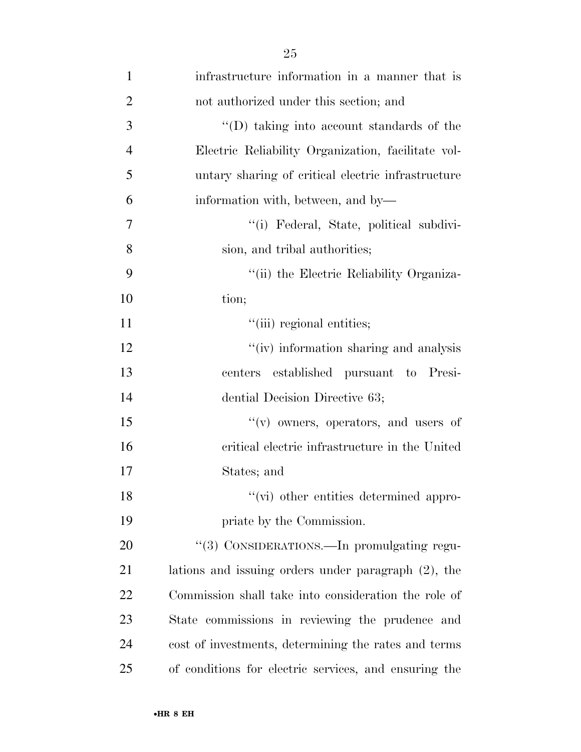| 1              | infrastructure information in a manner that is         |
|----------------|--------------------------------------------------------|
| $\overline{2}$ | not authorized under this section; and                 |
| 3              | "(D) taking into account standards of the              |
| $\overline{4}$ | Electric Reliability Organization, facilitate vol-     |
| 5              | untary sharing of critical electric infrastructure     |
| 6              | information with, between, and by-                     |
| $\overline{7}$ | "(i) Federal, State, political subdivi-                |
| 8              | sion, and tribal authorities;                          |
| 9              | "(ii) the Electric Reliability Organiza-               |
| 10             | tion;                                                  |
| 11             | "(iii) regional entities;                              |
| 12             | "(iv) information sharing and analysis                 |
| 13             | established pursuant to Presi-<br>centers              |
| 14             | dential Decision Directive 63;                         |
| 15             | "(v) owners, operators, and users of                   |
| 16             | critical electric infrastructure in the United         |
| 17             | States; and                                            |
| 18             | "(vi) other entities determined appro-                 |
| 19             | priate by the Commission.                              |
| 20             | "(3) CONSIDERATIONS.—In promulgating regu-             |
| 21             | lations and issuing orders under paragraph $(2)$ , the |
| 22             | Commission shall take into consideration the role of   |
| 23             | State commissions in reviewing the prudence and        |
| 24             | cost of investments, determining the rates and terms   |
| 25             | of conditions for electric services, and ensuring the  |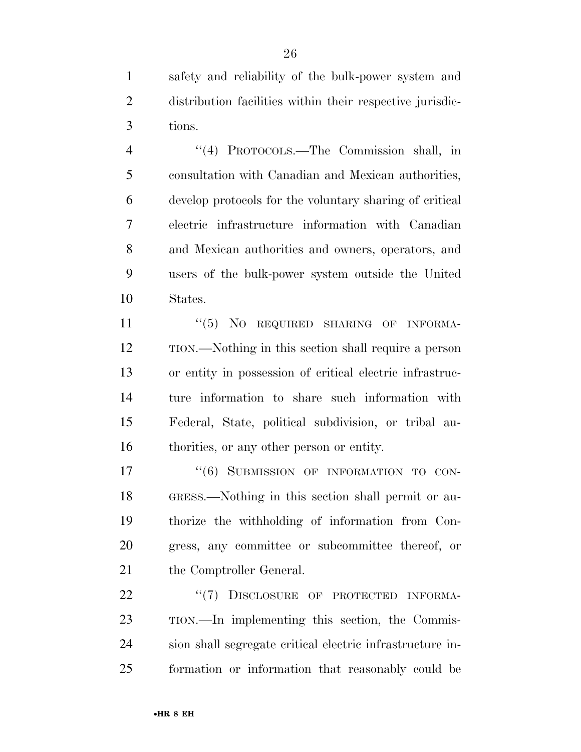safety and reliability of the bulk-power system and distribution facilities within their respective jurisdic-tions.

 ''(4) PROTOCOLS.—The Commission shall, in consultation with Canadian and Mexican authorities, develop protocols for the voluntary sharing of critical electric infrastructure information with Canadian and Mexican authorities and owners, operators, and users of the bulk-power system outside the United States.

11 "(5) NO REQUIRED SHARING OF INFORMA- TION.—Nothing in this section shall require a person or entity in possession of critical electric infrastruc- ture information to share such information with Federal, State, political subdivision, or tribal au-thorities, or any other person or entity.

17 "(6) SUBMISSION OF INFORMATION TO CON- GRESS.—Nothing in this section shall permit or au- thorize the withholding of information from Con- gress, any committee or subcommittee thereof, or 21 the Comptroller General.

22 "(7) DISCLOSURE OF PROTECTED INFORMA- TION.—In implementing this section, the Commis- sion shall segregate critical electric infrastructure in-formation or information that reasonably could be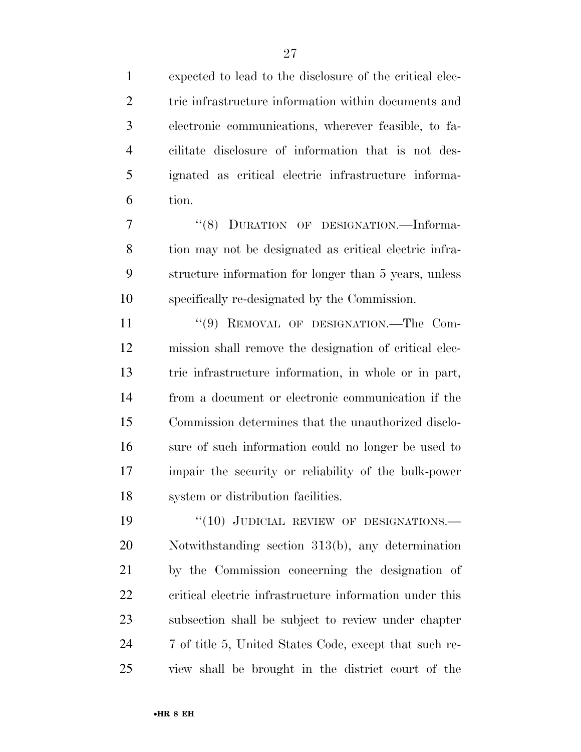expected to lead to the disclosure of the critical elec-2 tric infrastructure information within documents and electronic communications, wherever feasible, to fa- cilitate disclosure of information that is not des- ignated as critical electric infrastructure informa-tion.

 ''(8) DURATION OF DESIGNATION.—Informa- tion may not be designated as critical electric infra- structure information for longer than 5 years, unless specifically re-designated by the Commission.

11 "(9) REMOVAL OF DESIGNATION.—The Com- mission shall remove the designation of critical elec- tric infrastructure information, in whole or in part, from a document or electronic communication if the Commission determines that the unauthorized disclo- sure of such information could no longer be used to impair the security or reliability of the bulk-power system or distribution facilities.

19 "(10) JUDICIAL REVIEW OF DESIGNATIONS.— Notwithstanding section 313(b), any determination by the Commission concerning the designation of critical electric infrastructure information under this subsection shall be subject to review under chapter 7 of title 5, United States Code, except that such re-view shall be brought in the district court of the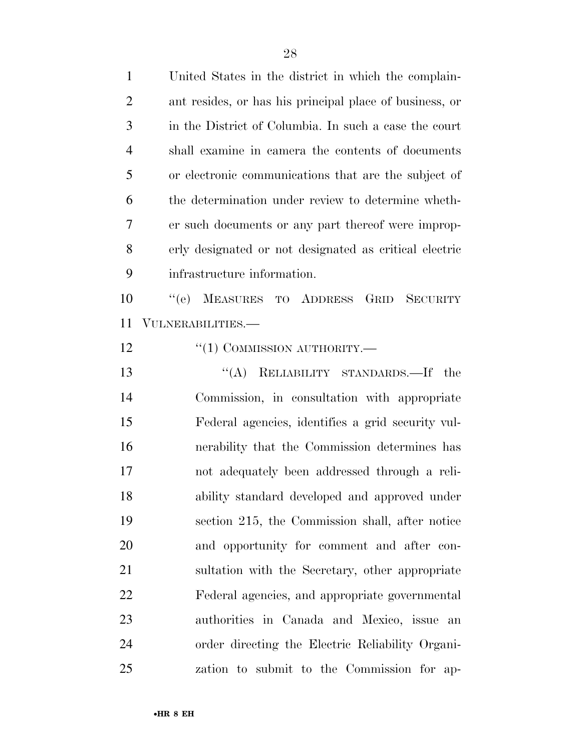| $\mathbf{1}$   | United States in the district in which the complain-    |
|----------------|---------------------------------------------------------|
| $\overline{2}$ | ant resides, or has his principal place of business, or |
| 3              | in the District of Columbia. In such a case the court   |
| $\overline{4}$ | shall examine in camera the contents of documents       |
| 5              | or electronic communications that are the subject of    |
| 6              | the determination under review to determine wheth-      |
| 7              | er such documents or any part thereof were improp-      |
| 8              | erly designated or not designated as critical electric  |
| 9              | infrastructure information.                             |
| 10             | MEASURES TO ADDRESS GRID<br>``(e)<br><b>SECURITY</b>    |
| 11             | VULNERABILITIES.—                                       |
| 12             | $``(1)$ COMMISSION AUTHORITY.—                          |
| 13             | "(A) RELIABILITY STANDARDS.—If the                      |
| 14             | Commission, in consultation with appropriate            |
| 15             | Federal agencies, identifies a grid security vul-       |
| 16             | nerability that the Commission determines has           |
| 17             | not adequately been addressed through a reli-           |
| 18             | ability standard developed and approved under           |
| 19             | section 215, the Commission shall, after notice         |
| 20             | and opportunity for comment and after con-              |
| 21             | sultation with the Secretary, other appropriate         |
| 22             | Federal agencies, and appropriate governmental          |
| 23             | authorities in Canada and Mexico, issue an              |
| 24             | order directing the Electric Reliability Organi-        |
| 25             | zation to submit to the Commission for ap-              |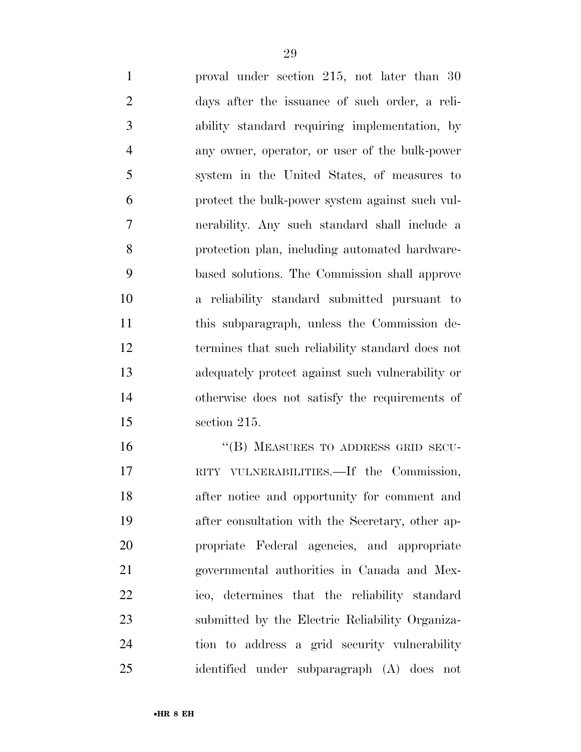proval under section 215, not later than 30 days after the issuance of such order, a reli- ability standard requiring implementation, by any owner, operator, or user of the bulk-power system in the United States, of measures to protect the bulk-power system against such vul- nerability. Any such standard shall include a protection plan, including automated hardware- based solutions. The Commission shall approve a reliability standard submitted pursuant to this subparagraph, unless the Commission de- termines that such reliability standard does not adequately protect against such vulnerability or otherwise does not satisfy the requirements of section 215.

16 "(B) MEASURES TO ADDRESS GRID SECU- RITY VULNERABILITIES.—If the Commission, after notice and opportunity for comment and after consultation with the Secretary, other ap- propriate Federal agencies, and appropriate governmental authorities in Canada and Mex- ico, determines that the reliability standard submitted by the Electric Reliability Organiza- tion to address a grid security vulnerability identified under subparagraph (A) does not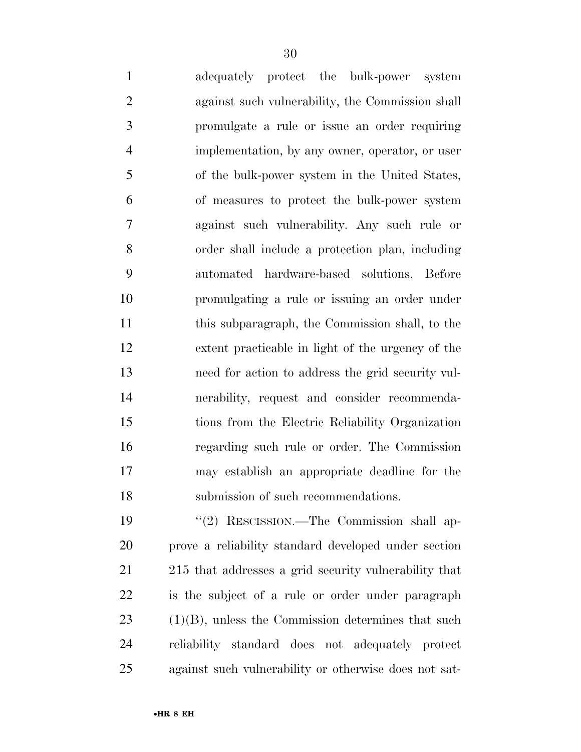adequately protect the bulk-power system against such vulnerability, the Commission shall promulgate a rule or issue an order requiring implementation, by any owner, operator, or user of the bulk-power system in the United States, of measures to protect the bulk-power system against such vulnerability. Any such rule or order shall include a protection plan, including automated hardware-based solutions. Before

 promulgating a rule or issuing an order under this subparagraph, the Commission shall, to the extent practicable in light of the urgency of the need for action to address the grid security vul- nerability, request and consider recommenda- tions from the Electric Reliability Organization regarding such rule or order. The Commission may establish an appropriate deadline for the submission of such recommendations.

 ''(2) RESCISSION.—The Commission shall ap- prove a reliability standard developed under section 215 that addresses a grid security vulnerability that is the subject of a rule or order under paragraph (1)(B), unless the Commission determines that such reliability standard does not adequately protect against such vulnerability or otherwise does not sat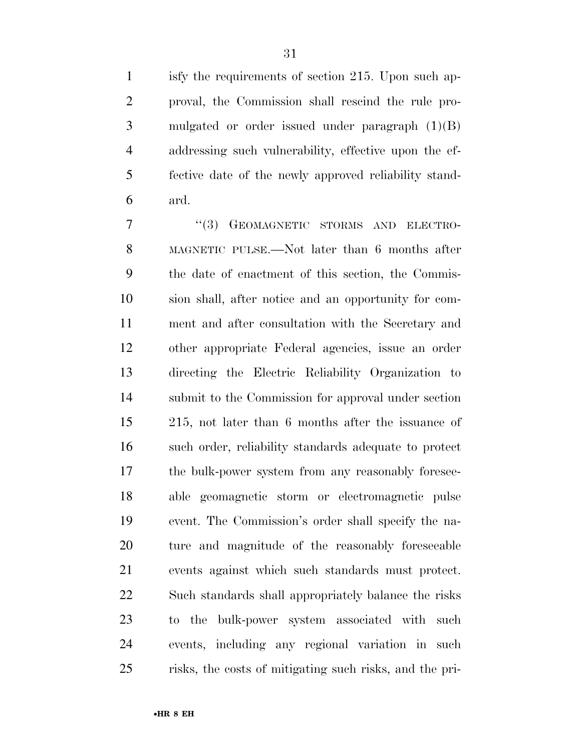isfy the requirements of section 215. Upon such ap- proval, the Commission shall rescind the rule pro- mulgated or order issued under paragraph (1)(B) addressing such vulnerability, effective upon the ef- fective date of the newly approved reliability stand-ard.

7 "(3) GEOMAGNETIC STORMS AND ELECTRO- MAGNETIC PULSE.—Not later than 6 months after the date of enactment of this section, the Commis- sion shall, after notice and an opportunity for com- ment and after consultation with the Secretary and other appropriate Federal agencies, issue an order directing the Electric Reliability Organization to submit to the Commission for approval under section 215, not later than 6 months after the issuance of such order, reliability standards adequate to protect the bulk-power system from any reasonably foresee- able geomagnetic storm or electromagnetic pulse event. The Commission's order shall specify the na- ture and magnitude of the reasonably foreseeable events against which such standards must protect. Such standards shall appropriately balance the risks to the bulk-power system associated with such events, including any regional variation in such risks, the costs of mitigating such risks, and the pri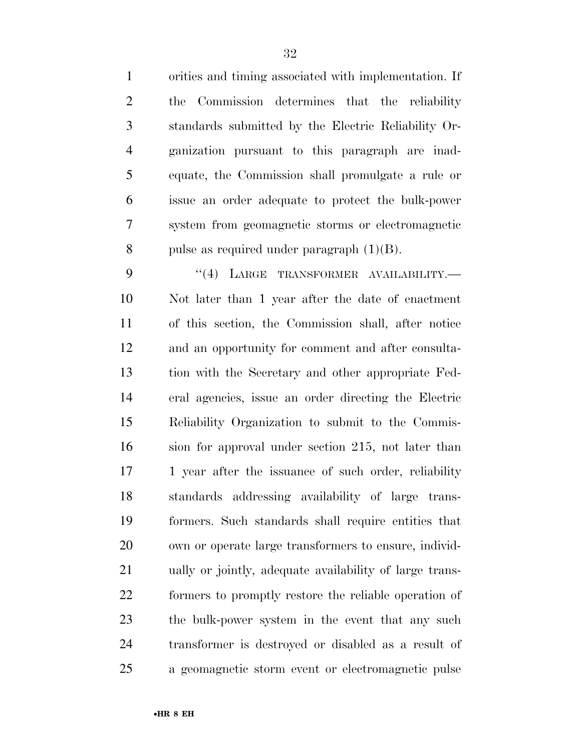orities and timing associated with implementation. If the Commission determines that the reliability standards submitted by the Electric Reliability Or- ganization pursuant to this paragraph are inad- equate, the Commission shall promulgate a rule or issue an order adequate to protect the bulk-power system from geomagnetic storms or electromagnetic 8 pulse as required under paragraph  $(1)(B)$ .

9 "(4) LARGE TRANSFORMER AVAILABILITY. Not later than 1 year after the date of enactment of this section, the Commission shall, after notice and an opportunity for comment and after consulta- tion with the Secretary and other appropriate Fed- eral agencies, issue an order directing the Electric Reliability Organization to submit to the Commis- sion for approval under section 215, not later than 17 1 year after the issuance of such order, reliability standards addressing availability of large trans- formers. Such standards shall require entities that own or operate large transformers to ensure, individ- ually or jointly, adequate availability of large trans- formers to promptly restore the reliable operation of the bulk-power system in the event that any such transformer is destroyed or disabled as a result of a geomagnetic storm event or electromagnetic pulse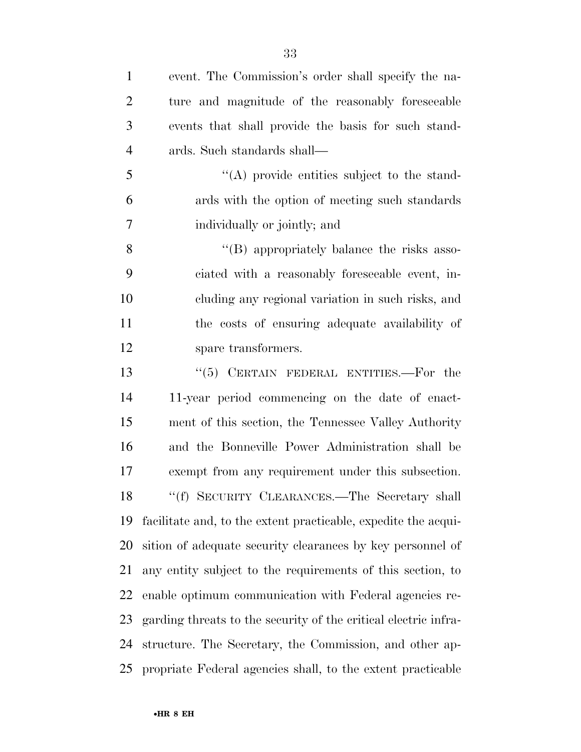| $\mathbf{1}$   | event. The Commission's order shall specify the na-             |
|----------------|-----------------------------------------------------------------|
| $\overline{2}$ | ture and magnitude of the reasonably foreseeable                |
| 3              | events that shall provide the basis for such stand-             |
| $\overline{4}$ | ards. Such standards shall—                                     |
| 5              | $\lq\lq$ provide entities subject to the stand-                 |
| 6              | ards with the option of meeting such standards                  |
| 7              | individually or jointly; and                                    |
| 8              | "(B) appropriately balance the risks asso-                      |
| 9              | ciated with a reasonably foreseeable event, in-                 |
| 10             | cluding any regional variation in such risks, and               |
| 11             | the costs of ensuring adequate availability of                  |
| 12             | spare transformers.                                             |
| 13             | "(5) CERTAIN FEDERAL ENTITIES.—For the                          |
| 14             | 11-year period commencing on the date of enact-                 |
| 15             | ment of this section, the Tennessee Valley Authority            |
| 16             | and the Bonneville Power Administration shall be                |
| 17             | exempt from any requirement under this subsection.              |
| 18             | "(f) SECURITY CLEARANCES.—The Secretary shall                   |
| 19             | facilitate and, to the extent practicable, expedite the acqui-  |
| 20             | sition of adequate security clearances by key personnel of      |
| 21             | any entity subject to the requirements of this section, to      |
| 22             | enable optimum communication with Federal agencies re-          |
| 23             | garding threats to the security of the critical electric infra- |
| 24             | structure. The Secretary, the Commission, and other ap-         |
| 25             | propriate Federal agencies shall, to the extent practicable     |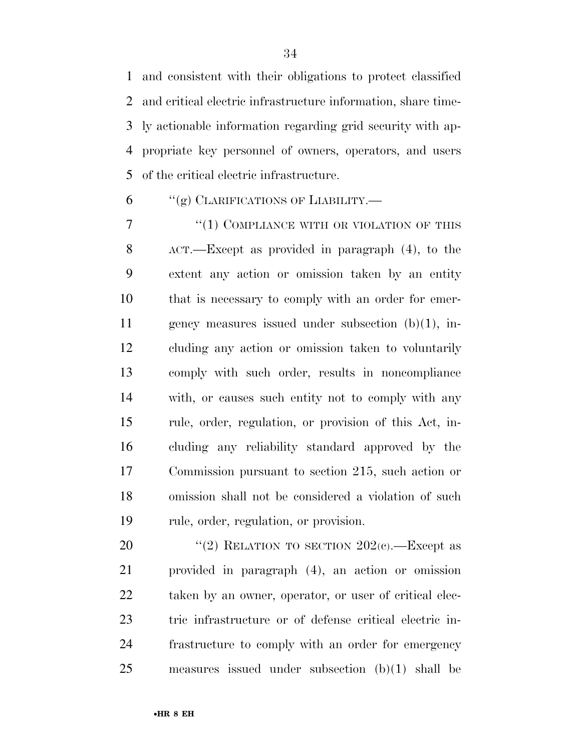and consistent with their obligations to protect classified and critical electric infrastructure information, share time- ly actionable information regarding grid security with ap- propriate key personnel of owners, operators, and users of the critical electric infrastructure.

"(g) CLARIFICATIONS OF LIABILITY.—

7 "(1) COMPLIANCE WITH OR VIOLATION OF THIS ACT.—Except as provided in paragraph (4), to the extent any action or omission taken by an entity that is necessary to comply with an order for emer- gency measures issued under subsection (b)(1), in- cluding any action or omission taken to voluntarily comply with such order, results in noncompliance with, or causes such entity not to comply with any rule, order, regulation, or provision of this Act, in- cluding any reliability standard approved by the Commission pursuant to section 215, such action or omission shall not be considered a violation of such rule, order, regulation, or provision.

 $\text{``(2)}$  RELATION TO SECTION  $202(c)$ . Except as provided in paragraph (4), an action or omission 22 taken by an owner, operator, or user of critical elec- tric infrastructure or of defense critical electric in- frastructure to comply with an order for emergency measures issued under subsection (b)(1) shall be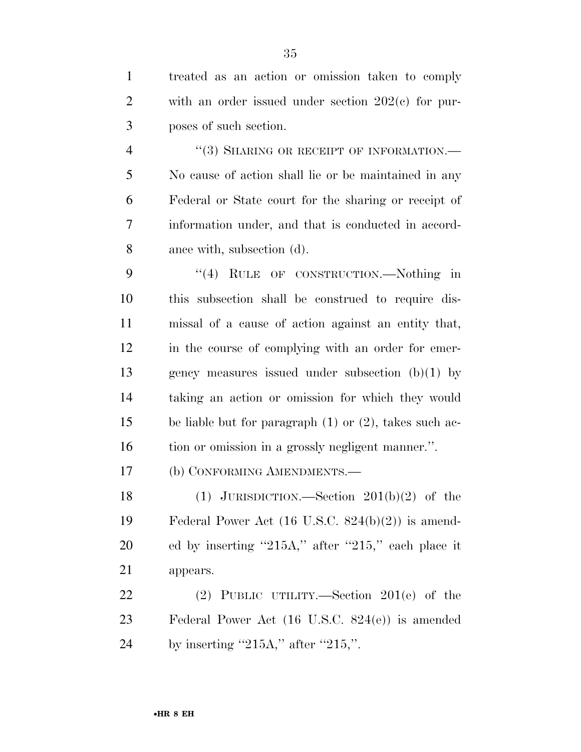treated as an action or omission taken to comply with an order issued under section 202(c) for pur-poses of such section.

4 "(3) SHARING OR RECEIPT OF INFORMATION.— No cause of action shall lie or be maintained in any Federal or State court for the sharing or receipt of information under, and that is conducted in accord-ance with, subsection (d).

9 "(4) RULE OF CONSTRUCTION.—Nothing in this subsection shall be construed to require dis- missal of a cause of action against an entity that, in the course of complying with an order for emer- gency measures issued under subsection (b)(1) by taking an action or omission for which they would be liable but for paragraph (1) or (2), takes such ac-tion or omission in a grossly negligent manner.''.

(b) CONFORMING AMENDMENTS.—

18 (1) JURISDICTION.—Section  $201(b)(2)$  of the Federal Power Act (16 U.S.C. 824(b)(2)) is amend- ed by inserting ''215A,'' after ''215,'' each place it appears.

 (2) PUBLIC UTILITY.—Section 201(e) of the Federal Power Act (16 U.S.C. 824(e)) is amended 24 by inserting  $"215A,"$  after  $"215,"$ .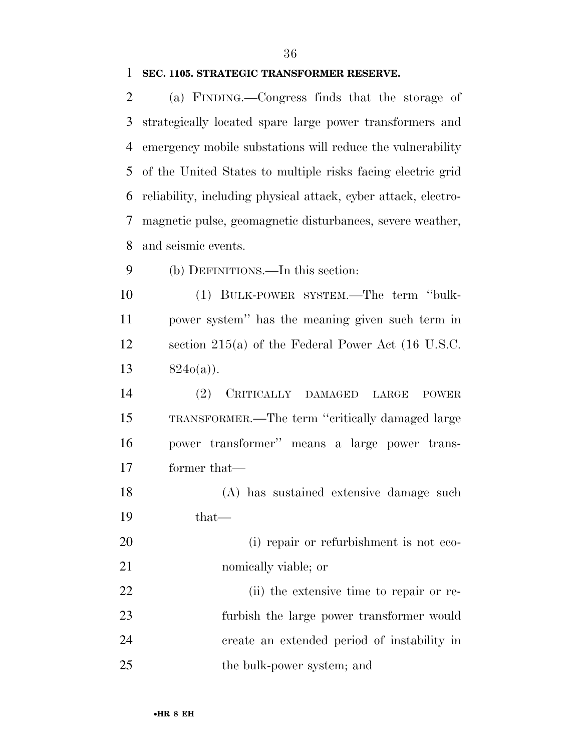### **SEC. 1105. STRATEGIC TRANSFORMER RESERVE.**

 (a) FINDING.—Congress finds that the storage of strategically located spare large power transformers and emergency mobile substations will reduce the vulnerability of the United States to multiple risks facing electric grid reliability, including physical attack, cyber attack, electro- magnetic pulse, geomagnetic disturbances, severe weather, and seismic events.

(b) DEFINITIONS.—In this section:

 (1) BULK-POWER SYSTEM.—The term ''bulk- power system'' has the meaning given such term in section 215(a) of the Federal Power Act (16 U.S.C.  $824o(a)$ ).

 (2) CRITICALLY DAMAGED LARGE POWER TRANSFORMER.—The term ''critically damaged large power transformer'' means a large power trans-former that—

 (A) has sustained extensive damage such that—

20 (i) repair or refurbishment is not eco-nomically viable; or

 (ii) the extensive time to repair or re- furbish the large power transformer would create an extended period of instability in 25 the bulk-power system; and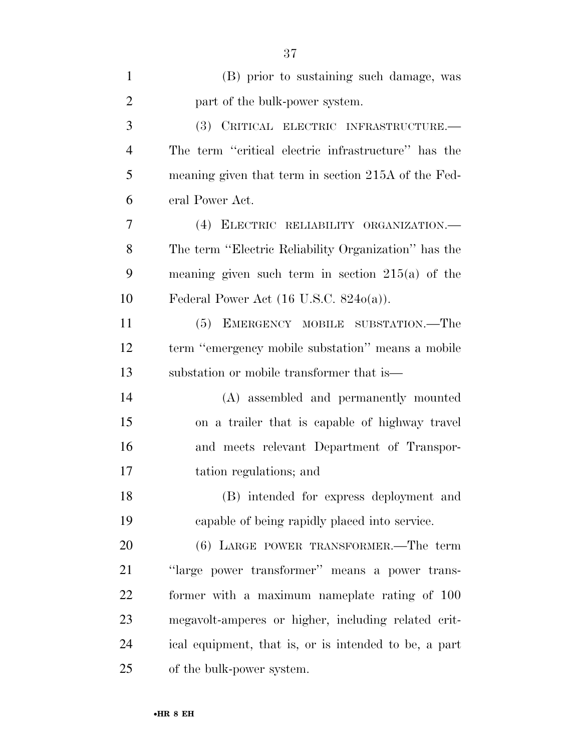| $\mathbf{1}$   | (B) prior to sustaining such damage, was              |
|----------------|-------------------------------------------------------|
| $\overline{2}$ | part of the bulk-power system.                        |
| 3              | (3) CRITICAL ELECTRIC INFRASTRUCTURE.-                |
| $\overline{4}$ | The term "critical electric infrastructure" has the   |
| 5              | meaning given that term in section 215A of the Fed-   |
| 6              | eral Power Act.                                       |
| 7              | (4) ELECTRIC RELIABILITY ORGANIZATION.                |
| 8              | The term "Electric Reliability Organization" has the  |
| 9              | meaning given such term in section $215(a)$ of the    |
| 10             | Federal Power Act $(16$ U.S.C. $824o(a)$ ).           |
| 11             | (5) EMERGENCY MOBILE SUBSTATION.—The                  |
| 12             | term "emergency mobile substation" means a mobile     |
| 13             | substation or mobile transformer that is—             |
| 14             | (A) assembled and permanently mounted                 |
| 15             | on a trailer that is capable of highway travel        |
| 16             | and meets relevant Department of Transpor-            |
| 17             | tation regulations; and                               |
| 18             | (B) intended for express deployment and               |
| 19             | capable of being rapidly placed into service.         |
| 20             | (6) LARGE POWER TRANSFORMER.—The term                 |
| 21             | "large power transformer" means a power trans-        |
| 22             | former with a maximum nameplate rating of 100         |
| 23             | megavolt-amperes or higher, including related crit-   |
| 24             | ical equipment, that is, or is intended to be, a part |
| 25             | of the bulk-power system.                             |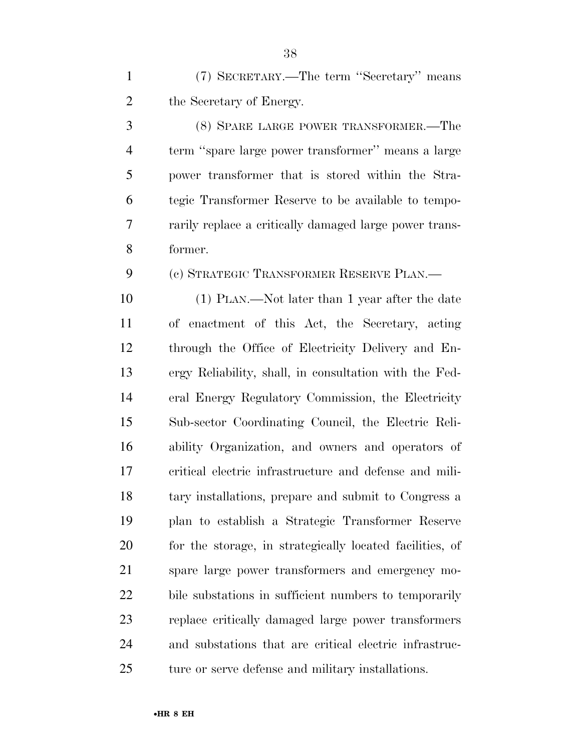(7) SECRETARY.—The term ''Secretary'' means the Secretary of Energy.

 (8) SPARE LARGE POWER TRANSFORMER.—The term ''spare large power transformer'' means a large power transformer that is stored within the Stra- tegic Transformer Reserve to be available to tempo- rarily replace a critically damaged large power trans-former.

(c) STRATEGIC TRANSFORMER RESERVE PLAN.—

 (1) PLAN.—Not later than 1 year after the date of enactment of this Act, the Secretary, acting through the Office of Electricity Delivery and En- ergy Reliability, shall, in consultation with the Fed- eral Energy Regulatory Commission, the Electricity Sub-sector Coordinating Council, the Electric Reli- ability Organization, and owners and operators of critical electric infrastructure and defense and mili- tary installations, prepare and submit to Congress a plan to establish a Strategic Transformer Reserve for the storage, in strategically located facilities, of spare large power transformers and emergency mo- bile substations in sufficient numbers to temporarily replace critically damaged large power transformers and substations that are critical electric infrastruc-ture or serve defense and military installations.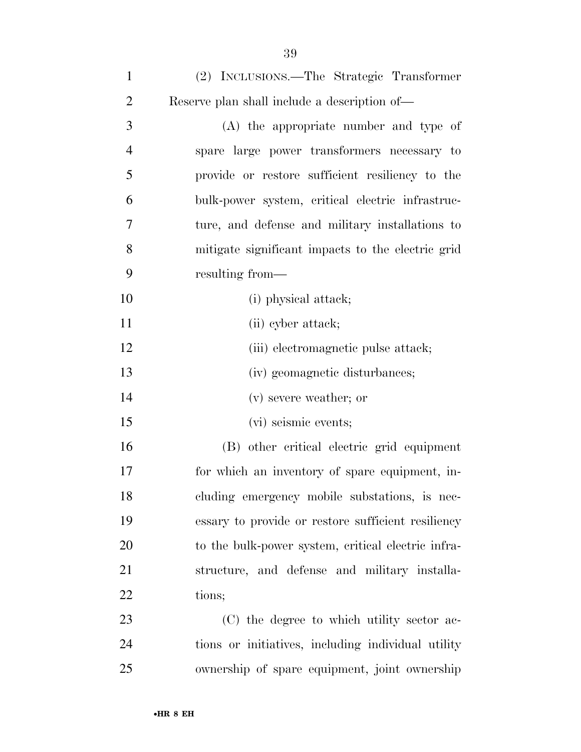| $\mathbf{1}$   | (2) INCLUSIONS.—The Strategic Transformer          |
|----------------|----------------------------------------------------|
| $\overline{2}$ | Reserve plan shall include a description of—       |
| 3              | (A) the appropriate number and type of             |
| $\overline{4}$ | spare large power transformers necessary to        |
| 5              | provide or restore sufficient resiliency to the    |
| 6              | bulk-power system, critical electric infrastruc-   |
| 7              | ture, and defense and military installations to    |
| 8              | mitigate significant impacts to the electric grid  |
| 9              | resulting from—                                    |
| 10             | (i) physical attack;                               |
| 11             | (ii) cyber attack;                                 |
| 12             | (iii) electromagnetic pulse attack;                |
| 13             | (iv) geomagnetic disturbances;                     |
| 14             | (v) severe weather; or                             |
| 15             | (vi) seismic events;                               |
| 16             | (B) other critical electric grid equipment         |
| 17             | for which an inventory of spare equipment, in-     |
| 18             | cluding emergency mobile substations, is nec-      |
| 19             | essary to provide or restore sufficient resiliency |
| 20             | to the bulk-power system, critical electric infra- |
| 21             | structure, and defense and military installa-      |
| 22             | tions;                                             |
| 23             | (C) the degree to which utility sector ac-         |
| 24             | tions or initiatives, including individual utility |

ownership of spare equipment, joint ownership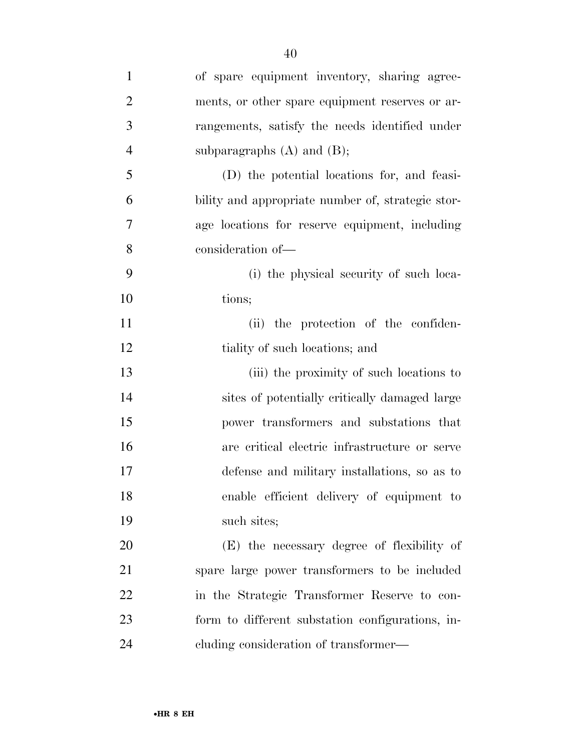| $\mathbf{1}$   | of spare equipment inventory, sharing agree-      |
|----------------|---------------------------------------------------|
| $\overline{2}$ | ments, or other spare equipment reserves or ar-   |
| 3              | rangements, satisfy the needs identified under    |
| $\overline{4}$ | subparagraphs $(A)$ and $(B)$ ;                   |
| 5              | (D) the potential locations for, and feasi-       |
| 6              | bility and appropriate number of, strategic stor- |
| 7              | age locations for reserve equipment, including    |
| 8              | consideration of-                                 |
| 9              | (i) the physical security of such loca-           |
| 10             | tions;                                            |
| 11             | (ii) the protection of the confiden-              |
| 12             | tiality of such locations; and                    |
| 13             | (iii) the proximity of such locations to          |
| 14             | sites of potentially critically damaged large     |
| 15             | power transformers and substations that           |
| 16             | are critical electric infrastructure or serve     |
| 17             | defense and military installations, so as to      |
| 18             | enable efficient delivery of equipment to         |
| 19             | such sites;                                       |
| 20             | (E) the necessary degree of flexibility of        |
| 21             | spare large power transformers to be included     |
| 22             | in the Strategic Transformer Reserve to con-      |
| 23             | form to different substation configurations, in-  |
| 24             | eluding consideration of transformer—             |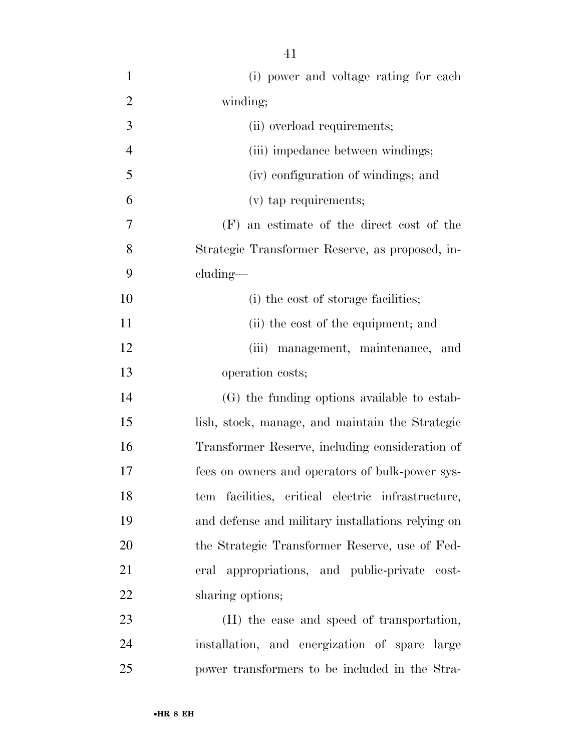(i) power and voltage rating for each winding; (ii) overload requirements; 4 (iii) impedance between windings; (iv) configuration of windings; and (v) tap requirements; (F) an estimate of the direct cost of the Strategic Transformer Reserve, as proposed, in- cluding— 10 (i) the cost of storage facilities; 11 (ii) the cost of the equipment; and (iii) management, maintenance, and operation costs; (G) the funding options available to estab- lish, stock, manage, and maintain the Strategic Transformer Reserve, including consideration of fees on owners and operators of bulk-power sys- tem facilities, critical electric infrastructure, and defense and military installations relying on the Strategic Transformer Reserve, use of Fed- eral appropriations, and public-private cost-22 sharing options; (H) the ease and speed of transportation,

 installation, and energization of spare large power transformers to be included in the Stra-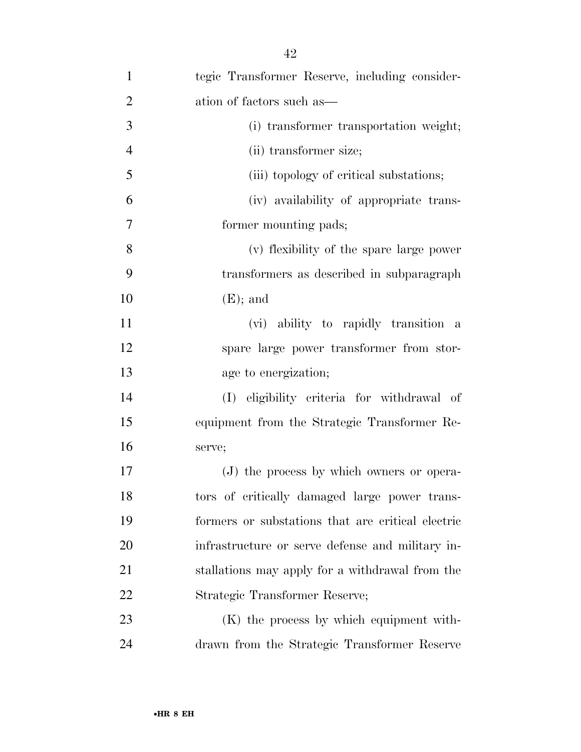| $\mathbf{1}$     | tegic Transformer Reserve, including consider-    |
|------------------|---------------------------------------------------|
| $\overline{2}$   | ation of factors such as—                         |
| 3                | (i) transformer transportation weight;            |
| $\overline{4}$   | (ii) transformer size;                            |
| 5                | (iii) topology of critical substations;           |
| 6                | (iv) availability of appropriate trans-           |
| $\boldsymbol{7}$ | former mounting pads;                             |
| 8                | (v) flexibility of the spare large power          |
| 9                | transformers as described in subparagraph         |
| 10               | $(E)$ ; and                                       |
| 11               | (vi) ability to rapidly transition a              |
| 12               | spare large power transformer from stor-          |
| 13               | age to energization;                              |
| 14               | (I) eligibility criteria for withdrawal of        |
| 15               | equipment from the Strategic Transformer Re-      |
| 16               | serve;                                            |
| $17\,$           | (J) the process by which owners or opera-         |
| 18               | tors of critically damaged large power trans-     |
| 19               | formers or substations that are critical electric |
| 20               | infrastructure or serve defense and military in-  |
| 21               | stallations may apply for a withdrawal from the   |
| 22               | Strategic Transformer Reserve;                    |
| 23               | $(K)$ the process by which equipment with-        |
| 24               | drawn from the Strategic Transformer Reserve      |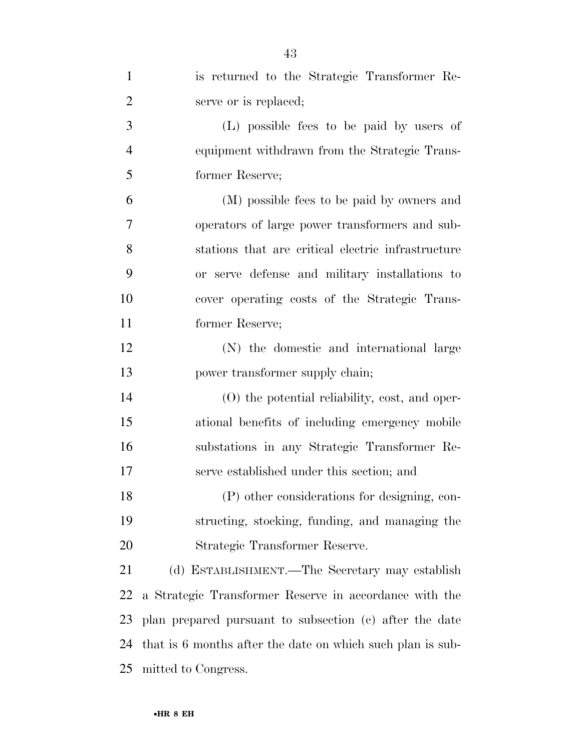| $\mathbf{1}$   | is returned to the Strategic Transformer Re-               |
|----------------|------------------------------------------------------------|
| $\overline{2}$ | serve or is replaced;                                      |
| 3              | (L) possible fees to be paid by users of                   |
| $\overline{4}$ | equipment withdrawn from the Strategic Trans-              |
| 5              | former Reserve;                                            |
| 6              | (M) possible fees to be paid by owners and                 |
| 7              | operators of large power transformers and sub-             |
| 8              | stations that are critical electric infrastructure         |
| 9              | or serve defense and military installations to             |
| 10             | cover operating costs of the Strategic Trans-              |
| 11             | former Reserve;                                            |
| 12             | (N) the domestic and international large                   |
| 13             | power transformer supply chain;                            |
| 14             | (O) the potential reliability, cost, and oper-             |
| 15             | ational benefits of including emergency mobile             |
| 16             | substations in any Strategic Transformer Re-               |
| 17             | serve established under this section; and                  |
| 18             | (P) other considerations for designing, con-               |
| 19             | structing, stocking, funding, and managing the             |
| 20             | Strategic Transformer Reserve.                             |
| 21             | (d) ESTABLISHMENT.—The Secretary may establish             |
| 22             | a Strategic Transformer Reserve in accordance with the     |
| 23             | plan prepared pursuant to subsection (c) after the date    |
| 24             | that is 6 months after the date on which such plan is sub- |
| 25             | mitted to Congress.                                        |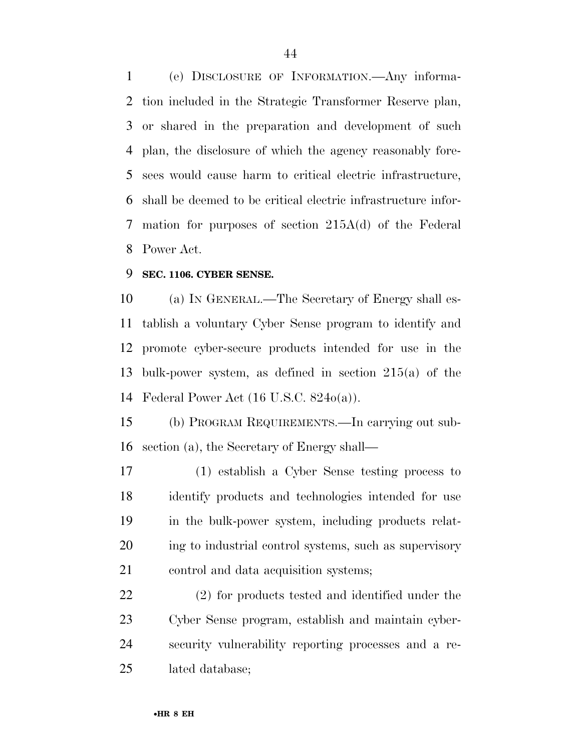(e) DISCLOSURE OF INFORMATION.—Any informa- tion included in the Strategic Transformer Reserve plan, or shared in the preparation and development of such plan, the disclosure of which the agency reasonably fore- sees would cause harm to critical electric infrastructure, shall be deemed to be critical electric infrastructure infor- mation for purposes of section 215A(d) of the Federal Power Act.

#### **SEC. 1106. CYBER SENSE.**

 (a) IN GENERAL.—The Secretary of Energy shall es- tablish a voluntary Cyber Sense program to identify and promote cyber-secure products intended for use in the bulk-power system, as defined in section 215(a) of the Federal Power Act (16 U.S.C. 824o(a)).

 (b) PROGRAM REQUIREMENTS.—In carrying out sub-section (a), the Secretary of Energy shall—

 (1) establish a Cyber Sense testing process to identify products and technologies intended for use in the bulk-power system, including products relat- ing to industrial control systems, such as supervisory control and data acquisition systems;

 (2) for products tested and identified under the Cyber Sense program, establish and maintain cyber- security vulnerability reporting processes and a re-lated database;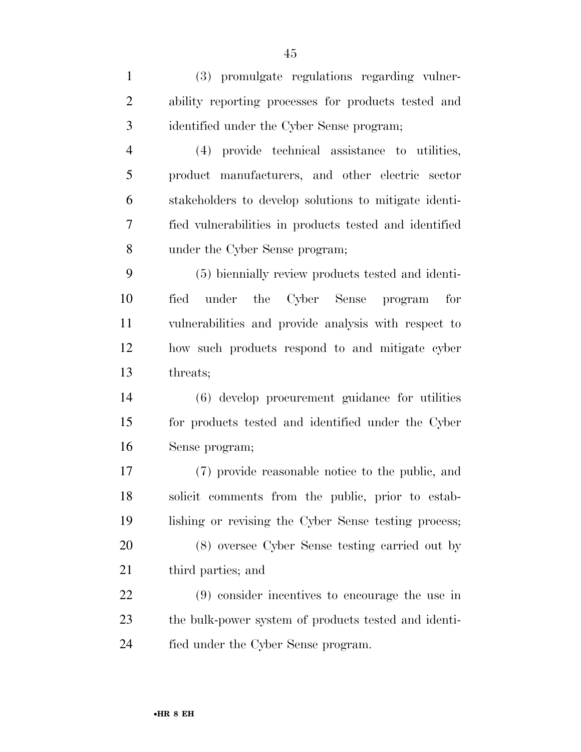(3) promulgate regulations regarding vulner- ability reporting processes for products tested and identified under the Cyber Sense program;

 (4) provide technical assistance to utilities, product manufacturers, and other electric sector stakeholders to develop solutions to mitigate identi- fied vulnerabilities in products tested and identified under the Cyber Sense program;

 (5) biennially review products tested and identi- fied under the Cyber Sense program for vulnerabilities and provide analysis with respect to how such products respond to and mitigate cyber threats;

 (6) develop procurement guidance for utilities for products tested and identified under the Cyber Sense program;

 (7) provide reasonable notice to the public, and solicit comments from the public, prior to estab-lishing or revising the Cyber Sense testing process;

 (8) oversee Cyber Sense testing carried out by third parties; and

 (9) consider incentives to encourage the use in the bulk-power system of products tested and identi-fied under the Cyber Sense program.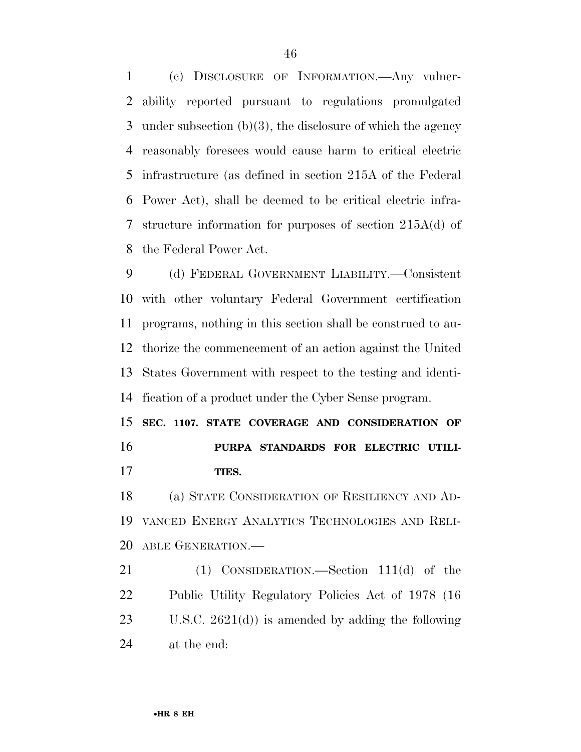(c) DISCLOSURE OF INFORMATION.—Any vulner- ability reported pursuant to regulations promulgated under subsection (b)(3), the disclosure of which the agency reasonably foresees would cause harm to critical electric infrastructure (as defined in section 215A of the Federal Power Act), shall be deemed to be critical electric infra- structure information for purposes of section 215A(d) of the Federal Power Act.

 (d) FEDERAL GOVERNMENT LIABILITY.—Consistent with other voluntary Federal Government certification programs, nothing in this section shall be construed to au- thorize the commencement of an action against the United States Government with respect to the testing and identi-fication of a product under the Cyber Sense program.

 **SEC. 1107. STATE COVERAGE AND CONSIDERATION OF PURPA STANDARDS FOR ELECTRIC UTILI-TIES.** 

 (a) STATE CONSIDERATION OF RESILIENCY AND AD- VANCED ENERGY ANALYTICS TECHNOLOGIES AND RELI-ABLE GENERATION.—

21 (1) CONSIDERATION.—Section 111(d) of the Public Utility Regulatory Policies Act of 1978 (16 U.S.C. 2621(d)) is amended by adding the following at the end: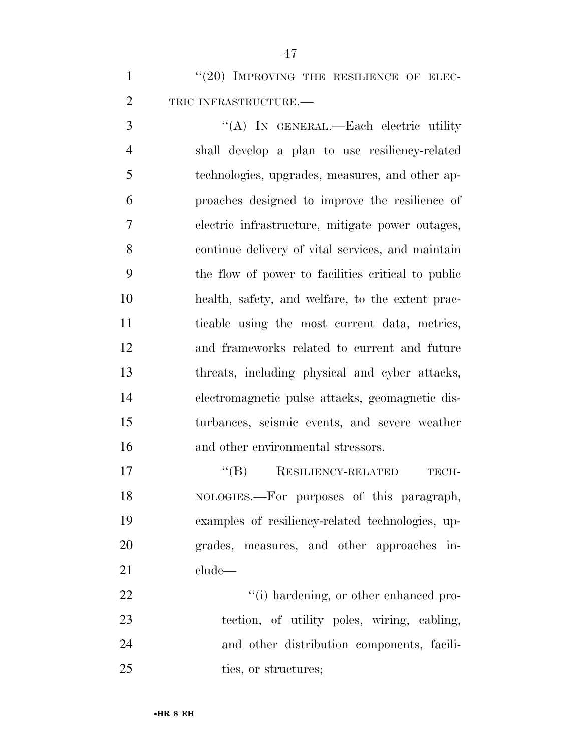1 "(20) IMPROVING THE RESILIENCE OF ELEC-TRIC INFRASTRUCTURE.—

 ''(A) IN GENERAL.—Each electric utility shall develop a plan to use resiliency-related technologies, upgrades, measures, and other ap- proaches designed to improve the resilience of electric infrastructure, mitigate power outages, continue delivery of vital services, and maintain the flow of power to facilities critical to public health, safety, and welfare, to the extent prac- ticable using the most current data, metrics, and frameworks related to current and future threats, including physical and cyber attacks, electromagnetic pulse attacks, geomagnetic dis- turbances, seismic events, and severe weather and other environmental stressors.

 $``$ (B) RESILIENCY-RELATED TECH- NOLOGIES.—For purposes of this paragraph, examples of resiliency-related technologies, up- grades, measures, and other approaches in-clude—

 $\frac{4}{1}$  hardening, or other enhanced pro- tection, of utility poles, wiring, cabling, and other distribution components, facili-25 ties, or structures;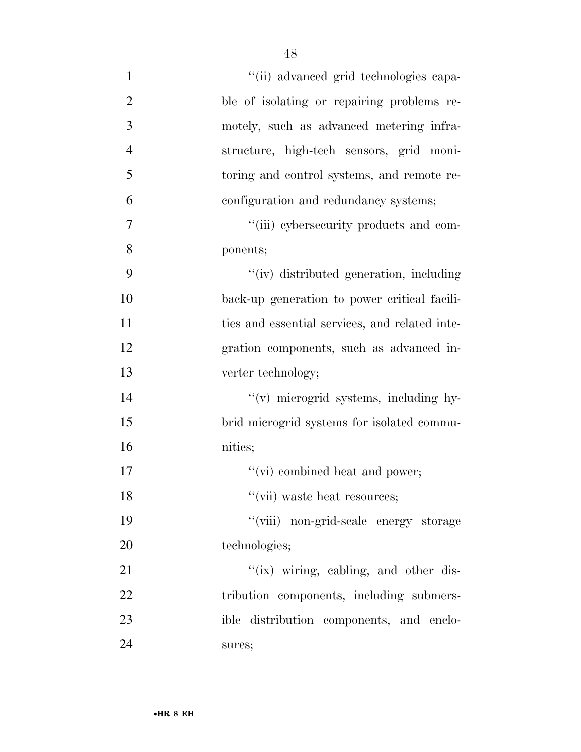| $\mathbf{1}$   | "(ii) advanced grid technologies capa-         |
|----------------|------------------------------------------------|
| $\overline{2}$ | ble of isolating or repairing problems re-     |
| 3              | motely, such as advanced metering infra-       |
| $\overline{4}$ | structure, high-tech sensors, grid moni-       |
| 5              | toring and control systems, and remote re-     |
| 6              | configuration and redundancy systems;          |
| 7              | "(iii) cybersecurity products and com-         |
| 8              | ponents;                                       |
| 9              | "(iv) distributed generation, including        |
| 10             | back-up generation to power critical facili-   |
| 11             | ties and essential services, and related inte- |
| 12             | gration components, such as advanced in-       |
| 13             | verter technology;                             |
| 14             | "(v) microgrid systems, including hy-          |
| 15             | brid microgrid systems for isolated commu-     |
| 16             | nities;                                        |
| 17             | "(vi) combined heat and power;                 |
| 18             | "(vii) waste heat resources;                   |
| 19             | "(viii) non-grid-scale energy storage          |
| 20             | technologies;                                  |
| 21             | "(ix) wiring, cabling, and other dis-          |
| 22             | tribution components, including submers-       |
| 23             | ible distribution components, and enclo-       |
| 24             | sures;                                         |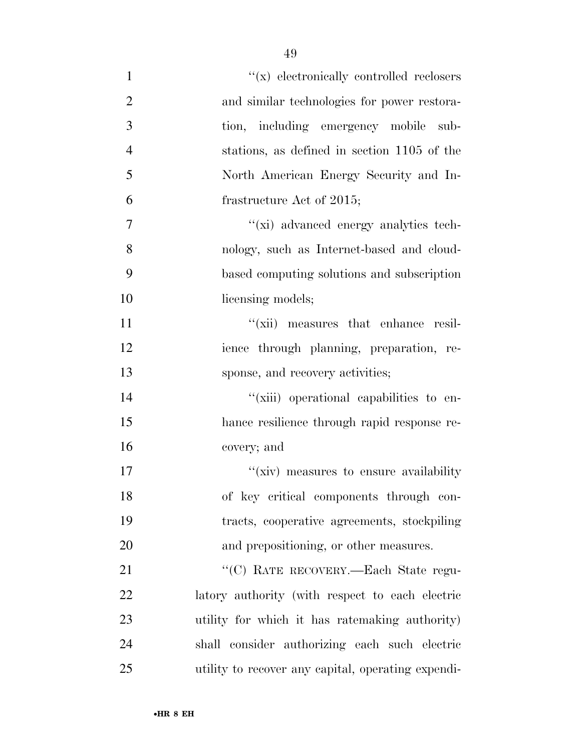| $\mathbf{1}$   | $\lq\lq (x)$ electronically controlled reclosers   |
|----------------|----------------------------------------------------|
| $\overline{2}$ | and similar technologies for power restora-        |
| 3              | tion, including emergency mobile sub-              |
| $\overline{4}$ | stations, as defined in section 1105 of the        |
| 5              | North American Energy Security and In-             |
| 6              | frastructure Act of 2015;                          |
| $\overline{7}$ | "(xi) advanced energy analytics tech-              |
| 8              | nology, such as Internet-based and cloud-          |
| 9              | based computing solutions and subscription         |
| 10             | licensing models;                                  |
| 11             | "(xii) measures that enhance resil-                |
| 12             | ience through planning, preparation, re-           |
| 13             | sponse, and recovery activities;                   |
| 14             | "(xiii) operational capabilities to en-            |
| 15             | hance resilience through rapid response re-        |
| 16             | covery; and                                        |
| 17             | "(xiv) measures to ensure availability             |
| 18             | of key critical components through con-            |
| 19             | tracts, cooperative agreements, stockpiling        |
| 20             | and prepositioning, or other measures.             |
| 21             | "(C) RATE RECOVERY.—Each State regu-               |
| 22             | latory authority (with respect to each electric    |
| 23             | utility for which it has ratemaking authority)     |
| 24             | shall consider authorizing each such electric      |
| 25             | utility to recover any capital, operating expendi- |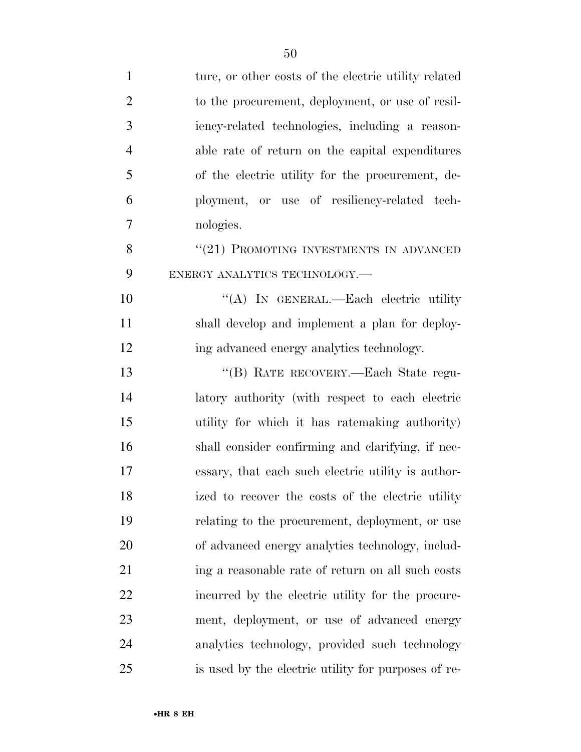| $\mathbf{1}$   | ture, or other costs of the electric utility related |
|----------------|------------------------------------------------------|
| $\overline{2}$ | to the procurement, deployment, or use of resil-     |
| 3              | iency-related technologies, including a reason-      |
| $\overline{4}$ | able rate of return on the capital expenditures      |
| 5              | of the electric utility for the procurement, de-     |
| 6              | ployment, or use of resiliency-related tech-         |
| 7              | nologies.                                            |
| 8              | "(21) PROMOTING INVESTMENTS IN ADVANCED              |
| 9              | ENERGY ANALYTICS TECHNOLOGY.                         |
| 10             | "(A) IN GENERAL.—Each electric utility               |
| 11             | shall develop and implement a plan for deploy-       |
| 12             | ing advanced energy analytics technology.            |
| 13             | "(B) RATE RECOVERY.—Each State regu-                 |
| 14             | latory authority (with respect to each electric      |
| 15             | utility for which it has ratemaking authority)       |
| 16             | shall consider confirming and clarifying, if nec-    |
| 17             | essary, that each such electric utility is author-   |
| 18             | ized to recover the costs of the electric utility    |
| 19             | relating to the procurement, deployment, or use      |
| 20             | of advanced energy analytics technology, includ-     |
| 21             | ing a reasonable rate of return on all such costs    |
| 22             | incurred by the electric utility for the procure-    |
| 23             | ment, deployment, or use of advanced energy          |
| 24             | analytics technology, provided such technology       |
| 25             | is used by the electric utility for purposes of re-  |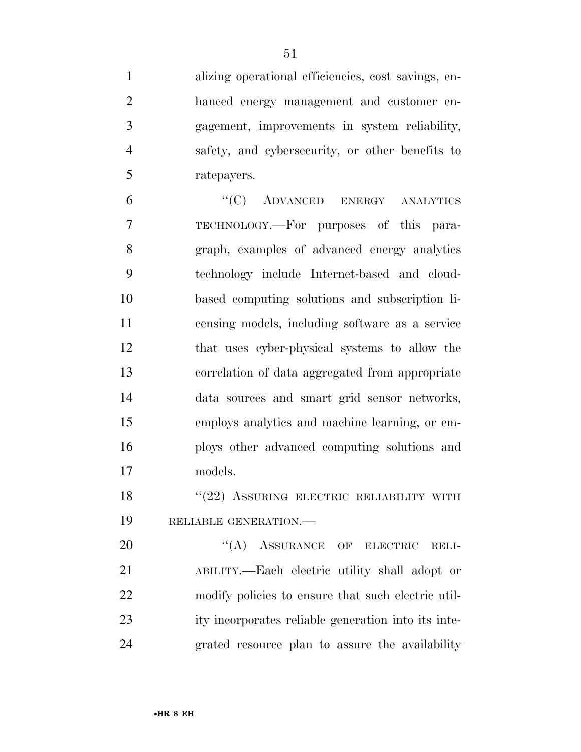alizing operational efficiencies, cost savings, en- hanced energy management and customer en- gagement, improvements in system reliability, safety, and cybersecurity, or other benefits to ratepayers.

 ''(C) ADVANCED ENERGY ANALYTICS TECHNOLOGY.—For purposes of this para- graph, examples of advanced energy analytics technology include Internet-based and cloud- based computing solutions and subscription li- censing models, including software as a service that uses cyber-physical systems to allow the correlation of data aggregated from appropriate data sources and smart grid sensor networks, employs analytics and machine learning, or em- ploys other advanced computing solutions and models.

18 "(22) ASSURING ELECTRIC RELIABILITY WITH RELIABLE GENERATION.—

20 "(A) ASSURANCE OF ELECTRIC RELI- ABILITY.—Each electric utility shall adopt or modify policies to ensure that such electric util- ity incorporates reliable generation into its inte-grated resource plan to assure the availability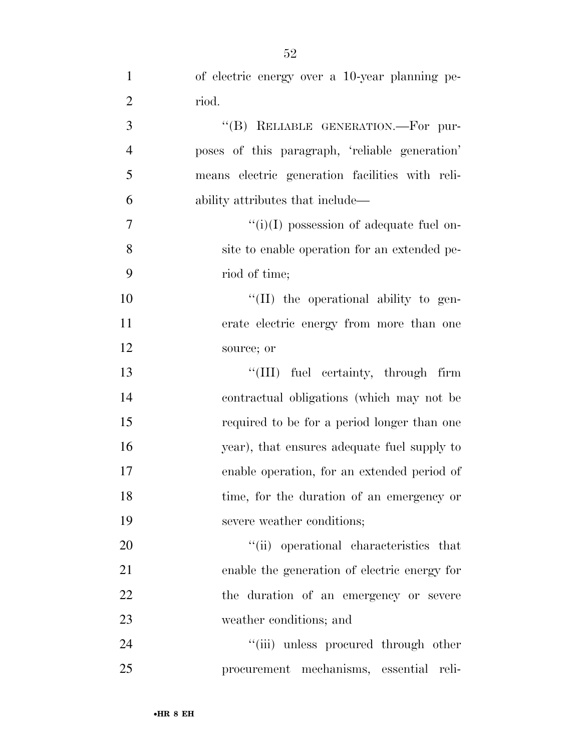| $\mathbf{1}$   | of electric energy over a 10-year planning pe-  |
|----------------|-------------------------------------------------|
| $\overline{2}$ | riod.                                           |
| 3              | "(B) RELIABLE GENERATION.-For pur-              |
| $\overline{4}$ | poses of this paragraph, 'reliable generation'  |
| 5              | means electric generation facilities with reli- |
| 6              | ability attributes that include—                |
| 7              | $``(i)(I)$ possession of adequate fuel on-      |
| 8              | site to enable operation for an extended pe-    |
| 9              | riod of time;                                   |
| 10             | $\lq\lq$ (II) the operational ability to gen-   |
| 11             | erate electric energy from more than one        |
| 12             | source; or                                      |
| 13             | "(III) fuel certainty, through firm             |
| 14             | contractual obligations (which may not be       |
| 15             | required to be for a period longer than one     |
| 16             | year), that ensures adequate fuel supply to     |
| 17             | enable operation, for an extended period of     |
| 18             | time, for the duration of an emergency or       |
| 19             | severe weather conditions;                      |
| 20             | "(ii) operational characteristics that          |
| 21             | enable the generation of electric energy for    |
| 22             | the duration of an emergency or severe          |
| 23             | weather conditions; and                         |
| 24             | "(iii) unless procured through other            |
| 25             | procurement mechanisms, essential reli-         |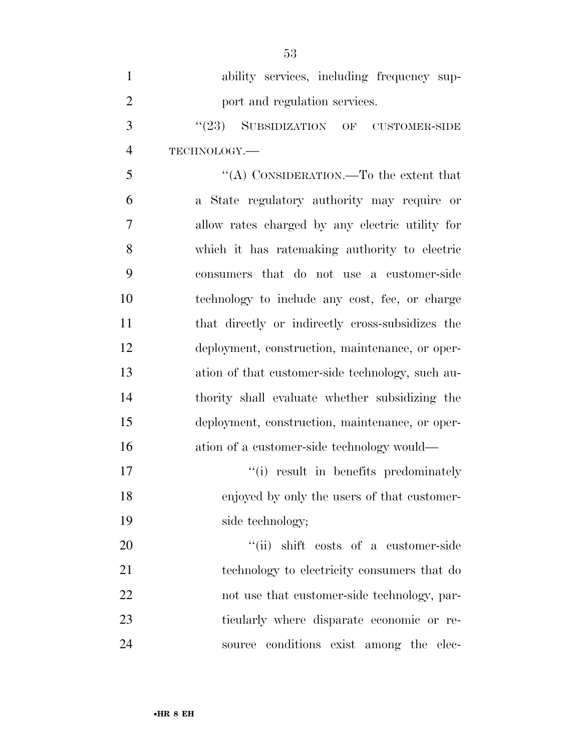| $\mathbf{1}$   | ability services, including frequency sup-       |
|----------------|--------------------------------------------------|
| $\overline{2}$ | port and regulation services.                    |
| 3              | (23)<br>SUBSIDIZATION OF<br><b>CUSTOMER-SIDE</b> |
| $\overline{4}$ | TECHNOLOGY.-                                     |
| 5              | "(A) CONSIDERATION.—To the extent that           |
| 6              | a State regulatory authority may require or      |
| 7              | allow rates charged by any electric utility for  |
| 8              | which it has ratemaking authority to electric    |
| 9              | consumers that do not use a customer-side        |
| 10             | technology to include any cost, fee, or charge   |
| 11             | that directly or indirectly cross-subsidizes the |
| 12             | deployment, construction, maintenance, or oper-  |
| 13             | ation of that customer-side technology, such au- |
| 14             | thority shall evaluate whether subsidizing the   |
| 15             | deployment, construction, maintenance, or oper-  |
| 16             | ation of a customer-side technology would—       |
| 17             | "(i) result in benefits predominately            |
| 18             | enjoyed by only the users of that customer-      |
| 19             | side technology;                                 |
| 20             | "(ii) shift costs of a customer-side             |
| 21             | technology to electricity consumers that do      |
| 22             | not use that customer-side technology, par-      |
| 23             | ticularly where disparate economic or re-        |
| 24             | conditions exist among the elec-<br>source       |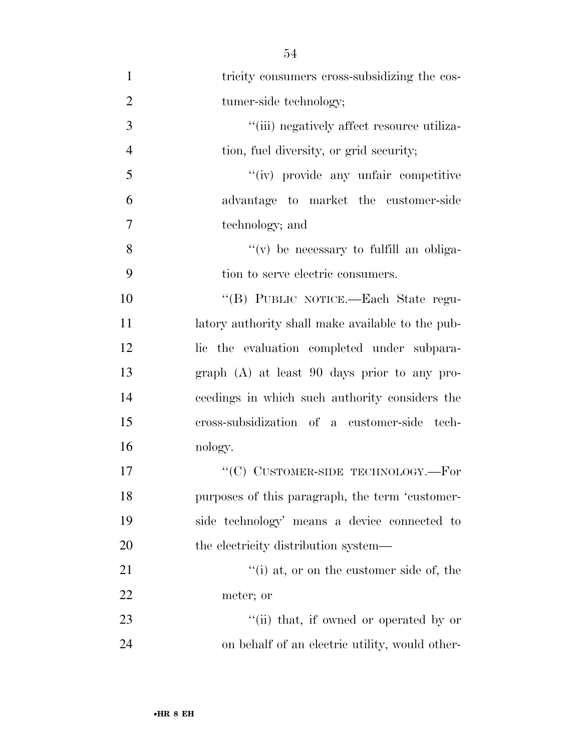| $\mathbf{1}$   | tricity consumers cross-subsidizing the cos-      |
|----------------|---------------------------------------------------|
| $\overline{2}$ | tumer-side technology;                            |
| 3              | "(iii) negatively affect resource utiliza-        |
| $\overline{4}$ | tion, fuel diversity, or grid security;           |
| 5              | "(iv) provide any unfair competitive              |
| 6              | advantage to market the customer-side             |
| $\overline{7}$ | technology; and                                   |
| 8              | $f'(v)$ be necessary to fulfill an obliga-        |
| 9              | tion to serve electric consumers.                 |
| 10             | "(B) PUBLIC NOTICE.-Each State regu-              |
| 11             | latory authority shall make available to the pub- |
| 12             | lic the evaluation completed under subpara-       |
| 13             | graph $(A)$ at least 90 days prior to any pro-    |
| 14             | ceedings in which such authority considers the    |
| 15             | cross-subsidization of a customer-side tech-      |
| 16             | nology.                                           |
| 17             | "(C) CUSTOMER-SIDE TECHNOLOGY.—For                |
| 18             | purposes of this paragraph, the term 'customer-   |
| 19             | side technology' means a device connected to      |
| 20             | the electricity distribution system—              |
| 21             | "(i) at, or on the customer side of, the          |
| 22             | meter; or                                         |
| 23             | "(ii) that, if owned or operated by or            |
| 24             | on behalf of an electric utility, would other-    |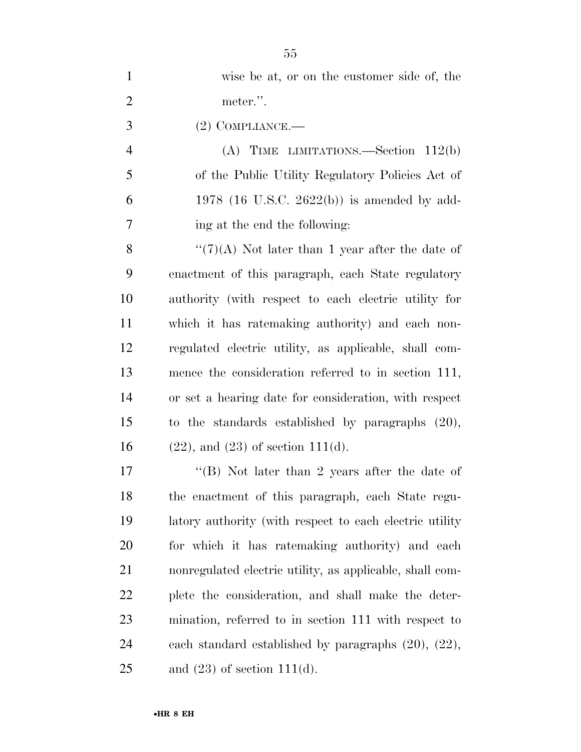| $\mathbf{1}$   | wise be at, or on the customer side of, the               |
|----------------|-----------------------------------------------------------|
| $\overline{2}$ | meter.".                                                  |
| 3              | $(2)$ COMPLIANCE.—                                        |
| $\overline{4}$ | (A) TIME LIMITATIONS.—Section $112(b)$                    |
| 5              | of the Public Utility Regulatory Policies Act of          |
| 6              | 1978 (16 U.S.C. 2622(b)) is amended by add-               |
| 7              | ing at the end the following:                             |
| 8              | " $(7)(A)$ Not later than 1 year after the date of        |
| 9              | enactment of this paragraph, each State regulatory        |
| 10             | authority (with respect to each electric utility for      |
| 11             | which it has ratemaking authority) and each non-          |
| 12             | regulated electric utility, as applicable, shall com-     |
| 13             | mence the consideration referred to in section 111,       |
| 14             | or set a hearing date for consideration, with respect     |
| 15             | to the standards established by paragraphs $(20)$ ,       |
| 16             | $(22)$ , and $(23)$ of section 111(d).                    |
| 17             | "(B) Not later than 2 years after the date of             |
| 18             | the enactment of this paragraph, each State regu-         |
| 19             | latory authority (with respect to each electric utility   |
| 20             | for which it has ratemaking authority) and each           |
| 21             | nonregulated electric utility, as applicable, shall com-  |
| 22             | plete the consideration, and shall make the deter-        |
| 23             | mination, referred to in section 111 with respect to      |
| 24             | each standard established by paragraphs $(20)$ , $(22)$ , |
| 25             | and $(23)$ of section 111(d).                             |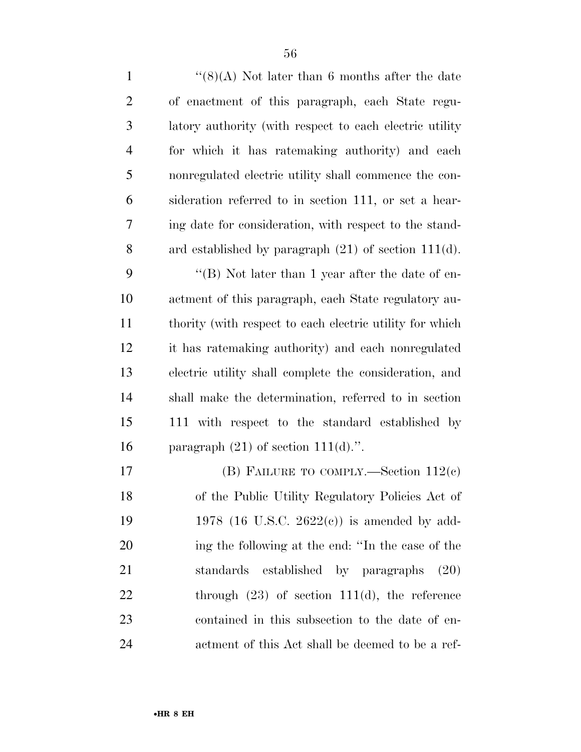| $\mathbf{1}$   | " $(8)(A)$ Not later than 6 months after the date        |
|----------------|----------------------------------------------------------|
| $\overline{2}$ | of enactment of this paragraph, each State regu-         |
| 3              | latory authority (with respect to each electric utility) |
| $\overline{4}$ | for which it has ratemaking authority) and each          |
| 5              | nonregulated electric utility shall commence the con-    |
| 6              | sideration referred to in section 111, or set a hear-    |
| 7              | ing date for consideration, with respect to the stand-   |
| 8              | ard established by paragraph $(21)$ of section 111(d).   |
| 9              | "(B) Not later than 1 year after the date of en-         |
| 10             | actment of this paragraph, each State regulatory au-     |
| 11             | thority (with respect to each electric utility for which |
| 12             | it has ratemaking authority) and each nonregulated       |
| 13             | electric utility shall complete the consideration, and   |
| 14             | shall make the determination, referred to in section     |
| 15             | 111 with respect to the standard established by          |
| 16             | paragraph $(21)$ of section $111(d)$ .".                 |
| $17\,$         | (B) FAILURE TO COMPLY.—Section $112(c)$                  |
| 18             | of the Public Utility Regulatory Policies Act of         |
| 19             | 1978 (16 U.S.C. 2622 $(e)$ ) is amended by add-          |
| <b>20</b>      | ing the following at the end: "In the case of the        |
| 21             | standards established by paragraphs<br>(20)              |
| 22             | through $(23)$ of section 111(d), the reference          |
| 23             | contained in this subsection to the date of en-          |
| 24             | actment of this Act shall be deemed to be a ref-         |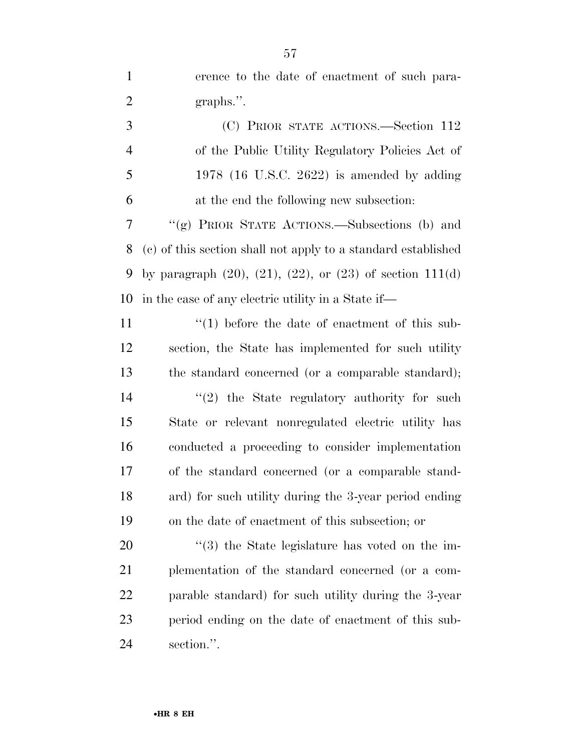erence to the date of enactment of such para-2 graphs.".

 (C) PRIOR STATE ACTIONS.—Section 112 of the Public Utility Regulatory Policies Act of 1978 (16 U.S.C. 2622) is amended by adding at the end the following new subsection:

 ''(g) PRIOR STATE ACTIONS.—Subsections (b) and (c) of this section shall not apply to a standard established by paragraph (20), (21), (22), or (23) of section 111(d) in the case of any electric utility in a State if—

11 ''(1) before the date of enactment of this sub- section, the State has implemented for such utility the standard concerned (or a comparable standard); 14 ''(2) the State regulatory authority for such State or relevant nonregulated electric utility has conducted a proceeding to consider implementation of the standard concerned (or a comparable stand- ard) for such utility during the 3-year period ending on the date of enactment of this subsection; or

 $\frac{1}{20}$  the State legislature has voted on the im- plementation of the standard concerned (or a com- parable standard) for such utility during the 3-year period ending on the date of enactment of this sub-section.''.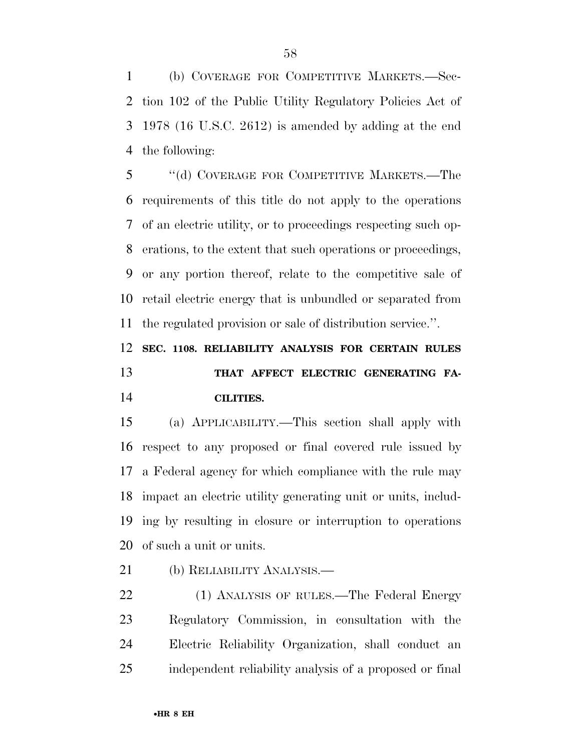(b) COVERAGE FOR COMPETITIVE MARKETS.—Sec- tion 102 of the Public Utility Regulatory Policies Act of 1978 (16 U.S.C. 2612) is amended by adding at the end the following:

 ''(d) COVERAGE FOR COMPETITIVE MARKETS.—The requirements of this title do not apply to the operations of an electric utility, or to proceedings respecting such op- erations, to the extent that such operations or proceedings, or any portion thereof, relate to the competitive sale of retail electric energy that is unbundled or separated from the regulated provision or sale of distribution service.''.

## **SEC. 1108. RELIABILITY ANALYSIS FOR CERTAIN RULES THAT AFFECT ELECTRIC GENERATING FA-CILITIES.**

 (a) APPLICABILITY.—This section shall apply with respect to any proposed or final covered rule issued by a Federal agency for which compliance with the rule may impact an electric utility generating unit or units, includ- ing by resulting in closure or interruption to operations of such a unit or units.

(b) RELIABILITY ANALYSIS.—

 (1) ANALYSIS OF RULES.—The Federal Energy Regulatory Commission, in consultation with the Electric Reliability Organization, shall conduct an independent reliability analysis of a proposed or final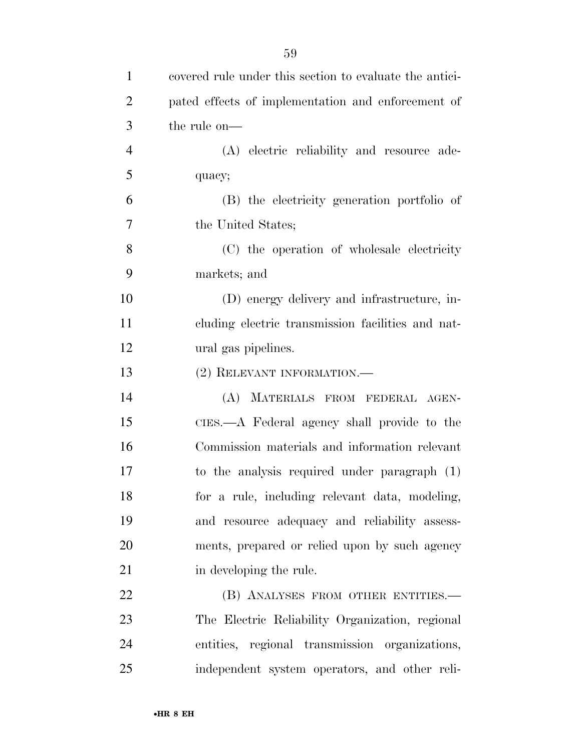| $\mathbf{1}$   | covered rule under this section to evaluate the antici- |
|----------------|---------------------------------------------------------|
| $\overline{2}$ | pated effects of implementation and enforcement of      |
| 3              | the rule on—                                            |
| $\overline{4}$ | (A) electric reliability and resource ade-              |
| 5              | quacy;                                                  |
| 6              | (B) the electricity generation portfolio of             |
| $\tau$         | the United States;                                      |
| 8              | (C) the operation of wholesale electricity              |
| 9              | markets; and                                            |
| 10             | (D) energy delivery and infrastructure, in-             |
| 11             | cluding electric transmission facilities and nat-       |
| 12             | ural gas pipelines.                                     |
| 13             | (2) RELEVANT INFORMATION.-                              |
| 14             | (A) MATERIALS FROM FEDERAL AGEN-                        |
| 15             | CIES.—A Federal agency shall provide to the             |
| 16             | Commission materials and information relevant           |
| 17             | to the analysis required under paragraph (1)            |
| 18             | for a rule, including relevant data, modeling,          |
| 19             | and resource adequacy and reliability assess-           |
| 20             | ments, prepared or relied upon by such agency           |
| 21             | in developing the rule.                                 |
| 22             | (B) ANALYSES FROM OTHER ENTITIES.—                      |
| 23             | The Electric Reliability Organization, regional         |
| 24             | entities, regional transmission organizations,          |
| 25             | independent system operators, and other reli-           |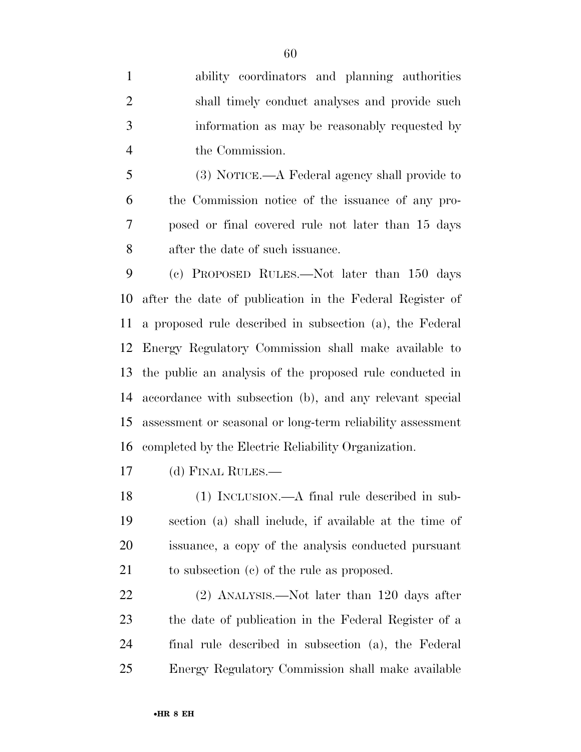ability coordinators and planning authorities shall timely conduct analyses and provide such information as may be reasonably requested by the Commission.

 (3) NOTICE.—A Federal agency shall provide to the Commission notice of the issuance of any pro- posed or final covered rule not later than 15 days after the date of such issuance.

 (c) PROPOSED RULES.—Not later than 150 days after the date of publication in the Federal Register of a proposed rule described in subsection (a), the Federal Energy Regulatory Commission shall make available to the public an analysis of the proposed rule conducted in accordance with subsection (b), and any relevant special assessment or seasonal or long-term reliability assessment completed by the Electric Reliability Organization.

(d) FINAL RULES.—

 (1) INCLUSION.—A final rule described in sub- section (a) shall include, if available at the time of issuance, a copy of the analysis conducted pursuant to subsection (c) of the rule as proposed.

 (2) ANALYSIS.—Not later than 120 days after the date of publication in the Federal Register of a final rule described in subsection (a), the Federal Energy Regulatory Commission shall make available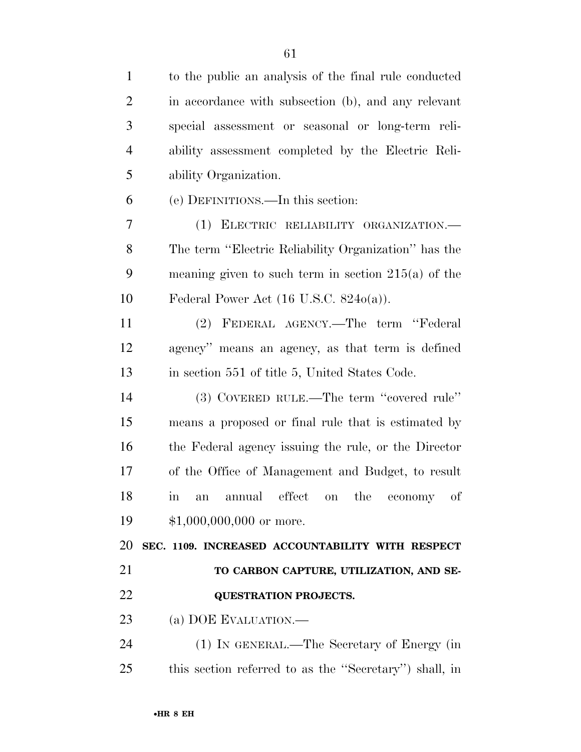| $\mathbf{1}$   | to the public an analysis of the final rule conducted               |
|----------------|---------------------------------------------------------------------|
| $\overline{2}$ | in accordance with subsection (b), and any relevant                 |
| 3              | special assessment or seasonal or long-term reli-                   |
| $\overline{4}$ | ability assessment completed by the Electric Reli-                  |
| 5              | ability Organization.                                               |
| 6              | (e) DEFINITIONS.—In this section:                                   |
| 7              | (1) ELECTRIC RELIABILITY ORGANIZATION.                              |
| 8              | The term "Electric Reliability Organization" has the                |
| 9              | meaning given to such term in section $215(a)$ of the               |
| 10             | Federal Power Act $(16 \text{ U.S.C. } 8240(a))$ .                  |
| 11             | (2) FEDERAL AGENCY.—The term "Federal                               |
| 12             | agency" means an agency, as that term is defined                    |
| 13             | in section 551 of title 5, United States Code.                      |
| 14             | (3) COVERED RULE.—The term "covered rule"                           |
| 15             | means a proposed or final rule that is estimated by                 |
| 16             | the Federal agency issuing the rule, or the Director                |
| 17             | of the Office of Management and Budget, to result                   |
| 18             | $\sigma f$<br>effect on the<br>annual<br>economy<br>an<br>$\rm{in}$ |
| 19             | $$1,000,000,000$ or more.                                           |
| 20             | SEC. 1109. INCREASED ACCOUNTABILITY WITH RESPECT                    |
| 21             | TO CARBON CAPTURE, UTILIZATION, AND SE-                             |
| 22             | <b>QUESTRATION PROJECTS.</b>                                        |
| 23             | (a) DOE EVALUATION.—                                                |
| 24             | (1) IN GENERAL.—The Secretary of Energy (in                         |
| 25             | this section referred to as the "Secretary" shall, in               |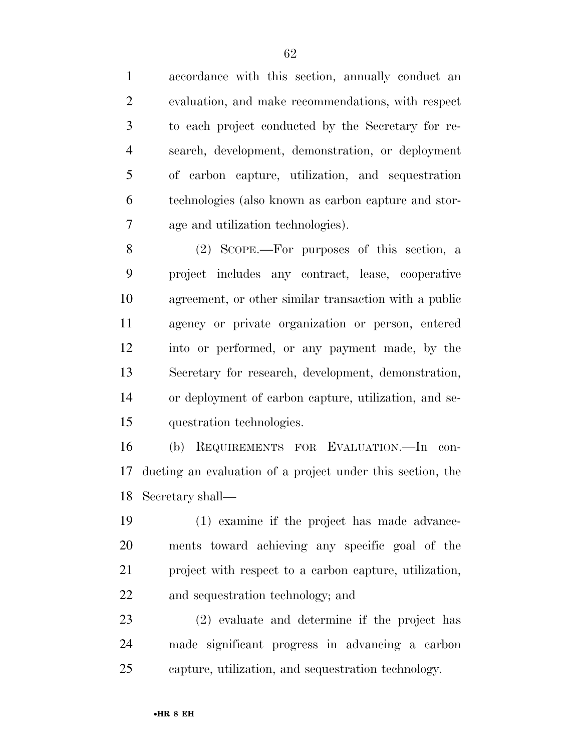accordance with this section, annually conduct an evaluation, and make recommendations, with respect to each project conducted by the Secretary for re- search, development, demonstration, or deployment of carbon capture, utilization, and sequestration technologies (also known as carbon capture and stor-age and utilization technologies).

 (2) SCOPE.—For purposes of this section, a project includes any contract, lease, cooperative agreement, or other similar transaction with a public agency or private organization or person, entered into or performed, or any payment made, by the Secretary for research, development, demonstration, or deployment of carbon capture, utilization, and se-questration technologies.

 (b) REQUIREMENTS FOR EVALUATION.—In con- ducting an evaluation of a project under this section, the Secretary shall—

 (1) examine if the project has made advance- ments toward achieving any specific goal of the project with respect to a carbon capture, utilization, and sequestration technology; and

 (2) evaluate and determine if the project has made significant progress in advancing a carbon capture, utilization, and sequestration technology.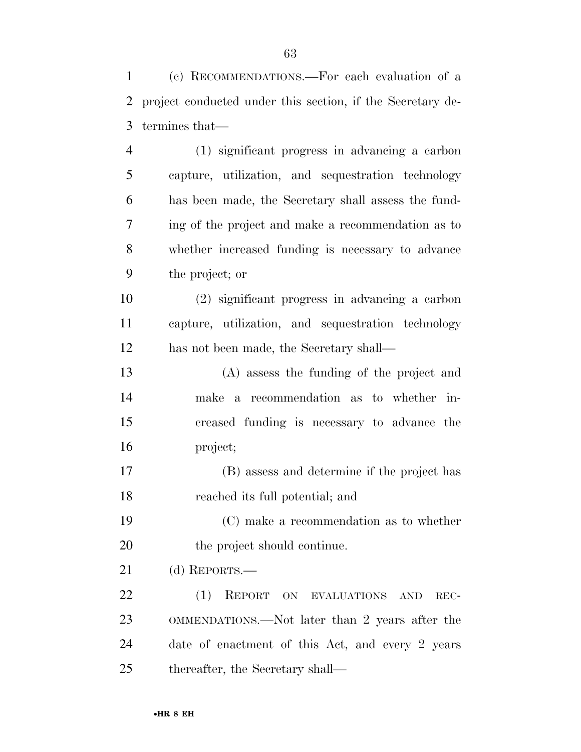(c) RECOMMENDATIONS.—For each evaluation of a project conducted under this section, if the Secretary de-termines that—

 (1) significant progress in advancing a carbon capture, utilization, and sequestration technology has been made, the Secretary shall assess the fund- ing of the project and make a recommendation as to whether increased funding is necessary to advance the project; or

 (2) significant progress in advancing a carbon capture, utilization, and sequestration technology has not been made, the Secretary shall—

 (A) assess the funding of the project and make a recommendation as to whether in- creased funding is necessary to advance the project;

 (B) assess and determine if the project has reached its full potential; and

 (C) make a recommendation as to whether 20 the project should continue.

(d) REPORTS.—

22 (1) REPORT ON EVALUATIONS AND REC- OMMENDATIONS.—Not later than 2 years after the date of enactment of this Act, and every 2 years thereafter, the Secretary shall—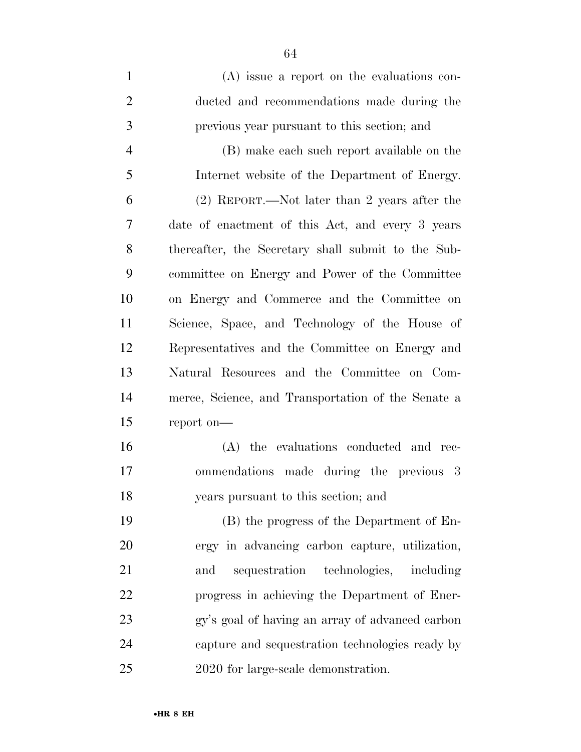(A) issue a report on the evaluations con- ducted and recommendations made during the previous year pursuant to this section; and (B) make each such report available on the Internet website of the Department of Energy. (2) REPORT.—Not later than 2 years after the date of enactment of this Act, and every 3 years thereafter, the Secretary shall submit to the Sub- committee on Energy and Power of the Committee on Energy and Commerce and the Committee on Science, Space, and Technology of the House of Representatives and the Committee on Energy and Natural Resources and the Committee on Com- merce, Science, and Transportation of the Senate a report on— (A) the evaluations conducted and rec- ommendations made during the previous 3 years pursuant to this section; and (B) the progress of the Department of En-ergy in advancing carbon capture, utilization,

 and sequestration technologies, including progress in achieving the Department of Ener- gy's goal of having an array of advanced carbon capture and sequestration technologies ready by 2020 for large-scale demonstration.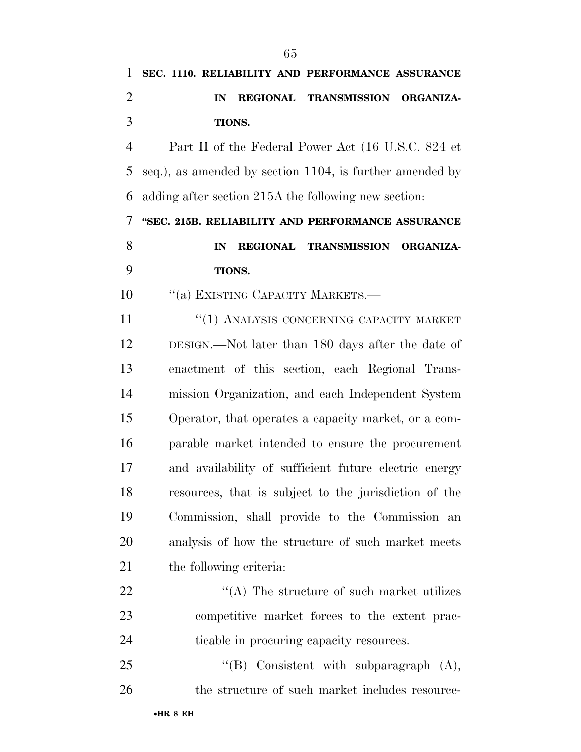# **SEC. 1110. RELIABILITY AND PERFORMANCE ASSURANCE IN REGIONAL TRANSMISSION ORGANIZA- TIONS.**  Part II of the Federal Power Act (16 U.S.C. 824 et

 seq.), as amended by section 1104, is further amended by adding after section 215A the following new section:

 **''SEC. 215B. RELIABILITY AND PERFORMANCE ASSURANCE IN REGIONAL TRANSMISSION ORGANIZA-TIONS.** 

10 "(a) EXISTING CAPACITY MARKETS.—

**''(1) ANALYSIS CONCERNING CAPACITY MARKET**  DESIGN.—Not later than 180 days after the date of enactment of this section, each Regional Trans- mission Organization, and each Independent System Operator, that operates a capacity market, or a com- parable market intended to ensure the procurement and availability of sufficient future electric energy resources, that is subject to the jurisdiction of the Commission, shall provide to the Commission an analysis of how the structure of such market meets the following criteria:

22  $\langle (A)$  The structure of such market utilizes competitive market forces to the extent prac-ticable in procuring capacity resources.

25 "'(B) Consistent with subparagraph (A), 26 the structure of such market includes resource-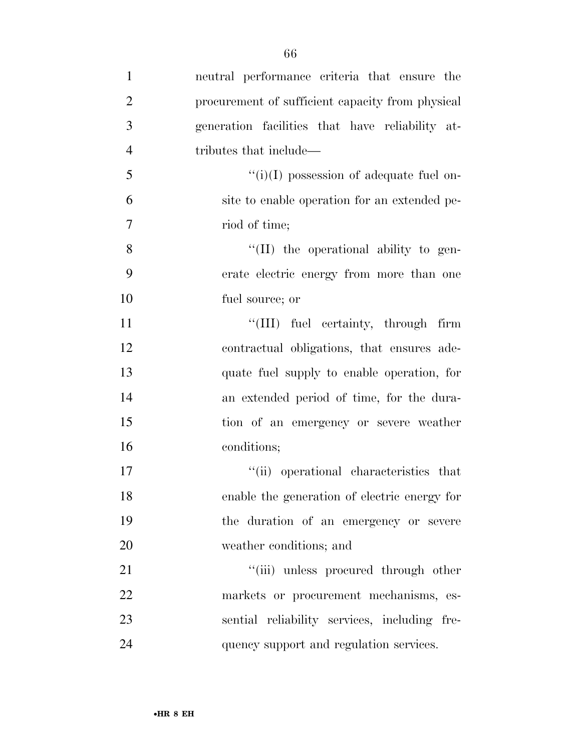| $\mathbf{1}$   | neutral performance criteria that ensure the     |
|----------------|--------------------------------------------------|
| $\overline{2}$ | procurement of sufficient capacity from physical |
| 3              | generation facilities that have reliability at-  |
| $\overline{4}$ | tributes that include—                           |
| 5              | $\lq\lq(i)(I)$ possession of adequate fuel on-   |
| 6              | site to enable operation for an extended pe-     |
| $\overline{7}$ | riod of time;                                    |
| 8              | $\lq\lq$ (II) the operational ability to gen-    |
| 9              | erate electric energy from more than one         |
| 10             | fuel source; or                                  |
| 11             | "(III) fuel certainty, through firm              |
| 12             | contractual obligations, that ensures ade-       |
| 13             | quate fuel supply to enable operation, for       |
| 14             | an extended period of time, for the dura-        |
| 15             | tion of an emergency or severe weather           |
| 16             | conditions;                                      |
| 17             | "(ii) operational characteristics that           |
| 18             | enable the generation of electric energy for     |
| 19             | the duration of an emergency or severe           |
| 20             | weather conditions; and                          |
| 21             | "(iii) unless procured through other             |
| 22             | markets or procurement mechanisms, es-           |
| 23             | sential reliability services, including fre-     |
| 24             | quency support and regulation services.          |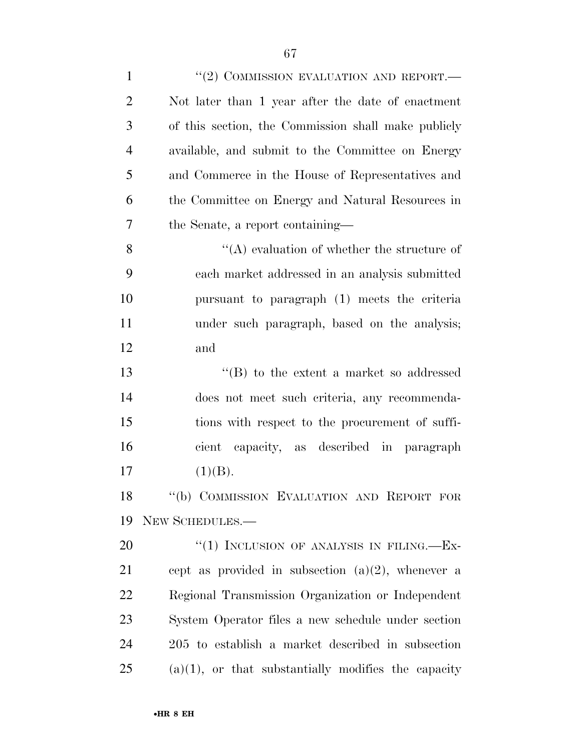| $\mathbf{1}$   | $``(2)$ COMMISSION EVALUATION AND REPORT.—             |
|----------------|--------------------------------------------------------|
| $\overline{2}$ | Not later than 1 year after the date of enactment      |
| 3              | of this section, the Commission shall make publicly    |
| $\overline{4}$ | available, and submit to the Committee on Energy       |
| 5              | and Commerce in the House of Representatives and       |
| 6              | the Committee on Energy and Natural Resources in       |
| $\overline{7}$ | the Senate, a report containing—                       |
| 8              | "(A) evaluation of whether the structure of            |
| 9              | each market addressed in an analysis submitted         |
| 10             | pursuant to paragraph (1) meets the criteria           |
| 11             | under such paragraph, based on the analysis;           |
| 12             | and                                                    |
| 13             | $\lq\lq$ to the extent a market so addressed           |
| 14             | does not meet such criteria, any recommenda-           |
| 15             | tions with respect to the procurement of suffi-        |
| 16             | cient capacity, as described in paragraph              |
| 17             | (1)(B).                                                |
| 18             | "(b) COMMISSION EVALUATION AND REPORT FOR              |
| 19             | NEW SCHEDULES.-                                        |
| 20             | "(1) INCLUSION OF ANALYSIS IN FILING.— $Ex-$           |
| 21             | cept as provided in subsection $(a)(2)$ , whenever a   |
| 22             | Regional Transmission Organization or Independent      |
| 23             | System Operator files a new schedule under section     |
| 24             | 205 to establish a market described in subsection      |
| 25             | $(a)(1)$ , or that substantially modifies the capacity |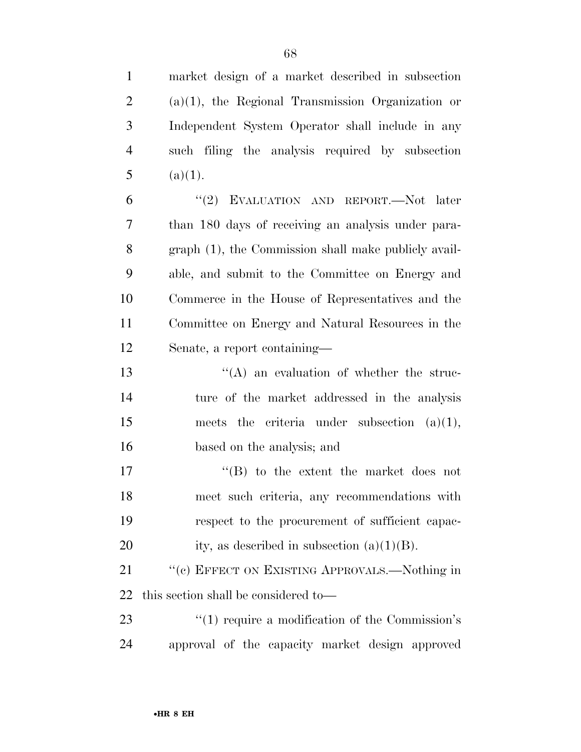| $\mathbf{1}$   | market design of a market described in subsection    |
|----------------|------------------------------------------------------|
| $\overline{c}$ | $(a)(1)$ , the Regional Transmission Organization or |
| 3              | Independent System Operator shall include in any     |
| $\overline{4}$ | such filing the analysis required by subsection      |
| 5              | (a)(1).                                              |
| 6              | "(2) EVALUATION AND REPORT.—Not later                |
| 7              | than 180 days of receiving an analysis under para-   |
| 8              | graph (1), the Commission shall make publicly avail- |
| 9              | able, and submit to the Committee on Energy and      |
| 10             | Commerce in the House of Representatives and the     |
| 11             | Committee on Energy and Natural Resources in the     |
| 12             | Senate, a report containing—                         |
| 13             | $\lq\lq$ an evaluation of whether the struc-         |
| 14             | ture of the market addressed in the analysis         |
| 15             | criteria under subsection $(a)(1)$ ,<br>meets the    |
| 16             | based on the analysis; and                           |
| 17             | $\lq\lq$ to the extent the market does not           |
| 18             | meet such criteria, any recommendations with         |
| 19             | respect to the procurement of sufficient capac-      |
| 20             | ity, as described in subsection $(a)(1)(B)$ .        |
| 21             | "(c) EFFECT ON EXISTING APPROVALS.—Nothing in        |
| 22             | this section shall be considered to—                 |
| 23             |                                                      |
|                | $\lq(1)$ require a modification of the Commission's  |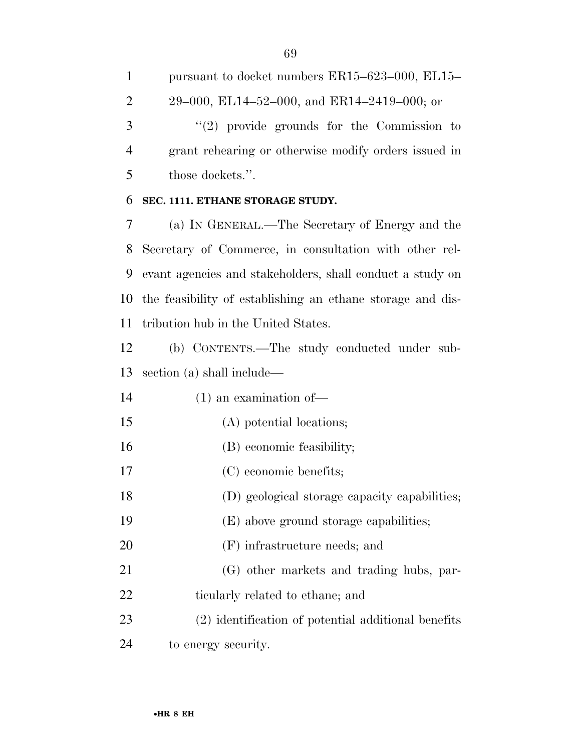pursuant to docket numbers ER15–623–000, EL15– 29–000, EL14–52–000, and ER14–2419–000; or 3 "(2) provide grounds for the Commission to grant rehearing or otherwise modify orders issued in those dockets.''.

#### **SEC. 1111. ETHANE STORAGE STUDY.**

 (a) IN GENERAL.—The Secretary of Energy and the Secretary of Commerce, in consultation with other rel- evant agencies and stakeholders, shall conduct a study on the feasibility of establishing an ethane storage and dis-tribution hub in the United States.

 (b) CONTENTS.—The study conducted under sub-section (a) shall include—

(1) an examination of—

- (A) potential locations;
- (B) economic feasibility;
- (C) economic benefits;
- (D) geological storage capacity capabilities;
- (E) above ground storage capabilities;
- (F) infrastructure needs; and
- (G) other markets and trading hubs, par-22 ticularly related to ethane; and
- (2) identification of potential additional benefits to energy security.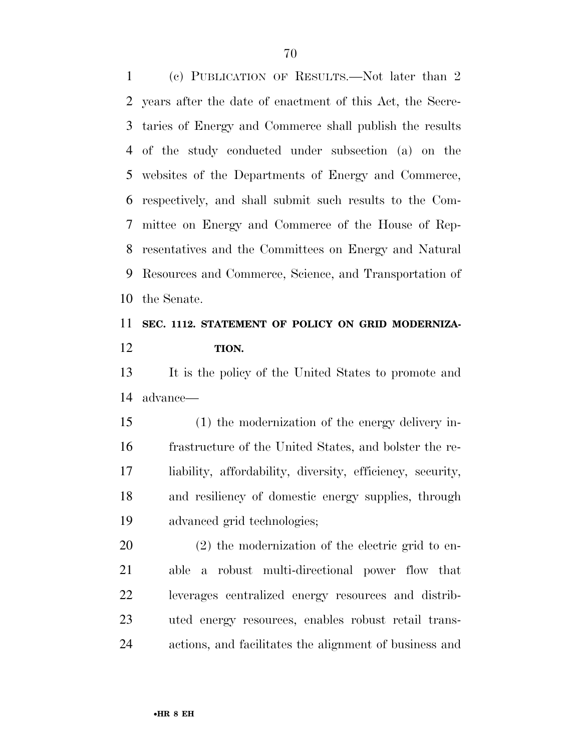(c) PUBLICATION OF RESULTS.—Not later than 2 years after the date of enactment of this Act, the Secre- taries of Energy and Commerce shall publish the results of the study conducted under subsection (a) on the websites of the Departments of Energy and Commerce, respectively, and shall submit such results to the Com- mittee on Energy and Commerce of the House of Rep- resentatives and the Committees on Energy and Natural Resources and Commerce, Science, and Transportation of the Senate.

### **SEC. 1112. STATEMENT OF POLICY ON GRID MODERNIZA-TION.**

 It is the policy of the United States to promote and advance—

 (1) the modernization of the energy delivery in- frastructure of the United States, and bolster the re- liability, affordability, diversity, efficiency, security, and resiliency of domestic energy supplies, through advanced grid technologies;

 (2) the modernization of the electric grid to en- able a robust multi-directional power flow that leverages centralized energy resources and distrib- uted energy resources, enables robust retail trans-actions, and facilitates the alignment of business and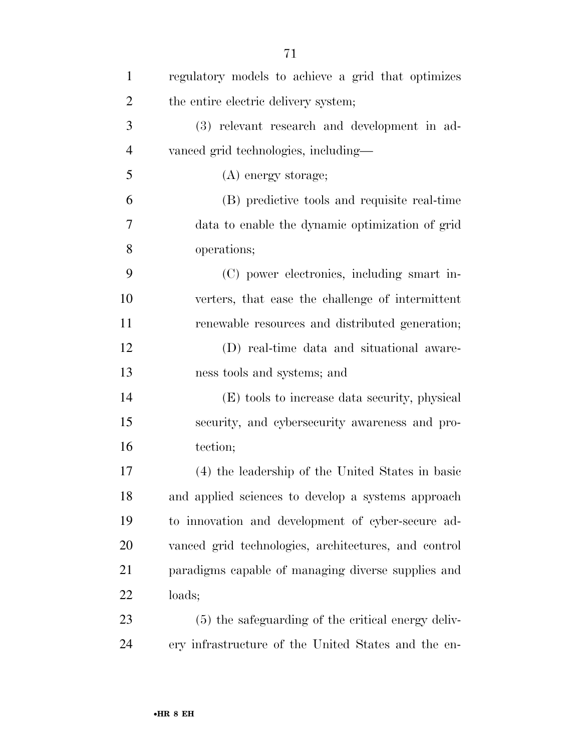| $\mathbf{1}$   | regulatory models to achieve a grid that optimizes   |
|----------------|------------------------------------------------------|
| $\overline{2}$ | the entire electric delivery system;                 |
| 3              | (3) relevant research and development in ad-         |
| $\overline{4}$ | vanced grid technologies, including—                 |
| 5              | (A) energy storage;                                  |
| 6              | (B) predictive tools and requisite real-time         |
| 7              | data to enable the dynamic optimization of grid      |
| 8              | operations;                                          |
| 9              | (C) power electronics, including smart in-           |
| 10             | verters, that ease the challenge of intermittent     |
| 11             | renewable resources and distributed generation;      |
| 12             | (D) real-time data and situational aware-            |
| 13             | ness tools and systems; and                          |
| 14             | (E) tools to increase data security, physical        |
| 15             | security, and cybersecurity awareness and pro-       |
| 16             | tection;                                             |
| 17             | (4) the leadership of the United States in basic     |
| 18             | and applied sciences to develop a systems approach   |
| 19             | to innovation and development of cyber-secure ad-    |
| 20             | vanced grid technologies, architectures, and control |
| 21             | paradigms capable of managing diverse supplies and   |
| 22             | loads;                                               |
| 23             | (5) the safeguarding of the critical energy deliv-   |
| 24             | ery infrastructure of the United States and the en-  |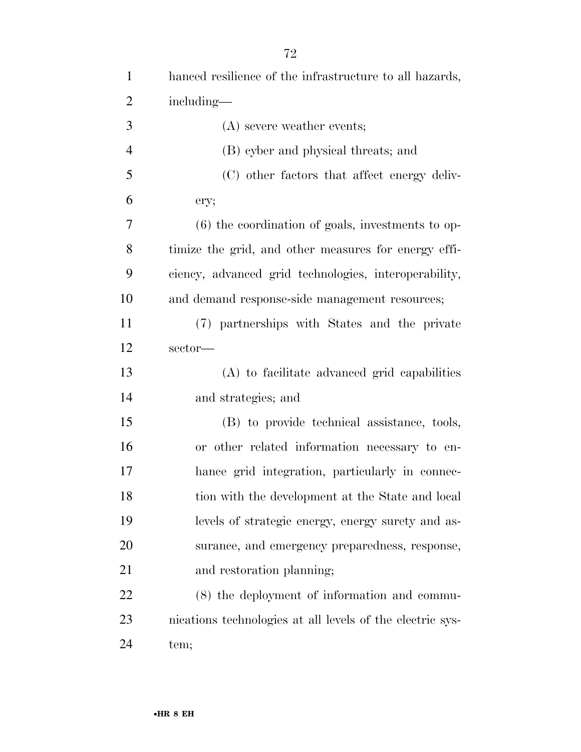| $\mathbf{1}$   | hanced resilience of the infrastructure to all hazards,   |
|----------------|-----------------------------------------------------------|
| $\overline{2}$ | including—                                                |
| 3              | (A) severe weather events;                                |
| $\overline{4}$ | (B) cyber and physical threats; and                       |
| 5              | (C) other factors that affect energy deliv-               |
| 6              | ery;                                                      |
| 7              | $(6)$ the coordination of goals, investments to op-       |
| 8              | timize the grid, and other measures for energy effi-      |
| 9              | ciency, advanced grid technologies, interoperability,     |
| 10             | and demand response-side management resources;            |
| 11             | (7) partnerships with States and the private              |
| 12             | sector-                                                   |
| 13             | (A) to facilitate advanced grid capabilities              |
| 14             | and strategies; and                                       |
| 15             | (B) to provide technical assistance, tools,               |
| 16             | or other related information necessary to en-             |
| 17             | hance grid integration, particularly in connec-           |
| 18             | tion with the development at the State and local          |
| 19             | levels of strategic energy, energy surety and as-         |
| 20             | surance, and emergency preparedness, response,            |
| 21             | and restoration planning;                                 |
| 22             | (8) the deployment of information and commu-              |
| 23             | nications technologies at all levels of the electric sys- |
|                |                                                           |

tem;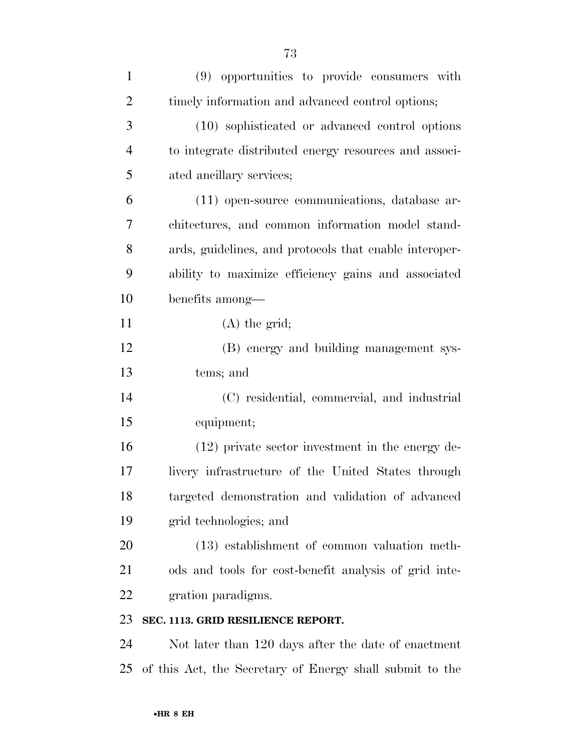| $\mathbf{1}$   | (9) opportunities to provide consumers with              |
|----------------|----------------------------------------------------------|
| $\overline{2}$ | timely information and advanced control options;         |
| 3              | (10) sophisticated or advanced control options           |
| $\overline{4}$ | to integrate distributed energy resources and associ-    |
| 5              | ated ancillary services;                                 |
| 6              | (11) open-source communications, database ar-            |
| 7              | chitectures, and common information model stand-         |
| 8              | ards, guidelines, and protocols that enable interoper-   |
| 9              | ability to maximize efficiency gains and associated      |
| 10             | benefits among—                                          |
| 11             | $(A)$ the grid;                                          |
| 12             | (B) energy and building management sys-                  |
| 13             | tems; and                                                |
| 14             | (C) residential, commercial, and industrial              |
| 15             | equipment;                                               |
| 16             | $(12)$ private sector investment in the energy de-       |
| 17             | livery infrastructure of the United States through       |
| 18             | targeted demonstration and validation of advanced        |
| 19             | grid technologies; and                                   |
| 20             | (13) establishment of common valuation meth-             |
| 21             | ods and tools for cost-benefit analysis of grid inte-    |
| 22             | gration paradigms.                                       |
| 23             | SEC. 1113. GRID RESILIENCE REPORT.                       |
| 24             | Not later than 120 days after the date of enactment      |
| 25             | of this Act, the Secretary of Energy shall submit to the |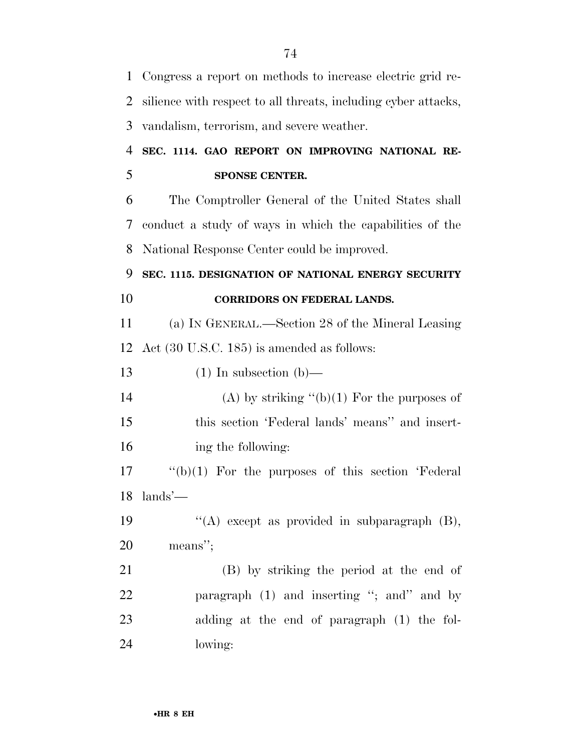| $\mathbf{1}$   | Congress a report on methods to increase electric grid re-     |
|----------------|----------------------------------------------------------------|
| $\overline{2}$ | silience with respect to all threats, including cyber attacks, |
| 3              | vandalism, terrorism, and severe weather.                      |
| 4              | SEC. 1114. GAO REPORT ON IMPROVING NATIONAL RE-                |
| 5              | SPONSE CENTER.                                                 |
| 6              | The Comptroller General of the United States shall             |
| 7              | conduct a study of ways in which the capabilities of the       |
| 8              | National Response Center could be improved.                    |
| 9              | SEC. 1115. DESIGNATION OF NATIONAL ENERGY SECURITY             |
| 10             | <b>CORRIDORS ON FEDERAL LANDS.</b>                             |
| 11             | (a) IN GENERAL.—Section 28 of the Mineral Leasing              |
| 12             | Act $(30 \text{ U.S.C. } 185)$ is amended as follows:          |
| 13             | $(1)$ In subsection $(b)$ —                                    |
| 14             | (A) by striking " $(b)(1)$ For the purposes of                 |
| 15             | this section 'Federal lands' means' and insert-                |
| 16             | ing the following:                                             |
| 17             |                                                                |
|                | $\lq\lq(b)(1)$ For the purposes of this section 'Federal'      |
|                | $18$ lands'—                                                   |
|                | "(A) except as provided in subparagraph $(B)$ ,                |
|                | means";                                                        |
| 19<br>20<br>21 | (B) by striking the period at the end of                       |
| 22             | paragraph (1) and inserting "; and" and by                     |
| 23             | adding at the end of paragraph (1) the fol-                    |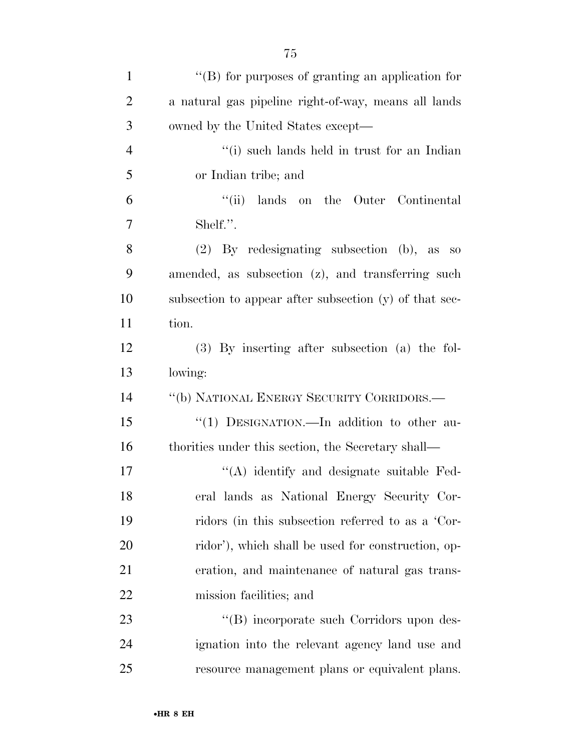| $\mathbf{1}$   | $\lq\lq$ for purposes of granting an application for   |
|----------------|--------------------------------------------------------|
| $\overline{2}$ | a natural gas pipeline right-of-way, means all lands   |
| 3              | owned by the United States except—                     |
| $\overline{4}$ | "(i) such lands held in trust for an Indian            |
| 5              | or Indian tribe; and                                   |
| 6              | ``(ii)<br>lands on the Outer Continental               |
| 7              | Shelf.".                                               |
| 8              | $(2)$ By redesignating subsection $(b)$ , as so        |
| 9              | amended, as subsection (z), and transferring such      |
| 10             | subsection to appear after subsection (y) of that sec- |
| 11             | tion.                                                  |
| 12             | $(3)$ By inserting after subsection $(a)$ the fol-     |
| 13             | lowing:                                                |
| 14             | "(b) NATIONAL ENERGY SECURITY CORRIDORS.—              |
| 15             | "(1) DESIGNATION.—In addition to other au-             |
| 16             | thorities under this section, the Secretary shall—     |
| 17             | "(A) identify and designate suitable Fed-              |
| 18             | eral lands as National Energy Security Cor-            |
| 19             | ridors (in this subsection referred to as a 'Cor-      |
| 20             | ridor'), which shall be used for construction, op-     |
| 21             | eration, and maintenance of natural gas trans-         |
| 22             | mission facilities; and                                |
| 23             | "(B) incorporate such Corridors upon des-              |
|                |                                                        |

 ignation into the relevant agency land use and resource management plans or equivalent plans.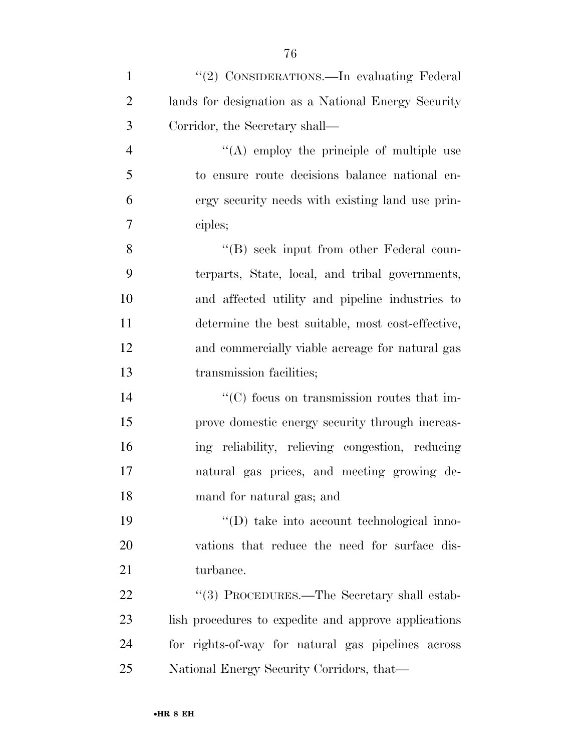| $\mathbf{1}$   | "(2) CONSIDERATIONS.—In evaluating Federal             |
|----------------|--------------------------------------------------------|
| $\overline{2}$ | lands for designation as a National Energy Security    |
| 3              | Corridor, the Secretary shall—                         |
| $\overline{4}$ | $\lq\lq$ employ the principle of multiple use          |
| 5              | to ensure route decisions balance national en-         |
| 6              | ergy security needs with existing land use prin-       |
| 7              | ciples;                                                |
| 8              | $\lq\lq (B)$ seek input from other Federal coun-       |
| 9              | terparts, State, local, and tribal governments,        |
| 10             | and affected utility and pipeline industries to        |
| 11             | determine the best suitable, most cost-effective,      |
| 12             | and commercially viable acreage for natural gas        |
| 13             | transmission facilities;                               |
| 14             | $\cdot\cdot$ (C) focus on transmission routes that im- |
| 15             | prove domestic energy security through increas-        |
| 16             | ing reliability, relieving congestion, reducing        |
| 17             | natural gas prices, and meeting growing de-            |
| 18             | mand for natural gas; and                              |
| 19             | "(D) take into account technological inno-             |
| 20             | vations that reduce the need for surface dis-          |
| 21             | turbance.                                              |
| 22             | "(3) PROCEDURES.—The Secretary shall estab-            |
| 23             | lish procedures to expedite and approve applications   |
| 24             | for rights-of-way for natural gas pipelines across     |
| 25             | National Energy Security Corridors, that—              |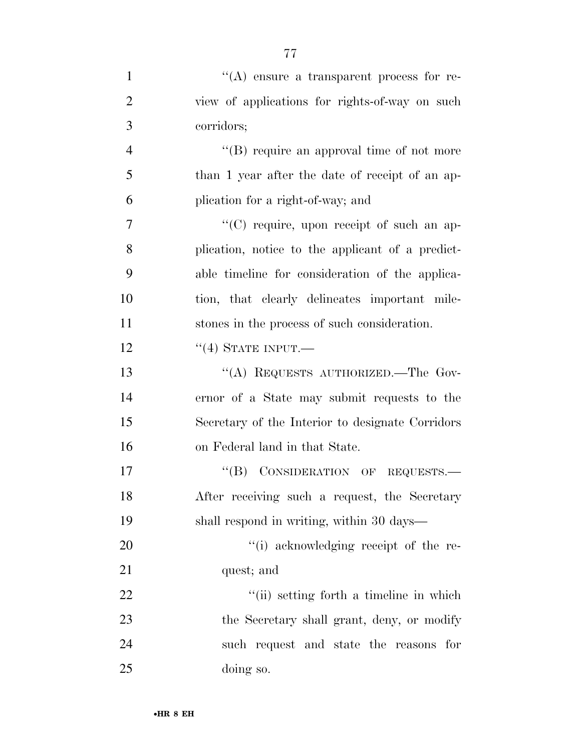| $\mathbf{1}$   | $\lq\lq$ ensure a transparent process for re-    |
|----------------|--------------------------------------------------|
| $\overline{2}$ | view of applications for rights-of-way on such   |
| 3              | corridors;                                       |
| $\overline{4}$ | "(B) require an approval time of not more        |
| 5              | than 1 year after the date of receipt of an ap-  |
| 6              | plication for a right-of-way; and                |
| 7              | "(C) require, upon receipt of such an ap-        |
| 8              | plication, notice to the applicant of a predict- |
| 9              | able timeline for consideration of the applica-  |
| 10             | tion, that clearly delineates important mile-    |
| 11             | stones in the process of such consideration.     |
| 12             | $``(4)$ STATE INPUT.—                            |
| 13             | "(A) REQUESTS AUTHORIZED.—The Gov-               |
| 14             | ernor of a State may submit requests to the      |
| 15             | Secretary of the Interior to designate Corridors |
| 16             | on Federal land in that State.                   |
| 17             | CONSIDERATION OF REQUESTS.<br>$\lq\lq (B)$       |
| 18             | After receiving such a request, the Secretary    |
| 19             | shall respond in writing, within 30 days—        |
| 20             | "(i) acknowledging receipt of the re-            |
| 21             | quest; and                                       |
| 22             | "(ii) setting forth a timeline in which          |
| 23             | the Secretary shall grant, deny, or modify       |
| 24             | such request and state the reasons for           |
| 25             | doing so.                                        |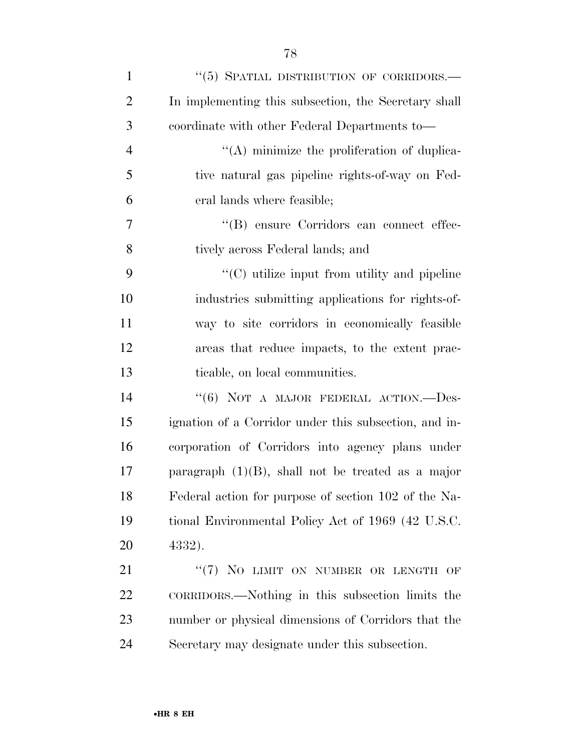| $\mathbf{1}$   | $\lq\lq(5)$ SPATIAL DISTRIBUTION OF CORRIDORS.—       |
|----------------|-------------------------------------------------------|
| $\overline{2}$ | In implementing this subsection, the Secretary shall  |
| 3              | coordinate with other Federal Departments to-         |
| $\overline{4}$ | $\lq\lq$ minimize the proliferation of duplica-       |
| 5              | tive natural gas pipeline rights-of-way on Fed-       |
| 6              | eral lands where feasible;                            |
| 7              | "(B) ensure Corridors can connect effec-              |
| 8              | tively across Federal lands; and                      |
| 9              | "(C) utilize input from utility and pipeline          |
| 10             | industries submitting applications for rights-of-     |
| 11             | way to site corridors in economically feasible        |
| 12             | areas that reduce impacts, to the extent prac-        |
|                |                                                       |
| 13             | ticable, on local communities.                        |
| 14             | "(6) NOT A MAJOR FEDERAL ACTION. $-$ Des-             |
| 15             | ignation of a Corridor under this subsection, and in- |
| 16             | corporation of Corridors into agency plans under      |
| 17             | paragraph $(1)(B)$ , shall not be treated as a major  |
| 18             | Federal action for purpose of section 102 of the Na-  |
| 19             | tional Environmental Policy Act of 1969 (42 U.S.C.    |
| 20             | 4332).                                                |
| 21             | "(7) NO LIMIT ON NUMBER OR LENGTH OF                  |
| 22             | CORRIDORS.—Nothing in this subsection limits the      |
| 23             | number or physical dimensions of Corridors that the   |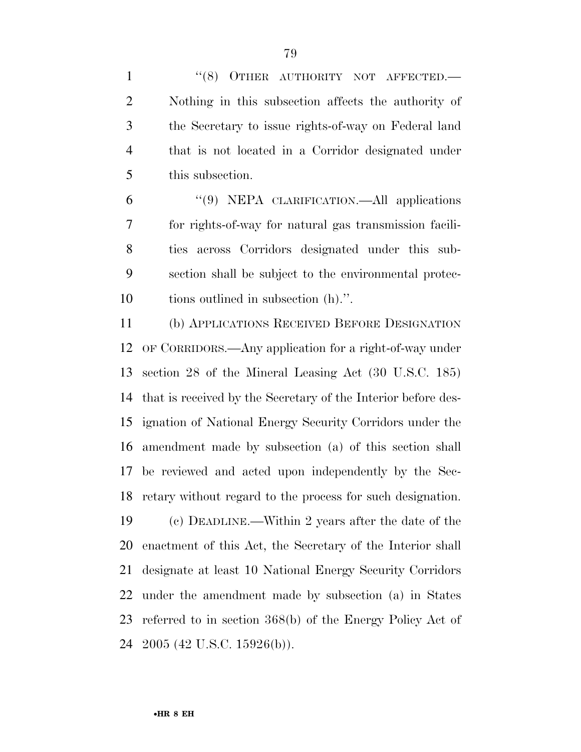1 "(8) OTHER AUTHORITY NOT AFFECTED.— Nothing in this subsection affects the authority of the Secretary to issue rights-of-way on Federal land that is not located in a Corridor designated under this subsection.

 ''(9) NEPA CLARIFICATION.—All applications for rights-of-way for natural gas transmission facili- ties across Corridors designated under this sub- section shall be subject to the environmental protec-tions outlined in subsection (h).''.

 (b) APPLICATIONS RECEIVED BEFORE DESIGNATION OF CORRIDORS.—Any application for a right-of-way under section 28 of the Mineral Leasing Act (30 U.S.C. 185) that is received by the Secretary of the Interior before des- ignation of National Energy Security Corridors under the amendment made by subsection (a) of this section shall be reviewed and acted upon independently by the Sec- retary without regard to the process for such designation. (c) DEADLINE.—Within 2 years after the date of the

 enactment of this Act, the Secretary of the Interior shall designate at least 10 National Energy Security Corridors under the amendment made by subsection (a) in States referred to in section 368(b) of the Energy Policy Act of 2005 (42 U.S.C. 15926(b)).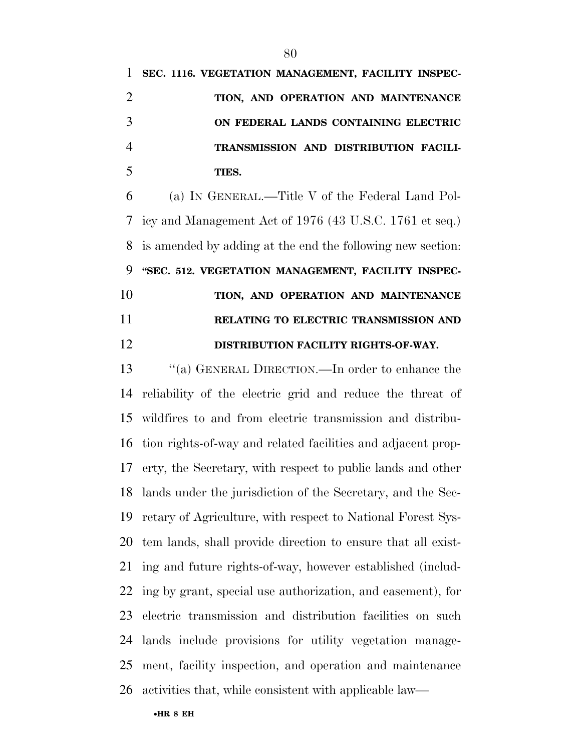| 1 SEC. 1116. VEGETATION MANAGEMENT, FACILITY INSPEC- |
|------------------------------------------------------|
| TION, AND OPERATION AND MAINTENANCE                  |
| ON FEDERAL LANDS CONTAINING ELECTRIC                 |
| TRANSMISSION AND DISTRIBUTION FACILI-                |
| TIES.                                                |

 (a) IN GENERAL.—Title V of the Federal Land Pol- icy and Management Act of 1976 (43 U.S.C. 1761 et seq.) is amended by adding at the end the following new section: **''SEC. 512. VEGETATION MANAGEMENT, FACILITY INSPEC- TION, AND OPERATION AND MAINTENANCE RELATING TO ELECTRIC TRANSMISSION AND** 

**DISTRIBUTION FACILITY RIGHTS-OF-WAY.** 

 ''(a) GENERAL DIRECTION.—In order to enhance the reliability of the electric grid and reduce the threat of wildfires to and from electric transmission and distribu- tion rights-of-way and related facilities and adjacent prop- erty, the Secretary, with respect to public lands and other lands under the jurisdiction of the Secretary, and the Sec- retary of Agriculture, with respect to National Forest Sys- tem lands, shall provide direction to ensure that all exist- ing and future rights-of-way, however established (includ- ing by grant, special use authorization, and easement), for electric transmission and distribution facilities on such lands include provisions for utility vegetation manage- ment, facility inspection, and operation and maintenance activities that, while consistent with applicable law—

#### •**HR 8 EH**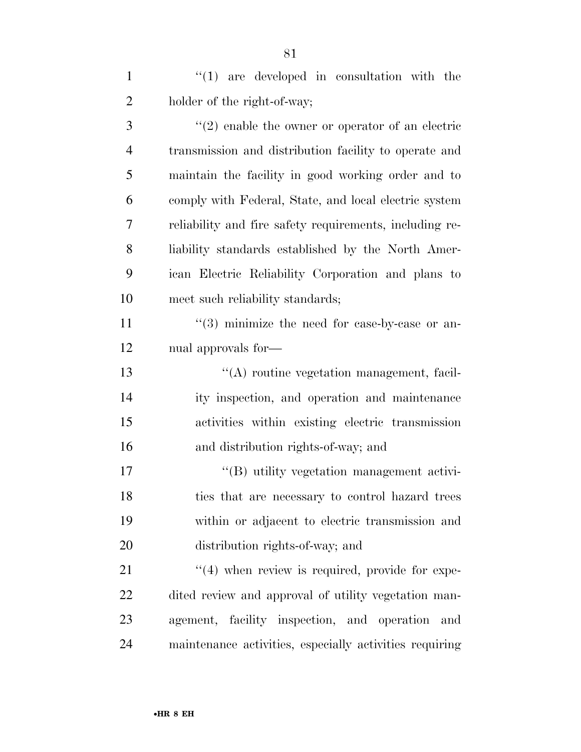$\mathcal{L}(1)$  are developed in consultation with the 2 holder of the right-of-way;

3 (2) enable the owner or operator of an electric transmission and distribution facility to operate and maintain the facility in good working order and to comply with Federal, State, and local electric system reliability and fire safety requirements, including re- liability standards established by the North Amer- ican Electric Reliability Corporation and plans to meet such reliability standards;

11  $\frac{1}{3}$  minimize the need for case-by-case or an-nual approvals for—

 ''(A) routine vegetation management, facil- ity inspection, and operation and maintenance activities within existing electric transmission and distribution rights-of-way; and

 $\langle G \rangle$  utility vegetation management activi- ties that are necessary to control hazard trees within or adjacent to electric transmission and distribution rights-of-way; and

 $\frac{1}{2}$   $\frac{1}{2}$  when review is required, provide for expe- dited review and approval of utility vegetation man- agement, facility inspection, and operation and maintenance activities, especially activities requiring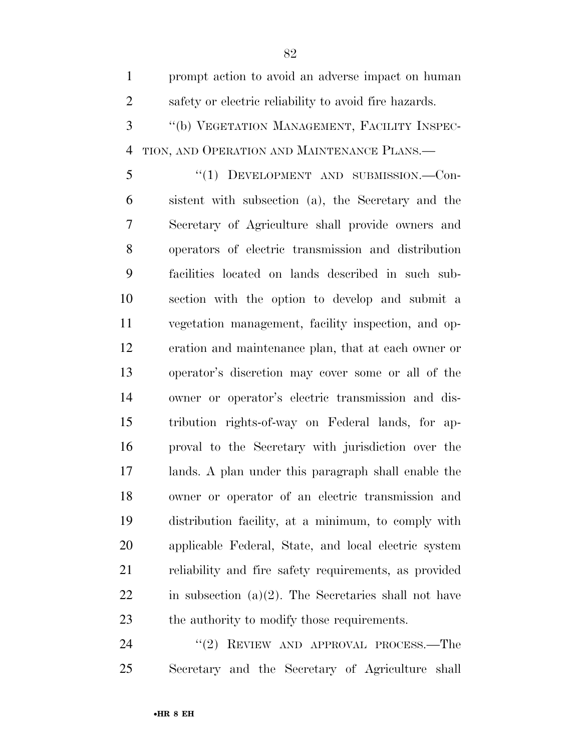| $\mathbf{1}$   | prompt action to avoid an adverse impact on human       |
|----------------|---------------------------------------------------------|
| $\overline{2}$ | safety or electric reliability to avoid fire hazards.   |
| 3              | "(b) VEGETATION MANAGEMENT, FACILITY INSPEC-            |
| $\overline{4}$ | TION, AND OPERATION AND MAINTENANCE PLANS.              |
| 5              | "(1) DEVELOPMENT AND SUBMISSION.-Con-                   |
| 6              | sistent with subsection (a), the Secretary and the      |
| 7              | Secretary of Agriculture shall provide owners and       |
| 8              | operators of electric transmission and distribution     |
| 9              | facilities located on lands described in such sub-      |
| 10             | section with the option to develop and submit a         |
| 11             | vegetation management, facility inspection, and op-     |
| 12             | eration and maintenance plan, that at each owner or     |
| 13             | operator's discretion may cover some or all of the      |
| 14             | owner or operator's electric transmission and dis-      |
| 15             | tribution rights-of-way on Federal lands, for ap-       |
| 16             | proval to the Secretary with jurisdiction over the      |
| 17             | lands. A plan under this paragraph shall enable the     |
| 18             | owner or operator of an electric transmission and       |
| 19             | distribution facility, at a minimum, to comply with     |
| 20             | applicable Federal, State, and local electric system    |
| 21             | reliability and fire safety requirements, as provided   |
| 22             | in subsection $(a)(2)$ . The Secretaries shall not have |
| 23             | the authority to modify those requirements.             |
| 24             | $''(2)$ REVIEW AND APPROVAL PROCESS.—The                |

 $\lq\lq(2)$  REVIEW AND APPROVAL PROCESS.—The Secretary and the Secretary of Agriculture shall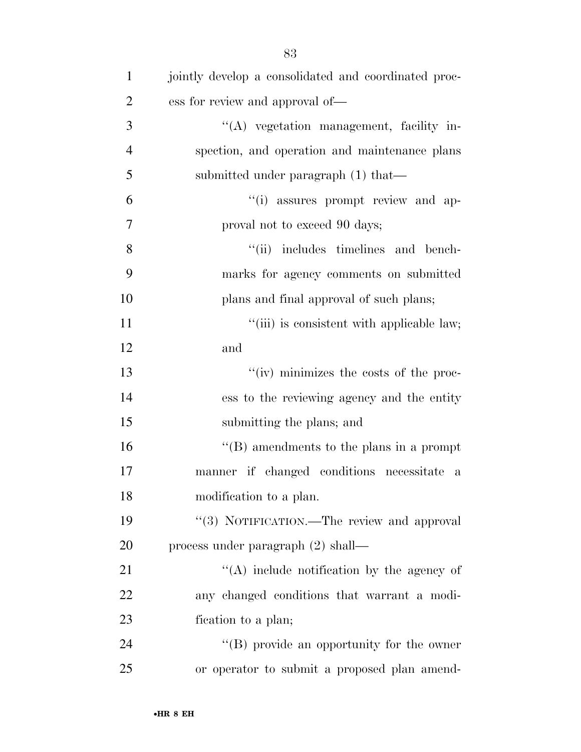| $\mathbf{1}$   | jointly develop a consolidated and coordinated proc- |
|----------------|------------------------------------------------------|
| $\overline{2}$ | ess for review and approval of—                      |
| 3              | $\lq\lq$ vegetation management, facility in-         |
| $\overline{4}$ | spection, and operation and maintenance plans        |
| 5              | submitted under paragraph (1) that—                  |
| 6              | "(i) assures prompt review and ap-                   |
| $\tau$         | proval not to exceed 90 days;                        |
| 8              | "(ii) includes timelines and bench-                  |
| 9              | marks for agency comments on submitted               |
| 10             | plans and final approval of such plans;              |
| 11             | "(iii) is consistent with applicable law;            |
| 12             | and                                                  |
| 13             | "(iv) minimizes the costs of the proc-               |
| 14             | ess to the reviewing agency and the entity           |
| 15             | submitting the plans; and                            |
| 16             | "(B) amendments to the plans in a prompt             |
| 17             | manner if changed conditions necessitate<br>a        |
| 18             | modification to a plan.                              |
| 19             | "(3) NOTIFICATION.—The review and approval           |
| 20             | process under paragraph $(2)$ shall—                 |
| 21             | "(A) include notification by the agency of           |
| 22             | any changed conditions that warrant a modi-          |
| 23             | fication to a plan;                                  |
| 24             | $\lq\lq$ (B) provide an opportunity for the owner    |
| 25             | or operator to submit a proposed plan amend-         |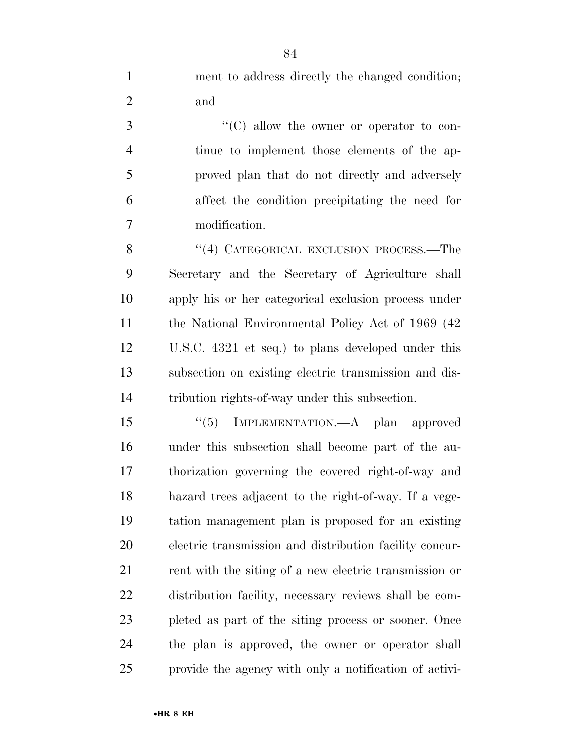ment to address directly the changed condition; and

 $\cdot$  (C) allow the owner or operator to con- tinue to implement those elements of the ap- proved plan that do not directly and adversely affect the condition precipitating the need for modification.

8 "(4) CATEGORICAL EXCLUSION PROCESS.—The Secretary and the Secretary of Agriculture shall apply his or her categorical exclusion process under the National Environmental Policy Act of 1969 (42 U.S.C. 4321 et seq.) to plans developed under this subsection on existing electric transmission and dis-tribution rights-of-way under this subsection.

 ''(5) IMPLEMENTATION.—A plan approved under this subsection shall become part of the au- thorization governing the covered right-of-way and hazard trees adjacent to the right-of-way. If a vege- tation management plan is proposed for an existing electric transmission and distribution facility concur-21 rent with the siting of a new electric transmission or distribution facility, necessary reviews shall be com- pleted as part of the siting process or sooner. Once the plan is approved, the owner or operator shall provide the agency with only a notification of activi-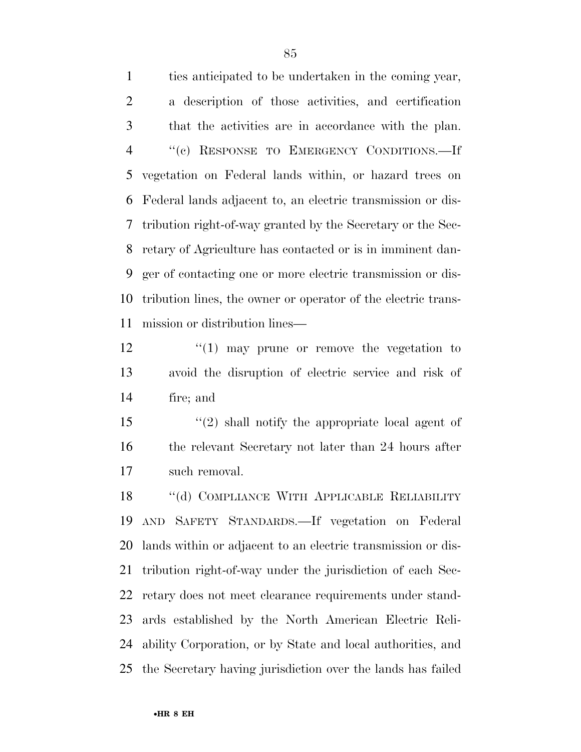ties anticipated to be undertaken in the coming year, a description of those activities, and certification that the activities are in accordance with the plan. ''(c) RESPONSE TO EMERGENCY CONDITIONS.—If vegetation on Federal lands within, or hazard trees on Federal lands adjacent to, an electric transmission or dis- tribution right-of-way granted by the Secretary or the Sec- retary of Agriculture has contacted or is in imminent dan- ger of contacting one or more electric transmission or dis- tribution lines, the owner or operator of the electric trans-mission or distribution lines—

 $\frac{12}{12}$  ''(1) may prune or remove the vegetation to avoid the disruption of electric service and risk of fire; and

 ''(2) shall notify the appropriate local agent of 16 the relevant Secretary not later than 24 hours after such removal.

 ''(d) COMPLIANCE WITH APPLICABLE RELIABILITY AND SAFETY STANDARDS.—If vegetation on Federal lands within or adjacent to an electric transmission or dis- tribution right-of-way under the jurisdiction of each Sec- retary does not meet clearance requirements under stand- ards established by the North American Electric Reli- ability Corporation, or by State and local authorities, and the Secretary having jurisdiction over the lands has failed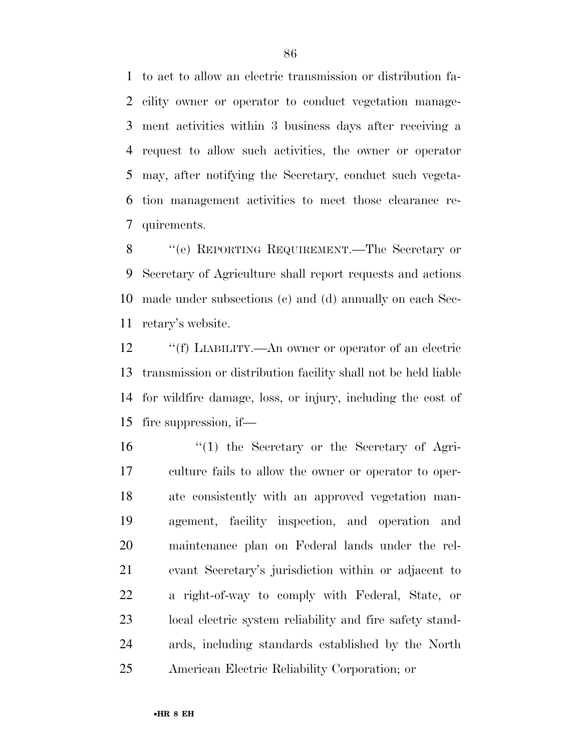to act to allow an electric transmission or distribution fa- cility owner or operator to conduct vegetation manage- ment activities within 3 business days after receiving a request to allow such activities, the owner or operator may, after notifying the Secretary, conduct such vegeta- tion management activities to meet those clearance re-quirements.

 ''(e) REPORTING REQUIREMENT.—The Secretary or Secretary of Agriculture shall report requests and actions made under subsections (c) and (d) annually on each Sec-retary's website.

 ''(f) LIABILITY.—An owner or operator of an electric transmission or distribution facility shall not be held liable for wildfire damage, loss, or injury, including the cost of fire suppression, if—

 ''(1) the Secretary or the Secretary of Agri- culture fails to allow the owner or operator to oper- ate consistently with an approved vegetation man- agement, facility inspection, and operation and maintenance plan on Federal lands under the rel- evant Secretary's jurisdiction within or adjacent to a right-of-way to comply with Federal, State, or local electric system reliability and fire safety stand- ards, including standards established by the North American Electric Reliability Corporation; or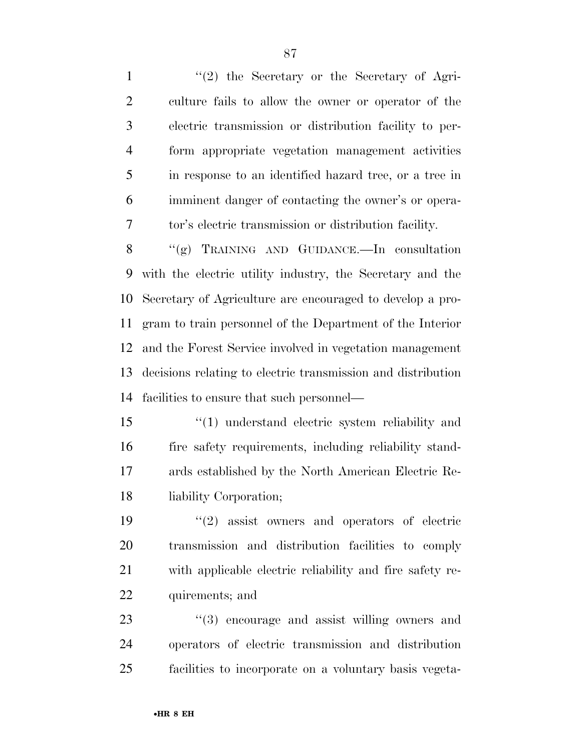1 ''(2) the Secretary or the Secretary of Agri- culture fails to allow the owner or operator of the electric transmission or distribution facility to per- form appropriate vegetation management activities in response to an identified hazard tree, or a tree in imminent danger of contacting the owner's or opera-tor's electric transmission or distribution facility.

 ''(g) TRAINING AND GUIDANCE.—In consultation with the electric utility industry, the Secretary and the Secretary of Agriculture are encouraged to develop a pro- gram to train personnel of the Department of the Interior and the Forest Service involved in vegetation management decisions relating to electric transmission and distribution facilities to ensure that such personnel—

 ''(1) understand electric system reliability and fire safety requirements, including reliability stand- ards established by the North American Electric Re-liability Corporation;

 $(2)$  assist owners and operators of electric transmission and distribution facilities to comply with applicable electric reliability and fire safety re-quirements; and

23  $\frac{1}{2}$  (3) encourage and assist willing owners and operators of electric transmission and distribution facilities to incorporate on a voluntary basis vegeta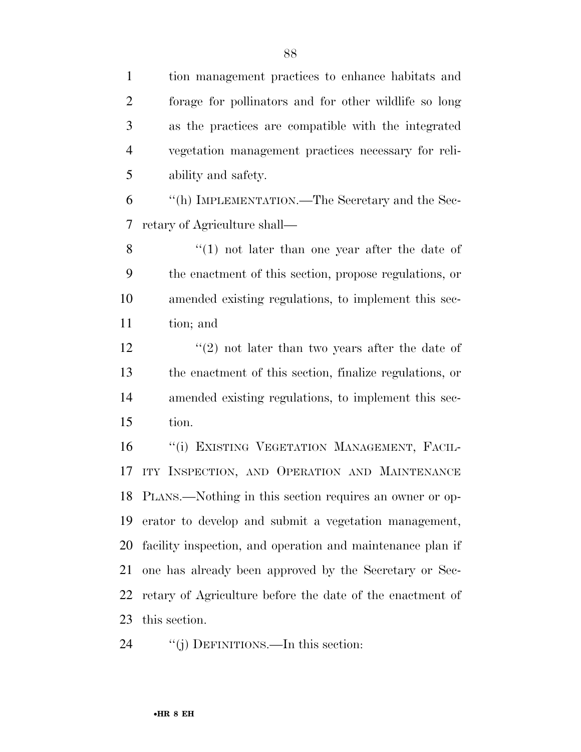tion management practices to enhance habitats and forage for pollinators and for other wildlife so long as the practices are compatible with the integrated vegetation management practices necessary for reli-ability and safety.

 ''(h) IMPLEMENTATION.—The Secretary and the Sec-retary of Agriculture shall—

8 ''(1) not later than one year after the date of the enactment of this section, propose regulations, or amended existing regulations, to implement this sec-tion; and

 $\binom{12}{2}$  not later than two years after the date of the enactment of this section, finalize regulations, or amended existing regulations, to implement this sec-tion.

16 "(i) EXISTING VEGETATION MANAGEMENT, FACIL-17 ITY INSPECTION, AND OPERATION AND MAINTENANCE PLANS.—Nothing in this section requires an owner or op- erator to develop and submit a vegetation management, facility inspection, and operation and maintenance plan if one has already been approved by the Secretary or Sec- retary of Agriculture before the date of the enactment of this section.

24 "(j) DEFINITIONS.—In this section: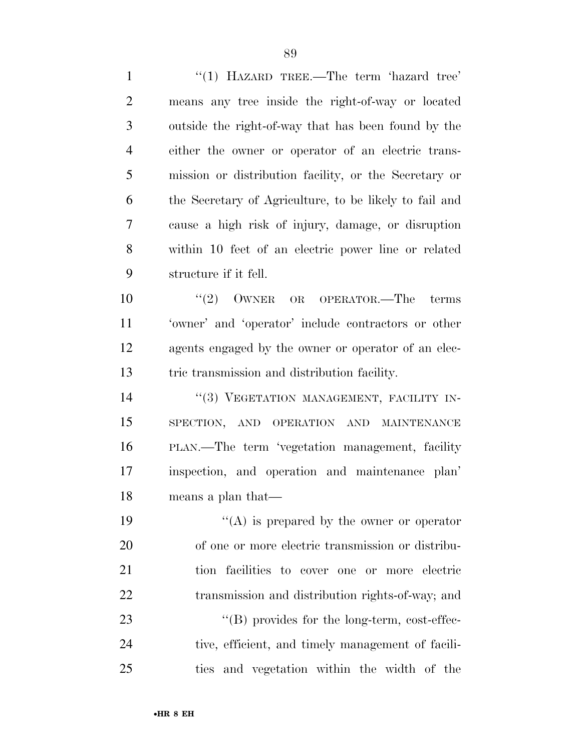1 "(1) HAZARD TREE.—The term 'hazard tree' means any tree inside the right-of-way or located outside the right-of-way that has been found by the either the owner or operator of an electric trans- mission or distribution facility, or the Secretary or the Secretary of Agriculture, to be likely to fail and cause a high risk of injury, damage, or disruption within 10 feet of an electric power line or related structure if it fell.

 $(2)$  OWNER OR OPERATOR. The terms 'owner' and 'operator' include contractors or other agents engaged by the owner or operator of an elec-tric transmission and distribution facility.

14 "(3) VEGETATION MANAGEMENT, FACILITY IN- SPECTION, AND OPERATION AND MAINTENANCE PLAN.—The term 'vegetation management, facility inspection, and operation and maintenance plan' means a plan that—

 $"({\rm A})$  is prepared by the owner or operator of one or more electric transmission or distribu- tion facilities to cover one or more electric 22 transmission and distribution rights-of-way; and  $\text{``(B)}$  provides for the long-term, cost-effec- tive, efficient, and timely management of facili-ties and vegetation within the width of the

•**HR 8 EH**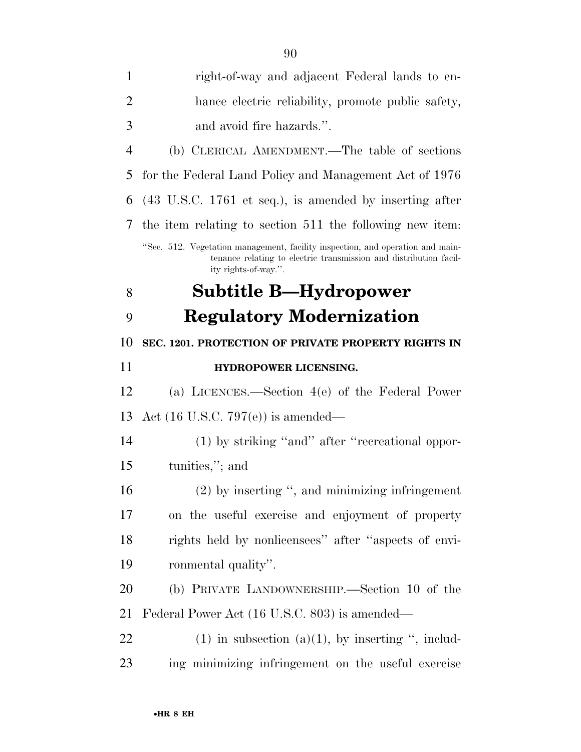| 1              | right-of-way and adjacent Federal lands to en-                                                                                                                              |
|----------------|-----------------------------------------------------------------------------------------------------------------------------------------------------------------------------|
| 2              | hance electric reliability, promote public safety,                                                                                                                          |
| 3              | and avoid fire hazards.".                                                                                                                                                   |
| $\overline{4}$ | (b) CLERICAL AMENDMENT.—The table of sections                                                                                                                               |
| 5              | for the Federal Land Policy and Management Act of 1976                                                                                                                      |
| 6              | $(43 \text{ U.S.C. } 1761 \text{ et seq.}),$ is amended by inserting after                                                                                                  |
| 7              | the item relating to section 511 the following new item.                                                                                                                    |
|                | "Sec. 512. Vegetation management, facility inspection, and operation and main-<br>tenance relating to electric transmission and distribution facil-<br>ity rights-of-way.". |
| 8              | Subtitle B—Hydropower                                                                                                                                                       |
| 9              | <b>Regulatory Modernization</b>                                                                                                                                             |
| 10             | SEC. 1201. PROTECTION OF PRIVATE PROPERTY RIGHTS IN                                                                                                                         |
| 11             | HYDROPOWER LICENSING.                                                                                                                                                       |
| 12             | (a) LICENCES.—Section $4(e)$ of the Federal Power                                                                                                                           |
| 13             | Act $(16 \text{ U.S.C. } 797(e))$ is amended—                                                                                                                               |
| 14             | $(1)$ by striking "and" after "recreational oppor-                                                                                                                          |
| 15             | tunities,"; and                                                                                                                                                             |
| 16             | $(2)$ by inserting ", and minimizing infringement                                                                                                                           |
| 17             | on the useful exercise and enjoyment of property                                                                                                                            |
| 18             | rights held by nonlicensees" after "aspects of envi-                                                                                                                        |
| 19             | ronmental quality".                                                                                                                                                         |
| 20             | (b) PRIVATE LANDOWNERSHIP.—Section 10 of the                                                                                                                                |
| 21             | Federal Power Act (16 U.S.C. 803) is amended—                                                                                                                               |
| 22             | $(1)$ in subsection $(a)(1)$ , by inserting ", includ-                                                                                                                      |
| 23             | ing minimizing infringement on the useful exercise                                                                                                                          |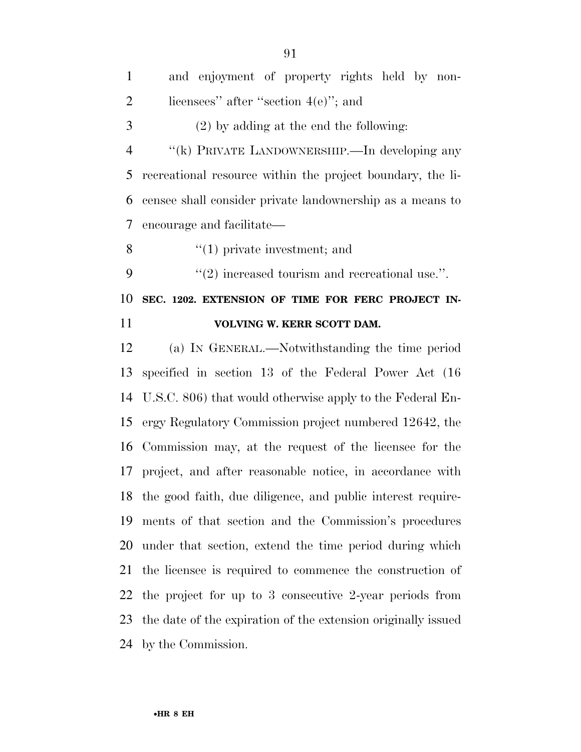| $\mathbf{1}$   | and enjoyment of property rights held by non-                  |
|----------------|----------------------------------------------------------------|
| $\overline{2}$ | licensees" after "section $4(e)$ "; and                        |
| 3              | $(2)$ by adding at the end the following:                      |
| $\overline{4}$ | "(k) PRIVATE LANDOWNERSHIP.—In developing any                  |
| 5              | recreational resource within the project boundary, the li-     |
| 6              | censee shall consider private landownership as a means to      |
| 7              | encourage and facilitate—                                      |
| 8              | $f'(1)$ private investment; and                                |
| 9              | $"(2)$ increased tourism and recreational use.".               |
| 10             | SEC. 1202. EXTENSION OF TIME FOR FERC PROJECT IN-              |
|                |                                                                |
| 11             | VOLVING W. KERR SCOTT DAM.                                     |
| 12             | (a) IN GENERAL.—Notwithstanding the time period                |
| 13             | specified in section 13 of the Federal Power Act (16)          |
|                | 14 U.S.C. 806) that would otherwise apply to the Federal En-   |
| 15             | ergy Regulatory Commission project numbered 12642, the         |
| 16             | Commission may, at the request of the licensee for the         |
| 17             | project, and after reasonable notice, in accordance with       |
|                | 18 the good faith, due diligence, and public interest require- |
| 19             | ments of that section and the Commission's procedures          |
| 20             | under that section, extend the time period during which        |
| 21             | the licensee is required to commence the construction of       |
|                | 22 the project for up to 3 consecutive 2-year periods from     |

the date of the expiration of the extension originally issued

by the Commission.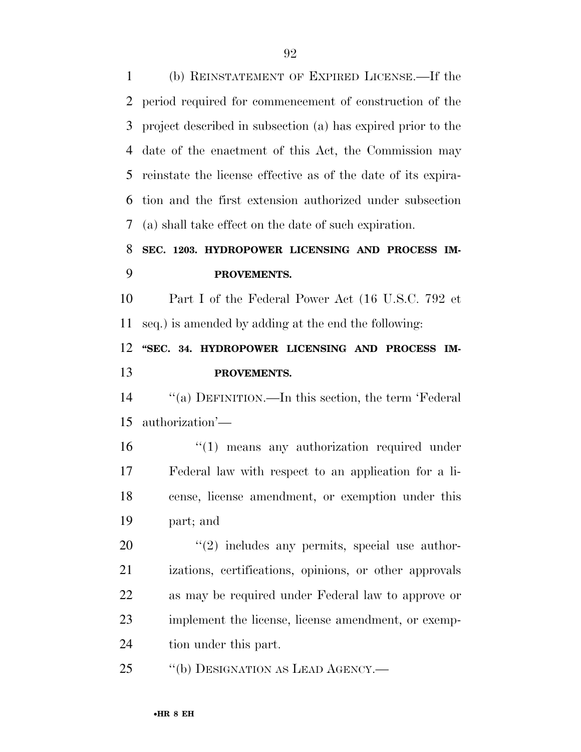(b) REINSTATEMENT OF EXPIRED LICENSE.—If the period required for commencement of construction of the project described in subsection (a) has expired prior to the date of the enactment of this Act, the Commission may reinstate the license effective as of the date of its expira- tion and the first extension authorized under subsection (a) shall take effect on the date of such expiration. **SEC. 1203. HYDROPOWER LICENSING AND PROCESS IM- PROVEMENTS.**  Part I of the Federal Power Act (16 U.S.C. 792 et seq.) is amended by adding at the end the following: **''SEC. 34. HYDROPOWER LICENSING AND PROCESS IM- PROVEMENTS.**  ''(a) DEFINITION.—In this section, the term 'Federal authorization'—  $\frac{1}{2}$  (1) means any authorization required under Federal law with respect to an application for a li- cense, license amendment, or exemption under this part; and ''(2) includes any permits, special use author- izations, certifications, opinions, or other approvals as may be required under Federal law to approve or implement the license, license amendment, or exemp- tion under this part. 25 "(b) DESIGNATION AS LEAD AGENCY.—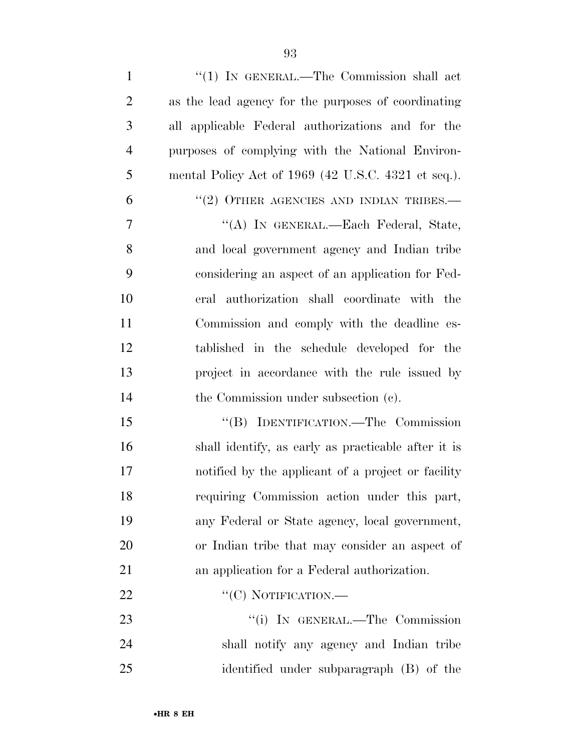| $\mathbf{1}$   | " $(1)$ IN GENERAL.—The Commission shall act        |
|----------------|-----------------------------------------------------|
| $\overline{2}$ | as the lead agency for the purposes of coordinating |
| 3              | all applicable Federal authorizations and for the   |
| $\overline{4}$ | purposes of complying with the National Environ-    |
| 5              | mental Policy Act of 1969 (42 U.S.C. 4321 et seq.). |
| 6              | $``(2)$ OTHER AGENCIES AND INDIAN TRIBES.—          |
| $\tau$         | "(A) IN GENERAL.—Each Federal, State,               |
| 8              | and local government agency and Indian tribe        |
| 9              | considering an aspect of an application for Fed-    |
| 10             | eral authorization shall coordinate with the        |
| 11             | Commission and comply with the deadline es-         |
| 12             | tablished in the schedule developed for the         |
| 13             | project in accordance with the rule issued by       |
| 14             | the Commission under subsection (c).                |
| 15             | "(B) IDENTIFICATION.—The Commission                 |
| 16             | shall identify, as early as practicable after it is |
| 17             | notified by the applicant of a project or facility  |
| 18             | requiring Commission action under this part,        |
| 19             | any Federal or State agency, local government,      |
| 20             | or Indian tribe that may consider an aspect of      |
| 21             | an application for a Federal authorization.         |
| 22             | "(C) NOTIFICATION.—                                 |
| 23             | "(i) IN GENERAL.—The Commission                     |
| 24             | shall notify any agency and Indian tribe            |
| 25             | identified under subparagraph (B) of the            |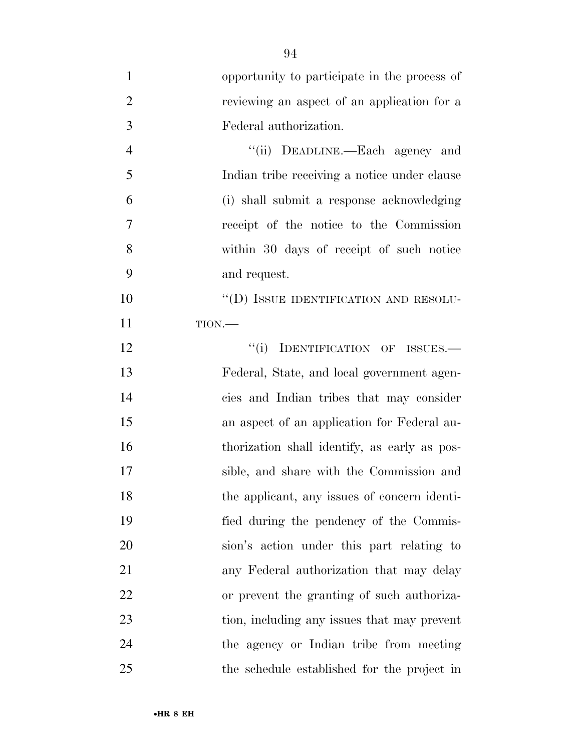| $\mathbf{1}$   | opportunity to participate in the process of |
|----------------|----------------------------------------------|
| $\overline{2}$ | reviewing an aspect of an application for a  |
| 3              | Federal authorization.                       |
| $\overline{4}$ | "(ii) DEADLINE.—Each agency and              |
| 5              | Indian tribe receiving a notice under clause |
| 6              | (i) shall submit a response acknowledging    |
| 7              | receipt of the notice to the Commission      |
| 8              | within 30 days of receipt of such notice     |
| 9              | and request.                                 |
| 10             | "(D) ISSUE IDENTIFICATION AND RESOLU-        |
| 11             | TION.                                        |
| 12             | IDENTIFICATION OF ISSUES.-<br>``(i)          |
| 13             | Federal, State, and local government agen-   |
| 14             | cies and Indian tribes that may consider     |
| 15             | an aspect of an application for Federal au-  |
| 16             | thorization shall identify, as early as pos- |
| 17             | sible, and share with the Commission and     |
| 18             | the applicant, any issues of concern identi- |
| 19             | fied during the pendency of the Commis-      |
| 20             | sion's action under this part relating to    |
| 21             | any Federal authorization that may delay     |
| 22             | or prevent the granting of such authoriza-   |
| 23             | tion, including any issues that may prevent  |
| 24             | the agency or Indian tribe from meeting      |
| 25             | the schedule established for the project in  |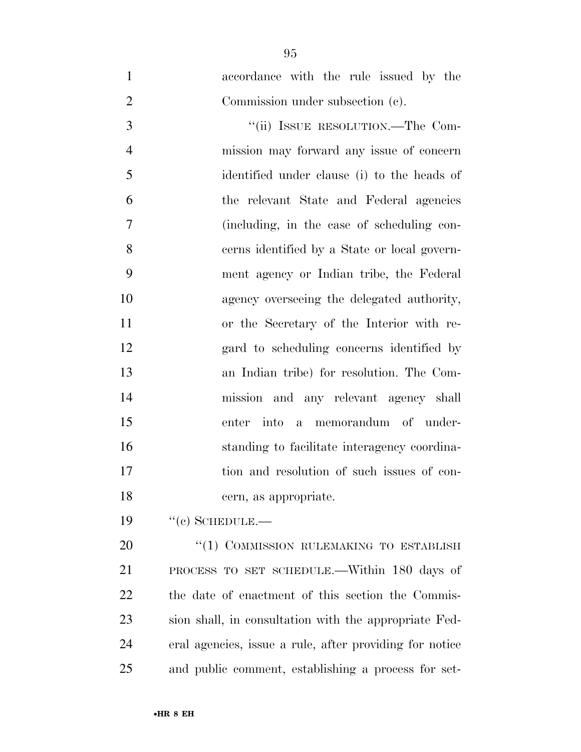accordance with the rule issued by the Commission under subsection (c). 3 "(ii) ISSUE RESOLUTION.—The Com- mission may forward any issue of concern identified under clause (i) to the heads of the relevant State and Federal agencies (including, in the case of scheduling con- cerns identified by a State or local govern- ment agency or Indian tribe, the Federal agency overseeing the delegated authority, or the Secretary of the Interior with re- gard to scheduling concerns identified by an Indian tribe) for resolution. The Com- mission and any relevant agency shall enter into a memorandum of under- standing to facilitate interagency coordina- tion and resolution of such issues of con-cern, as appropriate.

19 "(c) SCHEDULE.—

20 "(1) COMMISSION RULEMAKING TO ESTABLISH PROCESS TO SET SCHEDULE.—Within 180 days of the date of enactment of this section the Commis- sion shall, in consultation with the appropriate Fed- eral agencies, issue a rule, after providing for notice and public comment, establishing a process for set-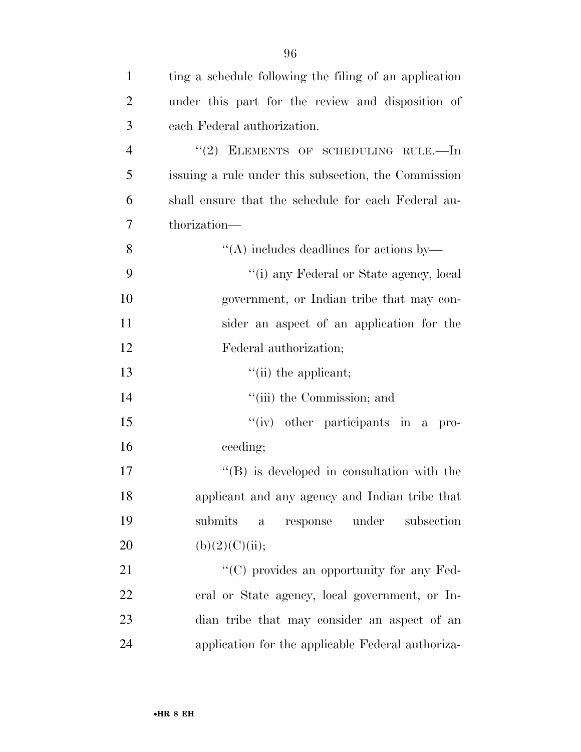| $\mathbf{1}$   | ting a schedule following the filing of an application |
|----------------|--------------------------------------------------------|
| 2              | under this part for the review and disposition of      |
| 3              | each Federal authorization.                            |
| $\overline{4}$ | "(2) ELEMENTS OF SCHEDULING RULE.—In                   |
| 5              | issuing a rule under this subsection, the Commission   |
| 6              | shall ensure that the schedule for each Federal au-    |
| 7              | thorization—                                           |
| 8              | $\lq\lq$ includes deadlines for actions by—            |
| 9              | "(i) any Federal or State agency, local                |
| 10             | government, or Indian tribe that may con-              |
| 11             | sider an aspect of an application for the              |
| 12             | Federal authorization;                                 |
|                |                                                        |

13 ''(ii) the applicant;

14  $"$ (iii) the Commission; and

 ''(iv) other participants in a pro-ceeding;

 $\langle G \rangle$  is developed in consultation with the applicant and any agency and Indian tribe that submits a response under subsection 20 (b)(2)(C)(ii);

21 ''(C) provides an opportunity for any Fed- eral or State agency, local government, or In- dian tribe that may consider an aspect of an application for the applicable Federal authoriza-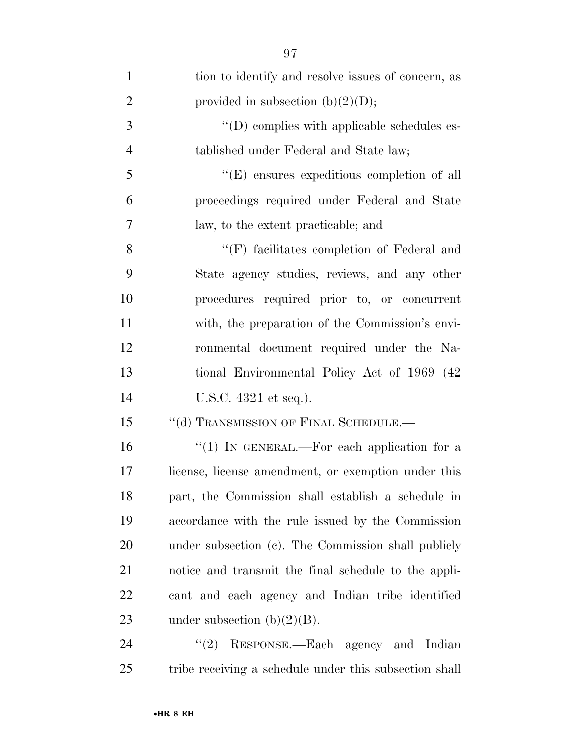| $\mathbf{1}$   | tion to identify and resolve issues of concern, as   |
|----------------|------------------------------------------------------|
| $\overline{2}$ | provided in subsection $(b)(2)(D)$ ;                 |
| 3              | "(D) complies with applicable schedules es-          |
| $\overline{4}$ | tablished under Federal and State law;               |
| 5              | "(E) ensures expeditious completion of all           |
| 6              | proceedings required under Federal and State         |
| 7              | law, to the extent practicable; and                  |
| 8              | $\lq\lq(F)$ facilitates completion of Federal and    |
| 9              | State agency studies, reviews, and any other         |
| 10             | procedures required prior to, or concurrent          |
| 11             | with, the preparation of the Commission's envi-      |
| 12             | ronmental document required under the Na-            |
| 13             | tional Environmental Policy Act of 1969 (42)         |
| 14             | U.S.C. 4321 et seq.).                                |
| 15             | "(d) TRANSMISSION OF FINAL SCHEDULE.-                |
| 16             | "(1) IN GENERAL.—For each application for a          |
| 17             | license, license amendment, or exemption under this  |
| 18             | part, the Commission shall establish a schedule in   |
| 19             | accordance with the rule issued by the Commission    |
| 20             | under subsection (c). The Commission shall publicly  |
| 21             | notice and transmit the final schedule to the appli- |
| 22             | cant and each agency and Indian tribe identified     |
| 23             | under subsection $(b)(2)(B)$ .                       |
| 24             | (2)<br>RESPONSE.—Each agency and Indian              |

tribe receiving a schedule under this subsection shall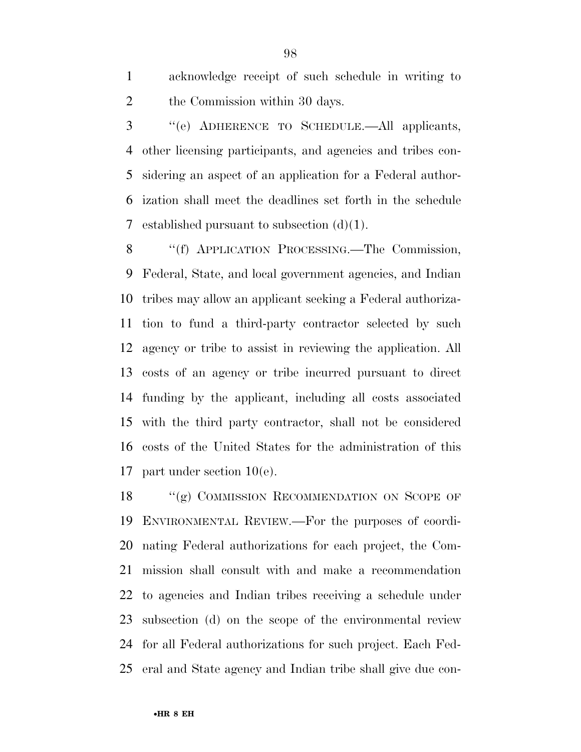acknowledge receipt of such schedule in writing to the Commission within 30 days.

 ''(e) ADHERENCE TO SCHEDULE.—All applicants, other licensing participants, and agencies and tribes con- sidering an aspect of an application for a Federal author- ization shall meet the deadlines set forth in the schedule 7 established pursuant to subsection  $(d)(1)$ .

 ''(f) APPLICATION PROCESSING.—The Commission, Federal, State, and local government agencies, and Indian tribes may allow an applicant seeking a Federal authoriza- tion to fund a third-party contractor selected by such agency or tribe to assist in reviewing the application. All costs of an agency or tribe incurred pursuant to direct funding by the applicant, including all costs associated with the third party contractor, shall not be considered costs of the United States for the administration of this part under section 10(e).

18 "(g) COMMISSION RECOMMENDATION ON SCOPE OF ENVIRONMENTAL REVIEW.—For the purposes of coordi- nating Federal authorizations for each project, the Com- mission shall consult with and make a recommendation to agencies and Indian tribes receiving a schedule under subsection (d) on the scope of the environmental review for all Federal authorizations for such project. Each Fed-eral and State agency and Indian tribe shall give due con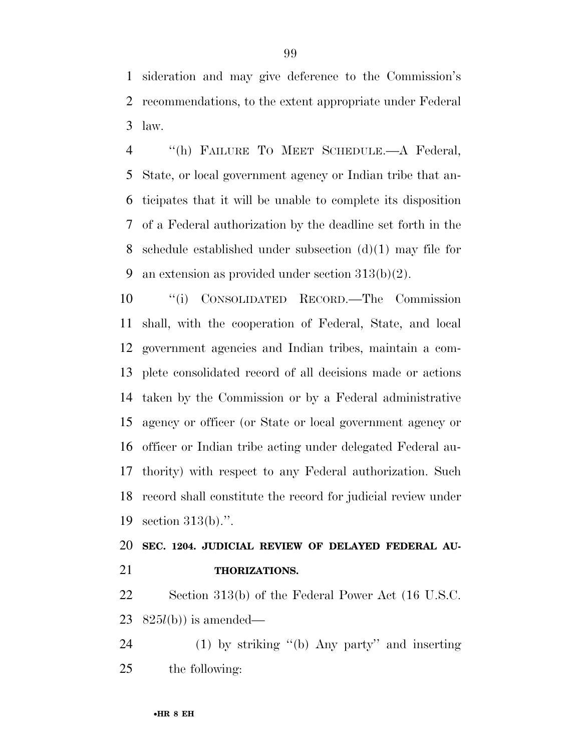sideration and may give deference to the Commission's recommendations, to the extent appropriate under Federal law.

 ''(h) FAILURE TO MEET SCHEDULE.—A Federal, State, or local government agency or Indian tribe that an- ticipates that it will be unable to complete its disposition of a Federal authorization by the deadline set forth in the 8 schedule established under subsection  $(d)(1)$  may file for 9 an extension as provided under section  $313(b)(2)$ .

 ''(i) CONSOLIDATED RECORD.—The Commission shall, with the cooperation of Federal, State, and local government agencies and Indian tribes, maintain a com- plete consolidated record of all decisions made or actions taken by the Commission or by a Federal administrative agency or officer (or State or local government agency or officer or Indian tribe acting under delegated Federal au- thority) with respect to any Federal authorization. Such record shall constitute the record for judicial review under section 313(b).''.

# **SEC. 1204. JUDICIAL REVIEW OF DELAYED FEDERAL AU-THORIZATIONS.**

 Section 313(b) of the Federal Power Act (16 U.S.C. 825*l*(b)) is amended—

 (1) by striking ''(b) Any party'' and inserting the following: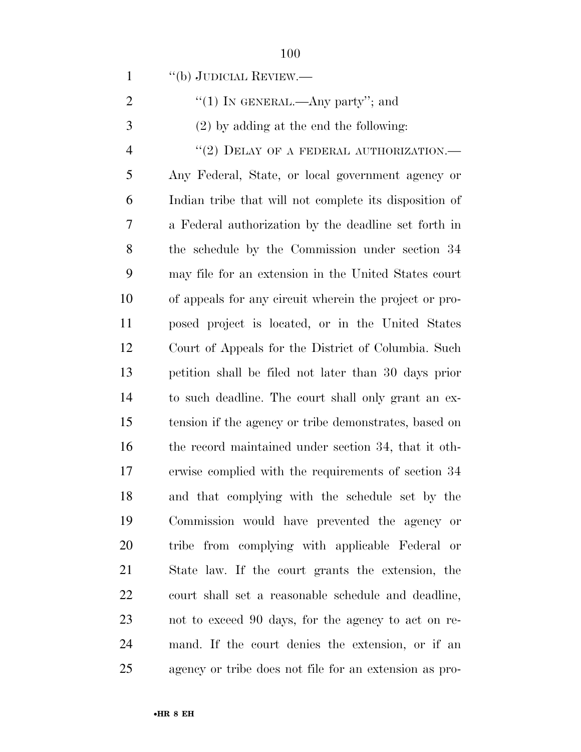''(b) JUDICIAL REVIEW.—

| "(1) IN GENERAL.—Any party"; and |  |
|----------------------------------|--|
|----------------------------------|--|

(2) by adding at the end the following:

4 "(2) DELAY OF A FEDERAL AUTHORIZATION.— Any Federal, State, or local government agency or Indian tribe that will not complete its disposition of a Federal authorization by the deadline set forth in the schedule by the Commission under section 34 may file for an extension in the United States court of appeals for any circuit wherein the project or pro- posed project is located, or in the United States Court of Appeals for the District of Columbia. Such petition shall be filed not later than 30 days prior to such deadline. The court shall only grant an ex- tension if the agency or tribe demonstrates, based on the record maintained under section 34, that it oth- erwise complied with the requirements of section 34 and that complying with the schedule set by the Commission would have prevented the agency or tribe from complying with applicable Federal or State law. If the court grants the extension, the court shall set a reasonable schedule and deadline, not to exceed 90 days, for the agency to act on re- mand. If the court denies the extension, or if an agency or tribe does not file for an extension as pro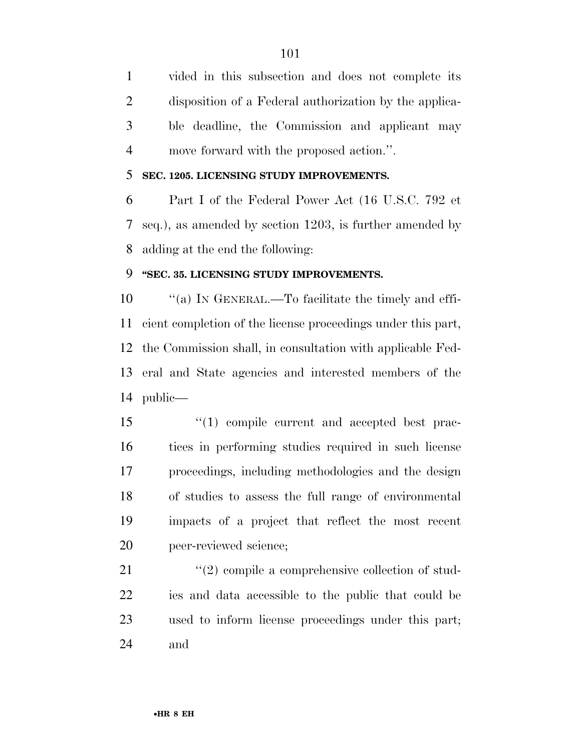vided in this subsection and does not complete its disposition of a Federal authorization by the applica- ble deadline, the Commission and applicant may move forward with the proposed action.''.

# **SEC. 1205. LICENSING STUDY IMPROVEMENTS.**

 Part I of the Federal Power Act (16 U.S.C. 792 et seq.), as amended by section 1203, is further amended by adding at the end the following:

# **''SEC. 35. LICENSING STUDY IMPROVEMENTS.**

 ''(a) IN GENERAL.—To facilitate the timely and effi- cient completion of the license proceedings under this part, the Commission shall, in consultation with applicable Fed- eral and State agencies and interested members of the public—

 $\frac{1}{2}$  (1) compile current and accepted best prac- tices in performing studies required in such license proceedings, including methodologies and the design of studies to assess the full range of environmental impacts of a project that reflect the most recent peer-reviewed science;

21 ''(2) compile a comprehensive collection of stud- ies and data accessible to the public that could be used to inform license proceedings under this part; and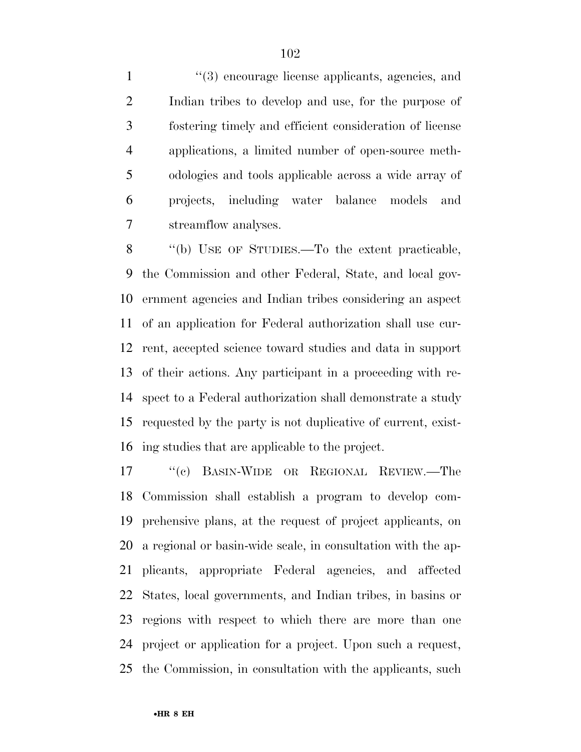1 ''(3) encourage license applicants, agencies, and Indian tribes to develop and use, for the purpose of fostering timely and efficient consideration of license applications, a limited number of open-source meth- odologies and tools applicable across a wide array of projects, including water balance models and streamflow analyses.

 ''(b) USE OF STUDIES.—To the extent practicable, the Commission and other Federal, State, and local gov- ernment agencies and Indian tribes considering an aspect of an application for Federal authorization shall use cur- rent, accepted science toward studies and data in support of their actions. Any participant in a proceeding with re- spect to a Federal authorization shall demonstrate a study requested by the party is not duplicative of current, exist-ing studies that are applicable to the project.

 ''(c) BASIN-WIDE OR REGIONAL REVIEW.—The Commission shall establish a program to develop com- prehensive plans, at the request of project applicants, on a regional or basin-wide scale, in consultation with the ap- plicants, appropriate Federal agencies, and affected States, local governments, and Indian tribes, in basins or regions with respect to which there are more than one project or application for a project. Upon such a request, the Commission, in consultation with the applicants, such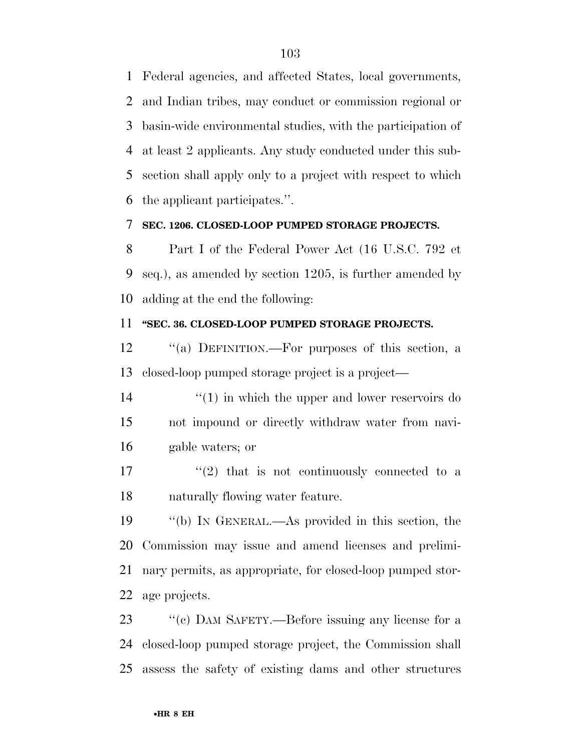Federal agencies, and affected States, local governments, and Indian tribes, may conduct or commission regional or basin-wide environmental studies, with the participation of at least 2 applicants. Any study conducted under this sub- section shall apply only to a project with respect to which the applicant participates.''.

#### **SEC. 1206. CLOSED-LOOP PUMPED STORAGE PROJECTS.**

 Part I of the Federal Power Act (16 U.S.C. 792 et seq.), as amended by section 1205, is further amended by adding at the end the following:

### **''SEC. 36. CLOSED-LOOP PUMPED STORAGE PROJECTS.**

 ''(a) DEFINITION.—For purposes of this section, a closed-loop pumped storage project is a project—

14 ''(1) in which the upper and lower reservoirs do not impound or directly withdraw water from navi-gable waters; or

 $\frac{17}{2}$  ''(2) that is not continuously connected to a naturally flowing water feature.

 ''(b) IN GENERAL.—As provided in this section, the Commission may issue and amend licenses and prelimi- nary permits, as appropriate, for closed-loop pumped stor-age projects.

23 "(c) DAM SAFETY.—Before issuing any license for a closed-loop pumped storage project, the Commission shall assess the safety of existing dams and other structures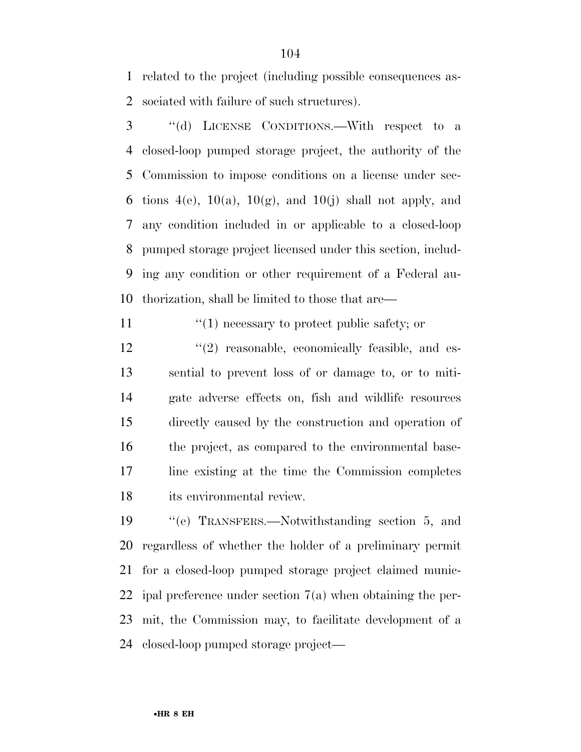related to the project (including possible consequences as-sociated with failure of such structures).

 ''(d) LICENSE CONDITIONS.—With respect to a closed-loop pumped storage project, the authority of the Commission to impose conditions on a license under sec-6 tions  $4(e)$ ,  $10(a)$ ,  $10(g)$ , and  $10(j)$  shall not apply, and any condition included in or applicable to a closed-loop pumped storage project licensed under this section, includ- ing any condition or other requirement of a Federal au-thorization, shall be limited to those that are—

11  $\frac{1}{1}$  necessary to protect public safety; or

12 "(2) reasonable, economically feasible, and es- sential to prevent loss of or damage to, or to miti- gate adverse effects on, fish and wildlife resources directly caused by the construction and operation of the project, as compared to the environmental base- line existing at the time the Commission completes its environmental review.

 ''(e) TRANSFERS.—Notwithstanding section 5, and regardless of whether the holder of a preliminary permit for a closed-loop pumped storage project claimed munic- ipal preference under section 7(a) when obtaining the per- mit, the Commission may, to facilitate development of a closed-loop pumped storage project—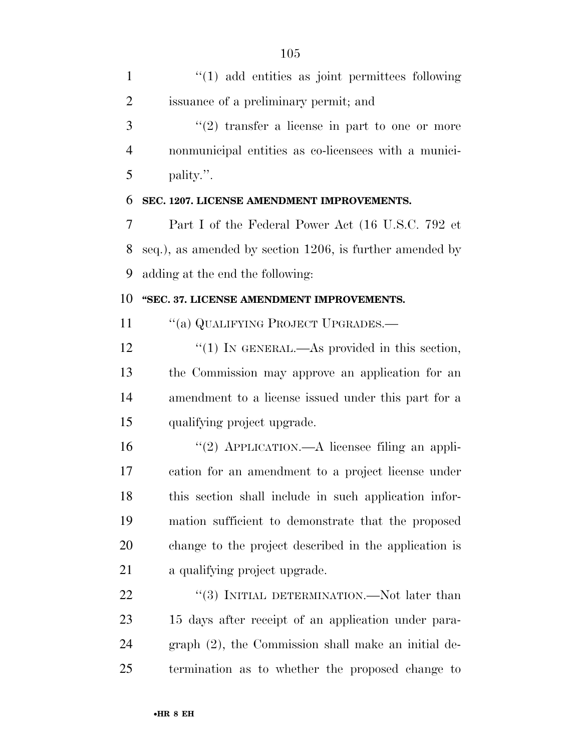| $\mathbf{1}$   | $"(1)$ add entities as joint permittees following        |
|----------------|----------------------------------------------------------|
| 2              | issuance of a preliminary permit; and                    |
| 3              | $(2)$ transfer a license in part to one or more          |
| $\overline{4}$ | nonmunicipal entities as co-licensees with a munici-     |
| 5              | pality.".                                                |
| 6              | SEC. 1207. LICENSE AMENDMENT IMPROVEMENTS.               |
| 7              | Part I of the Federal Power Act (16 U.S.C. 792 et        |
| 8              | seq.), as amended by section 1206, is further amended by |
| 9              | adding at the end the following:                         |
| 10             | "SEC. 37. LICENSE AMENDMENT IMPROVEMENTS.                |
| 11             | "(a) QUALIFYING PROJECT UPGRADES.-                       |
| 12             | "(1) IN GENERAL.—As provided in this section,            |
| 13             | the Commission may approve an application for an         |
| 14             | amendment to a license issued under this part for a      |
| 15             | qualifying project upgrade.                              |
| 16             | "(2) APPLICATION.—A licensee filing an appli-            |
| 17             | cation for an amendment to a project license under       |
| 18             | this section shall include in such application infor-    |
| 19             | mation sufficient to demonstrate that the proposed       |
| 20             | change to the project described in the application is    |
| 21             | a qualifying project upgrade.                            |
| 22             | "(3) INITIAL DETERMINATION.—Not later than               |
| 23             | 15 days after receipt of an application under para-      |
| 24             | graph (2), the Commission shall make an initial de-      |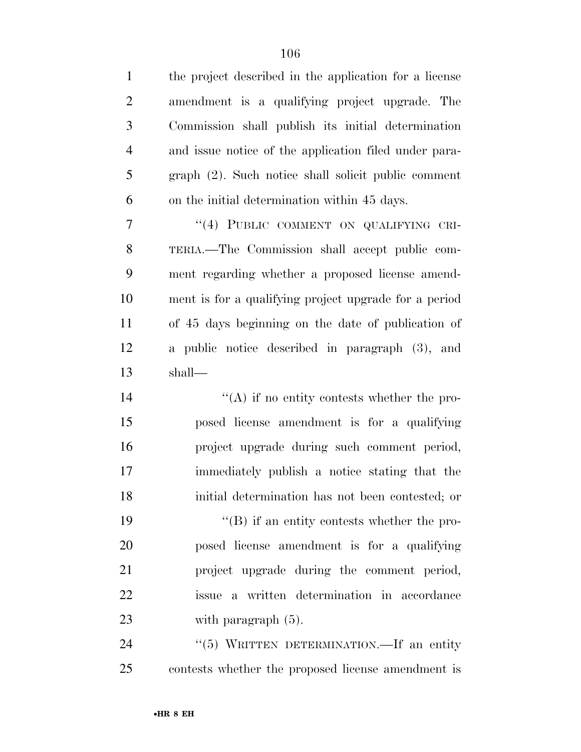| $\mathbf{1}$   | the project described in the application for a license |
|----------------|--------------------------------------------------------|
| $\overline{2}$ | amendment is a qualifying project upgrade. The         |
| 3              | Commission shall publish its initial determination     |
| $\overline{4}$ | and issue notice of the application filed under para-  |
| 5              | graph (2). Such notice shall solicit public comment    |
| 6              | on the initial determination within 45 days.           |
| $\tau$         | "(4) PUBLIC COMMENT ON QUALIFYING CRI-                 |
| 8              | TERIA.—The Commission shall accept public com-         |
| 9              | ment regarding whether a proposed license amend-       |
| 10             | ment is for a qualifying project upgrade for a period  |
| 11             | of 45 days beginning on the date of publication of     |
| 12             | a public notice described in paragraph (3), and        |
| 13             | shall—                                                 |
| 14             | $\lq\lq$ if no entity contests whether the pro-        |
| 15             | posed license amendment is for a qualifying            |
| 16             | project upgrade during such comment period,            |
| 17             | immediately publish a notice stating that the          |
| 18             | initial determination has not been contested; or       |
| 19             | $\lq\lq$ if an entity contests whether the pro-        |
| 20             | posed license amendment is for a qualifying            |
| 21             | project upgrade during the comment period,             |
| 22             | issue a written determination in accordance            |
| 23             | with paragraph $(5)$ .                                 |
| 24             | "(5) WRITTEN DETERMINATION.—If an entity               |
|                |                                                        |

contests whether the proposed license amendment is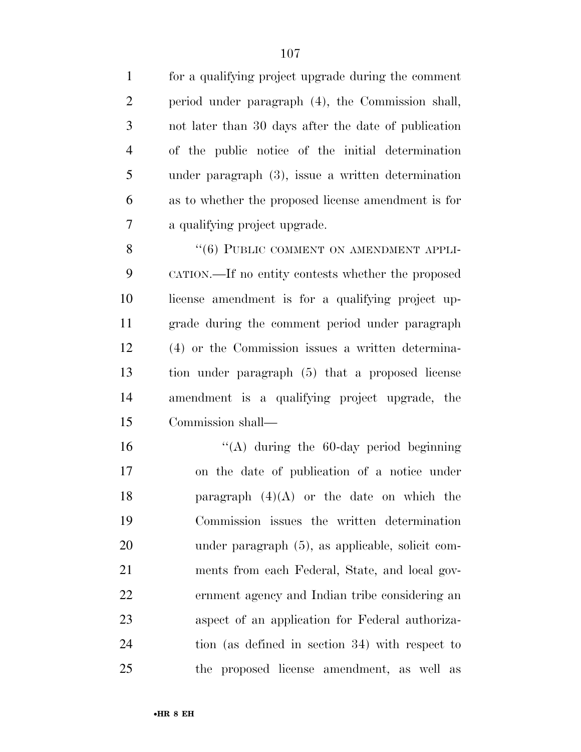| $\mathbf{1}$   | for a qualifying project upgrade during the comment    |
|----------------|--------------------------------------------------------|
| $\overline{2}$ | period under paragraph (4), the Commission shall,      |
| 3              | not later than 30 days after the date of publication   |
| $\overline{4}$ | of the public notice of the initial determination      |
| 5              | under paragraph $(3)$ , issue a written determination  |
| 6              | as to whether the proposed license amendment is for    |
| 7              | a qualifying project upgrade.                          |
| 8              | "(6) PUBLIC COMMENT ON AMENDMENT APPLI-                |
| 9              | CATION.—If no entity contests whether the proposed     |
| 10             | license amendment is for a qualifying project up-      |
| 11             | grade during the comment period under paragraph        |
| 12             | (4) or the Commission issues a written determina-      |
| 13             | tion under paragraph (5) that a proposed license       |
| 14             | amendment is a qualifying project upgrade, the         |
| 15             | Commission shall—                                      |
| 16             | "(A) during the $60$ -day period beginning             |
| 17             | on the date of publication of a notice under           |
| 18             | paragraph $(4)(A)$ or the date on which the            |
| 19             | Commission issues the written determination            |
| 20             | under paragraph (5), as applicable, solicit com-       |
| 21             | ments from each Federal, State, and local gov-         |
| 22             | ernment agency and Indian tribe considering an         |
| 23             | aspect of an application for Federal authoriza-        |
| 24             | tion (as defined in section 34) with respect to        |
| 25             | proposed license amendment, as well<br>the<br>$\rm as$ |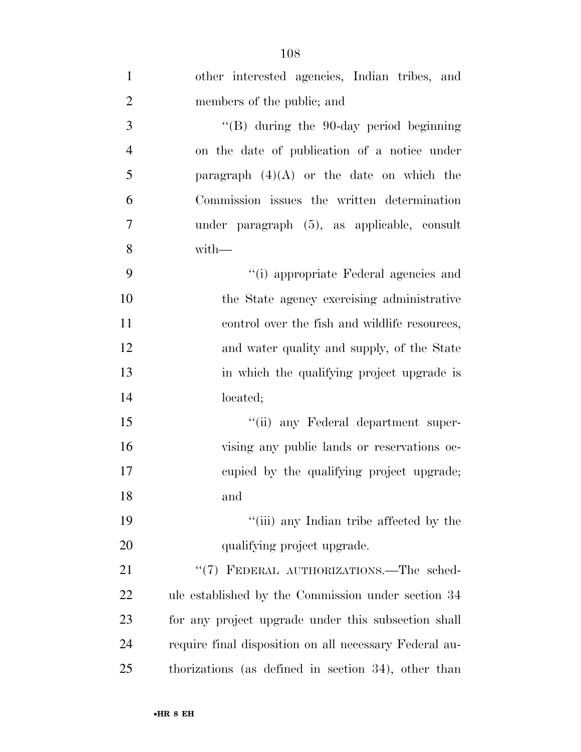| $\mathbf{1}$   | other interested agencies, Indian tribes, and          |
|----------------|--------------------------------------------------------|
| $\overline{2}$ | members of the public; and                             |
| 3              | $\lq\lq(B)$ during the 90-day period beginning         |
| $\overline{4}$ | on the date of publication of a notice under           |
| 5              | paragraph $(4)(A)$ or the date on which the            |
| 6              | Commission issues the written determination            |
| 7              | under paragraph (5), as applicable, consult            |
| 8              | with-                                                  |
| 9              | "(i) appropriate Federal agencies and                  |
| 10             | the State agency exercising administrative             |
| 11             | control over the fish and wildlife resources,          |
| 12             | and water quality and supply, of the State             |
| 13             | in which the qualifying project upgrade is             |
| 14             | located;                                               |
| 15             | "(ii) any Federal department super-                    |
| 16             | vising any public lands or reservations oc-            |
| 17             | eupied by the qualifying project upgrade;              |
| 18             | and                                                    |
| 19             | "(iii) any Indian tribe affected by the                |
| 20             | qualifying project upgrade.                            |
| 21             | "(7) FEDERAL AUTHORIZATIONS.—The sched-                |
| <u>22</u>      | ule established by the Commission under section 34     |
| 23             | for any project upgrade under this subsection shall    |
| 24             | require final disposition on all necessary Federal au- |
| 25             | thorizations (as defined in section 34), other than    |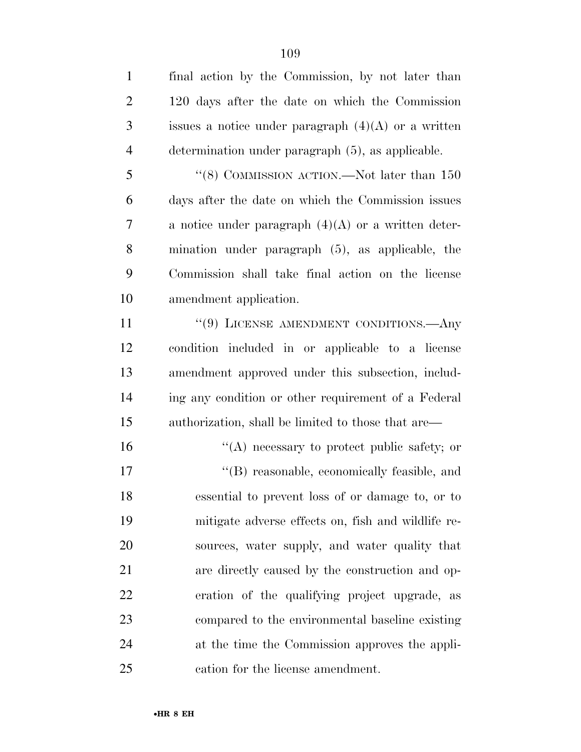| $\mathbf{1}$   | final action by the Commission, by not later than     |
|----------------|-------------------------------------------------------|
| $\overline{2}$ | 120 days after the date on which the Commission       |
| 3              | issues a notice under paragraph $(4)(A)$ or a written |
| $\overline{4}$ | determination under paragraph (5), as applicable.     |
| 5              | $\lq\lq (8)$ COMMISSION ACTION.—Not later than $150$  |
| 6              | days after the date on which the Commission issues    |
| 7              | a notice under paragraph $(4)(A)$ or a written deter- |
| 8              | mination under paragraph (5), as applicable, the      |
| 9              | Commission shall take final action on the license     |
| 10             | amendment application.                                |
| 11             | $``(9)$ LICENSE AMENDMENT CONDITIONS.—Any             |
| 12             | condition included in or applicable to a license      |
| 13             | amendment approved under this subsection, includ-     |
| 14             | ing any condition or other requirement of a Federal   |
| 15             | authorization, shall be limited to those that are—    |
| 16             | $\lq\lq$ necessary to protect public safety; or       |
| 17             | "(B) reasonable, economically feasible, and           |
| 18             | essential to prevent loss of or damage to, or to      |
| 19             | mitigate adverse effects on, fish and wildlife re-    |
| 20             | sources, water supply, and water quality that         |
| 21             | are directly caused by the construction and op-       |
| 22             | eration of the qualifying project upgrade, as         |
| 23             | compared to the environmental baseline existing       |
| 24             | at the time the Commission approves the appli-        |
| 25             | cation for the license amendment.                     |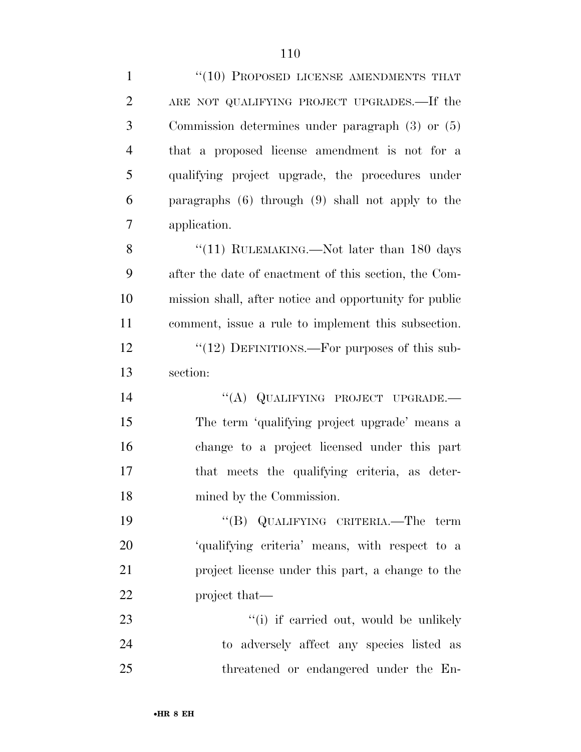| $\mathbf{1}$   | "(10) PROPOSED LICENSE AMENDMENTS THAT                 |
|----------------|--------------------------------------------------------|
| $\overline{2}$ | ARE NOT QUALIFYING PROJECT UPGRADES.—If the            |
| 3              | Commission determines under paragraph $(3)$ or $(5)$   |
| $\overline{4}$ | that a proposed license amendment is not for a         |
| 5              | qualifying project upgrade, the procedures under       |
| 6              | paragraphs (6) through (9) shall not apply to the      |
| $\overline{7}$ | application.                                           |
| 8              | "(11) RULEMAKING.—Not later than 180 days              |
| 9              | after the date of enactment of this section, the Com-  |
| 10             | mission shall, after notice and opportunity for public |
| 11             | comment, issue a rule to implement this subsection.    |
| 12             | " $(12)$ DEFINITIONS.—For purposes of this sub-        |
| 13             | section:                                               |
| 14             | "(A) QUALIFYING PROJECT UPGRADE.-                      |
| 15             | The term 'qualifying project upgrade' means a          |
| 16             | change to a project licensed under this part           |
| 17             | that meets the qualifying criteria, as deter-          |
| 18             | mined by the Commission.                               |
| 19             | "(B) QUALIFYING CRITERIA.—The term                     |
| 20             | 'qualifying criteria' means, with respect to a         |
| 21             | project license under this part, a change to the       |
| 22             | project that—                                          |
| 23             | "(i) if carried out, would be unlikely                 |
| 24             | to adversely affect any species listed as              |
| 25             | threatened or endangered under the En-                 |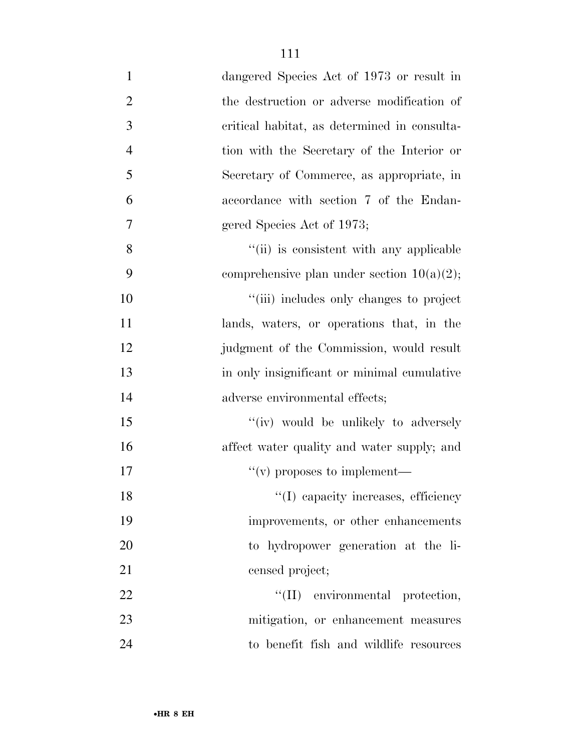| $\mathbf{1}$   | dangered Species Act of 1973 or result in     |
|----------------|-----------------------------------------------|
| $\overline{2}$ | the destruction or adverse modification of    |
| 3              | critical habitat, as determined in consulta-  |
| $\overline{4}$ | tion with the Secretary of the Interior or    |
| 5              | Secretary of Commerce, as appropriate, in     |
| 6              | accordance with section 7 of the Endan-       |
| $\tau$         | gered Species Act of 1973;                    |
| 8              | "(ii) is consistent with any applicable       |
| 9              | comprehensive plan under section $10(a)(2)$ ; |
| 10             | "(iii) includes only changes to project       |
| 11             | lands, waters, or operations that, in the     |
| 12             | judgment of the Commission, would result      |
| 13             | in only insignificant or minimal cumulative   |
| 14             | adverse environmental effects;                |
| 15             | "(iv) would be unlikely to adversely          |
| 16             | affect water quality and water supply; and    |
| 17             | $``(v)$ proposes to implement—                |
| 18             | "(I) capacity increases, efficiency           |
| 19             | improvements, or other enhancements           |
| 20             | to hydropower generation at the li-           |
| 21             | censed project;                               |
| 22             | "(II) environmental protection,               |
| 23             | mitigation, or enhancement measures           |
| 24             | to benefit fish and wildlife resources        |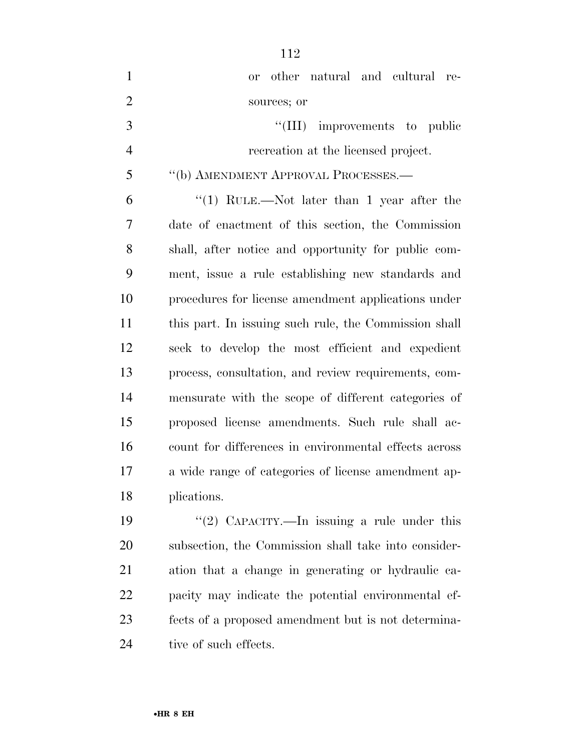| $\mathbf{1}$   | other natural and cultural re-<br>0r                  |
|----------------|-------------------------------------------------------|
| $\overline{2}$ | sources; or                                           |
| 3              | "(III) improvements to public                         |
| $\overline{4}$ | recreation at the licensed project.                   |
| 5              | "(b) AMENDMENT APPROVAL PROCESSES.-                   |
| 6              | "(1) RULE.—Not later than 1 year after the            |
| 7              | date of enactment of this section, the Commission     |
| 8              | shall, after notice and opportunity for public com-   |
| 9              | ment, issue a rule establishing new standards and     |
| 10             | procedures for license amendment applications under   |
| 11             | this part. In issuing such rule, the Commission shall |
| 12             | seek to develop the most efficient and expedient      |
| 13             | process, consultation, and review requirements, com-  |
| 14             | mensurate with the scope of different categories of   |
| 15             | proposed license amendments. Such rule shall ac-      |
| 16             | count for differences in environmental effects across |
| 17             | a wide range of categories of license amendment ap-   |
| 18             | plications.                                           |
| 19             | "(2) CAPACITY.—In issuing a rule under this           |

 subsection, the Commission shall take into consider- ation that a change in generating or hydraulic ca- pacity may indicate the potential environmental ef- fects of a proposed amendment but is not determina-24 tive of such effects.

•**HR 8 EH**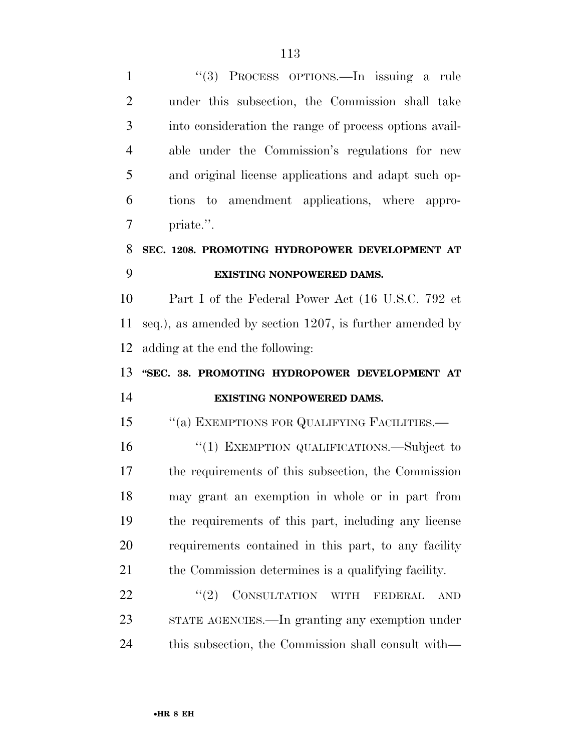''(3) PROCESS OPTIONS.—In issuing a rule under this subsection, the Commission shall take into consideration the range of process options avail- able under the Commission's regulations for new and original license applications and adapt such op- tions to amendment applications, where appro- priate.''. **SEC. 1208. PROMOTING HYDROPOWER DEVELOPMENT AT EXISTING NONPOWERED DAMS.**  Part I of the Federal Power Act (16 U.S.C. 792 et seq.), as amended by section 1207, is further amended by adding at the end the following: **''SEC. 38. PROMOTING HYDROPOWER DEVELOPMENT AT EXISTING NONPOWERED DAMS.**  15 "(a) EXEMPTIONS FOR QUALIFYING FACILITIES.— ''(1) EXEMPTION QUALIFICATIONS.—Subject to the requirements of this subsection, the Commission may grant an exemption in whole or in part from the requirements of this part, including any license requirements contained in this part, to any facility the Commission determines is a qualifying facility. 22 "(2) CONSULTATION WITH FEDERAL AND STATE AGENCIES.—In granting any exemption under this subsection, the Commission shall consult with—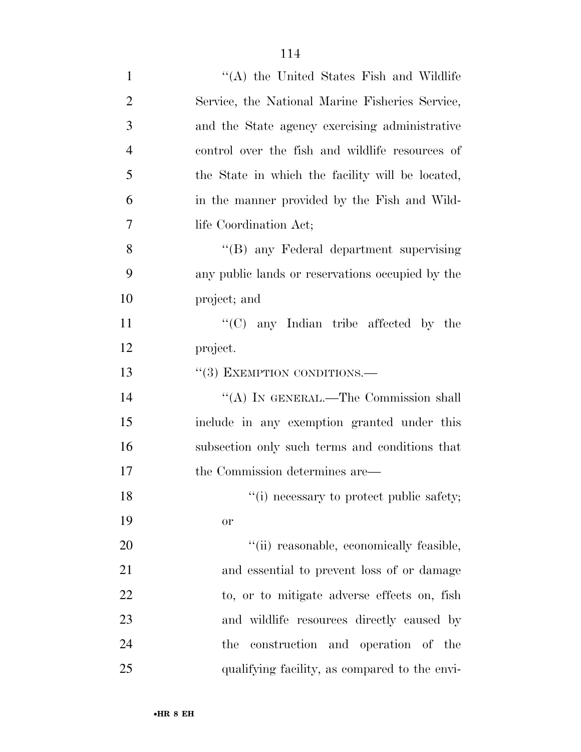| $\mathbf{1}$   | $\lq\lq$ the United States Fish and Wildlife     |
|----------------|--------------------------------------------------|
| $\overline{2}$ | Service, the National Marine Fisheries Service,  |
| 3              | and the State agency exercising administrative   |
| $\overline{4}$ | control over the fish and wildlife resources of  |
| 5              | the State in which the facility will be located, |
| 6              | in the manner provided by the Fish and Wild-     |
| 7              | life Coordination Act;                           |
| 8              | "(B) any Federal department supervising          |
| 9              | any public lands or reservations occupied by the |
| 10             | project; and                                     |
| 11             | " $(C)$ any Indian tribe affected by the         |
| 12             | project.                                         |
| 13             | "(3) EXEMPTION CONDITIONS.-                      |
| 14             | "(A) IN GENERAL.—The Commission shall            |
| 15             | include in any exemption granted under this      |
| 16             | subsection only such terms and conditions that   |
| 17             | the Commission determines are—                   |
| 18             | "(i) necessary to protect public safety;         |
| 19             | <b>or</b>                                        |
| 20             | "(ii) reasonable, economically feasible,         |
| 21             | and essential to prevent loss of or damage       |
| 22             | to, or to mitigate adverse effects on, fish      |
| 23             | and wildlife resources directly caused by        |
| 24             | construction and operation of the<br>the         |
| 25             | qualifying facility, as compared to the envi-    |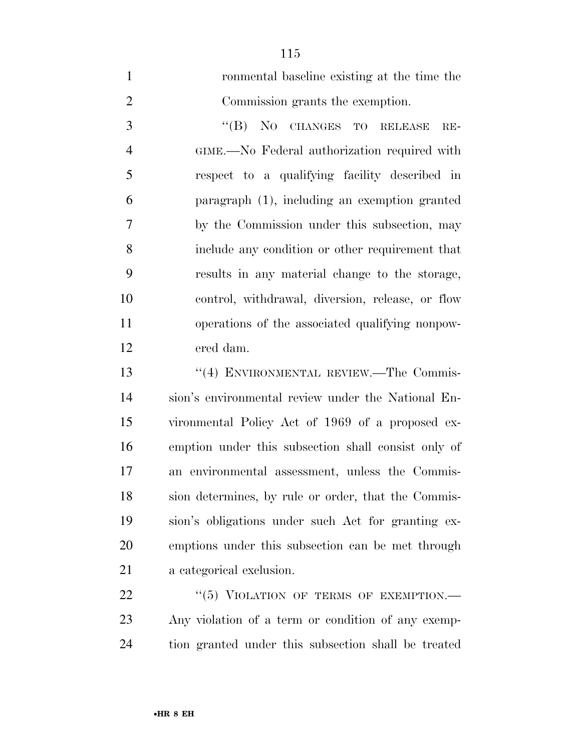| $\mathbf{1}$   | ronmental baseline existing at the time the         |
|----------------|-----------------------------------------------------|
| $\overline{2}$ | Commission grants the exemption.                    |
| 3              | $\lq\lq (B)$<br>NO CHANGES TO RELEASE<br>$RE-$      |
| $\overline{4}$ | GIME.—No Federal authorization required with        |
| 5              | respect to a qualifying facility described in       |
| 6              | paragraph (1), including an exemption granted       |
| 7              | by the Commission under this subsection, may        |
| 8              | include any condition or other requirement that     |
| 9              | results in any material change to the storage,      |
| 10             | control, withdrawal, diversion, release, or flow    |
| 11             | operations of the associated qualifying nonpow-     |
| 12             | ered dam.                                           |
| 13             | "(4) ENVIRONMENTAL REVIEW.—The Commis-              |
| 14             | sion's environmental review under the National En-  |
| 15             | vironmental Policy Act of 1969 of a proposed ex-    |
| 16             | emption under this subsection shall consist only of |
| 17             | an environmental assessment, unless the Commis-     |
| 18             | sion determines, by rule or order, that the Commis- |
| 19             | sion's obligations under such Act for granting ex-  |
| 20             | emptions under this subsection can be met through   |
| 21             | a categorical exclusion.                            |
| 22             | "(5) VIOLATION OF TERMS OF EXEMPTION.—              |
| 23             | Any violation of a term or condition of any exemp-  |

tion granted under this subsection shall be treated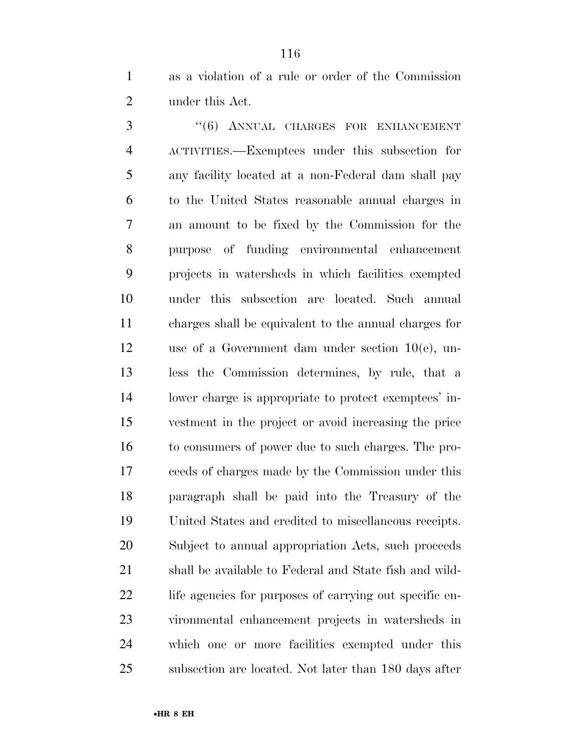as a violation of a rule or order of the Commission under this Act.

3 "(6) ANNUAL CHARGES FOR ENHANCEMENT ACTIVITIES.—Exemptees under this subsection for any facility located at a non-Federal dam shall pay to the United States reasonable annual charges in an amount to be fixed by the Commission for the purpose of funding environmental enhancement projects in watersheds in which facilities exempted under this subsection are located. Such annual charges shall be equivalent to the annual charges for use of a Government dam under section 10(e), un- less the Commission determines, by rule, that a lower charge is appropriate to protect exemptees' in- vestment in the project or avoid increasing the price to consumers of power due to such charges. The pro- ceeds of charges made by the Commission under this paragraph shall be paid into the Treasury of the United States and credited to miscellaneous receipts. Subject to annual appropriation Acts, such proceeds shall be available to Federal and State fish and wild-22 life agencies for purposes of carrying out specific en- vironmental enhancement projects in watersheds in which one or more facilities exempted under this subsection are located. Not later than 180 days after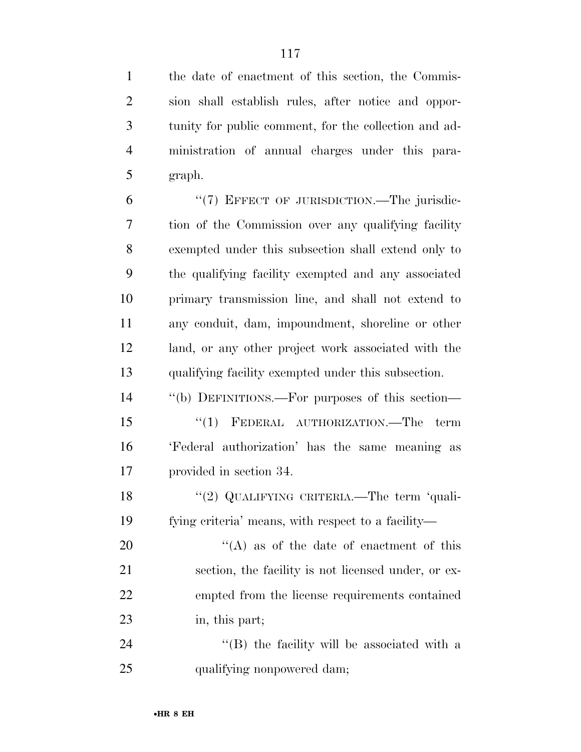the date of enactment of this section, the Commis- sion shall establish rules, after notice and oppor- tunity for public comment, for the collection and ad- ministration of annual charges under this para-graph.

6 "(7) EFFECT OF JURISDICTION.—The jurisdic- tion of the Commission over any qualifying facility exempted under this subsection shall extend only to the qualifying facility exempted and any associated primary transmission line, and shall not extend to any conduit, dam, impoundment, shoreline or other land, or any other project work associated with the qualifying facility exempted under this subsection.

 ''(b) DEFINITIONS.—For purposes of this section— 15 "(1) FEDERAL AUTHORIZATION.—The term 'Federal authorization' has the same meaning as provided in section 34.

18 "(2) QUALIFYING CRITERIA.—The term 'quali-fying criteria' means, with respect to a facility—

 $\langle (A)$  as of the date of enactment of this section, the facility is not licensed under, or ex- empted from the license requirements contained in, this part;

24 ''(B) the facility will be associated with a 25 qualifying nonpowered dam;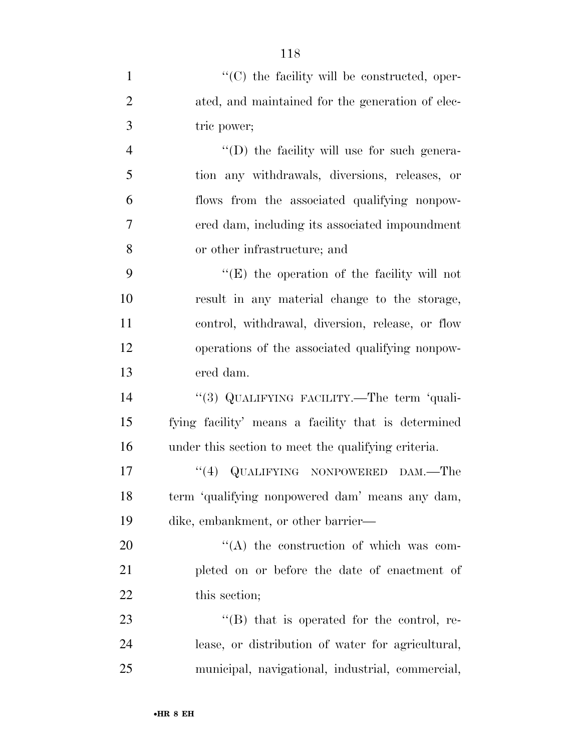| $\mathbf{1}$   | $\lq\lq$ (C) the facility will be constructed, oper- |
|----------------|------------------------------------------------------|
| $\overline{2}$ | ated, and maintained for the generation of elec-     |
| 3              | tric power;                                          |
| $\overline{4}$ | "(D) the facility will use for such genera-          |
| 5              | tion any withdrawals, diversions, releases, or       |
| 6              | flows from the associated qualifying nonpow-         |
| 7              | ered dam, including its associated impoundment       |
| 8              | or other infrastructure; and                         |
| 9              | $\lq\lq$ the operation of the facility will not      |
| 10             | result in any material change to the storage,        |
| 11             | control, withdrawal, diversion, release, or flow     |
| 12             | operations of the associated qualifying nonpow-      |
| 13             | ered dam.                                            |
| 14             | "(3) QUALIFYING FACILITY.—The term 'quali-           |
| 15             | fying facility' means a facility that is determined  |
| 16             | under this section to meet the qualifying criteria.  |
| 17             | "(4) QUALIFYING NONPOWERED DAM.—The                  |
| 18             | term 'qualifying nonpowered dam' means any dam,      |
| 19             | dike, embankment, or other barrier—                  |
| 20             | $\lq\lq$ the construction of which was com-          |
| 21             | pleted on or before the date of enactment of         |
| 22             | this section;                                        |
| 23             | $\lq\lq (B)$ that is operated for the control, re-   |
| 24             | lease, or distribution of water for agricultural,    |
| 25             | municipal, navigational, industrial, commercial,     |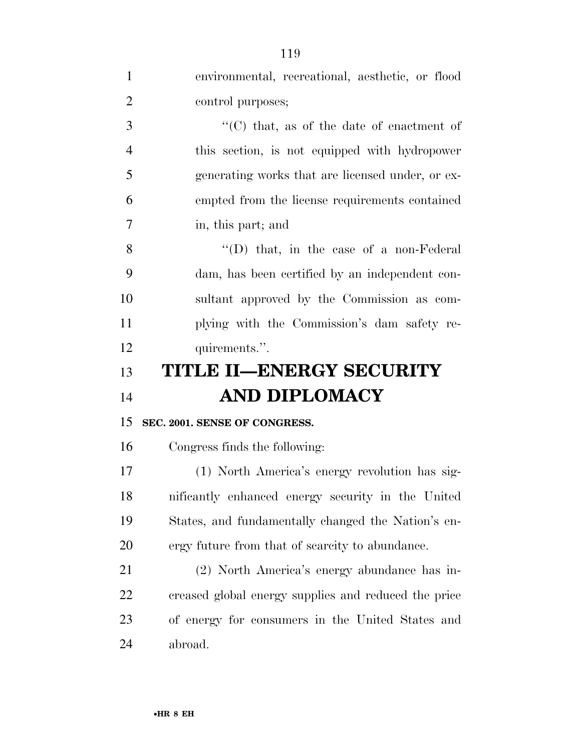| $\mathbf{1}$   | environmental, recreational, aesthetic, or flood     |
|----------------|------------------------------------------------------|
| $\overline{2}$ | control purposes;                                    |
| 3              | "(C) that, as of the date of enactment of            |
| $\overline{4}$ | this section, is not equipped with hydropower        |
| 5              | generating works that are licensed under, or ex-     |
| 6              | empted from the license requirements contained       |
| 7              | in, this part; and                                   |
| 8              | $\lq\lq$ (D) that, in the case of a non-Federal      |
| 9              | dam, has been certified by an independent con-       |
| 10             | sultant approved by the Commission as com-           |
| 11             | plying with the Commission's dam safety re-          |
| 12             | quirements.".                                        |
|                |                                                      |
| 13             | <b>TITLE II-ENERGY SECURITY</b>                      |
| 14             | <b>AND DIPLOMACY</b>                                 |
| 15             | SEC. 2001. SENSE OF CONGRESS.                        |
| 16             | Congress finds the following:                        |
| 17             | (1) North America's energy revolution has sig-       |
| 18             | nificantly enhanced energy security in the United    |
| 19             | States, and fundamentally changed the Nation's en-   |
| <b>20</b>      | ergy future from that of scarcity to abundance.      |
| 21             | (2) North America's energy abundance has in-         |
| 22             | creased global energy supplies and reduced the price |
| 23             | of energy for consumers in the United States and     |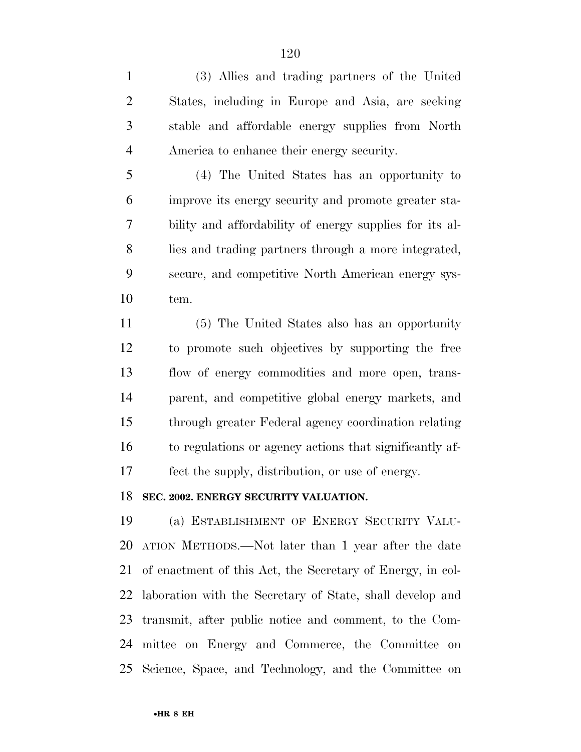(3) Allies and trading partners of the United States, including in Europe and Asia, are seeking stable and affordable energy supplies from North America to enhance their energy security.

 (4) The United States has an opportunity to improve its energy security and promote greater sta- bility and affordability of energy supplies for its al- lies and trading partners through a more integrated, secure, and competitive North American energy sys-tem.

 (5) The United States also has an opportunity to promote such objectives by supporting the free flow of energy commodities and more open, trans- parent, and competitive global energy markets, and through greater Federal agency coordination relating to regulations or agency actions that significantly af-fect the supply, distribution, or use of energy.

## **SEC. 2002. ENERGY SECURITY VALUATION.**

 (a) ESTABLISHMENT OF ENERGY SECURITY VALU- ATION METHODS.—Not later than 1 year after the date of enactment of this Act, the Secretary of Energy, in col- laboration with the Secretary of State, shall develop and transmit, after public notice and comment, to the Com- mittee on Energy and Commerce, the Committee on Science, Space, and Technology, and the Committee on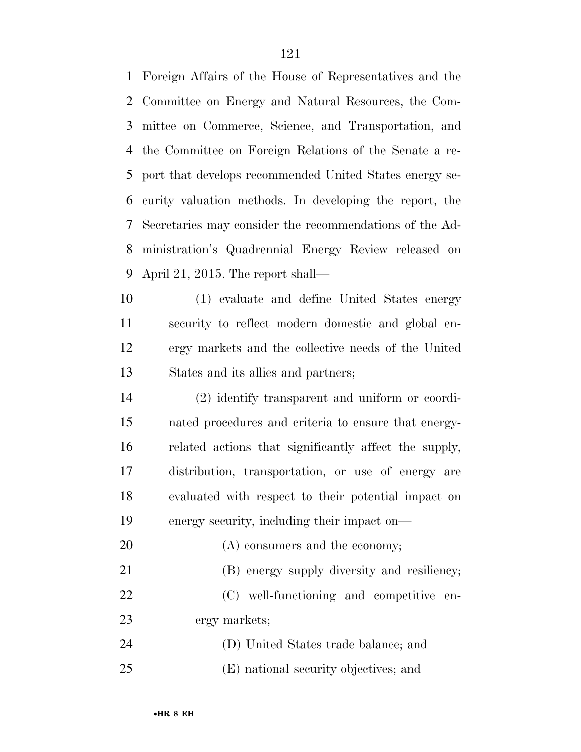Foreign Affairs of the House of Representatives and the Committee on Energy and Natural Resources, the Com- mittee on Commerce, Science, and Transportation, and the Committee on Foreign Relations of the Senate a re- port that develops recommended United States energy se- curity valuation methods. In developing the report, the Secretaries may consider the recommendations of the Ad- ministration's Quadrennial Energy Review released on April 21, 2015. The report shall—

 (1) evaluate and define United States energy security to reflect modern domestic and global en- ergy markets and the collective needs of the United States and its allies and partners;

 (2) identify transparent and uniform or coordi- nated procedures and criteria to ensure that energy- related actions that significantly affect the supply, distribution, transportation, or use of energy are evaluated with respect to their potential impact on energy security, including their impact on—

 (B) energy supply diversity and resiliency; (C) well-functioning and competitive en-ergy markets;

 (D) United States trade balance; and (E) national security objectives; and

20 (A) consumers and the economy;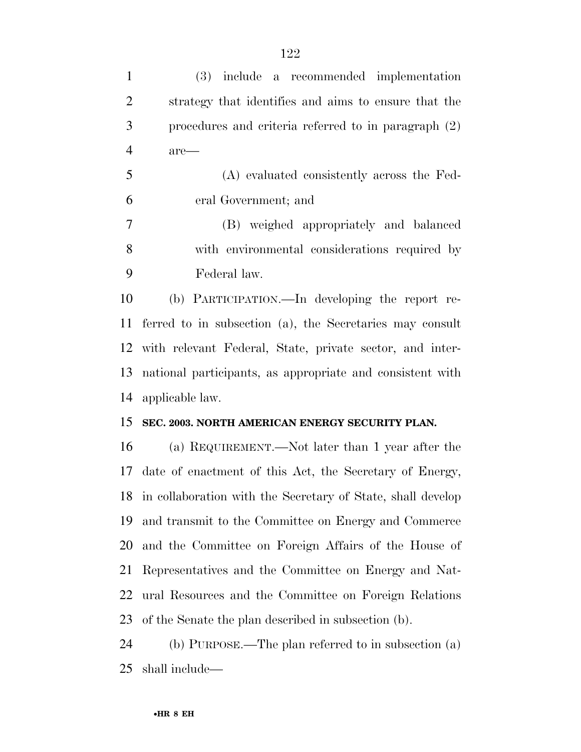| $\mathbf{1}$   | (3) include a recommended implementation                    |
|----------------|-------------------------------------------------------------|
| $\overline{2}$ | strategy that identifies and aims to ensure that the        |
| 3              | procedures and criteria referred to in paragraph (2)        |
| $\overline{4}$ | $are-$                                                      |
| 5              | (A) evaluated consistently across the Fed-                  |
| 6              | eral Government; and                                        |
| $\overline{7}$ | (B) weighed appropriately and balanced                      |
| 8              | with environmental considerations required by               |
| 9              | Federal law.                                                |
| 10             | (b) PARTICIPATION.—In developing the report re-             |
| 11             | ferred to in subsection (a), the Secretaries may consult    |
| 12             | with relevant Federal, State, private sector, and inter-    |
| 13             | national participants, as appropriate and consistent with   |
| 14             | applicable law.                                             |
| 15             | SEC. 2003. NORTH AMERICAN ENERGY SECURITY PLAN.             |
| 16             | (a) REQUIREMENT.—Not later than 1 year after the            |
| 17             | date of enactment of this Act, the Secretary of Energy,     |
| 18             | in collaboration with the Secretary of State, shall develop |
| 19             | and transmit to the Committee on Energy and Commerce        |
| 20             | and the Committee on Foreign Affairs of the House of        |
| 21             | Representatives and the Committee on Energy and Nat-        |
| 22             | ural Resources and the Committee on Foreign Relations       |
| 23             | of the Senate the plan described in subsection (b).         |
| 24             | (b) PURPOSE.—The plan referred to in subsection (a)         |
| 25             | shall include—                                              |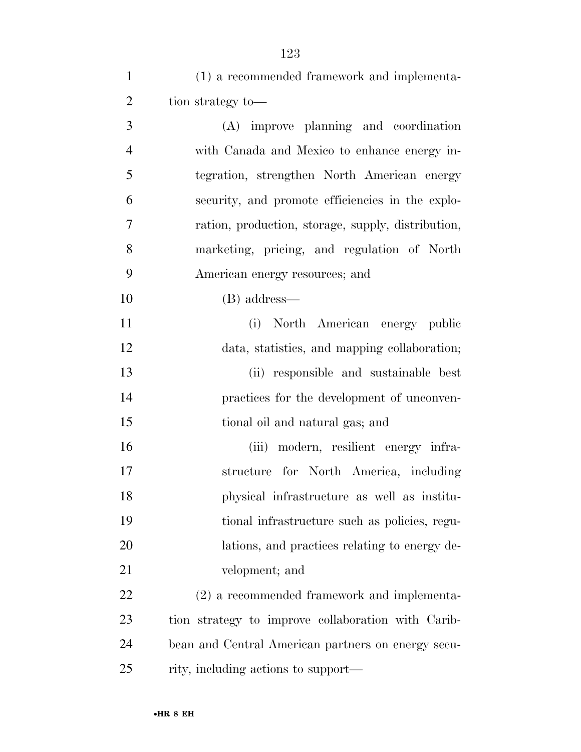(1) a recommended framework and implementa-2 tion strategy to— (A) improve planning and coordination with Canada and Mexico to enhance energy in- tegration, strengthen North American energy security, and promote efficiencies in the explo- ration, production, storage, supply, distribution, marketing, pricing, and regulation of North American energy resources; and (B) address— (i) North American energy public data, statistics, and mapping collaboration; (ii) responsible and sustainable best practices for the development of unconven- tional oil and natural gas; and (iii) modern, resilient energy infra- structure for North America, including physical infrastructure as well as institu- tional infrastructure such as policies, regu- lations, and practices relating to energy de- velopment; and (2) a recommended framework and implementa- tion strategy to improve collaboration with Carib-bean and Central American partners on energy secu-

rity, including actions to support—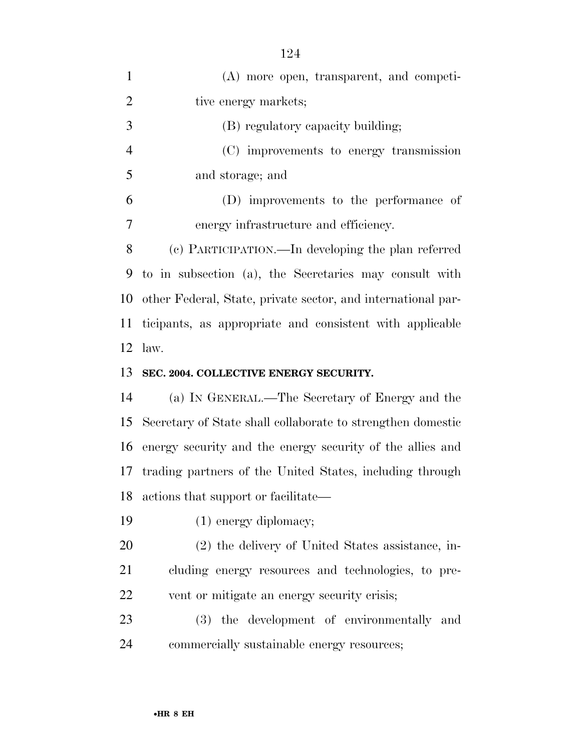| $\mathbf{1}$   | (A) more open, transparent, and competi-                     |
|----------------|--------------------------------------------------------------|
| $\overline{2}$ | tive energy markets;                                         |
| 3              | (B) regulatory capacity building;                            |
| $\overline{4}$ | (C) improvements to energy transmission                      |
| 5              | and storage; and                                             |
| 6              | (D) improvements to the performance of                       |
| 7              | energy infrastructure and efficiency.                        |
| 8              | (c) PARTICIPATION.—In developing the plan referred           |
| 9              | to in subsection (a), the Secretaries may consult with       |
| 10             | other Federal, State, private sector, and international par- |
| 11             | ticipants, as appropriate and consistent with applicable     |
| 12             | law.                                                         |
|                |                                                              |
| 13             | SEC. 2004. COLLECTIVE ENERGY SECURITY.                       |
| 14             | (a) IN GENERAL.—The Secretary of Energy and the              |
| 15             | Secretary of State shall collaborate to strengthen domestic  |
| 16             | energy security and the energy security of the allies and    |
| 17             | trading partners of the United States, including through     |
| 18             | actions that support or facilitate—                          |
| 19             | $(1)$ energy diplomacy;                                      |
| 20             | (2) the delivery of United States assistance, in-            |
| 21             | cluding energy resources and technologies, to pre-           |
| 22             | vent or mitigate an energy security crisis;                  |
| 23             | (3) the development of environmentally and                   |

•**HR 8 EH**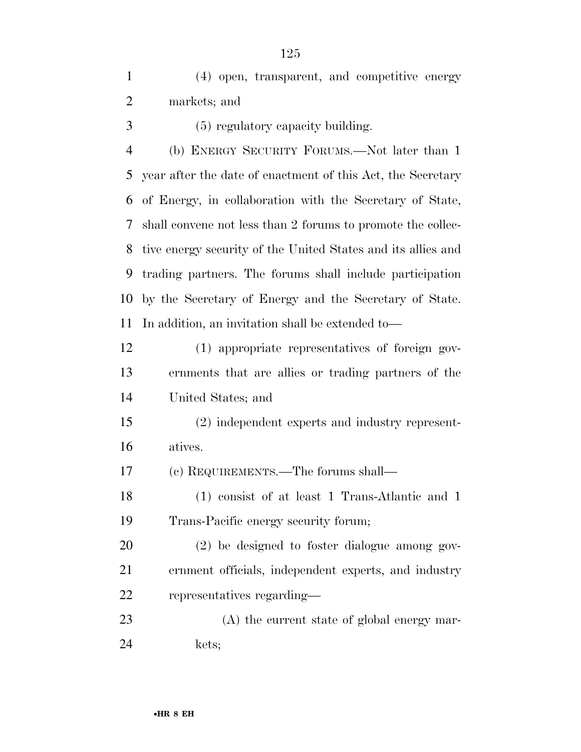(4) open, transparent, and competitive energy markets; and

(5) regulatory capacity building.

 (b) ENERGY SECURITY FORUMS.—Not later than 1 year after the date of enactment of this Act, the Secretary of Energy, in collaboration with the Secretary of State, shall convene not less than 2 forums to promote the collec- tive energy security of the United States and its allies and trading partners. The forums shall include participation by the Secretary of Energy and the Secretary of State. In addition, an invitation shall be extended to—

 (1) appropriate representatives of foreign gov- ernments that are allies or trading partners of the United States; and

 (2) independent experts and industry represent-atives.

(c) REQUIREMENTS.—The forums shall—

 (1) consist of at least 1 Trans-Atlantic and 1 Trans-Pacific energy security forum;

 (2) be designed to foster dialogue among gov- ernment officials, independent experts, and industry representatives regarding—

 (A) the current state of global energy mar-kets;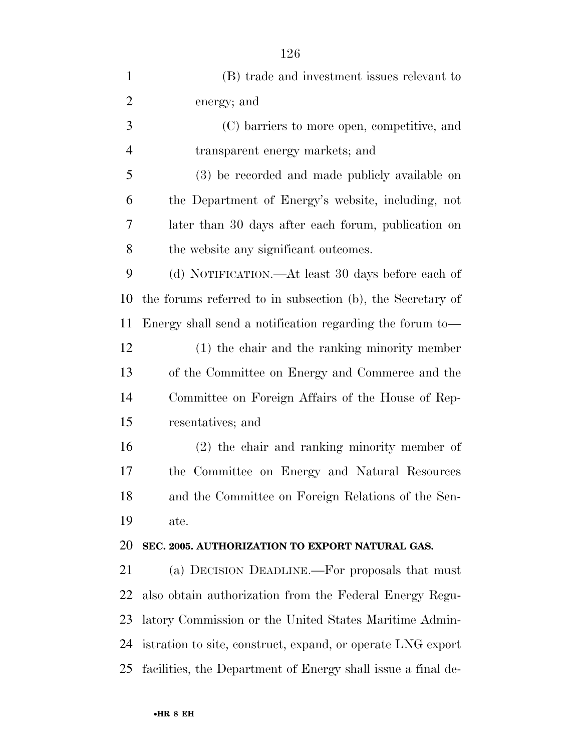| $\mathbf{1}$   | (B) trade and investment issues relevant to                  |
|----------------|--------------------------------------------------------------|
| $\overline{2}$ | energy; and                                                  |
| 3              | (C) barriers to more open, competitive, and                  |
| $\overline{4}$ | transparent energy markets; and                              |
| 5              | (3) be recorded and made publicly available on               |
| 6              | the Department of Energy's website, including, not           |
| 7              | later than 30 days after each forum, publication on          |
| 8              | the website any significant outcomes.                        |
| 9              | (d) NOTIFICATION.—At least 30 days before each of            |
| 10             | the forums referred to in subsection (b), the Secretary of   |
| 11             | Energy shall send a notification regarding the forum to-     |
| 12             | $(1)$ the chair and the ranking minority member              |
| 13             | of the Committee on Energy and Commerce and the              |
| 14             | Committee on Foreign Affairs of the House of Rep-            |
| 15             | resentatives; and                                            |
| 16             | $(2)$ the chair and ranking minority member of               |
| 17             | the Committee on Energy and Natural Resources                |
| 18             | and the Committee on Foreign Relations of the Sen-           |
| 19             | ate.                                                         |
| 20             | SEC. 2005. AUTHORIZATION TO EXPORT NATURAL GAS.              |
| 21             | (a) DECISION DEADLINE.—For proposals that must               |
| 22             | also obtain authorization from the Federal Energy Regu-      |
| 23             | latory Commission or the United States Maritime Admin-       |
| 24             | istration to site, construct, expand, or operate LNG export  |
| 25             | facilities, the Department of Energy shall issue a final de- |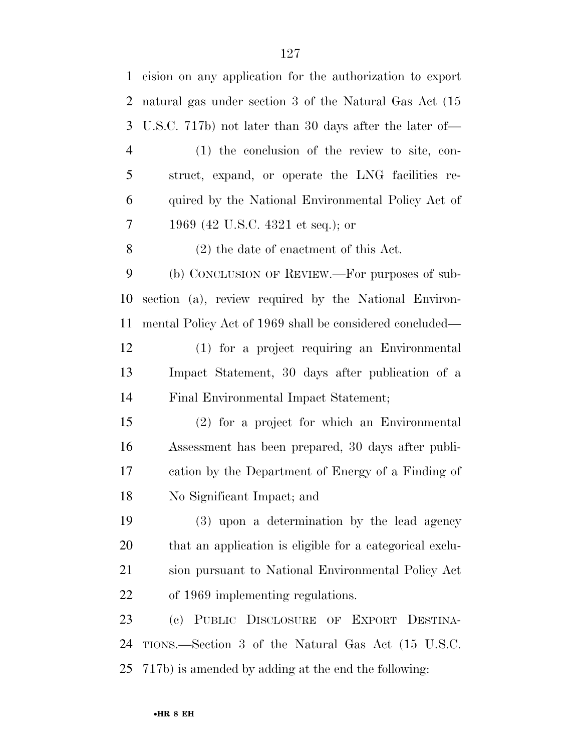| $\mathbf{1}$   | cision on any application for the authorization to export |
|----------------|-----------------------------------------------------------|
| 2              | natural gas under section 3 of the Natural Gas Act (15    |
| 3              | U.S.C. 717b) not later than 30 days after the later of—   |
| $\overline{4}$ | $(1)$ the conclusion of the review to site, con-          |
| 5              | struct, expand, or operate the LNG facilities re-         |
| 6              | quired by the National Environmental Policy Act of        |
| 7              | 1969 (42 U.S.C. 4321 et seq.); or                         |
| 8              | $(2)$ the date of enactment of this Act.                  |
| 9              | (b) CONCLUSION OF REVIEW.—For purposes of sub-            |
| 10             | section (a), review required by the National Environ-     |
| 11             | mental Policy Act of 1969 shall be considered concluded—  |
| 12             | (1) for a project requiring an Environmental              |
| 13             | Impact Statement, 30 days after publication of a          |
| 14             | Final Environmental Impact Statement;                     |
| 15             | (2) for a project for which an Environmental              |
| 16             | Assessment has been prepared, 30 days after publi-        |
| 17             | cation by the Department of Energy of a Finding of        |
| 18             | No Significant Impact; and                                |
| 19             | (3) upon a determination by the lead agency               |
| 20             | that an application is eligible for a categorical exclu-  |
| 21             | sion pursuant to National Environmental Policy Act        |
| 22             | of 1969 implementing regulations.                         |
| 23             | (c) PUBLIC DISCLOSURE OF EXPORT DESTINA-                  |
| 24             | TIONS.—Section 3 of the Natural Gas Act (15 U.S.C.        |
| 25             | 717b) is amended by adding at the end the following:      |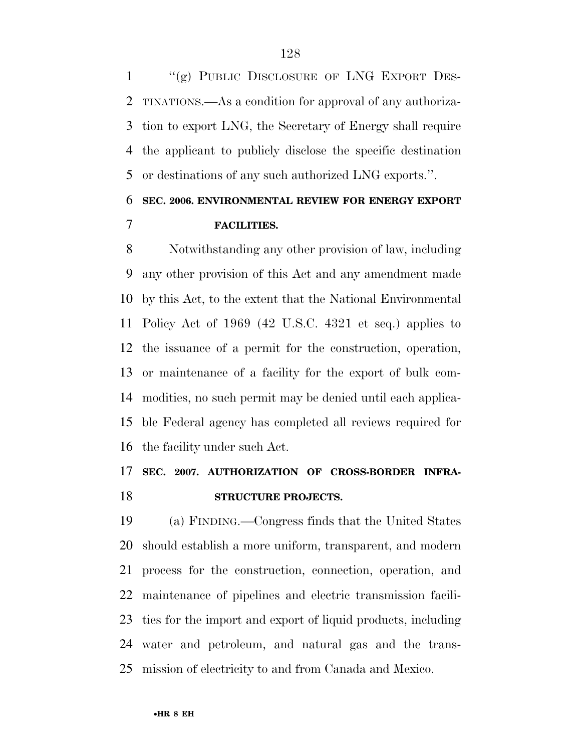''(g) PUBLIC DISCLOSURE OF LNG EXPORT DES- TINATIONS.—As a condition for approval of any authoriza- tion to export LNG, the Secretary of Energy shall require the applicant to publicly disclose the specific destination or destinations of any such authorized LNG exports.''.

# **SEC. 2006. ENVIRONMENTAL REVIEW FOR ENERGY EXPORT FACILITIES.**

 Notwithstanding any other provision of law, including any other provision of this Act and any amendment made by this Act, to the extent that the National Environmental Policy Act of 1969 (42 U.S.C. 4321 et seq.) applies to the issuance of a permit for the construction, operation, or maintenance of a facility for the export of bulk com- modities, no such permit may be denied until each applica- ble Federal agency has completed all reviews required for the facility under such Act.

# **SEC. 2007. AUTHORIZATION OF CROSS-BORDER INFRA-STRUCTURE PROJECTS.**

 (a) FINDING.—Congress finds that the United States should establish a more uniform, transparent, and modern process for the construction, connection, operation, and maintenance of pipelines and electric transmission facili- ties for the import and export of liquid products, including water and petroleum, and natural gas and the trans-mission of electricity to and from Canada and Mexico.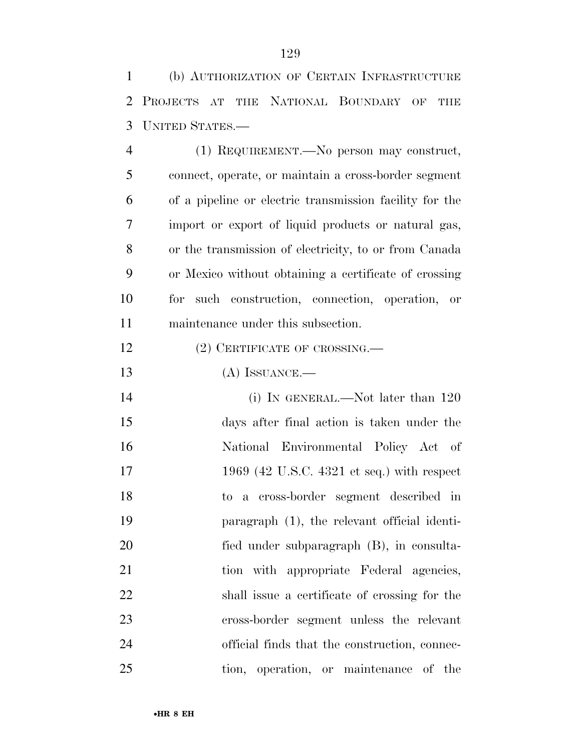(b) AUTHORIZATION OF CERTAIN INFRASTRUCTURE PROJECTS AT THE NATIONAL BOUNDARY OF THE UNITED STATES.—

 (1) REQUIREMENT.—No person may construct, connect, operate, or maintain a cross-border segment of a pipeline or electric transmission facility for the import or export of liquid products or natural gas, or the transmission of electricity, to or from Canada or Mexico without obtaining a certificate of crossing for such construction, connection, operation, or maintenance under this subsection.

- 12 (2) CERTIFICATE OF CROSSING.—
- (A) ISSUANCE.—

14 (i) IN GENERAL.—Not later than 120 days after final action is taken under the National Environmental Policy Act of 17 1969 (42 U.S.C. 4321 et seq.) with respect to a cross-border segment described in paragraph (1), the relevant official identi- fied under subparagraph (B), in consulta-21 tion with appropriate Federal agencies, shall issue a certificate of crossing for the cross-border segment unless the relevant official finds that the construction, connec-tion, operation, or maintenance of the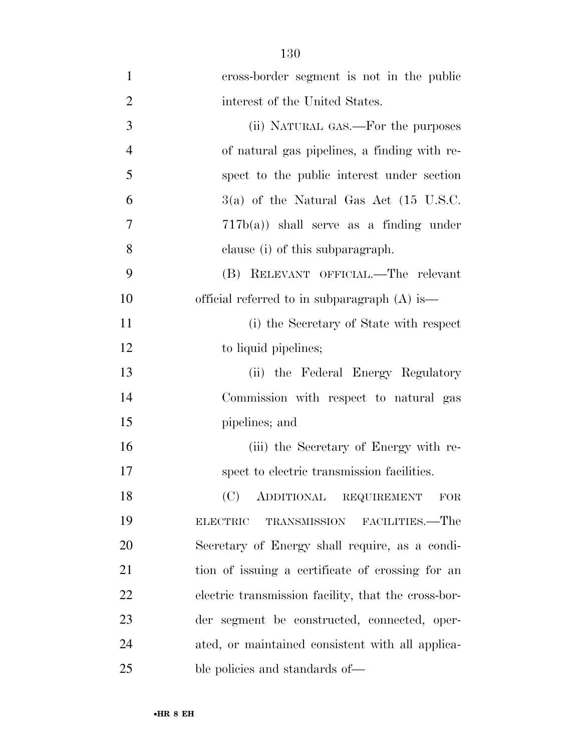| $\mathbf{1}$   | cross-border segment is not in the public           |
|----------------|-----------------------------------------------------|
| $\overline{2}$ | interest of the United States.                      |
| 3              | (ii) NATURAL GAS.—For the purposes                  |
| $\overline{4}$ | of natural gas pipelines, a finding with re-        |
| 5              | spect to the public interest under section          |
| 6              | $3(a)$ of the Natural Gas Act (15 U.S.C.            |
| $\overline{7}$ | $717b(a)$ shall serve as a finding under            |
| 8              | clause (i) of this subparagraph.                    |
| 9              | (B) RELEVANT OFFICIAL.—The relevant                 |
| 10             | official referred to in subparagraph $(A)$ is—      |
| 11             | (i) the Secretary of State with respect             |
| 12             | to liquid pipelines;                                |
| 13             | (ii) the Federal Energy Regulatory                  |
| 14             | Commission with respect to natural gas              |
| 15             | pipelines; and                                      |
| 16             | (iii) the Secretary of Energy with re-              |
| 17             | spect to electric transmission facilities.          |
| 18             | (C)<br>ADDITIONAL REQUIREMENT<br><b>FOR</b>         |
| 19             | TRANSMISSION FACILITIES.—The<br><b>ELECTRIC</b>     |
| 20             | Secretary of Energy shall require, as a condi-      |
| 21             | tion of issuing a certificate of crossing for an    |
| 22             | electric transmission facility, that the cross-bor- |
| 23             | der segment be constructed, connected, oper-        |
| 24             | ated, or maintained consistent with all applica-    |
| 25             | ble policies and standards of—                      |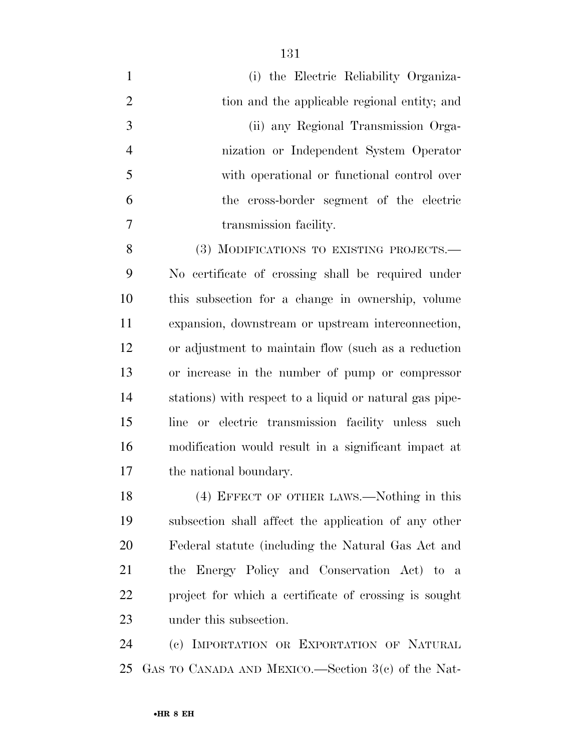(i) the Electric Reliability Organiza- tion and the applicable regional entity; and (ii) any Regional Transmission Orga- nization or Independent System Operator with operational or functional control over the cross-border segment of the electric transmission facility.

8 (3) MODIFICATIONS TO EXISTING PROJECTS.— No certificate of crossing shall be required under this subsection for a change in ownership, volume expansion, downstream or upstream interconnection, or adjustment to maintain flow (such as a reduction or increase in the number of pump or compressor stations) with respect to a liquid or natural gas pipe- line or electric transmission facility unless such modification would result in a significant impact at the national boundary.

 (4) EFFECT OF OTHER LAWS.—Nothing in this subsection shall affect the application of any other Federal statute (including the Natural Gas Act and the Energy Policy and Conservation Act) to a project for which a certificate of crossing is sought under this subsection.

 (c) IMPORTATION OR EXPORTATION OF NATURAL GAS TO CANADA AND MEXICO.—Section 3(c) of the Nat-

####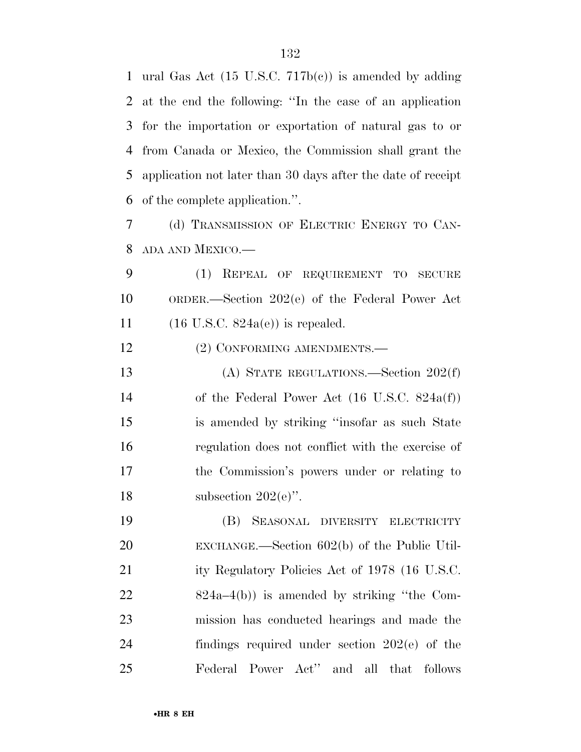ural Gas Act (15 U.S.C. 717b(c)) is amended by adding at the end the following: ''In the case of an application for the importation or exportation of natural gas to or from Canada or Mexico, the Commission shall grant the application not later than 30 days after the date of receipt of the complete application.''.

 (d) TRANSMISSION OF ELECTRIC ENERGY TO CAN-ADA AND MEXICO.—

 (1) REPEAL OF REQUIREMENT TO SECURE ORDER.—Section 202(e) of the Federal Power Act 11  $(16 \text{ U.S.C. } 824a(e))$  is repealed.

12 (2) CONFORMING AMENDMENTS.—

 (A) STATE REGULATIONS.—Section 202(f) of the Federal Power Act (16 U.S.C. 824a(f)) is amended by striking ''insofar as such State regulation does not conflict with the exercise of the Commission's powers under or relating to 18 subsection  $202(e)$ .

 (B) SEASONAL DIVERSITY ELECTRICITY EXCHANGE.—Section 602(b) of the Public Util-21 ity Regulatory Policies Act of 1978 (16 U.S.C. 824a–4(b)) is amended by striking ''the Com- mission has conducted hearings and made the findings required under section 202(e) of the Federal Power Act'' and all that follows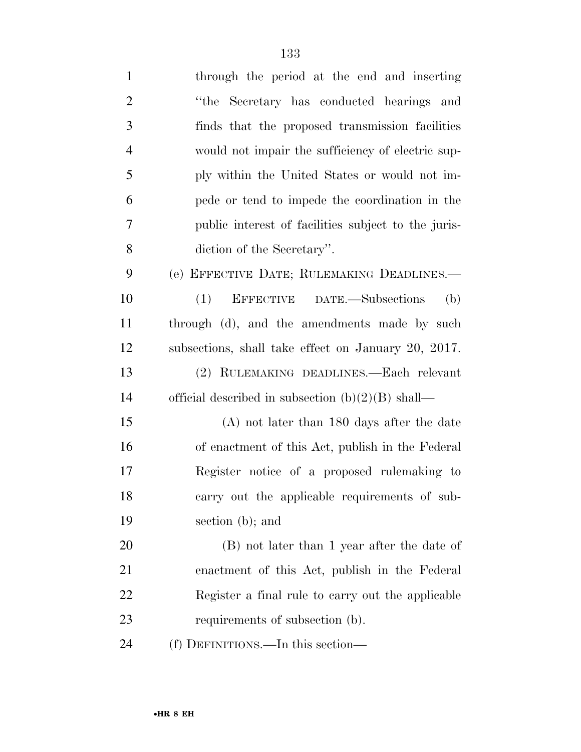| $\mathbf{1}$   | through the period at the end and inserting         |
|----------------|-----------------------------------------------------|
| $\overline{2}$ | "the Secretary has conducted hearings and           |
| 3              | finds that the proposed transmission facilities     |
| $\overline{4}$ | would not impair the sufficiency of electric sup-   |
| 5              | ply within the United States or would not im-       |
| 6              | pede or tend to impede the coordination in the      |
| 7              | public interest of facilities subject to the juris- |
| 8              | diction of the Secretary".                          |
| 9              | (e) EFFECTIVE DATE; RULEMAKING DEADLINES.—          |
| 10             | EFFECTIVE DATE.-Subsections<br>(b)<br>(1)           |
| 11             | through (d), and the amendments made by such        |
| 12             | subsections, shall take effect on January 20, 2017. |
| 13             | (2) RULEMAKING DEADLINES.—Each relevant             |
| 14             | official described in subsection $(b)(2)(B)$ shall— |
| 15             | $(A)$ not later than 180 days after the date        |
| 16             | of enactment of this Act, publish in the Federal    |
| 17             | Register notice of a proposed rulemaking to         |
| 18             | carry out the applicable requirements of sub-       |
| 19             | section (b); and                                    |
| 20             | (B) not later than 1 year after the date of         |
| 21             | enactment of this Act, publish in the Federal       |
| 22             | Register a final rule to carry out the applicable   |
| 23             | requirements of subsection (b).                     |
| 24             | (f) DEFINITIONS.—In this section—                   |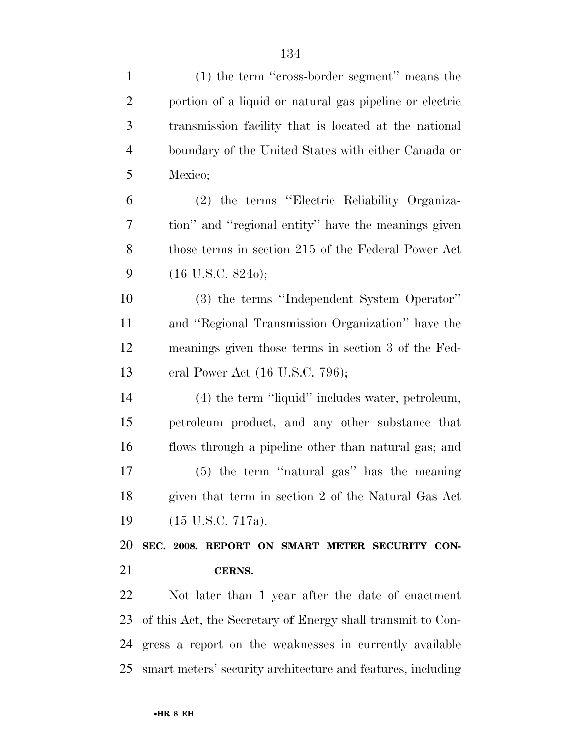| $\mathbf{1}$   | $(1)$ the term "cross-border segment" means the             |
|----------------|-------------------------------------------------------------|
| $\overline{2}$ | portion of a liquid or natural gas pipeline or electric     |
| 3              | transmission facility that is located at the national       |
| $\overline{4}$ | boundary of the United States with either Canada or         |
| 5              | Mexico;                                                     |
| 6              | (2) the terms "Electric Reliability Organiza-               |
| 7              | tion" and "regional entity" have the meanings given         |
| 8              | those terms in section 215 of the Federal Power Act         |
| 9              | $(16 \text{ U.S.C. } 8240);$                                |
| 10             | (3) the terms "Independent System Operator"                 |
| 11             | and "Regional Transmission Organization" have the           |
| 12             | meanings given those terms in section 3 of the Fed-         |
| 13             | eral Power Act $(16$ U.S.C. 796);                           |
| 14             | (4) the term "liquid" includes water, petroleum,            |
| 15             | petroleum product, and any other substance that             |
| 16             | flows through a pipeline other than natural gas; and        |
| 17             | $(5)$ the term "natural gas" has the meaning                |
| 18             | given that term in section 2 of the Natural Gas Act         |
| 19             | $(15 \text{ U.S.C. } 717a).$                                |
| 20             | SEC. 2008. REPORT ON SMART METER SECURITY CON-              |
| 21             | CERNS.                                                      |
| 22             | Not later than 1 year after the date of enactment           |
| 23             | of this Act, the Secretary of Energy shall transmit to Con- |
|                | 24 gress a report on the weaknesses in currently available  |

smart meters' security architecture and features, including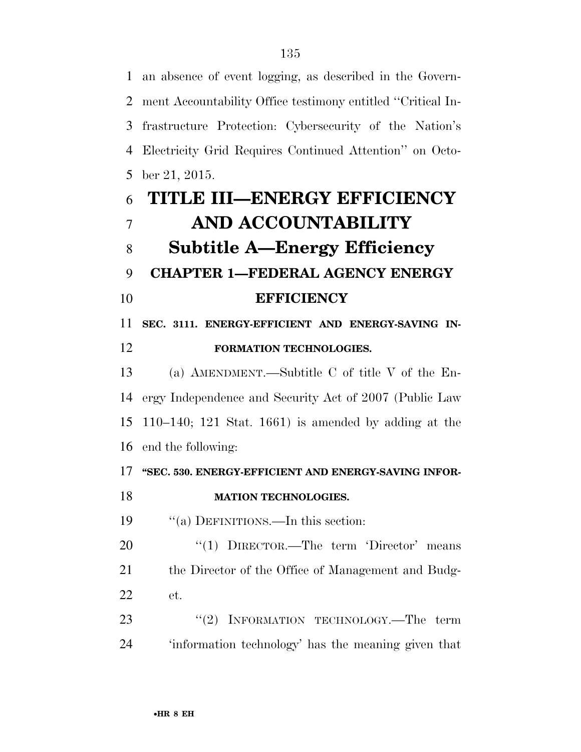an absence of event logging, as described in the Govern- ment Accountability Office testimony entitled ''Critical In- frastructure Protection: Cybersecurity of the Nation's Electricity Grid Requires Continued Attention'' on Octo- ber 21, 2015. **TITLE III—ENERGY EFFICIENCY** 

# **AND ACCOUNTABILITY Subtitle A—Energy Efficiency CHAPTER 1—FEDERAL AGENCY ENERGY EFFICIENCY SEC. 3111. ENERGY-EFFICIENT AND ENERGY-SAVING IN-**

# **FORMATION TECHNOLOGIES.**

 (a) AMENDMENT.—Subtitle C of title V of the En- ergy Independence and Security Act of 2007 (Public Law 110–140; 121 Stat. 1661) is amended by adding at the end the following:

## **''SEC. 530. ENERGY-EFFICIENT AND ENERGY-SAVING INFOR-**

## **MATION TECHNOLOGIES.**

''(a) DEFINITIONS.—In this section:

20 "(1) DIRECTOR.—The term 'Director' means 21 the Director of the Office of Management and Budg-et.

23 "(2) INFORMATION TECHNOLOGY.—The term 'information technology' has the meaning given that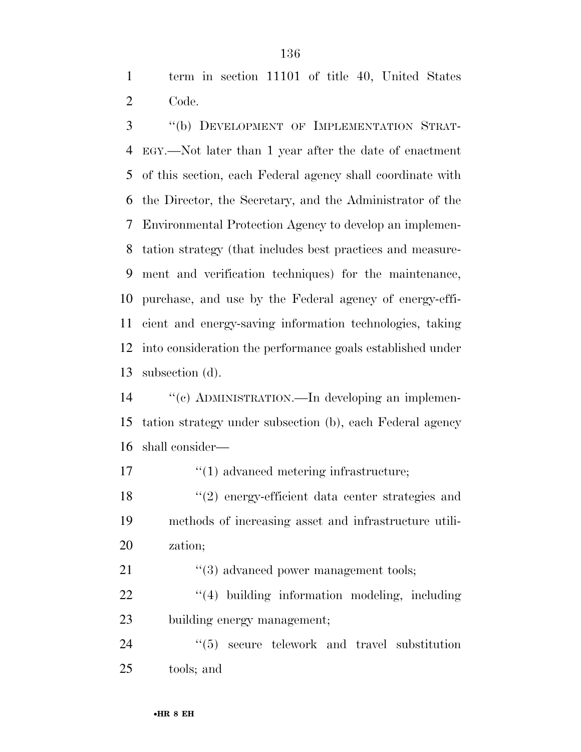term in section 11101 of title 40, United States Code.

 ''(b) DEVELOPMENT OF IMPLEMENTATION STRAT- EGY.—Not later than 1 year after the date of enactment of this section, each Federal agency shall coordinate with the Director, the Secretary, and the Administrator of the Environmental Protection Agency to develop an implemen- tation strategy (that includes best practices and measure- ment and verification techniques) for the maintenance, purchase, and use by the Federal agency of energy-effi- cient and energy-saving information technologies, taking into consideration the performance goals established under subsection (d).

 ''(c) ADMINISTRATION.—In developing an implemen- tation strategy under subsection (b), each Federal agency shall consider—

17  $\frac{1}{2}$  (1) advanced metering infrastructure;

 ''(2) energy-efficient data center strategies and methods of increasing asset and infrastructure utili-zation;

21 ''(3) advanced power management tools;

22  $\frac{4}{4}$  building information modeling, including building energy management;

24 "(5) secure telework and travel substitution tools; and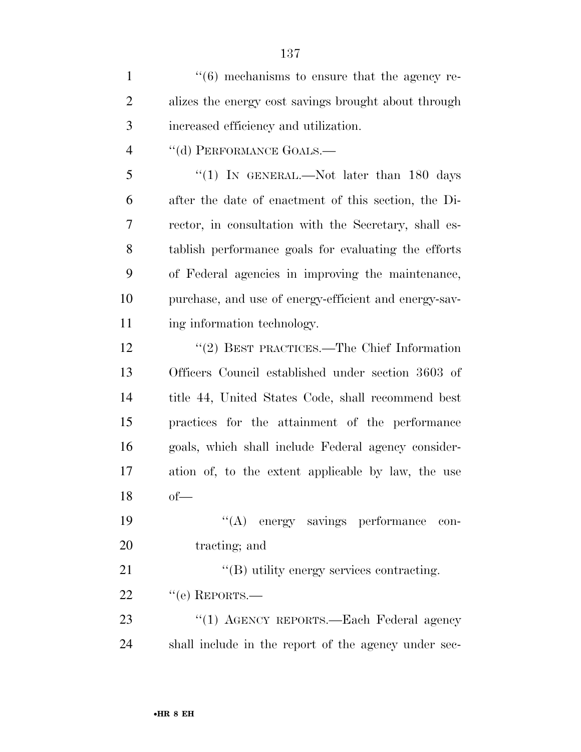$\frac{1}{1}$  ''(6) mechanisms to ensure that the agency re- alizes the energy cost savings brought about through increased efficiency and utilization.

4 "(d) PERFORMANCE GOALS.—

5 "(1) IN GENERAL.—Not later than 180 days after the date of enactment of this section, the Di- rector, in consultation with the Secretary, shall es- tablish performance goals for evaluating the efforts of Federal agencies in improving the maintenance, purchase, and use of energy-efficient and energy-sav-ing information technology.

 ''(2) BEST PRACTICES.—The Chief Information Officers Council established under section 3603 of title 44, United States Code, shall recommend best practices for the attainment of the performance goals, which shall include Federal agency consider- ation of, to the extent applicable by law, the use of—

 ''(A) energy savings performance con-20 tracting; and

21  $\text{``(B) utility energy services contracting.}$ 

22 "(e) REPORTS.—

23 "(1) AGENCY REPORTS.—Each Federal agency shall include in the report of the agency under sec-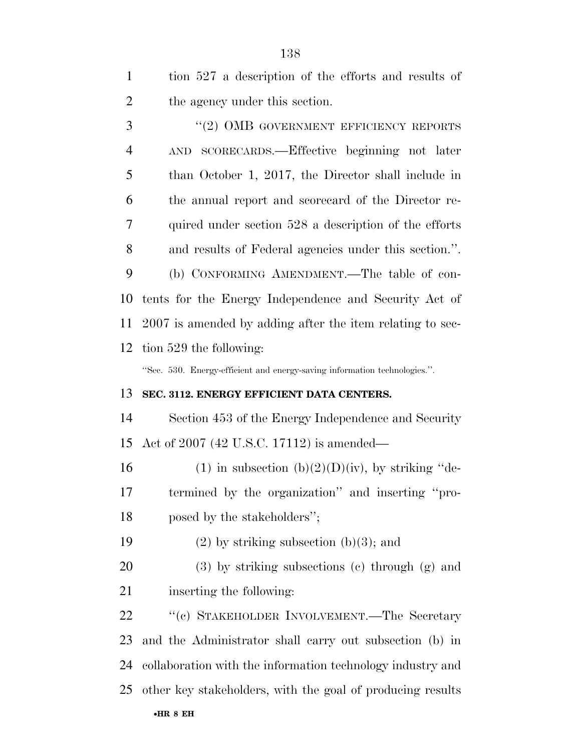| $\mathbf{1}$   | tion 527 a description of the efforts and results of                      |
|----------------|---------------------------------------------------------------------------|
| $\overline{2}$ | the agency under this section.                                            |
| 3              | $``(2)$ OMB GOVERNMENT EFFICIENCY REPORTS                                 |
| $\overline{4}$ | AND SCORECARDS.—Effective beginning not later                             |
| 5              | than October 1, 2017, the Director shall include in                       |
| 6              | the annual report and scorecard of the Director re-                       |
| 7              | quired under section 528 a description of the efforts                     |
| 8              | and results of Federal agencies under this section.".                     |
| 9              | (b) CONFORMING AMENDMENT.—The table of con-                               |
| 10             | tents for the Energy Independence and Security Act of                     |
| 11             | 2007 is amended by adding after the item relating to sec-                 |
| 12             | tion 529 the following:                                                   |
|                | "Sec. 530. Energy-efficient and energy-saving information technologies.". |
| 13             | SEC. 3112. ENERGY EFFICIENT DATA CENTERS.                                 |
| 14             | Section 453 of the Energy Independence and Security                       |
| 15             | Act of 2007 (42 U.S.C. 17112) is amended—                                 |
| 16             | (1) in subsection (b)(2)(D)(iv), by striking "de-                         |
| 17             | termined by the organization" and inserting "pro-                         |
| 18             | posed by the stakeholders";                                               |
| 19             | $(2)$ by striking subsection $(b)(3)$ ; and                               |
| 20             | $(3)$ by striking subsections $(e)$ through $(g)$ and                     |
| 21             | inserting the following:                                                  |
| 22             | "(c) STAKEHOLDER INVOLVEMENT.—The Secretary                               |
| 23             | and the Administrator shall carry out subsection (b) in                   |
| 24             | collaboration with the information technology industry and                |
| 25             | other key stakeholders, with the goal of producing results                |
|                | $\bullet$ HR 8 EH                                                         |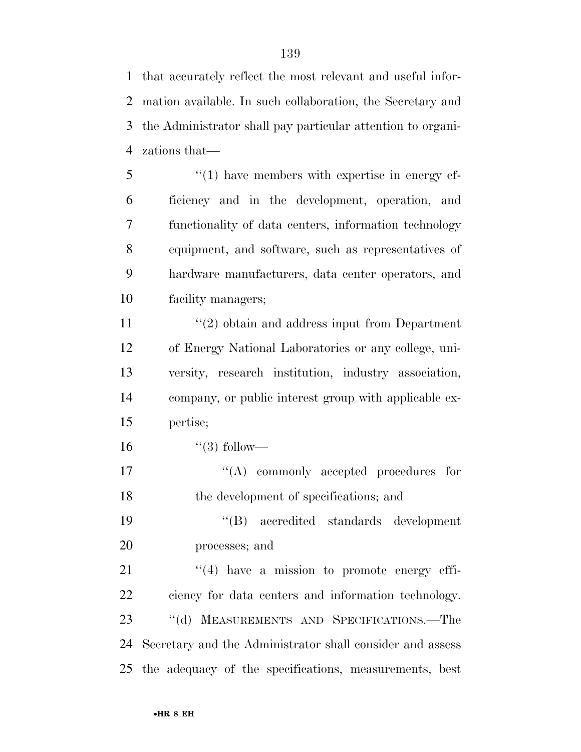that accurately reflect the most relevant and useful infor- mation available. In such collaboration, the Secretary and the Administrator shall pay particular attention to organi-zations that—

5 "(1) have members with expertise in energy ef- ficiency and in the development, operation, and functionality of data centers, information technology equipment, and software, such as representatives of hardware manufacturers, data center operators, and facility managers;

11 ''(2) obtain and address input from Department of Energy National Laboratories or any college, uni- versity, research institution, industry association, company, or public interest group with applicable ex-pertise;

16  $(3)$  follow—

17  $\langle (A) \rangle$  commonly accepted procedures for the development of specifications; and

 ''(B) accredited standards development processes; and

 $\frac{4}{4}$  have a mission to promote energy effi- ciency for data centers and information technology. 23 "(d) MEASUREMENTS AND SPECIFICATIONS.—The Secretary and the Administrator shall consider and assess the adequacy of the specifications, measurements, best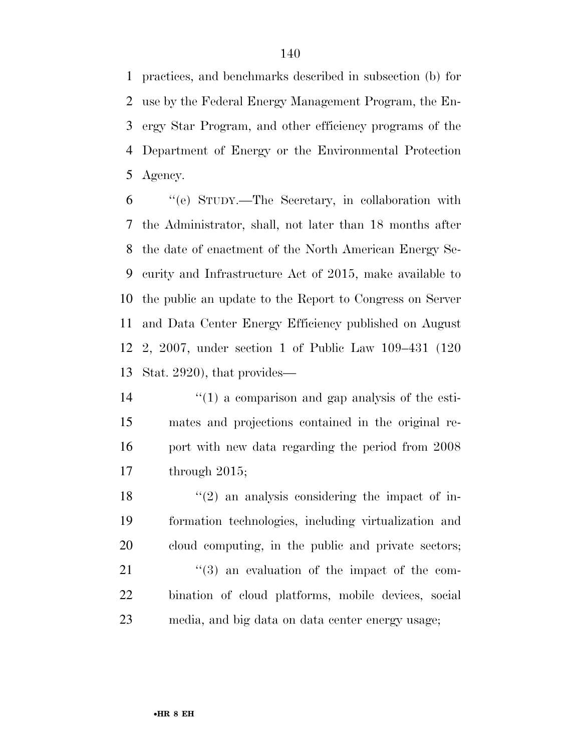practices, and benchmarks described in subsection (b) for use by the Federal Energy Management Program, the En- ergy Star Program, and other efficiency programs of the Department of Energy or the Environmental Protection Agency.

 ''(e) STUDY.—The Secretary, in collaboration with the Administrator, shall, not later than 18 months after the date of enactment of the North American Energy Se- curity and Infrastructure Act of 2015, make available to the public an update to the Report to Congress on Server and Data Center Energy Efficiency published on August 2, 2007, under section 1 of Public Law 109–431 (120 Stat. 2920), that provides—

 ''(1) a comparison and gap analysis of the esti- mates and projections contained in the original re-16 port with new data regarding the period from 2008 through 2015;

 $\frac{1}{2}$  an analysis considering the impact of in- formation technologies, including virtualization and cloud computing, in the public and private sectors; ''(3) an evaluation of the impact of the com- bination of cloud platforms, mobile devices, social media, and big data on data center energy usage;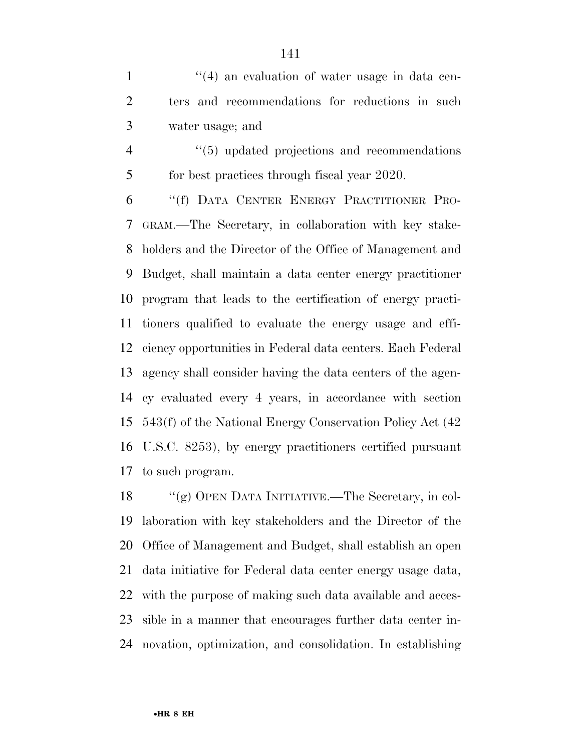1 ''(4) an evaluation of water usage in data cen- ters and recommendations for reductions in such water usage; and

4  $(5)$  updated projections and recommendations 5 for best practices through fiscal year 2020.

 ''(f) DATA CENTER ENERGY PRACTITIONER PRO- GRAM.—The Secretary, in collaboration with key stake- holders and the Director of the Office of Management and Budget, shall maintain a data center energy practitioner program that leads to the certification of energy practi- tioners qualified to evaluate the energy usage and effi- ciency opportunities in Federal data centers. Each Federal agency shall consider having the data centers of the agen- cy evaluated every 4 years, in accordance with section 543(f) of the National Energy Conservation Policy Act (42 U.S.C. 8253), by energy practitioners certified pursuant to such program.

 ''(g) OPEN DATA INITIATIVE.—The Secretary, in col- laboration with key stakeholders and the Director of the Office of Management and Budget, shall establish an open data initiative for Federal data center energy usage data, with the purpose of making such data available and acces- sible in a manner that encourages further data center in-novation, optimization, and consolidation. In establishing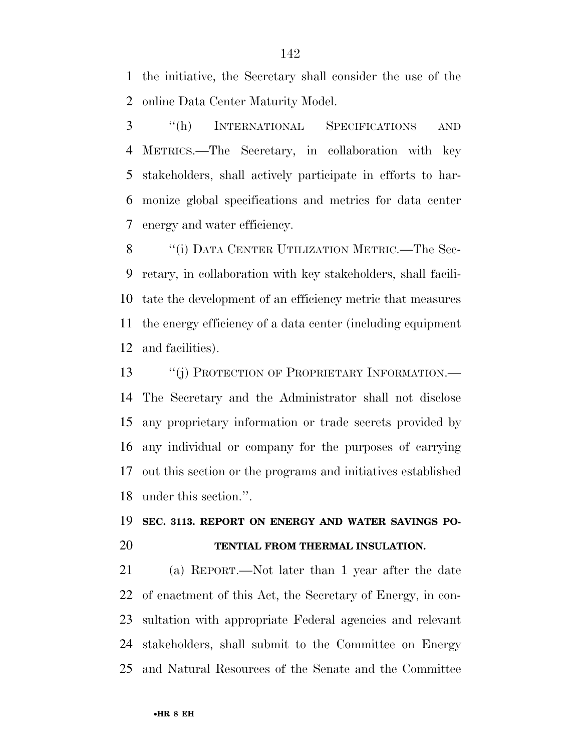the initiative, the Secretary shall consider the use of the online Data Center Maturity Model.

 ''(h) INTERNATIONAL SPECIFICATIONS AND METRICS.—The Secretary, in collaboration with key stakeholders, shall actively participate in efforts to har- monize global specifications and metrics for data center energy and water efficiency.

8 "(i) DATA CENTER UTILIZATION METRIC.—The Sec- retary, in collaboration with key stakeholders, shall facili- tate the development of an efficiency metric that measures the energy efficiency of a data center (including equipment and facilities).

13 "(j) PROTECTION OF PROPRIETARY INFORMATION.— The Secretary and the Administrator shall not disclose any proprietary information or trade secrets provided by any individual or company for the purposes of carrying out this section or the programs and initiatives established under this section.''.

# **SEC. 3113. REPORT ON ENERGY AND WATER SAVINGS PO-TENTIAL FROM THERMAL INSULATION.**

 (a) REPORT.—Not later than 1 year after the date of enactment of this Act, the Secretary of Energy, in con- sultation with appropriate Federal agencies and relevant stakeholders, shall submit to the Committee on Energy and Natural Resources of the Senate and the Committee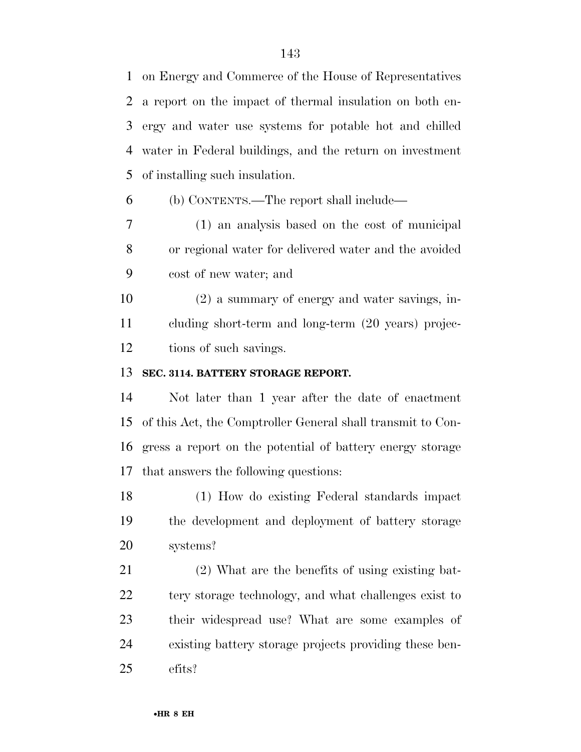on Energy and Commerce of the House of Representatives a report on the impact of thermal insulation on both en- ergy and water use systems for potable hot and chilled water in Federal buildings, and the return on investment of installing such insulation.

(b) CONTENTS.—The report shall include—

 (1) an analysis based on the cost of municipal or regional water for delivered water and the avoided cost of new water; and

 (2) a summary of energy and water savings, in- cluding short-term and long-term (20 years) projec-tions of such savings.

## **SEC. 3114. BATTERY STORAGE REPORT.**

 Not later than 1 year after the date of enactment of this Act, the Comptroller General shall transmit to Con- gress a report on the potential of battery energy storage that answers the following questions:

 (1) How do existing Federal standards impact the development and deployment of battery storage systems?

 (2) What are the benefits of using existing bat-22 tery storage technology, and what challenges exist to their widespread use? What are some examples of existing battery storage projects providing these ben-efits?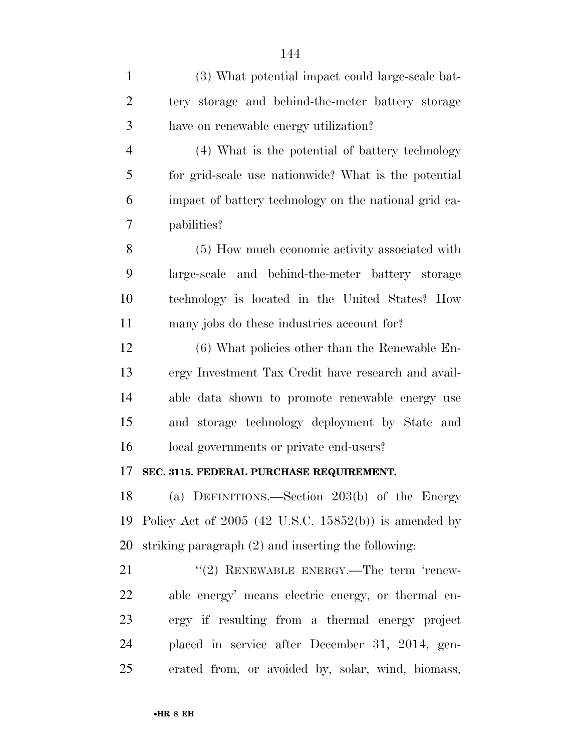| $\mathbf{1}$   | (3) What potential impact could large-scale bat-        |
|----------------|---------------------------------------------------------|
| $\overline{2}$ | tery storage and behind-the-meter battery storage       |
| 3              | have on renewable energy utilization?                   |
| $\overline{4}$ | (4) What is the potential of battery technology         |
| 5              | for grid-scale use nationwide? What is the potential    |
| 6              | impact of battery technology on the national grid ca-   |
| 7              | pabilities?                                             |
| 8              | (5) How much economic activity associated with          |
| 9              | large-scale and behind-the-meter battery storage        |
| 10             | technology is located in the United States? How         |
| 11             | many jobs do these industries account for?              |
| 12             | $(6)$ What policies other than the Renewable En-        |
| 13             | ergy Investment Tax Credit have research and avail-     |
| 14             | able data shown to promote renewable energy use         |
| 15             | and storage technology deployment by State and          |
| 16             | local governments or private end-users?                 |
| 17             | SEC. 3115. FEDERAL PURCHASE REQUIREMENT.                |
| 18             | (a) DEFINITIONS.—Section 203(b) of the Energy           |
| 19             | Policy Act of $2005$ (42 U.S.C. 15852(b)) is amended by |
| 20             | striking paragraph $(2)$ and inserting the following:   |
| 21             | $"$ (2) RENEWABLE ENERGY.—The term 'renew-              |
| 22             | able energy' means electric energy, or thermal en-      |
| 23             | ergy if resulting from a thermal energy project         |
| 24             | placed in service after December 31, 2014, gen-         |
| 25             | erated from, or avoided by, solar, wind, biomass,       |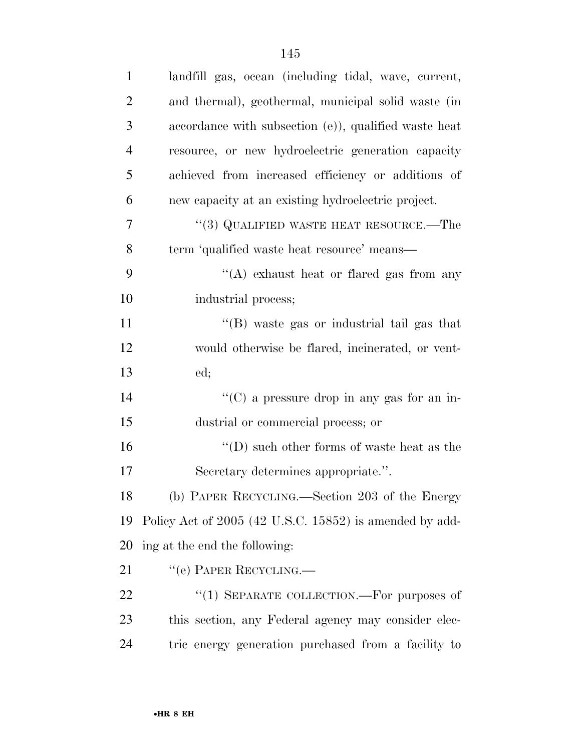| $\mathbf{1}$   | landfill gas, ocean (including tidal, wave, current,             |
|----------------|------------------------------------------------------------------|
| $\overline{2}$ | and thermal), geothermal, municipal solid waste (in              |
| 3              | accordance with subsection (e)), qualified waste heat            |
| $\overline{4}$ | resource, or new hydroelectric generation capacity               |
| 5              | achieved from increased efficiency or additions of               |
| 6              | new capacity at an existing hydroelectric project.               |
| 7              | $``(3)$ QUALIFIED WASTE HEAT RESOURCE.—The                       |
| 8              | term 'qualified waste heat resource' means-                      |
| 9              | "(A) exhaust heat or flared gas from any                         |
| 10             | industrial process;                                              |
| 11             | "(B) waste gas or industrial tail gas that                       |
| 12             | would otherwise be flared, incinerated, or vent-                 |
| 13             | ed;                                                              |
| 14             | "(C) a pressure drop in any gas for an in-                       |
| 15             | dustrial or commercial process; or                               |
| 16             | $\lq\lq\lq\lq\lq\lq\lq\lq$ such other forms of waste heat as the |
| 17             | Secretary determines appropriate.".                              |
| 18             | (b) PAPER RECYCLING.—Section 203 of the Energy                   |
| 19             | Policy Act of 2005 (42 U.S.C. 15852) is amended by add-          |
| 20             | ing at the end the following:                                    |
| 21             | "(e) PAPER RECYCLING.—                                           |
| 22             | "(1) SEPARATE COLLECTION.—For purposes of                        |
| 23             | this section, any Federal agency may consider elec-              |
| 24             | tric energy generation purchased from a facility to              |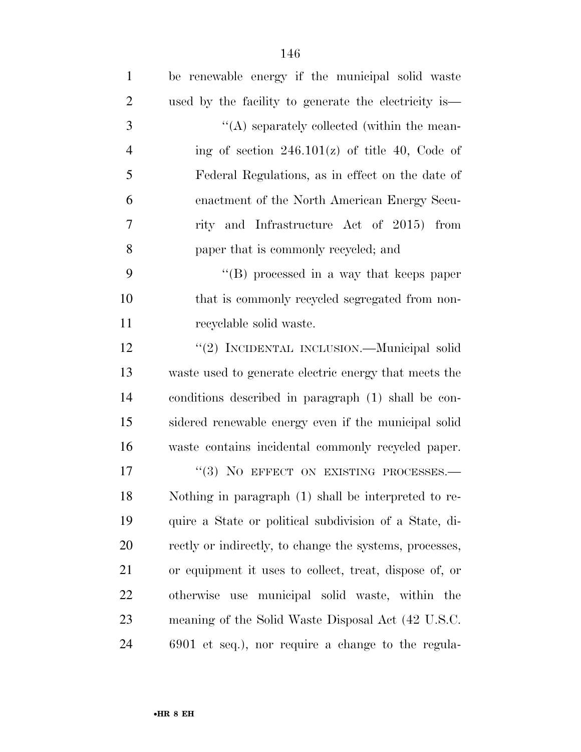| $\mathbf{1}$   | be renewable energy if the municipal solid waste        |
|----------------|---------------------------------------------------------|
| $\overline{2}$ | used by the facility to generate the electricity is—    |
| 3              | $\lq\lq$ separately collected (within the mean-         |
| $\overline{4}$ | ing of section $246.101(z)$ of title 40, Code of        |
| 5              | Federal Regulations, as in effect on the date of        |
| 6              | enactment of the North American Energy Secu-            |
| 7              | rity and Infrastructure Act of 2015) from               |
| 8              | paper that is commonly recycled; and                    |
| 9              | $\lq\lq (B)$ processed in a way that keeps paper        |
| 10             | that is commonly recycled segregated from non-          |
| 11             | recyclable solid waste.                                 |
| 12             | "(2) INCIDENTAL INCLUSION.—Municipal solid              |
| 13             | waste used to generate electric energy that meets the   |
| 14             | conditions described in paragraph (1) shall be con-     |
| 15             | sidered renewable energy even if the municipal solid    |
| 16             | waste contains incidental commonly recycled paper.      |
| 17             | "(3) NO EFFECT ON EXISTING PROCESSES.-                  |
| 18             | Nothing in paragraph (1) shall be interpreted to re-    |
| 19             | quire a State or political subdivision of a State, di-  |
| 20             | rectly or indirectly, to change the systems, processes, |
| 21             | or equipment it uses to collect, treat, dispose of, or  |
| 22             | otherwise use municipal solid waste, within the         |
| 23             | meaning of the Solid Waste Disposal Act (42 U.S.C.      |
| 24             | 6901 et seq.), nor require a change to the regula-      |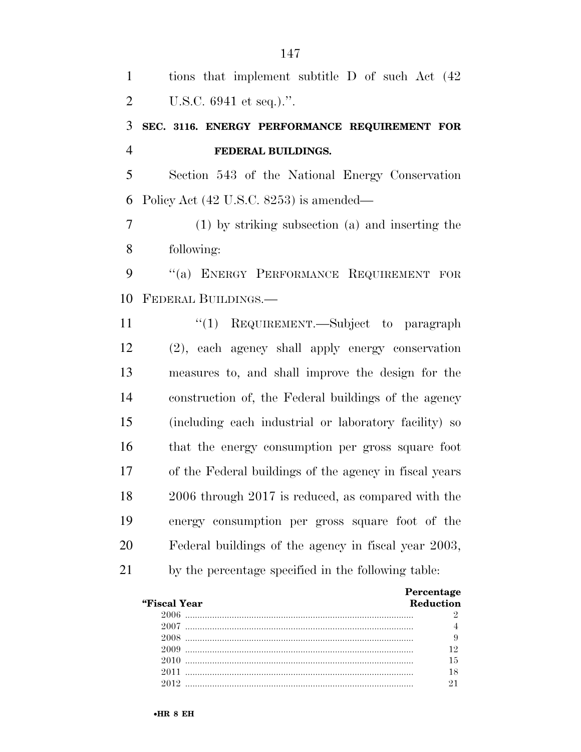| $\mathbf{1}$   | tions that implement subtitle D of such Act (42)       |
|----------------|--------------------------------------------------------|
| $\overline{2}$ | U.S.C. $6941$ et seq.).".                              |
| 3              | SEC. 3116. ENERGY PERFORMANCE REQUIREMENT FOR          |
| $\overline{4}$ | FEDERAL BUILDINGS.                                     |
| 5              | Section 543 of the National Energy Conservation        |
| 6              | Policy Act (42 U.S.C. 8253) is amended—                |
| $\tau$         | (1) by striking subsection (a) and inserting the       |
| 8              | following:                                             |
| 9              | "(a) ENERGY PERFORMANCE REQUIREMENT FOR                |
| 10             | FEDERAL BUILDINGS.-                                    |
| 11             | "(1) REQUIREMENT.—Subject to paragraph                 |
| 12             | (2), each agency shall apply energy conservation       |
| 13             | measures to, and shall improve the design for the      |
| 14             | construction of, the Federal buildings of the agency   |
| 15             | (including each industrial or laboratory facility) so  |
| 16             | that the energy consumption per gross square foot      |
| 17             | of the Federal buildings of the agency in fiscal years |
| 18             | 2006 through 2017 is reduced, as compared with the     |
| 19             | energy consumption per gross square foot of the        |
| 20             | Federal buildings of the agency in fiscal year 2003,   |
| 21             | by the percentage specified in the following table:    |
|                | Percentage                                             |

| "Fiscal Year<br><b>Reduction</b> |  |
|----------------------------------|--|
|                                  |  |
|                                  |  |
|                                  |  |
| 2009                             |  |
|                                  |  |
|                                  |  |
|                                  |  |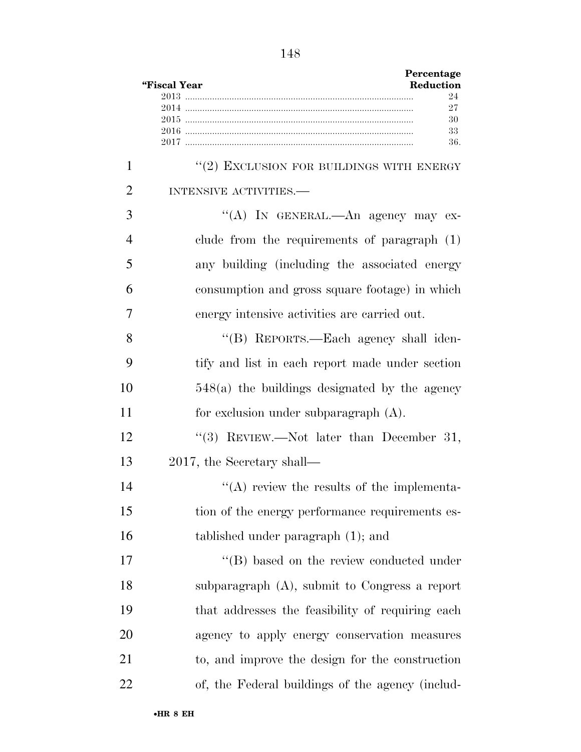|                | Percentage<br>Reduction<br>"Fiscal Year          |
|----------------|--------------------------------------------------|
|                | 24                                               |
|                | 27<br>30                                         |
|                | 33                                               |
|                | 36.                                              |
| 1              | "(2) EXCLUSION FOR BUILDINGS WITH ENERGY         |
| $\overline{2}$ | INTENSIVE ACTIVITIES.-                           |
| 3              | "(A) IN GENERAL.—An agency may ex-               |
| $\overline{4}$ | clude from the requirements of paragraph $(1)$   |
| 5              | any building (including the associated energy    |
| 6              | consumption and gross square footage) in which   |
| 7              | energy intensive activities are carried out.     |
| 8              | "(B) REPORTS.—Each agency shall iden-            |
| 9              | tify and list in each report made under section  |
| 10             | $548(a)$ the buildings designated by the agency  |
| 11             | for exclusion under subparagraph $(A)$ .         |
| 12             | "(3) REVIEW.—Not later than December 31,         |
| 13             | 2017, the Secretary shall—                       |
| 14             | $\lq\lq$ review the results of the implementa-   |
| 15             | tion of the energy performance requirements es-  |
| 16             | tablished under paragraph (1); and               |
| 17             | "(B) based on the review conducted under         |
| 18             | subparagraph $(A)$ , submit to Congress a report |
| 19             | that addresses the feasibility of requiring each |
| 20             | agency to apply energy conservation measures     |
| 21             | to, and improve the design for the construction  |
| 22             | of, the Federal buildings of the agency (includ- |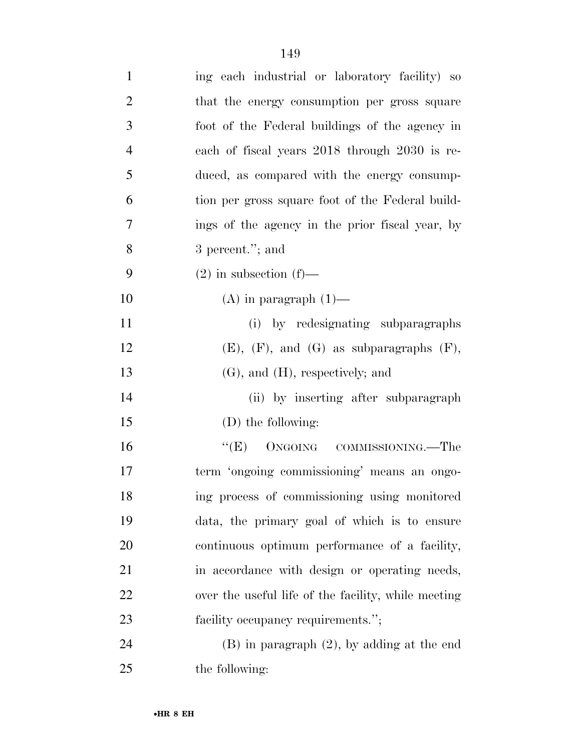| $\mathbf{1}$   | ing each industrial or laboratory facility) so      |
|----------------|-----------------------------------------------------|
| $\overline{2}$ | that the energy consumption per gross square        |
| 3              | foot of the Federal buildings of the agency in      |
| $\overline{4}$ | each of fiscal years 2018 through 2030 is re-       |
| 5              | duced, as compared with the energy consump-         |
| 6              | tion per gross square foot of the Federal build-    |
| 7              | ings of the agency in the prior fiscal year, by     |
| 8              | 3 percent."; and                                    |
| 9              | $(2)$ in subsection $(f)$ —                         |
| 10             | $(A)$ in paragraph $(1)$ —                          |
| 11             | (i) by redesignating subparagraphs                  |
| 12             | $(E)$ , $(F)$ , and $(G)$ as subparagraphs $(F)$ ,  |
| 13             | $(G)$ , and $(H)$ , respectively; and               |
| 14             | (ii) by inserting after subparagraph                |
| 15             | (D) the following:                                  |
| 16             | ``(E)<br>ONGOING COMMISSIONING.—The                 |
| 17             | term 'ongoing commissioning' means an ongo-         |
| 18             | ing process of commissioning using monitored        |
| 19             | data, the primary goal of which is to ensure        |
| 20             | continuous optimum performance of a facility,       |
| 21             | in accordance with design or operating needs,       |
| 22             | over the useful life of the facility, while meeting |
| 23             | facility occupancy requirements.";                  |
| 24             | $(B)$ in paragraph $(2)$ , by adding at the end     |
| 25             | the following:                                      |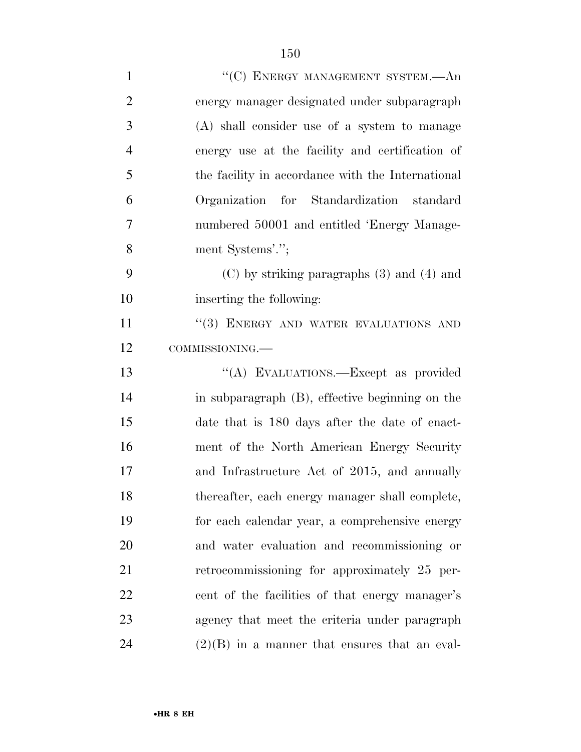| $\mathbf{1}$   | "(C) ENERGY MANAGEMENT SYSTEM.-An                 |
|----------------|---------------------------------------------------|
| $\overline{2}$ | energy manager designated under subparagraph      |
| 3              | (A) shall consider use of a system to manage      |
| $\overline{4}$ | energy use at the facility and certification of   |
| 5              | the facility in accordance with the International |
| 6              | Organization for Standardization standard         |
| 7              | numbered 50001 and entitled 'Energy Manage-       |
| 8              | ment Systems'.";                                  |
| 9              | $(C)$ by striking paragraphs $(3)$ and $(4)$ and  |
| 10             | inserting the following:                          |
| 11             | "(3) ENERGY AND WATER EVALUATIONS AND             |
| 12             | COMMISSIONING.                                    |
| 13             | "(A) EVALUATIONS.—Except as provided              |
| 14             | in subparagraph (B), effective beginning on the   |
| 15             | date that is 180 days after the date of enact-    |
| 16             | ment of the North American Energy Security        |
| 17             | and Infrastructure Act of 2015, and annually      |
| 18             | thereafter, each energy manager shall complete,   |
| 19             | for each calendar year, a comprehensive energy    |
| 20             | and water evaluation and recommissioning or       |
| 21             | retrocommissioning for approximately 25 per-      |
| 22             | cent of the facilities of that energy manager's   |
|                |                                                   |
| 23             | agency that meet the criteria under paragraph     |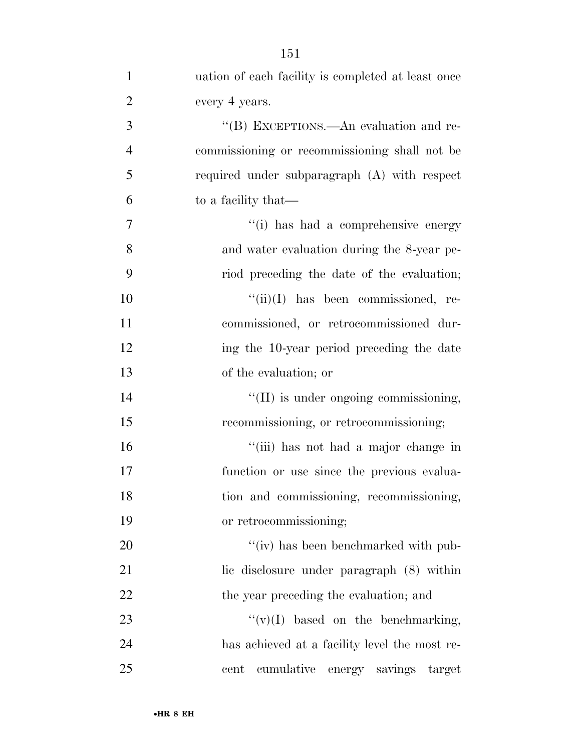| $\mathbf{1}$   | uation of each facility is completed at least once |
|----------------|----------------------------------------------------|
| $\overline{2}$ | every 4 years.                                     |
| 3              | "(B) EXCEPTIONS.—An evaluation and re-             |
| $\overline{4}$ | commissioning or recommissioning shall not be      |
| 5              | required under subparagraph (A) with respect       |
| 6              | to a facility that—                                |
| 7              | "(i) has had a comprehensive energy                |
| 8              | and water evaluation during the 8-year pe-         |
| 9              | riod preceding the date of the evaluation;         |
| 10             | $``(ii)(I)$ has been commissioned, re-             |
| 11             | commissioned, or retrocommissioned dur-            |
| 12             | ing the 10-year period preceding the date          |
| 13             | of the evaluation; or                              |
| 14             | "(II) is under ongoing commissioning,              |
| 15             | recommissioning, or retrocommissioning;            |
| 16             | "(iii) has not had a major change in               |
| 17             | function or use since the previous evalua-         |
| 18             | tion and commissioning, recommissioning,           |
| 19             | or retrocommissioning;                             |
| 20             | "(iv) has been benchmarked with pub-               |
| 21             | lic disclosure under paragraph (8) within          |
| 22             | the year preceding the evaluation; and             |
| 23             | $\lq\lq (v)(I)$ based on the benchmarking,         |
| 24             | has achieved at a facility level the most re-      |
| 25             | cumulative energy savings<br>cent<br>target        |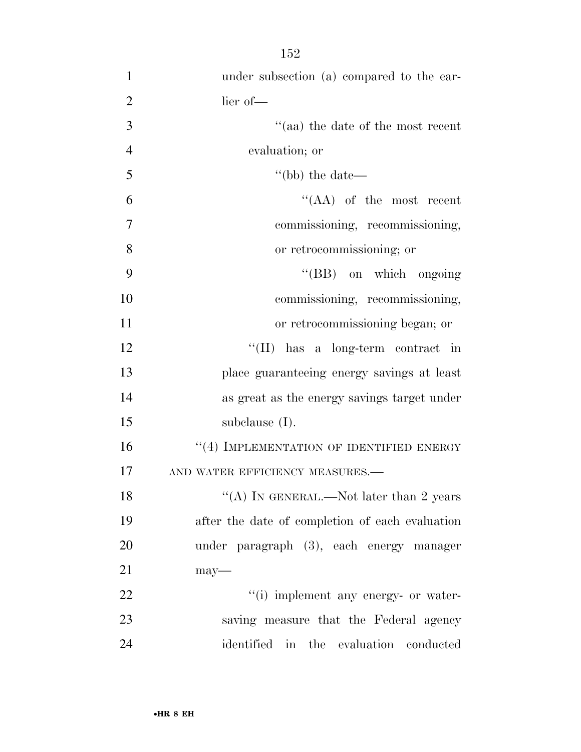| $\mathbf{1}$   | under subsection (a) compared to the ear-       |
|----------------|-------------------------------------------------|
| $\overline{2}$ | lier of-                                        |
| 3              | $\cdot$ (aa) the date of the most recent        |
| $\overline{4}$ | evaluation; or                                  |
| 5              | "(bb) the date—                                 |
| 6              | $\lq\lq (AA)$ of the most recent                |
| 7              | commissioning, recommissioning,                 |
| 8              | or retrocommissioning; or                       |
| 9              | "(BB) on which ongoing                          |
| 10             | commissioning, recommissioning,                 |
| 11             | or retrocommissioning began; or                 |
| 12             | "(II) has a long-term contract in               |
| 13             | place guaranteeing energy savings at least      |
| 14             | as great as the energy savings target under     |
| 15             | subclause $(I)$ .                               |
| 16             | "(4) IMPLEMENTATION OF IDENTIFIED ENERGY        |
| 17             | AND WATER EFFICIENCY MEASURES.-                 |
| 18             | "(A) IN GENERAL.—Not later than 2 years         |
| 19             | after the date of completion of each evaluation |
| 20             | under paragraph (3), each energy manager        |
| 21             | $may$ —                                         |
| 22             | "(i) implement any energy- or water-            |
| 23             | saving measure that the Federal agency          |
| 24             | identified in the evaluation conducted          |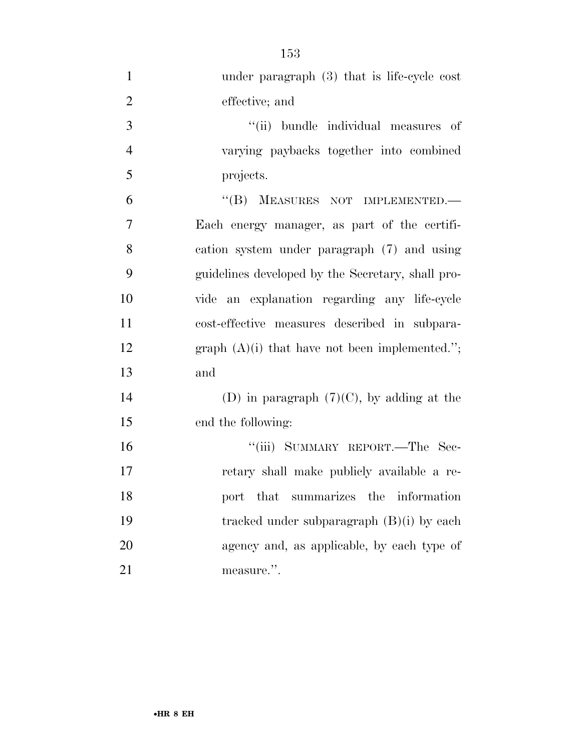| $\mathbf{1}$   | under paragraph $(3)$ that is life-cycle cost     |
|----------------|---------------------------------------------------|
| $\overline{2}$ | effective; and                                    |
| 3              | "(ii) bundle individual measures of               |
| $\overline{4}$ | varying paybacks together into combined           |
| 5              | projects.                                         |
| 6              | "(B) MEASURES NOT IMPLEMENTED.-                   |
| 7              | Each energy manager, as part of the certifi-      |
| 8              | cation system under paragraph (7) and using       |
| 9              | guidelines developed by the Secretary, shall pro- |
| 10             | vide an explanation regarding any life-cycle      |
| 11             | cost-effective measures described in subpara-     |
| 12             | graph $(A)(i)$ that have not been implemented.";  |
| 13             | and                                               |
| 14             | (D) in paragraph $(7)(C)$ , by adding at the      |
| 15             | end the following:                                |
| 16             | "(iii) SUMMARY REPORT.—The Sec-                   |
| 17             | retary shall make publicly available a re-        |
| 18             | port that<br>summarizes the<br>information        |
| 19             | tracked under subparagraph $(B)(i)$ by each       |
| 20             | agency and, as applicable, by each type of        |
| 21             | measure.".                                        |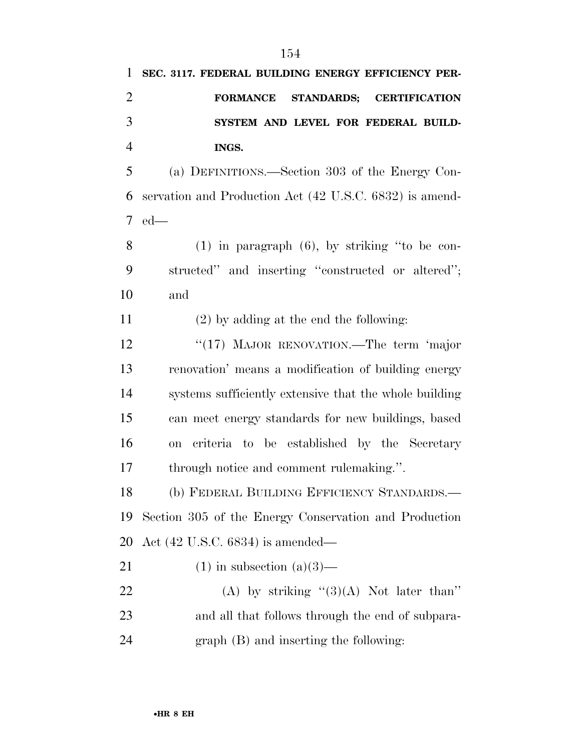**SEC. 3117. FEDERAL BUILDING ENERGY EFFICIENCY PER- FORMANCE STANDARDS; CERTIFICATION SYSTEM AND LEVEL FOR FEDERAL BUILD- INGS.**  (a) DEFINITIONS.—Section 303 of the Energy Con-

 servation and Production Act (42 U.S.C. 6832) is amend-ed—

 (1) in paragraph (6), by striking ''to be con- structed'' and inserting ''constructed or altered''; and

(2) by adding at the end the following:

12 "(17) MAJOR RENOVATION.—The term 'major renovation' means a modification of building energy systems sufficiently extensive that the whole building can meet energy standards for new buildings, based on criteria to be established by the Secretary through notice and comment rulemaking.''.

 (b) FEDERAL BUILDING EFFICIENCY STANDARDS.— Section 305 of the Energy Conservation and Production Act (42 U.S.C. 6834) is amended—

- 21 (1) in subsection  $(a)(3)$ —
- 22 (A) by striking  $(3)(A)$  Not later than'' and all that follows through the end of subpara-graph (B) and inserting the following: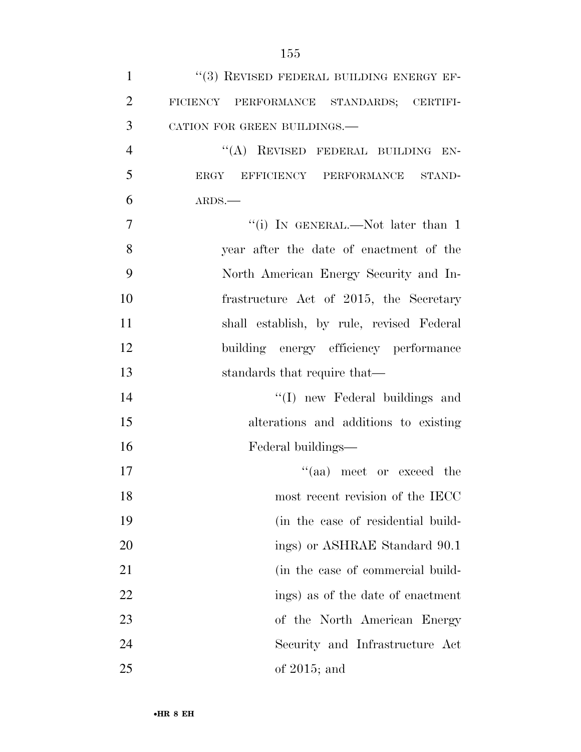| $\mathbf{1}$   | "(3) REVISED FEDERAL BUILDING ENERGY EF-  |
|----------------|-------------------------------------------|
| $\overline{2}$ | FICIENCY PERFORMANCE STANDARDS; CERTIFI-  |
| 3              | CATION FOR GREEN BUILDINGS.-              |
| $\overline{4}$ | "(A) REVISED FEDERAL BUILDING EN-         |
| 5              | ERGY EFFICIENCY PERFORMANCE STAND-        |
| 6              | ARDS.                                     |
| $\overline{7}$ | "(i) IN GENERAL.—Not later than 1         |
| 8              | year after the date of enactment of the   |
| 9              | North American Energy Security and In-    |
| 10             | frastructure Act of 2015, the Secretary   |
| 11             | shall establish, by rule, revised Federal |
| 12             | building energy efficiency performance    |
| 13             | standards that require that—              |
| 14             | "(I) new Federal buildings and            |
| 15             | alterations and additions to existing     |
| 16             | Federal buildings—                        |
| 17             | $(4)$ meet or exceed the                  |
| 18             | most recent revision of the IECC          |
| 19             | (in the case of residential build-        |
| 20             | ings) or ASHRAE Standard 90.1             |
| 21             | (in the case of commercial build-         |
| 22             | ings) as of the date of enactment         |
| 23             | of the North American Energy              |
| 24             | Security and Infrastructure Act           |
| 25             | of $2015$ ; and                           |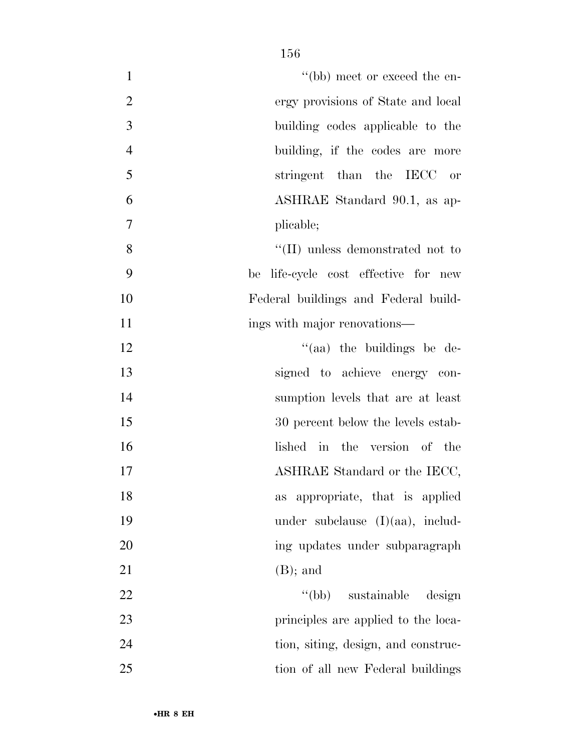| $\mathbf{1}$   | "(bb) meet or exceed the en-         |
|----------------|--------------------------------------|
| $\overline{2}$ | ergy provisions of State and local   |
| 3              | building codes applicable to the     |
| $\overline{4}$ | building, if the codes are more      |
| 5              | stringent than the IECC or           |
| 6              | ASHRAE Standard 90.1, as ap-         |
| 7              | plicable;                            |
| 8              | "(II) unless demonstrated not to     |
| 9              | be life-cycle cost effective for new |
| 10             | Federal buildings and Federal build- |
| 11             | ings with major renovations—         |
| 12             | "(aa) the buildings be de-           |
| 13             | signed to achieve energy con-        |
| 14             | sumption levels that are at least    |
| 15             | 30 percent below the levels estab-   |
| 16             | lished in the version of the         |
| 17             | ASHRAE Standard or the IECC,         |
| 18             | as appropriate, that is applied      |
| 19             | under subclause $(I)(aa)$ , includ-  |
| 20             | ing updates under subparagraph       |
| 21             | $(B)$ ; and                          |
| 22             | "(bb) sustainable design             |
| 23             | principles are applied to the loca-  |
| 24             | tion, siting, design, and construc-  |
| 25             | tion of all new Federal buildings    |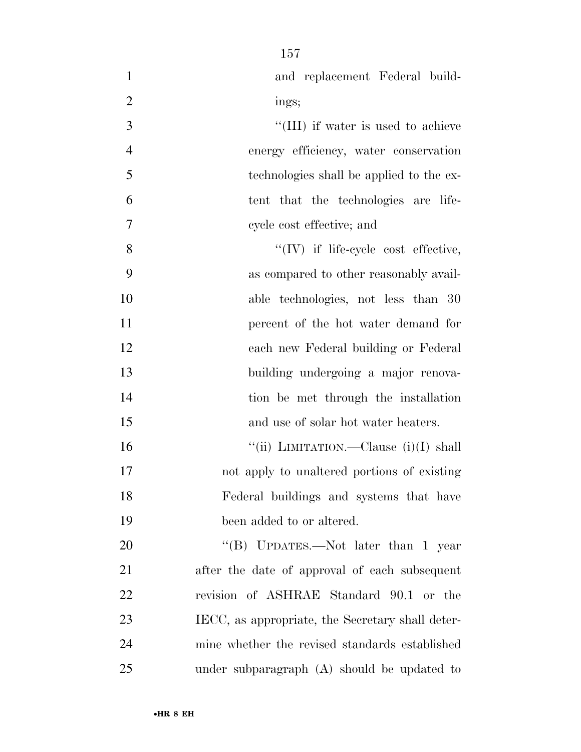| $\mathbf{1}$   | and replacement Federal build-                   |
|----------------|--------------------------------------------------|
| $\overline{2}$ | ings;                                            |
| 3              | "(III) if water is used to achieve               |
| $\overline{4}$ | energy efficiency, water conservation            |
| 5              | technologies shall be applied to the ex-         |
| 6              | tent that the technologies are life-             |
| 7              | cycle cost effective; and                        |
| 8              | $\lq\lq$ (IV) if life-cycle cost effective,      |
| 9              | as compared to other reasonably avail-           |
| 10             | able technologies, not less than 30              |
| 11             | percent of the hot water demand for              |
| 12             | each new Federal building or Federal             |
| 13             | building undergoing a major renova-              |
| 14             | tion be met through the installation             |
| 15             | and use of solar hot water heaters.              |
| 16             | "(ii) LIMITATION.—Clause (i)(I) shall            |
| 17             | not apply to unaltered portions of existing      |
| 18             | Federal buildings and systems that have          |
| 19             | been added to or altered.                        |
| 20             | "(B) UPDATES.—Not later than 1 year              |
| 21             | after the date of approval of each subsequent    |
| 22             | revision of ASHRAE Standard 90.1 or the          |
| 23             | IECC, as appropriate, the Secretary shall deter- |
| 24             | mine whether the revised standards established   |
| 25             | under subparagraph $(A)$ should be updated to    |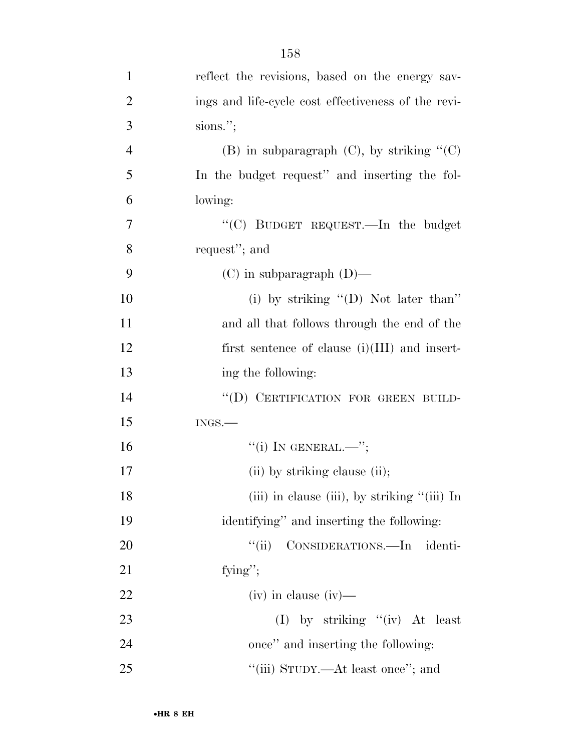| $\mathbf{1}$   | reflect the revisions, based on the energy sav-     |
|----------------|-----------------------------------------------------|
| $\overline{2}$ | ings and life-cycle cost effectiveness of the revi- |
| 3              | sions.";                                            |
| $\overline{4}$ | (B) in subparagraph $(C)$ , by striking " $(C)$     |
| 5              | In the budget request" and inserting the fol-       |
| 6              | lowing:                                             |
| 7              | "(C) BUDGET REQUEST.—In the budget                  |
| 8              | request"; and                                       |
| 9              | $(C)$ in subparagraph $(D)$ —                       |
| 10             | (i) by striking $\lq\lq$ O) Not later than"         |
| 11             | and all that follows through the end of the         |
| 12             | first sentence of clause $(i)(III)$ and insert-     |
| 13             | ing the following:                                  |
| 14             | "(D) CERTIFICATION FOR GREEN BUILD-                 |
| 15             | $INGS$ .                                            |
| 16             | "(i) IN GENERAL.—";                                 |
| 17             | (ii) by striking clause (ii);                       |
| 18             | (iii) in clause (iii), by striking "(iii) In        |
| 19             | identifying" and inserting the following:           |
| 20             | "(ii) CONSIDERATIONS.—In<br>identi-                 |
| 21             | fying";                                             |
| 22             | $(iv)$ in clause $(iv)$ —                           |
| 23             | (I) by striking "(iv) At least                      |
| 24             | once" and inserting the following:                  |
| 25             | "(iii) STUDY.—At least once"; and                   |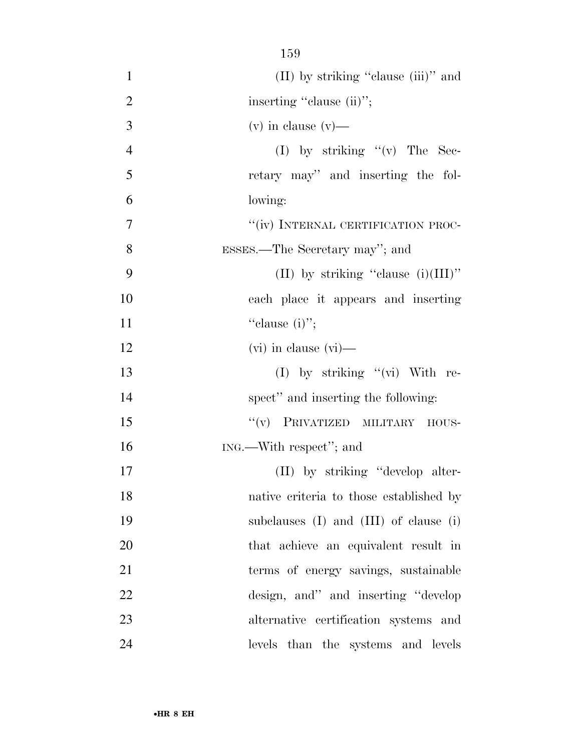| $\mathbf{1}$   | (II) by striking "clause (iii)" and          |
|----------------|----------------------------------------------|
| $\overline{2}$ | inserting "clause (ii)";                     |
| 3              | $(v)$ in clause $(v)$ —                      |
| $\overline{4}$ | (I) by striking $f'(v)$ The Sec-             |
| 5              | retary may" and inserting the fol-           |
| 6              | lowing:                                      |
| 7              | "(iv) INTERNAL CERTIFICATION PROC-           |
| 8              | ESSES.—The Secretary may"; and               |
| 9              | (II) by striking "clause $(i)(III)$ "        |
| 10             | each place it appears and inserting          |
| 11             | "clause $(i)$ ";                             |
| 12             | $(vi)$ in clause $(vi)$ —                    |
| 13             | (I) by striking $"$ (vi) With re-            |
| 14             | spect" and inserting the following:          |
| 15             | "(v) PRIVATIZED MILITARY HOUS-               |
| 16             | ING.—With respect"; and                      |
| 17             | (II) by striking "develop alter-             |
| 18             | native criteria to those established by      |
| 19             | subclauses $(I)$ and $(III)$ of clause $(i)$ |
| 20             | that achieve an equivalent result in         |
| 21             | terms of energy savings, sustainable         |
| 22             | design, and" and inserting "develop"         |
| 23             | alternative certification systems and        |
| 24             | levels than the systems and levels           |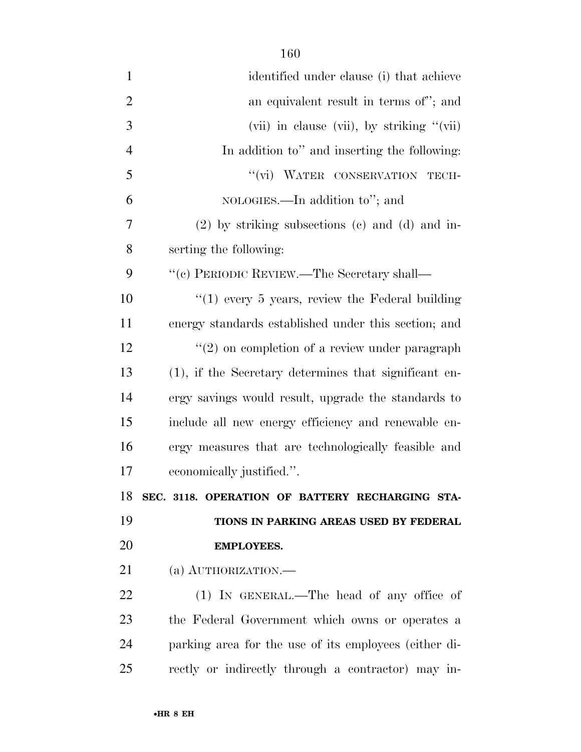| $\mathbf{1}$   | identified under clause (i) that achieve              |
|----------------|-------------------------------------------------------|
| $\overline{2}$ | an equivalent result in terms of"; and                |
| 3              | (vii) in clause (vii), by striking $"$ (vii)          |
| $\overline{4}$ | In addition to" and inserting the following:          |
| 5              | "(vi) WATER CONSERVATION<br>TECH-                     |
| 6              | NOLOGIES.—In addition to"; and                        |
| 7              | $(2)$ by striking subsections $(e)$ and $(d)$ and in- |
| 8              | serting the following:                                |
| 9              | $``(c)$ PERIODIC REVIEW.—The Secretary shall—         |
| 10             | " $(1)$ every 5 years, review the Federal building    |
| 11             | energy standards established under this section; and  |
| 12             | $\lq(2)$ on completion of a review under paragraph    |
| 13             | (1), if the Secretary determines that significant en- |
| 14             | ergy savings would result, upgrade the standards to   |
| 15             | include all new energy efficiency and renewable en-   |
| 16             | ergy measures that are technologically feasible and   |
| 17             | economically justified.".                             |
| 18             | SEC. 3118. OPERATION OF BATTERY RECHARGING STA-       |
| 19             | TIONS IN PARKING AREAS USED BY FEDERAL                |
| 20             | <b>EMPLOYEES.</b>                                     |
| 21             | (a) AUTHORIZATION.                                    |
| 22             | $(1)$ IN GENERAL.—The head of any office of           |
| 23             | the Federal Government which owns or operates a       |
| 24             | parking area for the use of its employees (either di- |
| 25             | rectly or indirectly through a contractor) may in-    |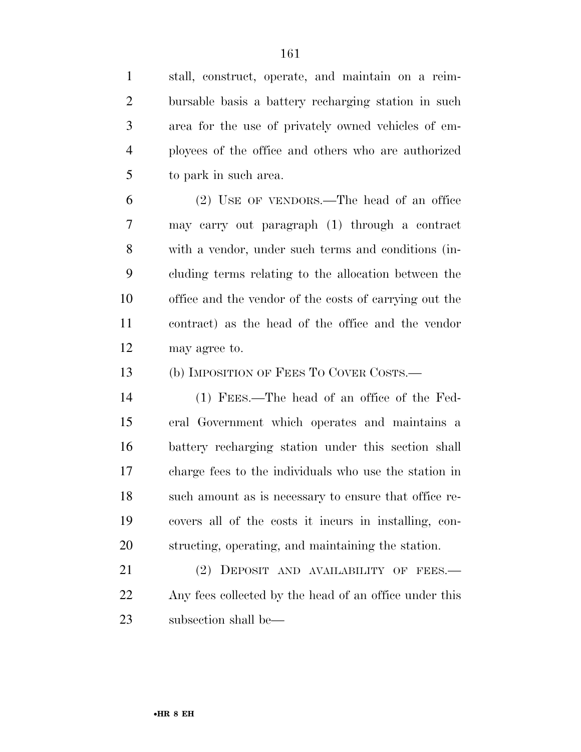stall, construct, operate, and maintain on a reim-

 bursable basis a battery recharging station in such area for the use of privately owned vehicles of em- ployees of the office and others who are authorized to park in such area. (2) USE OF VENDORS.—The head of an office may carry out paragraph (1) through a contract with a vendor, under such terms and conditions (in- cluding terms relating to the allocation between the office and the vendor of the costs of carrying out the contract) as the head of the office and the vendor may agree to. 13 (b) IMPOSITION OF FEES TO COVER COSTS.— (1) FEES.—The head of an office of the Fed- eral Government which operates and maintains a battery recharging station under this section shall

•**HR 8 EH**

21 (2) DEPOSIT AND AVAILABILITY OF FEES.— Any fees collected by the head of an office under this subsection shall be—

charge fees to the individuals who use the station in

such amount as is necessary to ensure that office re-

covers all of the costs it incurs in installing, con-

structing, operating, and maintaining the station.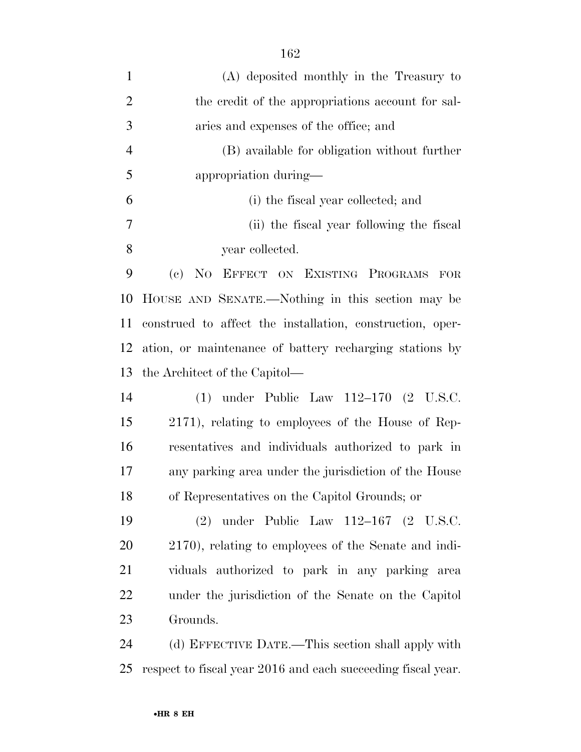| $\mathbf{1}$   | (A) deposited monthly in the Treasury to                     |
|----------------|--------------------------------------------------------------|
| $\overline{2}$ | the credit of the appropriations account for sal-            |
| 3              | aries and expenses of the office; and                        |
| $\overline{4}$ | (B) available for obligation without further                 |
| 5              | appropriation during—                                        |
| 6              | (i) the fiscal year collected; and                           |
| 7              | (ii) the fiscal year following the fiscal                    |
| 8              | year collected.                                              |
| 9              | (c) NO EFFECT ON EXISTING PROGRAMS FOR                       |
| 10             | HOUSE AND SENATE.—Nothing in this section may be             |
| 11             | construed to affect the installation, construction, oper-    |
| 12             | ation, or maintenance of battery recharging stations by      |
| 13             | the Architect of the Capitol—                                |
| 14             | under Public Law $112-170$ (2 U.S.C.<br>(1)                  |
| 15             | 2171), relating to employees of the House of Rep-            |
| 16             | resentatives and individuals authorized to park in           |
| 17             | any parking area under the jurisdiction of the House         |
| 18             | of Representatives on the Capitol Grounds; or                |
| 19             | (2) under Public Law $112-167$ (2 U.S.C.                     |
| 20             | 2170), relating to employees of the Senate and indi-         |
| 21             | viduals authorized to park in any parking area               |
| <u>22</u>      | under the jurisdiction of the Senate on the Capitol          |
| 23             | Grounds.                                                     |
| 24             | (d) EFFECTIVE DATE.—This section shall apply with            |
| 25             | respect to fiscal year 2016 and each succeeding fiscal year. |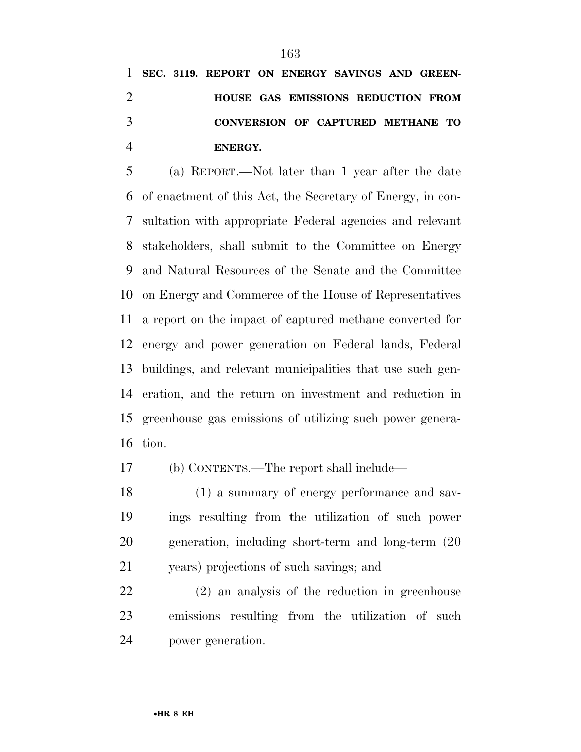**SEC. 3119. REPORT ON ENERGY SAVINGS AND GREEN- HOUSE GAS EMISSIONS REDUCTION FROM CONVERSION OF CAPTURED METHANE TO ENERGY.** 

 (a) REPORT.—Not later than 1 year after the date of enactment of this Act, the Secretary of Energy, in con- sultation with appropriate Federal agencies and relevant stakeholders, shall submit to the Committee on Energy and Natural Resources of the Senate and the Committee on Energy and Commerce of the House of Representatives a report on the impact of captured methane converted for energy and power generation on Federal lands, Federal buildings, and relevant municipalities that use such gen- eration, and the return on investment and reduction in greenhouse gas emissions of utilizing such power genera-tion.

(b) CONTENTS.—The report shall include—

 (1) a summary of energy performance and sav- ings resulting from the utilization of such power generation, including short-term and long-term (20 years) projections of such savings; and

 (2) an analysis of the reduction in greenhouse emissions resulting from the utilization of such power generation.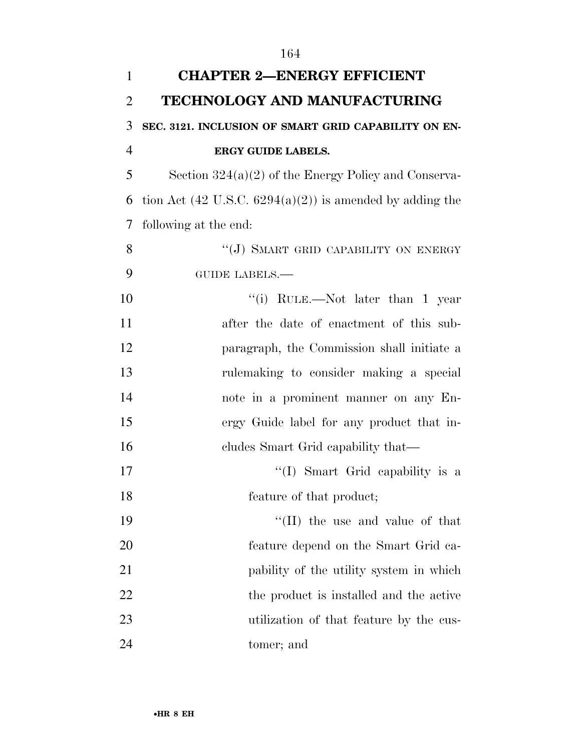| $\mathbf{1}$   | <b>CHAPTER 2-ENERGY EFFICIENT</b>                                   |
|----------------|---------------------------------------------------------------------|
| $\overline{2}$ | TECHNOLOGY AND MANUFACTURING                                        |
| 3              | SEC. 3121. INCLUSION OF SMART GRID CAPABILITY ON EN-                |
| $\overline{4}$ | <b>ERGY GUIDE LABELS.</b>                                           |
| 5              | Section $324(a)(2)$ of the Energy Policy and Conserva-              |
| 6              | tion Act $(42 \text{ U.S.C. } 6294(a)(2))$ is amended by adding the |
| 7              | following at the end:                                               |
| 8              | "(J) SMART GRID CAPABILITY ON ENERGY                                |
| 9              | <b>GUIDE LABELS.—</b>                                               |
| 10             | "(i) RULE.—Not later than 1 year                                    |
| 11             | after the date of enactment of this sub-                            |
| 12             | paragraph, the Commission shall initiate a                          |
| 13             | rulemaking to consider making a special                             |
| 14             | note in a prominent manner on any En-                               |
| 15             | ergy Guide label for any product that in-                           |
| 16             | cludes Smart Grid capability that—                                  |
| 17             | "(I) Smart Grid capability is a                                     |
| 18             | feature of that product;                                            |
| 19             | "(II) the use and value of that                                     |
| 20             | feature depend on the Smart Grid ca-                                |
| 21             | pability of the utility system in which                             |
| 22             | the product is installed and the active                             |
| 23             | utilization of that feature by the cus-                             |
| 24             | tomer; and                                                          |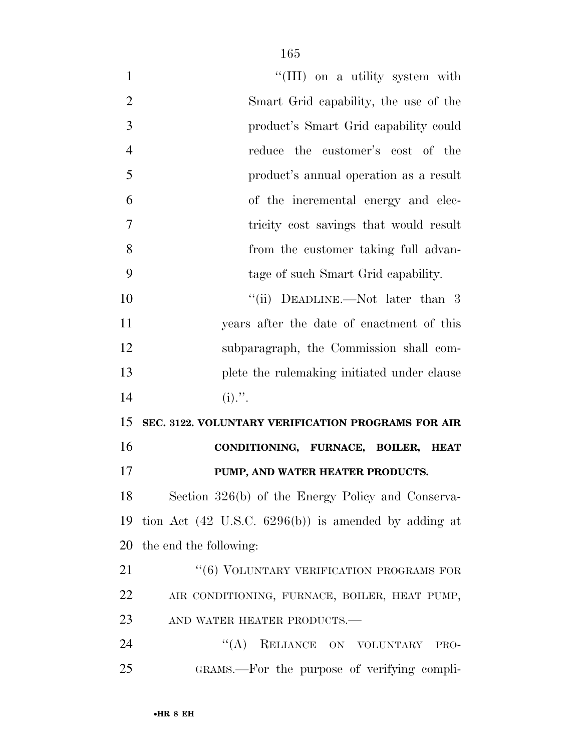| $\mathbf{1}$   | "(III) on a utility system with                                 |
|----------------|-----------------------------------------------------------------|
| $\overline{2}$ | Smart Grid capability, the use of the                           |
| 3              | product's Smart Grid capability could                           |
| $\overline{4}$ | reduce the customer's cost of the                               |
| 5              | product's annual operation as a result                          |
| 6              | of the incremental energy and elec-                             |
| $\overline{7}$ | tricity cost savings that would result                          |
| 8              | from the customer taking full advan-                            |
| 9              | tage of such Smart Grid capability.                             |
| 10             | "(ii) DEADLINE.—Not later than 3                                |
| 11             | years after the date of enactment of this                       |
| 12             | subparagraph, the Commission shall com-                         |
| 13             | plete the rulemaking initiated under clause                     |
| 14             | $(i)$ .".                                                       |
| 15             | SEC. 3122. VOLUNTARY VERIFICATION PROGRAMS FOR AIR              |
| 16             | CONDITIONING, FURNACE, BOILER, HEAT                             |
| 17             | PUMP, AND WATER HEATER PRODUCTS.                                |
| 18             | Section 326(b) of the Energy Policy and Conserva-               |
| 19             | tion Act $(42 \text{ U.S.C. } 6296(b))$ is amended by adding at |
| 20             | the end the following:                                          |
| 21             | "(6) VOLUNTARY VERIFICATION PROGRAMS FOR                        |
| 22             | AIR CONDITIONING, FURNACE, BOILER, HEAT PUMP,                   |
| 23             | AND WATER HEATER PRODUCTS.-                                     |
| 24             | (4)<br>RELIANCE ON VOLUNTARY<br>PRO-                            |
| 25             | GRAMS.—For the purpose of verifying compli-                     |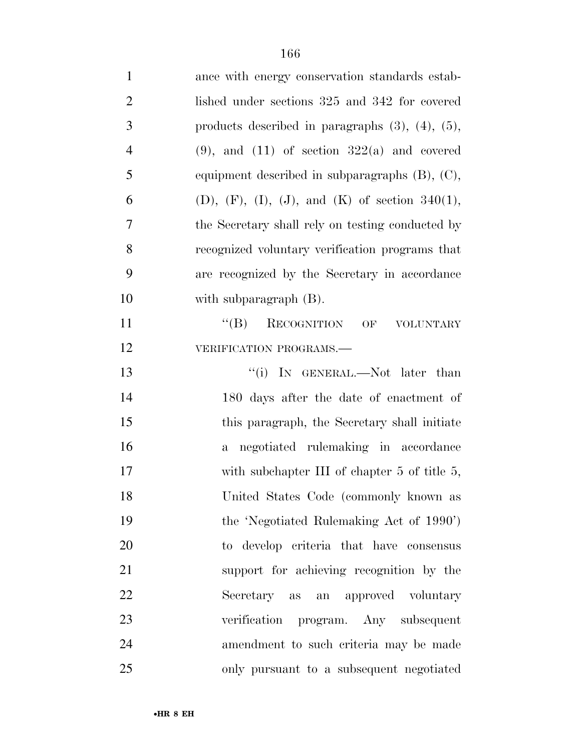| $\mathbf{1}$   | ance with energy conservation standards estab-           |
|----------------|----------------------------------------------------------|
| $\overline{2}$ | lished under sections 325 and 342 for covered            |
| 3              | products described in paragraphs $(3)$ , $(4)$ , $(5)$ , |
| $\overline{4}$ | $(9)$ , and $(11)$ of section $322(a)$ and covered       |
| 5              | equipment described in subparagraphs $(B)$ , $(C)$ ,     |
| 6              | (D), (F), (I), (J), and (K) of section $340(1)$ ,        |
| 7              | the Secretary shall rely on testing conducted by         |
| 8              | recognized voluntary verification programs that          |
| 9              | are recognized by the Secretary in accordance            |
| 10             | with subparagraph (B).                                   |
| 11             | $\lq\lq (B)$ RECOGNITION OF<br><b>VOLUNTARY</b>          |
| 12             | VERIFICATION PROGRAMS.                                   |
| 13             | "(i) In GENERAL.—Not later than                          |
| 14             | 180 days after the date of enactment of                  |
| 15             | this paragraph, the Secretary shall initiate             |
| 16             | a negotiated rulemaking in accordance                    |
| 17             | with subchapter III of chapter $5$ of title $5$ ,        |
| 18             | United States Code (commonly known as                    |
| 19             | the 'Negotiated Rulemaking Act of 1990')                 |
| 20             | to develop criteria that have consensus                  |
| 21             | support for achieving recognition by the                 |
| 22             | Secretary as an approved voluntary                       |
| 23             | verification program. Any subsequent                     |
| 24             | amendment to such criteria may be made                   |
| 25             | only pursuant to a subsequent negotiated                 |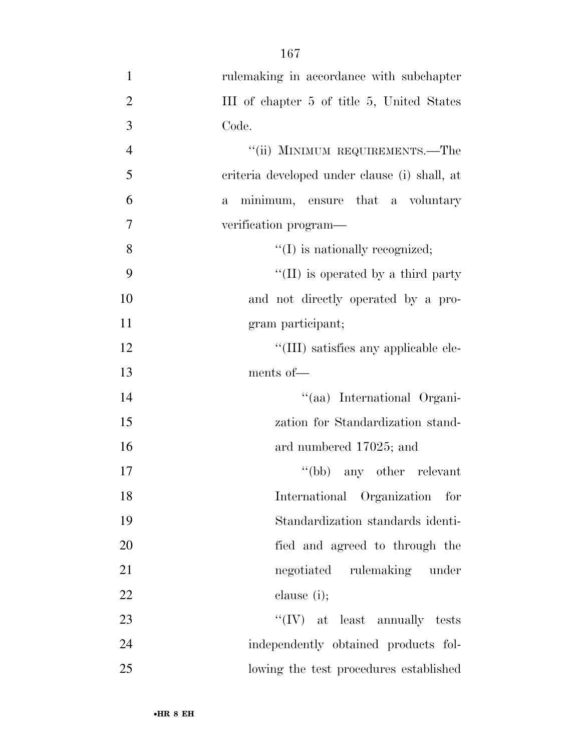| $\mathbf{1}$   | rulemaking in accordance with subchapter         |
|----------------|--------------------------------------------------|
| $\overline{2}$ | III of chapter 5 of title 5, United States       |
| 3              | Code.                                            |
| $\overline{4}$ | "(ii) MINIMUM REQUIREMENTS.—The                  |
| 5              | criteria developed under clause (i) shall, at    |
| 6              | minimum, ensure that a voluntary<br>$\mathbf{a}$ |
| $\overline{7}$ | verification program—                            |
| 8              | $\lq\lq$ (I) is nationally recognized;           |
| 9              | $\lq\lq$ (II) is operated by a third party       |
| 10             | and not directly operated by a pro-              |
| 11             | gram participant;                                |
| 12             | "(III) satisfies any applicable ele-             |
| 13             | ments of-                                        |
| 14             | "(aa) International Organi-                      |
| 15             | zation for Standardization stand-                |
| 16             | ard numbered 17025; and                          |
| 17             | $\lq\lq(bb)$ any other relevant                  |
| 18             | International Organization for                   |
| 19             | Standardization standards identi-                |
| 20             | fied and agreed to through the                   |
| 21             | negotiated rulemaking under                      |
| 22             | clause $(i)$ ;                                   |
| 23             | $``(IV)$ at least annually tests                 |
| 24             | independently obtained products fol-             |
| 25             | lowing the test procedures established           |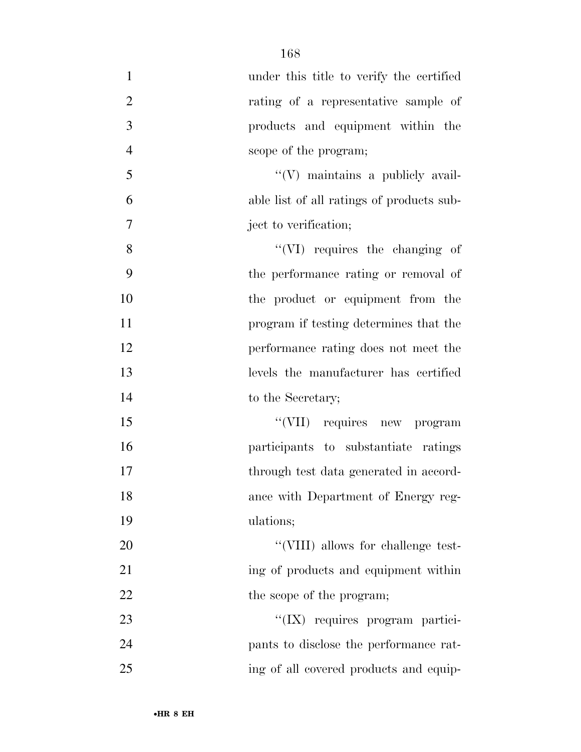| $\mathbf{1}$   | under this title to verify the certified  |
|----------------|-------------------------------------------|
| $\overline{2}$ | rating of a representative sample of      |
| 3              | products and equipment within the         |
| $\overline{4}$ | scope of the program;                     |
| 5              | "(V) maintains a publicly avail-          |
| 6              | able list of all ratings of products sub- |
| 7              | ject to verification;                     |
| 8              | "(VI) requires the changing of            |
| 9              | the performance rating or removal of      |
| 10             | the product or equipment from the         |
| 11             | program if testing determines that the    |
| 12             | performance rating does not meet the      |
| 13             | levels the manufacturer has certified     |
| 14             | to the Secretary;                         |
| 15             | "(VII) requires new program               |
| 16             | participants to substantiate ratings      |
| 17             | through test data generated in accord-    |
| 18             | ance with Department of Energy reg-       |
| 19             | ulations;                                 |
| 20             | "(VIII) allows for challenge test-        |
| 21             | ing of products and equipment within      |
| 22             | the scope of the program;                 |
| 23             | "(IX) requires program partici-           |
| 24             | pants to disclose the performance rat-    |
| 25             | ing of all covered products and equip-    |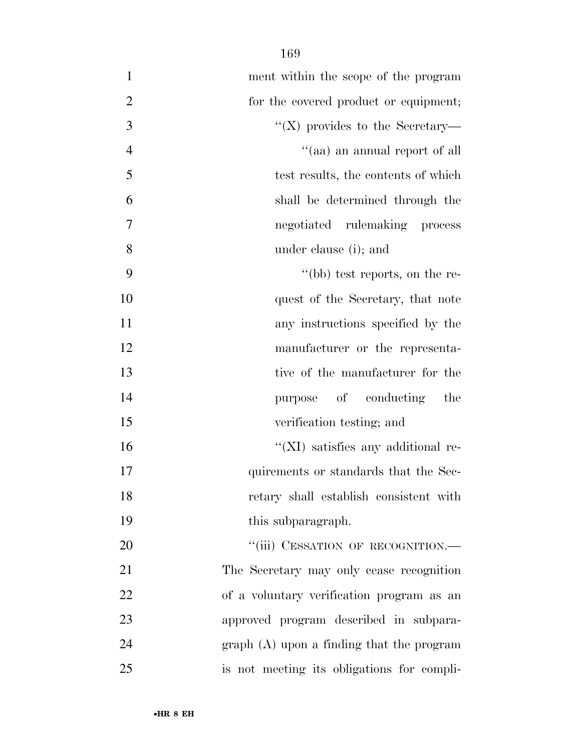| $\mathbf{1}$<br>ment within the scope of the program  |
|-------------------------------------------------------|
| $\mathbf{2}$<br>for the covered product or equipment; |
| 3<br>"(X) provides to the Secretary—                  |
| $\overline{4}$<br>"(aa) an annual report of all       |
| 5<br>test results, the contents of which              |
| 6<br>shall be determined through the                  |
| $\boldsymbol{7}$<br>negotiated rulemaking process     |
| 8<br>under clause (i); and                            |
| 9<br>"(bb) test reports, on the re-                   |
| 10<br>quest of the Secretary, that note               |
| 11<br>any instructions specified by the               |
| 12<br>manufacturer or the representa-                 |
| 13<br>tive of the manufacturer for the                |
| 14<br>purpose of conducting<br>the                    |
| 15<br>verification testing; and                       |
| 16<br>$\lq\lq$ (XI) satisfies any additional re-      |
| 17<br>quirements or standards that the Sec-           |
| 18<br>retary shall establish consistent with          |
| 19<br>this subparagraph.                              |
| "(iii) CESSATION OF RECOGNITION.-<br>20               |
| 21<br>The Secretary may only cease recognition        |
| 22<br>of a voluntary verification program as an       |
| 23<br>approved program described in subpara-          |
| 24<br>$graph(A)$ upon a finding that the program      |
| 25<br>is not meeting its obligations for compli-      |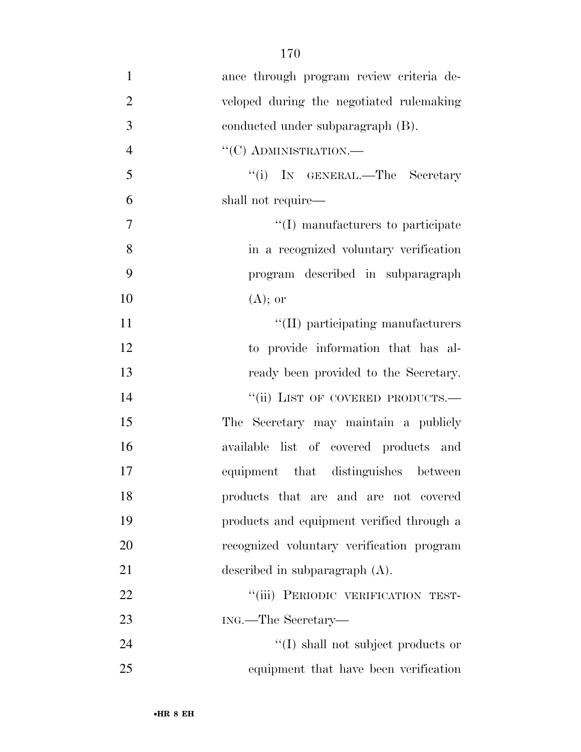- ance through program review criteria de- veloped during the negotiated rulemaking conducted under subparagraph (B). 4 "(C) ADMINISTRATION.— ''(i) IN GENERAL.—The Secretary shall not require— 7  $''(I)$  manufacturers to participate in a recognized voluntary verification program described in subparagraph  $10 \qquad \qquad (A);$  or 11  $\text{``(II)}$  participating manufacturers to provide information that has al- ready been provided to the Secretary. 14 "(ii) LIST OF COVERED PRODUCTS.— The Secretary may maintain a publicly available list of covered products and equipment that distinguishes between products that are and are not covered products and equipment verified through a recognized voluntary verification program described in subparagraph (A). 22 "(iii) PERIODIC VERIFICATION TEST- ING.—The Secretary— 24 ''(I) shall not subject products or
- equipment that have been verification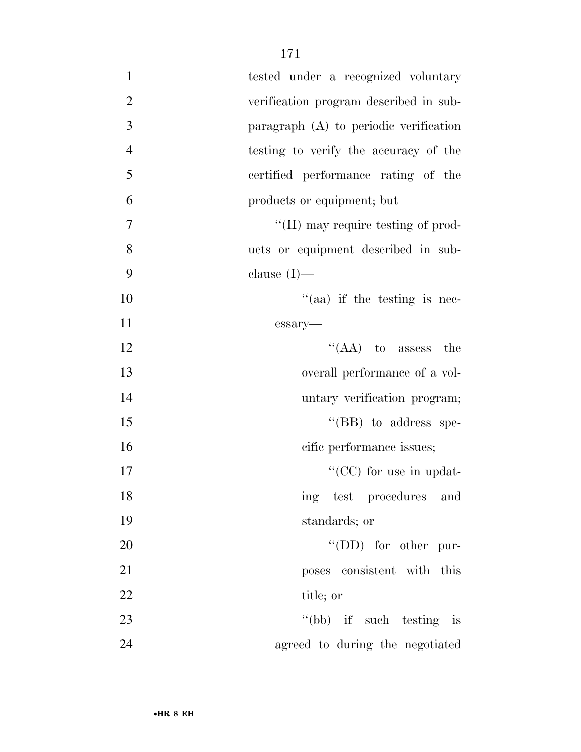| $\mathbf{1}$   | tested under a recognized voluntary        |
|----------------|--------------------------------------------|
| $\overline{2}$ | verification program described in sub-     |
| 3              | paragraph (A) to periodic verification     |
| $\overline{4}$ | testing to verify the accuracy of the      |
| 5              | certified performance rating of the        |
| 6              | products or equipment; but                 |
| 7              | $\lq\lq$ (II) may require testing of prod- |
| 8              | ucts or equipment described in sub-        |
| 9              | clause $(I)$ —                             |
| 10             | $\cdot$ (aa) if the testing is nec-        |
| 11             | essary-                                    |
| 12             | " $(AA)$ to assess<br>the                  |
| 13             | overall performance of a vol-              |
| 14             | untary verification program;               |
| 15             | $\lq\lq$ (BB) to address spe-              |
| 16             | cific performance issues;                  |
| 17             | "( $CC$ ) for use in updat-                |
| 18             | ing test procedures and                    |
| 19             | standards; or                              |
| 20             | $\lq\lq$ (DD) for other pur-               |
| 21             | poses consistent with this                 |
| 22             | title; or                                  |
| 23             | "(bb) if such testing is                   |
| 24             | agreed to during the negotiated            |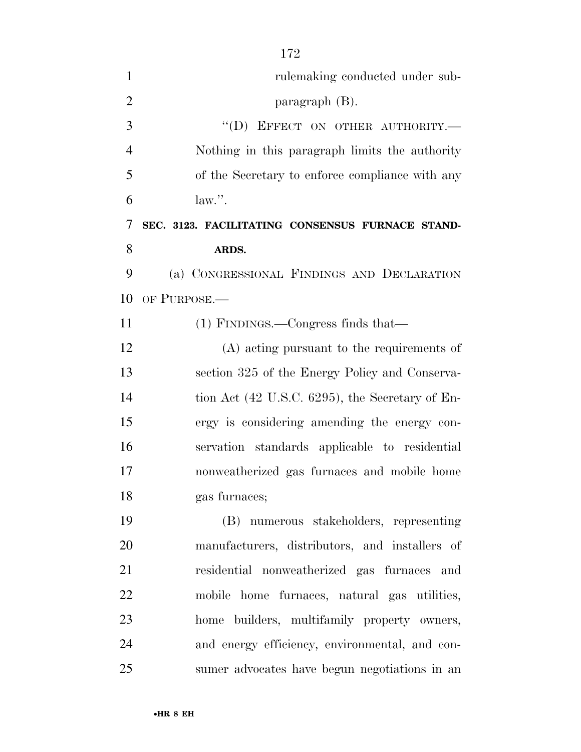| $\mathbf{1}$   | rulemaking conducted under sub-                             |
|----------------|-------------------------------------------------------------|
| $\overline{2}$ | paragraph $(B)$ .                                           |
| 3              | "(D) EFFECT ON OTHER AUTHORITY.-                            |
| $\overline{4}$ | Nothing in this paragraph limits the authority              |
| 5              | of the Secretary to enforce compliance with any             |
| 6              | law.''.                                                     |
| 7              | SEC. 3123. FACILITATING CONSENSUS FURNACE STAND-            |
| 8              | ARDS.                                                       |
| 9              | (a) CONGRESSIONAL FINDINGS AND DECLARATION                  |
| 10             | OF PURPOSE.                                                 |
| 11             | $(1)$ FINDINGS.—Congress finds that—                        |
| 12             | (A) acting pursuant to the requirements of                  |
| 13             | section 325 of the Energy Policy and Conserva-              |
| 14             | tion Act $(42 \text{ U.S.C. } 6295)$ , the Secretary of En- |
| 15             | ergy is considering amending the energy con-                |
| 16             | servation standards applicable to residential               |
| 17             | nonweatherized gas furnaces and mobile home                 |
| 18             | gas furnaces;                                               |
| 19             | (B) numerous stakeholders, representing                     |
| 20             | manufacturers, distributors, and installers of              |
| 21             | residential nonweatherized gas furnaces and                 |
| 22             | mobile home furnaces, natural gas utilities,                |
| 23             | home builders, multifamily property owners,                 |
| 24             | and energy efficiency, environmental, and con-              |

sumer advocates have begun negotiations in an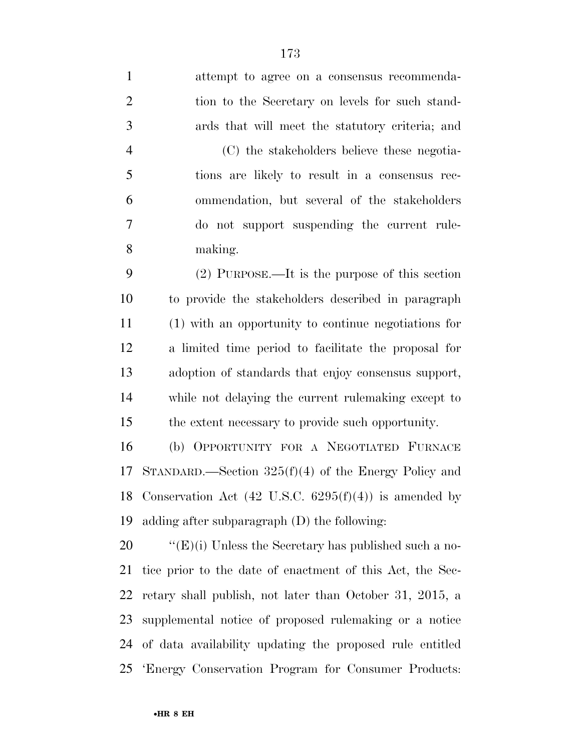attempt to agree on a consensus recommenda- tion to the Secretary on levels for such stand- ards that will meet the statutory criteria; and (C) the stakeholders believe these negotia- tions are likely to result in a consensus rec- ommendation, but several of the stakeholders do not support suspending the current rule-making.

 (2) PURPOSE.—It is the purpose of this section to provide the stakeholders described in paragraph (1) with an opportunity to continue negotiations for a limited time period to facilitate the proposal for adoption of standards that enjoy consensus support, while not delaying the current rulemaking except to the extent necessary to provide such opportunity.

 (b) OPPORTUNITY FOR A NEGOTIATED FURNACE STANDARD.—Section 325(f)(4) of the Energy Policy and 18 Conservation Act  $(42 \text{ U.S.C. } 6295(f)(4))$  is amended by adding after subparagraph (D) the following:

 $\text{``(E)(i)}$  Unless the Secretary has published such a no- tice prior to the date of enactment of this Act, the Sec- retary shall publish, not later than October 31, 2015, a supplemental notice of proposed rulemaking or a notice of data availability updating the proposed rule entitled 'Energy Conservation Program for Consumer Products: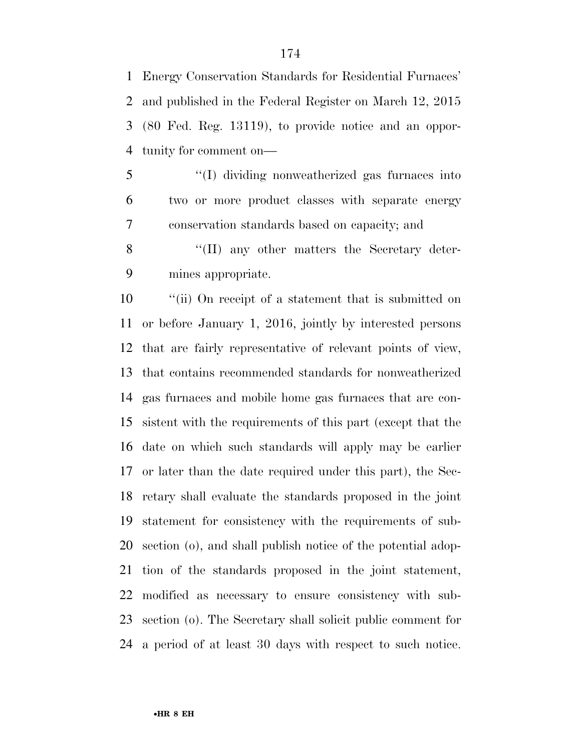Energy Conservation Standards for Residential Furnaces' and published in the Federal Register on March 12, 2015 (80 Fed. Reg. 13119), to provide notice and an oppor-tunity for comment on—

 ''(I) dividing nonweatherized gas furnaces into two or more product classes with separate energy conservation standards based on capacity; and

8 "(II) any other matters the Secretary deter-mines appropriate.

 ''(ii) On receipt of a statement that is submitted on or before January 1, 2016, jointly by interested persons that are fairly representative of relevant points of view, that contains recommended standards for nonweatherized gas furnaces and mobile home gas furnaces that are con- sistent with the requirements of this part (except that the date on which such standards will apply may be earlier or later than the date required under this part), the Sec- retary shall evaluate the standards proposed in the joint statement for consistency with the requirements of sub- section (o), and shall publish notice of the potential adop- tion of the standards proposed in the joint statement, modified as necessary to ensure consistency with sub- section (o). The Secretary shall solicit public comment for a period of at least 30 days with respect to such notice.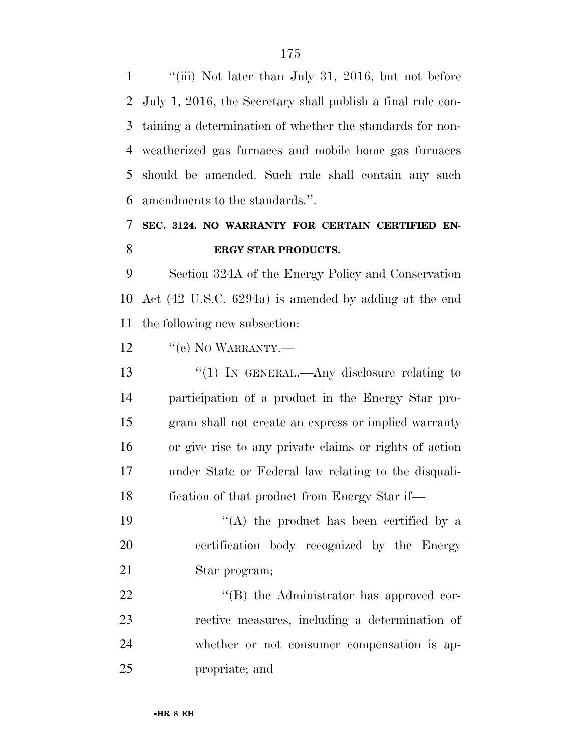''(iii) Not later than July 31, 2016, but not before July 1, 2016, the Secretary shall publish a final rule con- taining a determination of whether the standards for non- weatherized gas furnaces and mobile home gas furnaces should be amended. Such rule shall contain any such amendments to the standards.''.

## **SEC. 3124. NO WARRANTY FOR CERTAIN CERTIFIED EN-ERGY STAR PRODUCTS.**

 Section 324A of the Energy Policy and Conservation Act (42 U.S.C. 6294a) is amended by adding at the end the following new subsection:

12 "(e) NO WARRANTY.—

13 "(1) IN GENERAL.—Any disclosure relating to participation of a product in the Energy Star pro- gram shall not create an express or implied warranty or give rise to any private claims or rights of action under State or Federal law relating to the disquali-fication of that product from Energy Star if—

19  $((A)$  the product has been certified by a certification body recognized by the Energy Star program;

 $\text{``(B)}$  the Administrator has approved cor- rective measures, including a determination of whether or not consumer compensation is ap-propriate; and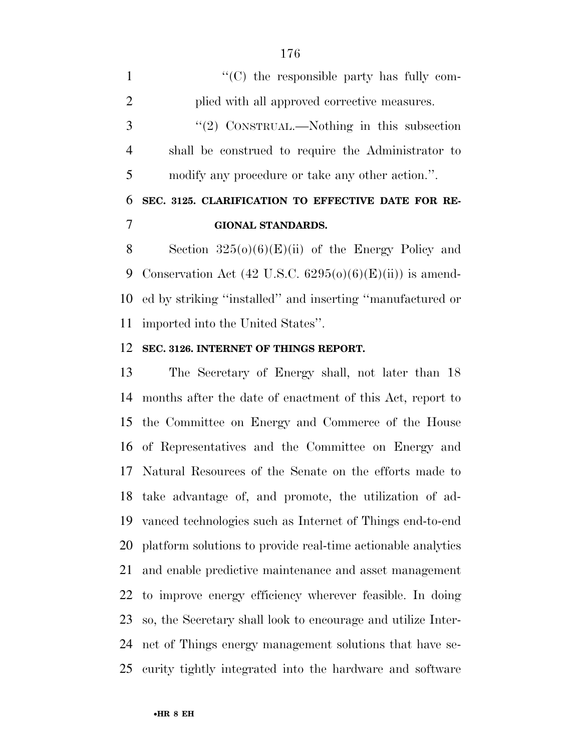$\langle ^{\prime}(C) \rangle$  the responsible party has fully com- plied with all approved corrective measures. ''(2) CONSTRUAL.—Nothing in this subsection shall be construed to require the Administrator to modify any procedure or take any other action.''. **SEC. 3125. CLARIFICATION TO EFFECTIVE DATE FOR RE-GIONAL STANDARDS.** 

8 Section  $325(0)(6)(E)(ii)$  of the Energy Policy and 9 Conservation Act (42 U.S.C.  $6295(0)(6)(E)(ii)$ ) is amend- ed by striking ''installed'' and inserting ''manufactured or imported into the United States''.

## **SEC. 3126. INTERNET OF THINGS REPORT.**

 The Secretary of Energy shall, not later than 18 months after the date of enactment of this Act, report to the Committee on Energy and Commerce of the House of Representatives and the Committee on Energy and Natural Resources of the Senate on the efforts made to take advantage of, and promote, the utilization of ad- vanced technologies such as Internet of Things end-to-end platform solutions to provide real-time actionable analytics and enable predictive maintenance and asset management to improve energy efficiency wherever feasible. In doing so, the Secretary shall look to encourage and utilize Inter- net of Things energy management solutions that have se-curity tightly integrated into the hardware and software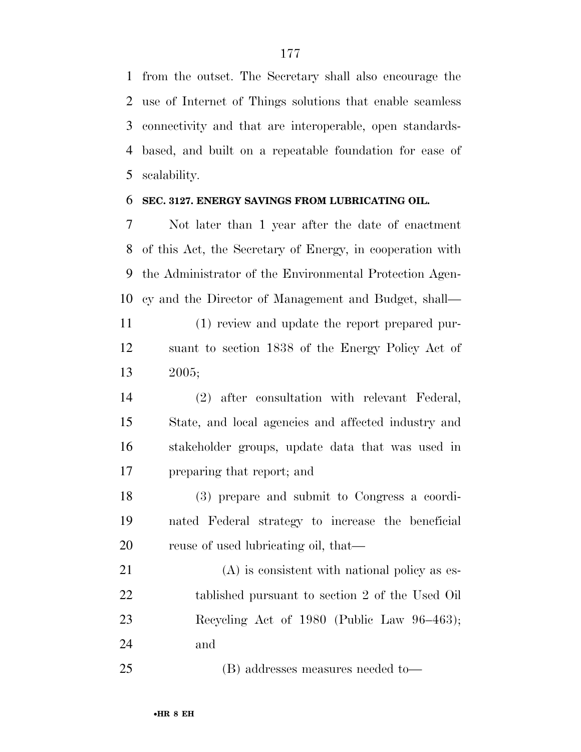from the outset. The Secretary shall also encourage the use of Internet of Things solutions that enable seamless connectivity and that are interoperable, open standards- based, and built on a repeatable foundation for ease of scalability.

## **SEC. 3127. ENERGY SAVINGS FROM LUBRICATING OIL.**

 Not later than 1 year after the date of enactment of this Act, the Secretary of Energy, in cooperation with the Administrator of the Environmental Protection Agen-cy and the Director of Management and Budget, shall—

 (1) review and update the report prepared pur- suant to section 1838 of the Energy Policy Act of 2005;

 (2) after consultation with relevant Federal, State, and local agencies and affected industry and stakeholder groups, update data that was used in preparing that report; and

 (3) prepare and submit to Congress a coordi- nated Federal strategy to increase the beneficial 20 reuse of used lubricating oil, that—

 (A) is consistent with national policy as es- tablished pursuant to section 2 of the Used Oil Recycling Act of 1980 (Public Law 96–463); and

(B) addresses measures needed to—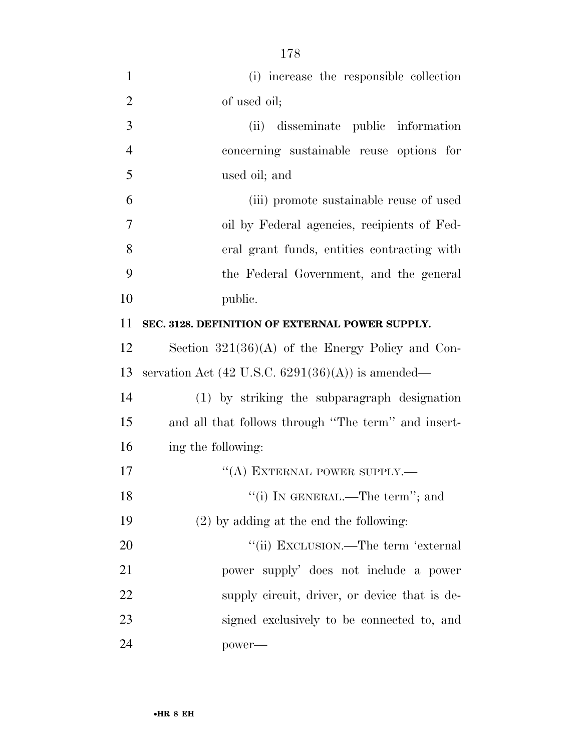| $\mathbf{1}$   | (i) increase the responsible collection                             |
|----------------|---------------------------------------------------------------------|
| $\overline{2}$ | of used oil;                                                        |
| 3              | (ii) disseminate public information                                 |
| $\overline{4}$ | concerning sustainable reuse options for                            |
| 5              | used oil; and                                                       |
| 6              | (iii) promote sustainable reuse of used                             |
| 7              | oil by Federal agencies, recipients of Fed-                         |
| 8              | eral grant funds, entities contracting with                         |
| 9              | the Federal Government, and the general                             |
| 10             | public.                                                             |
| 11             | SEC. 3128. DEFINITION OF EXTERNAL POWER SUPPLY.                     |
| 12             | Section $321(36)(A)$ of the Energy Policy and Con-                  |
| 13             | servation Act $(42 \text{ U.S.C. } 6291(36)(\text{A}))$ is amended— |
| 14             | (1) by striking the subparagraph designation                        |
| 15             | and all that follows through "The term" and insert-                 |
| 16             | ing the following:                                                  |
| 17             | "(A) EXTERNAL POWER SUPPLY.—                                        |
| 18             | "(i) IN GENERAL.—The term"; and                                     |
| 19             | $(2)$ by adding at the end the following:                           |
| 20             | "(ii) EXCLUSION.—The term 'external                                 |
| 21             | power supply' does not include a power                              |
| 22             | supply circuit, driver, or device that is de-                       |
| 23             | signed exclusively to be connected to, and                          |
| 24             | power—                                                              |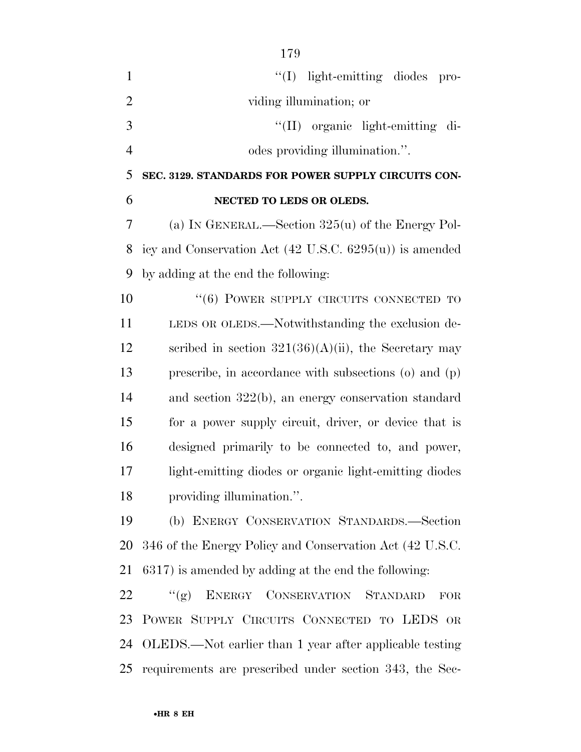| $\mathbf{1}$   | $\lq(1)$ light-emitting diodes pro-                                |
|----------------|--------------------------------------------------------------------|
| $\overline{2}$ | viding illumination; or                                            |
| 3              | "(II) organic light-emitting di-                                   |
| $\overline{4}$ | odes providing illumination.".                                     |
| 5              | SEC. 3129. STANDARDS FOR POWER SUPPLY CIRCUITS CON-                |
| 6              | NECTED TO LEDS OR OLEDS.                                           |
| 7              | (a) IN GENERAL.—Section $325(u)$ of the Energy Pol-                |
| 8              | icy and Conservation Act $(42 \text{ U.S.C. } 6295(u))$ is amended |
| 9              | by adding at the end the following:                                |
| 10             | $``(6)$ POWER SUPPLY CIRCUITS CONNECTED TO                         |
| 11             | LEDS OR OLEDS.—Notwithstanding the exclusion de-                   |
| 12             | scribed in section $321(36)(A)(ii)$ , the Secretary may            |
| 13             | prescribe, in accordance with subsections $(o)$ and $(p)$          |
| 14             | and section $322(b)$ , an energy conservation standard             |
| 15             | for a power supply circuit, driver, or device that is              |
| 16             | designed primarily to be connected to, and power,                  |
| 17             | light-emitting diodes or organic light-emitting diodes             |
| 18             | providing illumination.".                                          |
| 19             | (b) ENERGY CONSERVATION STANDARDS.-Section                         |
| 20             | 346 of the Energy Policy and Conservation Act (42 U.S.C.           |
| 21             | 6317) is amended by adding at the end the following:               |
| 22             | ENERGY CONSERVATION STANDARD<br>``(g)<br>${\rm FOR}$               |
| 23             | POWER SUPPLY CIRCUITS CONNECTED TO LEDS OR                         |
| 24             | OLEDS.—Not earlier than 1 year after applicable testing            |
| 25             | requirements are prescribed under section 343, the Sec-            |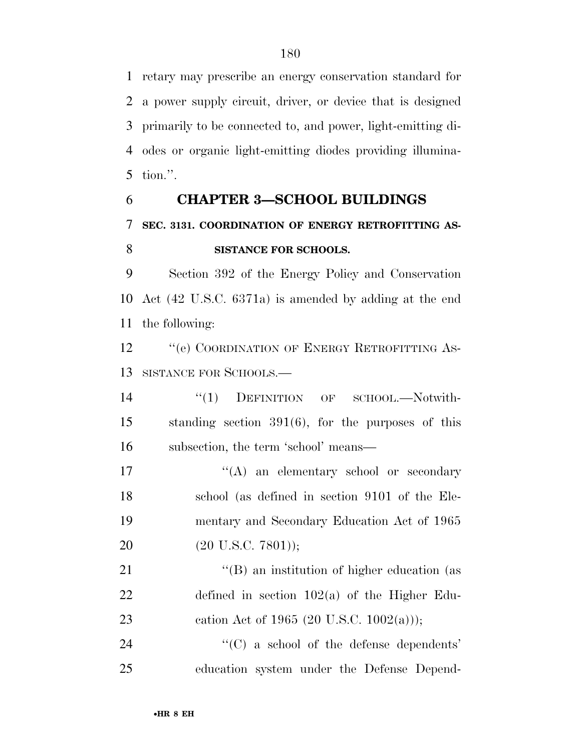retary may prescribe an energy conservation standard for a power supply circuit, driver, or device that is designed primarily to be connected to, and power, light-emitting di- odes or organic light-emitting diodes providing illumina-tion.''.

## **CHAPTER 3—SCHOOL BUILDINGS SEC. 3131. COORDINATION OF ENERGY RETROFITTING AS-SISTANCE FOR SCHOOLS.**

 Section 392 of the Energy Policy and Conservation Act (42 U.S.C. 6371a) is amended by adding at the end the following:

12 "(e) COORDINATION OF ENERGY RETROFITTING AS-SISTANCE FOR SCHOOLS.—

14 "(1) DEFINITION OF SCHOOL.—Notwith- standing section 391(6), for the purposes of this subsection, the term 'school' means—

17 ''(A) an elementary school or secondary school (as defined in section 9101 of the Ele- mentary and Secondary Education Act of 1965 20 (20 U.S.C. 7801));

21 ''(B) an institution of higher education (as defined in section 102(a) of the Higher Edu-23 cation Act of 1965 (20 U.S.C. 1002(a)));

24  $\cdot$  (C) a school of the defense dependents' education system under the Defense Depend-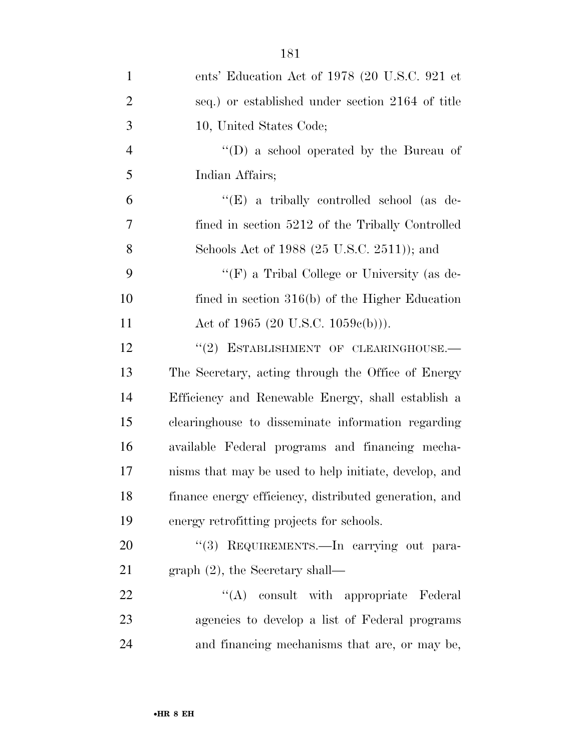| $\mathbf{1}$   | ents' Education Act of 1978 (20 U.S.C. 921 et          |
|----------------|--------------------------------------------------------|
| $\overline{2}$ | seq.) or established under section 2164 of title       |
| 3              | 10, United States Code;                                |
| $\overline{4}$ | "(D) a school operated by the Bureau of                |
| 5              | Indian Affairs;                                        |
| 6              | " $(E)$ a tribally controlled school (as de-           |
| 7              | fined in section 5212 of the Tribally Controlled       |
| 8              | Schools Act of 1988 (25 U.S.C. 2511)); and             |
| 9              | "(F) a Tribal College or University (as de-            |
| 10             | fined in section $316(b)$ of the Higher Education      |
| 11             | Act of 1965 (20 U.S.C. 1059 $e(b)$ )).                 |
| 12             | "(2) ESTABLISHMENT OF CLEARINGHOUSE.-                  |
| 13             | The Secretary, acting through the Office of Energy     |
| 14             | Efficiency and Renewable Energy, shall establish a     |
| 15             | clearinghouse to disseminate information regarding     |
| 16             | available Federal programs and financing mecha-        |
| 17             | nisms that may be used to help initiate, develop, and  |
| 18             | finance energy efficiency, distributed generation, and |
| 19             | energy retrofitting projects for schools.              |
| 20             | "(3) REQUIREMENTS. - In carrying out para-             |
| 21             | graph $(2)$ , the Secretary shall—                     |
| 22             | "(A) consult with appropriate Federal                  |
| 23             | agencies to develop a list of Federal programs         |
| 24             | and financing mechanisms that are, or may be,          |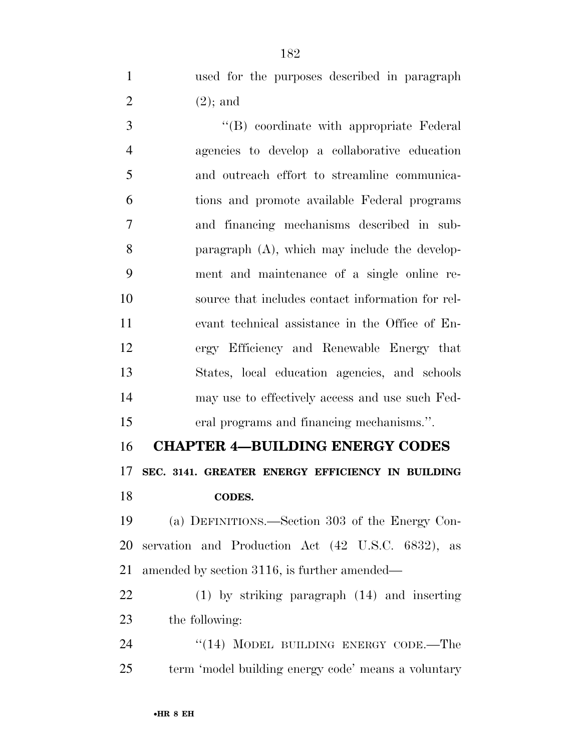used for the purposes described in paragraph 2  $(2)$ ; and

3 ''(B) coordinate with appropriate Federal agencies to develop a collaborative education and outreach effort to streamline communica- tions and promote available Federal programs and financing mechanisms described in sub- paragraph (A), which may include the develop- ment and maintenance of a single online re- source that includes contact information for rel- evant technical assistance in the Office of En- ergy Efficiency and Renewable Energy that States, local education agencies, and schools may use to effectively access and use such Fed-eral programs and financing mechanisms.''.

 **CHAPTER 4—BUILDING ENERGY CODES SEC. 3141. GREATER ENERGY EFFICIENCY IN BUILDING CODES.** 

 (a) DEFINITIONS.—Section 303 of the Energy Con- servation and Production Act (42 U.S.C. 6832), as amended by section 3116, is further amended—

 (1) by striking paragraph (14) and inserting the following:

24 "(14) MODEL BUILDING ENERGY CODE.—The term 'model building energy code' means a voluntary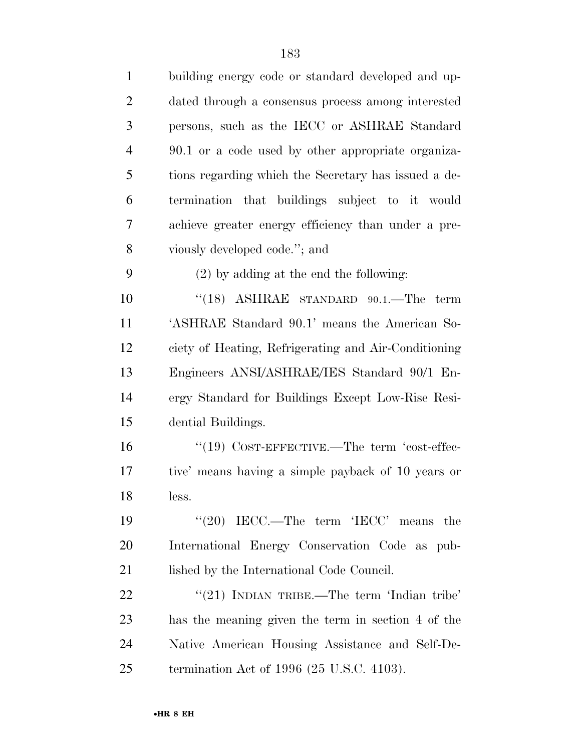| $\mathbf{1}$   | building energy code or standard developed and up-   |
|----------------|------------------------------------------------------|
| $\overline{2}$ | dated through a consensus process among interested   |
| 3              | persons, such as the IECC or ASHRAE Standard         |
| $\overline{4}$ | 90.1 or a code used by other appropriate organiza-   |
| 5              | tions regarding which the Secretary has issued a de- |
| 6              | termination that buildings subject to it would       |
| 7              | achieve greater energy efficiency than under a pre-  |
| 8              | viously developed code."; and                        |
| 9              | $(2)$ by adding at the end the following:            |
| 10             | $(18)$ ASHRAE STANDARD 90.1. The term                |
| 11             | 'ASHRAE Standard 90.1' means the American So-        |
| 12             | ciety of Heating, Refrigerating and Air-Conditioning |
| 13             | Engineers ANSI/ASHRAE/IES Standard 90/1 En-          |
| 14             | ergy Standard for Buildings Except Low-Rise Resi-    |
| 15             | dential Buildings.                                   |
| 16             | $``(19)$ COST-EFFECTIVE.—The term 'cost-effec-       |
| 17             | tive' means having a simple payback of 10 years or   |
| 18             | less.                                                |
| 19             | " $(20)$ IECC.—The term 'IECC' means the             |
| 20             | International Energy Conservation Code as pub-       |
| 21             | lished by the International Code Council.            |
| 22             | "(21) INDIAN TRIBE.—The term 'Indian tribe'          |
| 23             | has the meaning given the term in section 4 of the   |
| 24             | Native American Housing Assistance and Self-De-      |
| 25             | termination Act of $1996$ (25 U.S.C. 4103).          |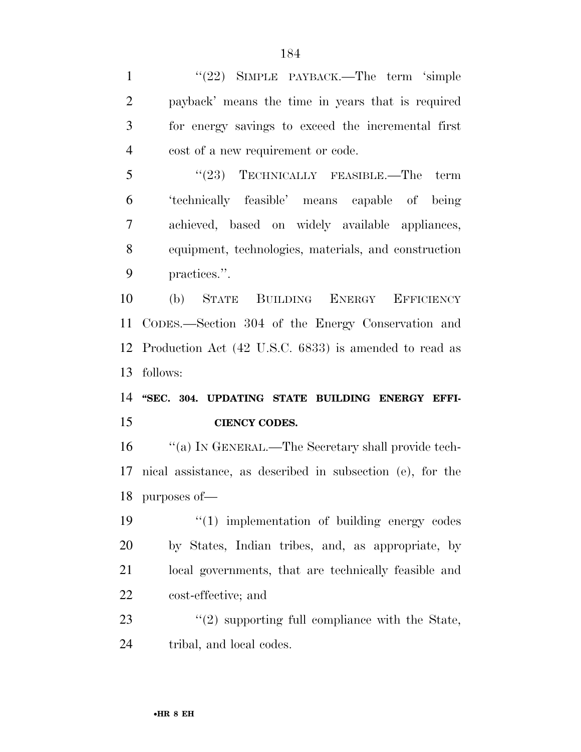1 "(22) SIMPLE PAYBACK.—The term 'simple payback' means the time in years that is required for energy savings to exceed the incremental first cost of a new requirement or code.

5 "(23) TECHNICALLY FEASIBLE.—The term 'technically feasible' means capable of being achieved, based on widely available appliances, equipment, technologies, materials, and construction practices.''.

 (b) STATE BUILDING ENERGY EFFICIENCY CODES.—Section 304 of the Energy Conservation and Production Act (42 U.S.C. 6833) is amended to read as follows:

 **''SEC. 304. UPDATING STATE BUILDING ENERGY EFFI-CIENCY CODES.** 

 ''(a) IN GENERAL.—The Secretary shall provide tech- nical assistance, as described in subsection (e), for the purposes of—

 $\frac{1}{2}$   $\frac{1}{2}$  implementation of building energy codes by States, Indian tribes, and, as appropriate, by local governments, that are technically feasible and cost-effective; and

23 ''(2) supporting full compliance with the State, tribal, and local codes.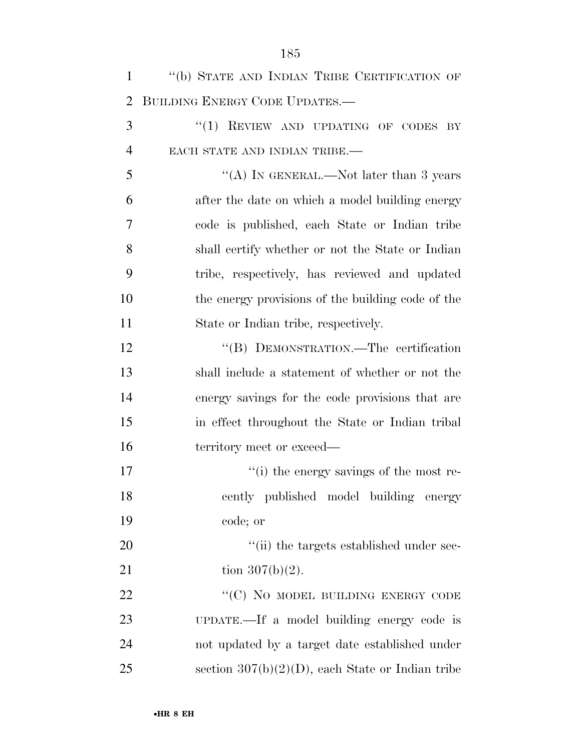| $\mathbf{1}$   | "(b) STATE AND INDIAN TRIBE CERTIFICATION OF        |
|----------------|-----------------------------------------------------|
| $\overline{2}$ | BUILDING ENERGY CODE UPDATES.-                      |
| 3              | "(1) REVIEW AND UPDATING OF CODES BY                |
| $\overline{4}$ | EACH STATE AND INDIAN TRIBE.-                       |
| 5              | "(A) IN GENERAL.—Not later than 3 years             |
| 6              | after the date on which a model building energy     |
| 7              | code is published, each State or Indian tribe       |
| 8              | shall certify whether or not the State or Indian    |
| 9              | tribe, respectively, has reviewed and updated       |
| 10             | the energy provisions of the building code of the   |
| 11             | State or Indian tribe, respectively.                |
| 12             | "(B) DEMONSTRATION.—The certification               |
| 13             | shall include a statement of whether or not the     |
| 14             | energy savings for the code provisions that are     |
| 15             | in effect throughout the State or Indian tribal     |
| 16             | territory meet or exceed—                           |
| 17             | "(i) the energy savings of the most re-             |
| 18             | cently published model building energy              |
| 19             | code; or                                            |
| 20             | "(ii) the targets established under sec-            |
| 21             | tion $307(b)(2)$ .                                  |
| 22             | "(C) NO MODEL BUILDING ENERGY CODE                  |
| 23             | UPDATE.—If a model building energy code is          |
| 24             | not updated by a target date established under      |
| 25             | section $307(b)(2)(D)$ , each State or Indian tribe |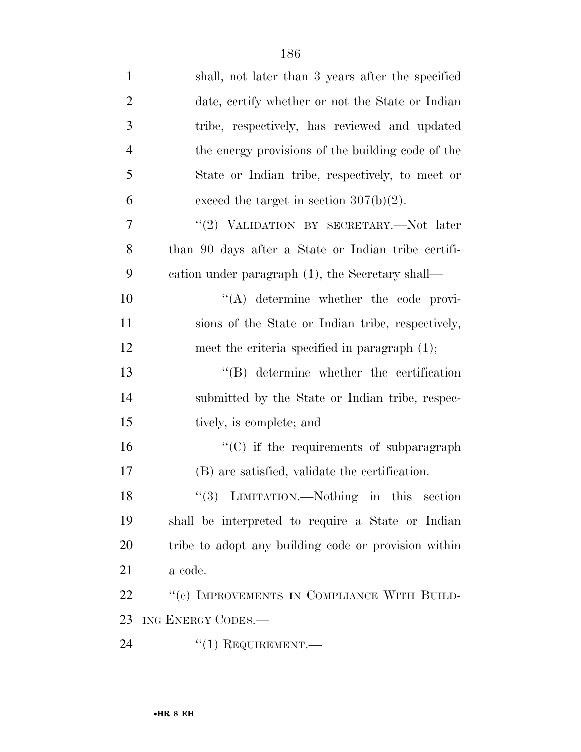| $\mathbf{1}$   | shall, not later than 3 years after the specified    |
|----------------|------------------------------------------------------|
| $\overline{2}$ | date, certify whether or not the State or Indian     |
| 3              | tribe, respectively, has reviewed and updated        |
| $\overline{4}$ | the energy provisions of the building code of the    |
| 5              | State or Indian tribe, respectively, to meet or      |
| 6              | exceed the target in section $307(b)(2)$ .           |
| 7              | "(2) VALIDATION BY SECRETARY.—Not later              |
| 8              | than 90 days after a State or Indian tribe certifi-  |
| 9              | eation under paragraph (1), the Secretary shall—     |
| 10             | $\lq\lq$ determine whether the code provi-           |
| 11             | sions of the State or Indian tribe, respectively,    |
| 12             | meet the criteria specified in paragraph $(1)$ ;     |
| 13             | $\lq\lq$ determine whether the certification         |
| 14             | submitted by the State or Indian tribe, respec-      |
| 15             | tively, is complete; and                             |
| 16             | $\cdot$ (C) if the requirements of subparagraph      |
| 17             | (B) are satisfied, validate the certification.       |
| 18             | "(3) LIMITATION.—Nothing in this section             |
| 19             | shall be interpreted to require a State or Indian    |
| 20             | tribe to adopt any building code or provision within |
| 21             | a code.                                              |
| 22             | "(c) IMPROVEMENTS IN COMPLIANCE WITH BUILD-          |
| 23             | ING ENERGY CODES.-                                   |
| 24             | $``(1)$ REQUIREMENT.—                                |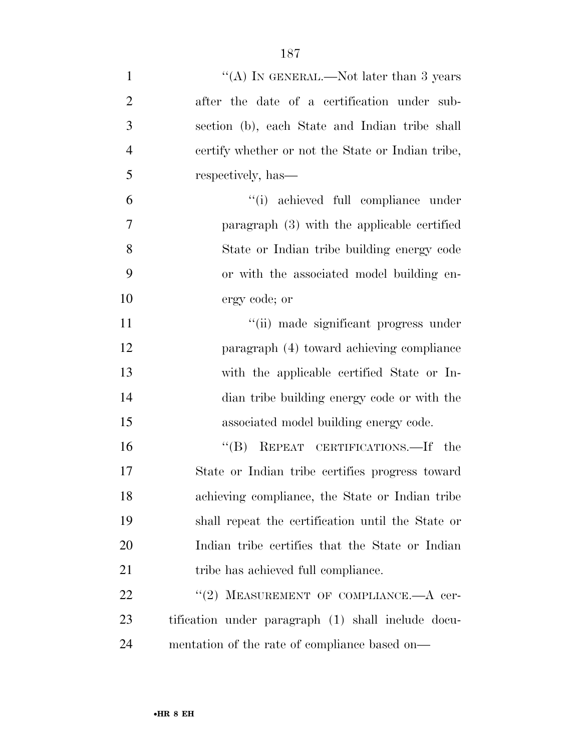| $\mathbf{1}$   | "(A) IN GENERAL.—Not later than 3 years            |
|----------------|----------------------------------------------------|
| $\overline{2}$ | after the date of a certification under sub-       |
| 3              | section (b), each State and Indian tribe shall     |
| $\overline{4}$ | certify whether or not the State or Indian tribe,  |
| 5              | respectively, has—                                 |
| 6              | "(i) achieved full compliance under                |
| $\overline{7}$ | paragraph (3) with the applicable certified        |
| 8              | State or Indian tribe building energy code         |
| 9              | or with the associated model building en-          |
| 10             | ergy code; or                                      |
| 11             | "(ii) made significant progress under              |
| 12             | paragraph (4) toward achieving compliance          |
| 13             | with the applicable certified State or In-         |
| 14             | dian tribe building energy code or with the        |
| 15             | associated model building energy code.             |
| 16             | "(B) REPEAT CERTIFICATIONS.—If the                 |
| 17             | State or Indian tribe certifies progress toward    |
| 18             | achieving compliance, the State or Indian tribe    |
| 19             | shall repeat the certification until the State or  |
| 20             | Indian tribe certifies that the State or Indian    |
| 21             | tribe has achieved full compliance.                |
| 22             | "(2) MEASUREMENT OF COMPLIANCE.— $A$ cer-          |
| 23             | tification under paragraph (1) shall include docu- |
| 24             | mentation of the rate of compliance based on—      |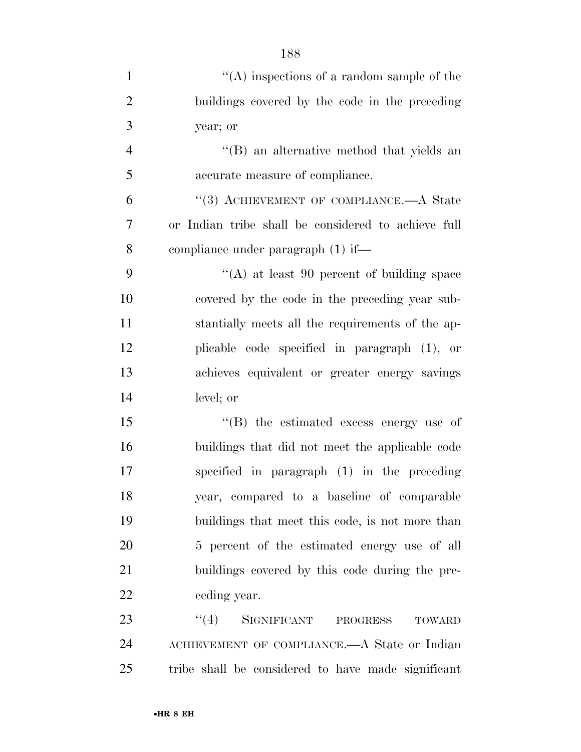| $\mathbf{1}$   | $\lq\lq$ inspections of a random sample of the      |
|----------------|-----------------------------------------------------|
| $\overline{2}$ | buildings covered by the code in the preceding      |
| 3              | year; or                                            |
| $\overline{4}$ | "(B) an alternative method that yields an           |
| 5              | accurate measure of compliance.                     |
| 6              | "(3) ACHIEVEMENT OF COMPLIANCE.—A State             |
| 7              | or Indian tribe shall be considered to achieve full |
| 8              | compliance under paragraph $(1)$ if—                |
| 9              | "(A) at least $90$ percent of building space        |
| 10             | covered by the code in the preceding year sub-      |
| 11             | stantially meets all the requirements of the ap-    |
| 12             | plicable code specified in paragraph (1), or        |
| 13             | achieves equivalent or greater energy savings       |
| 14             | level; or                                           |
| 15             | $\lq\lq$ the estimated excess energy use of         |
| 16             | buildings that did not meet the applicable code     |
| 17             | specified in paragraph $(1)$ in the preceding       |
| 18             | year, compared to a baseline of comparable          |
| 19             | buildings that meet this code, is not more than     |
| 20             | 5 percent of the estimated energy use of all        |
| 21             | buildings covered by this code during the pre-      |
| 22             | ceding year.                                        |
| 23             | "(4) SIGNIFICANT PROGRESS<br><b>TOWARD</b>          |
| 24             | ACHIEVEMENT OF COMPLIANCE.—A State or Indian        |
| 25             | tribe shall be considered to have made significant  |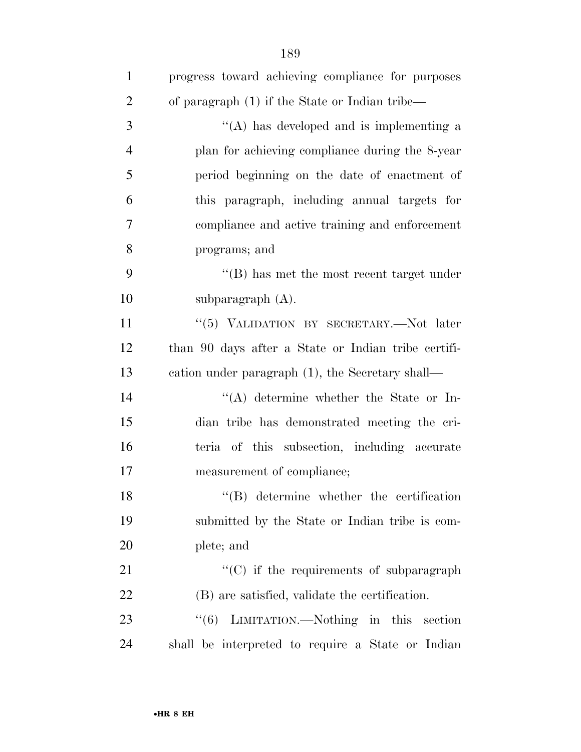| $\mathbf{1}$   | progress toward achieving compliance for purposes   |
|----------------|-----------------------------------------------------|
| $\overline{2}$ | of paragraph (1) if the State or Indian tribe—      |
| 3              | "(A) has developed and is implementing a            |
| $\overline{4}$ | plan for achieving compliance during the 8-year     |
| 5              | period beginning on the date of enactment of        |
| 6              | this paragraph, including annual targets for        |
| 7              | compliance and active training and enforcement      |
| 8              | programs; and                                       |
| 9              | $\lq\lq$ has met the most recent target under       |
| 10             | subparagraph $(A)$ .                                |
| 11             | "(5) VALIDATION BY SECRETARY.—Not later             |
| 12             | than 90 days after a State or Indian tribe certifi- |
| 13             | eation under paragraph (1), the Secretary shall—    |
| 14             | $\lq\lq$ determine whether the State or In-         |
| 15             | dian tribe has demonstrated meeting the cri-        |
| 16             | teria of this subsection, including accurate        |
| 17             | measurement of compliance;                          |
| 18             | $\lq\lq$ determine whether the certification        |
| 19             | submitted by the State or Indian tribe is com-      |
| 20             | plete; and                                          |
| 21             | "(C) if the requirements of subparagraph            |
| 22             | (B) are satisfied, validate the certification.      |
| 23             | "(6) LIMITATION.—Nothing in this section            |
| 24             | shall be interpreted to require a State or Indian   |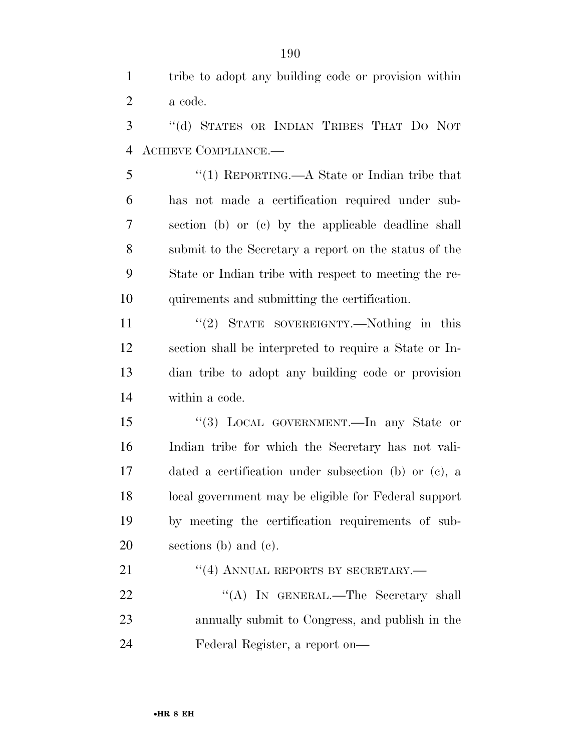tribe to adopt any building code or provision within a code.

 ''(d) STATES OR INDIAN TRIBES THAT DO NOT ACHIEVE COMPLIANCE.—

 ''(1) REPORTING.—A State or Indian tribe that has not made a certification required under sub- section (b) or (c) by the applicable deadline shall submit to the Secretary a report on the status of the State or Indian tribe with respect to meeting the re-quirements and submitting the certification.

11 ''(2) STATE SOVEREIGNTY.—Nothing in this section shall be interpreted to require a State or In- dian tribe to adopt any building code or provision within a code.

 ''(3) LOCAL GOVERNMENT.—In any State or Indian tribe for which the Secretary has not vali- dated a certification under subsection (b) or (c), a local government may be eligible for Federal support by meeting the certification requirements of sub-sections (b) and (c).

21 "(4) ANNUAL REPORTS BY SECRETARY.— 22 "'(A) In GENERAL.—The Secretary shall annually submit to Congress, and publish in the Federal Register, a report on—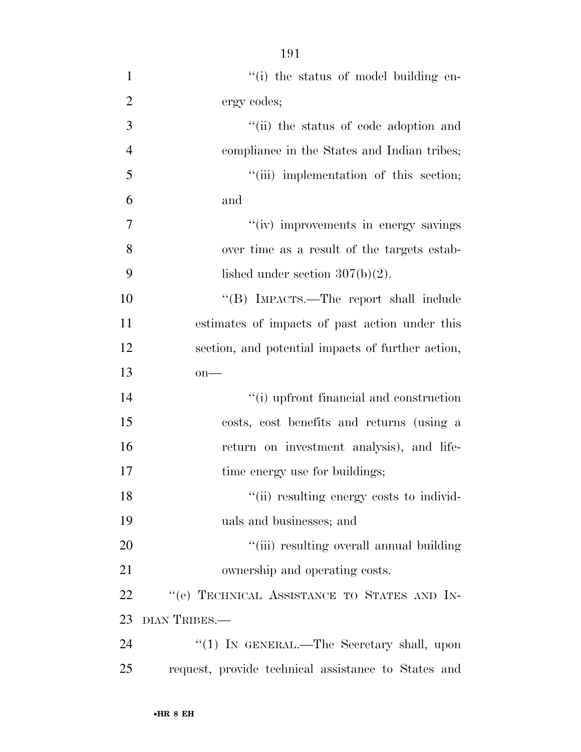- 1  $\frac{1}{1}$  the status of model building en- ergy codes; ''(ii) the status of code adoption and compliance in the States and Indian tribes; 5 "(iii) implementation of this section; and 7  $''(iv)$  improvements in energy savings over time as a result of the targets estab-9 lished under section  $307(b)(2)$ . ''(B) IMPACTS.—The report shall include estimates of impacts of past action under this section, and potential impacts of further action, on— ''(i) upfront financial and construction costs, cost benefits and returns (using a return on investment analysis), and life-17 time energy use for buildings; 18  $\frac{1}{10}$  resulting energy costs to individ- uals and businesses; and 20  $\frac{1}{2}$   $\frac{1}{2}$   $\frac{1}{2}$  resulting overall annual building ownership and operating costs. 22 "'(e) TECHNICAL ASSISTANCE TO STATES AND IN- DIAN TRIBES.— 24 "(1) IN GENERAL.—The Secretary shall, upon
- request, provide technical assistance to States and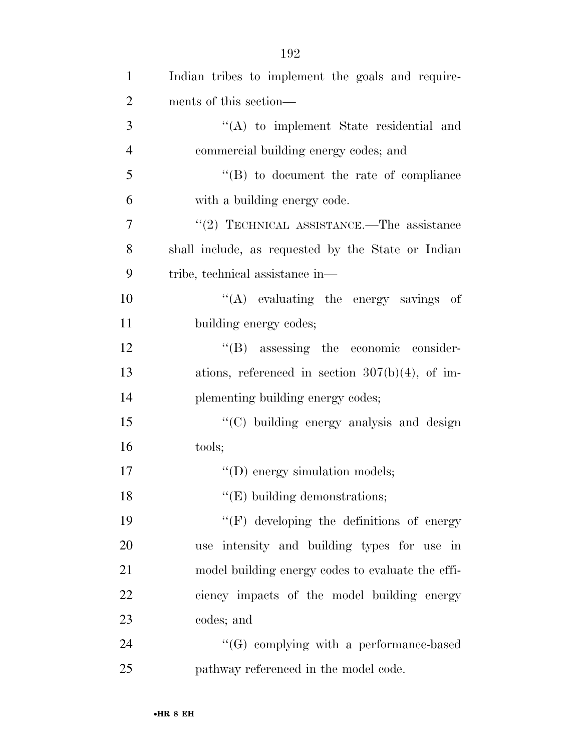| $\mathbf{1}$   | Indian tribes to implement the goals and require-  |
|----------------|----------------------------------------------------|
| $\overline{2}$ | ments of this section—                             |
| 3              | $\lq\lq$ to implement State residential and        |
| $\overline{4}$ | commercial building energy codes; and              |
| 5              | $\lq\lq (B)$ to document the rate of compliance    |
| 6              | with a building energy code.                       |
| 7              | "(2) TECHNICAL ASSISTANCE.—The assistance          |
| 8              | shall include, as requested by the State or Indian |
| 9              | tribe, technical assistance in—                    |
| 10             | "(A) evaluating the energy savings of              |
| 11             | building energy codes;                             |
| 12             | $\lq\lq(B)$ assessing the economic consider-       |
| 13             | ations, referenced in section $307(b)(4)$ , of im- |
| 14             | plementing building energy codes;                  |
| 15             | "(C) building energy analysis and design           |
| 16             | tools;                                             |
| 17             | $\lq\lq$ (D) energy simulation models;             |
| 18             | $"$ (E) building demonstrations;                   |
| 19             | $\lq\lq(F)$ developing the definitions of energy   |
| 20             | use intensity and building types for use in        |
| 21             | model building energy codes to evaluate the effi-  |
| 22             | ciency impacts of the model building energy        |
| 23             | codes; and                                         |
| 24             | $\lq\lq(G)$ complying with a performance-based     |
| 25             | pathway referenced in the model code.              |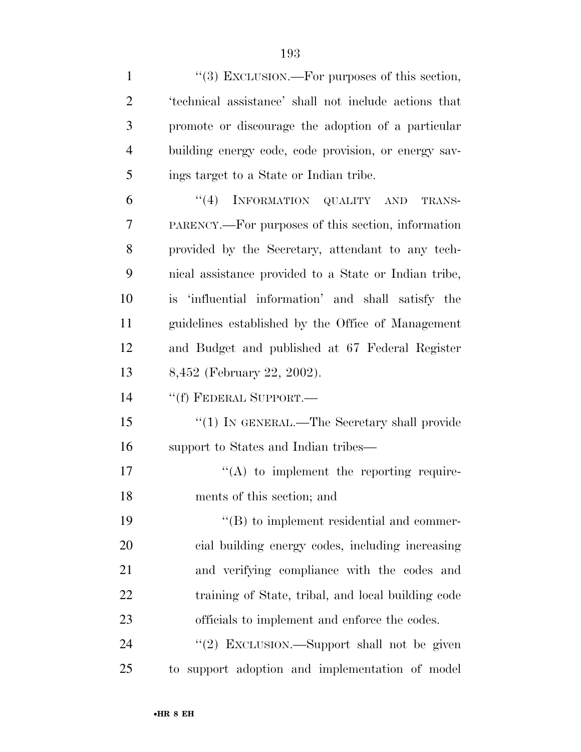1 ''(3) EXCLUSION.—For purposes of this section, 'technical assistance' shall not include actions that promote or discourage the adoption of a particular building energy code, code provision, or energy sav- ings target to a State or Indian tribe. 6 "(4) INFORMATION QUALITY AND TRANS- PARENCY.—For purposes of this section, information provided by the Secretary, attendant to any tech- nical assistance provided to a State or Indian tribe, is 'influential information' and shall satisfy the guidelines established by the Office of Management and Budget and published at 67 Federal Register 8,452 (February 22, 2002). ''(f) FEDERAL SUPPORT.— 15 "(1) IN GENERAL.—The Secretary shall provide support to States and Indian tribes—  $\langle (A)$  to implement the reporting require- ments of this section; and  $\langle$  (B) to implement residential and commer- cial building energy codes, including increasing and verifying compliance with the codes and training of State, tribal, and local building code officials to implement and enforce the codes. 24 "(2) EXCLUSION.—Support shall not be given to support adoption and implementation of model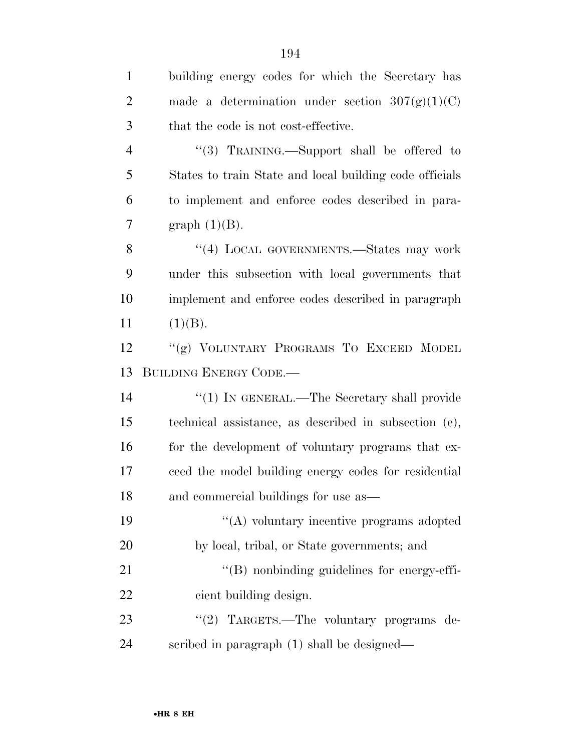| $\mathbf{1}$   | building energy codes for which the Secretary has       |
|----------------|---------------------------------------------------------|
| $\overline{2}$ | made a determination under section $307(g)(1)(C)$       |
| 3              | that the code is not cost-effective.                    |
| $\overline{4}$ | "(3) TRAINING.—Support shall be offered to              |
| 5              | States to train State and local building code officials |
| 6              | to implement and enforce codes described in para-       |
| $\tau$         | graph $(1)(B)$ .                                        |
| 8              | "(4) LOCAL GOVERNMENTS.—States may work                 |
| 9              | under this subsection with local governments that       |
| 10             | implement and enforce codes described in paragraph      |
| 11             | (1)(B).                                                 |
| 12             | "(g) VOLUNTARY PROGRAMS TO EXCEED MODEL                 |
|                |                                                         |
| 13             | <b>BUILDING ENERGY CODE.—</b>                           |
| 14             | " $(1)$ In GENERAL.—The Secretary shall provide         |
| 15             | technical assistance, as described in subsection (e),   |
| 16             | for the development of voluntary programs that ex-      |
| 17             | ceed the model building energy codes for residential    |
| 18             | and commercial buildings for use as-                    |
| 19             | "(A) voluntary incentive programs adopted               |
| 20             | by local, tribal, or State governments; and             |
| 21             | $\lq\lq (B)$ nonbinding guidelines for energy-effi-     |
| 22             | cient building design.                                  |
| 23             | "(2) TARGETS.—The voluntary programs de-                |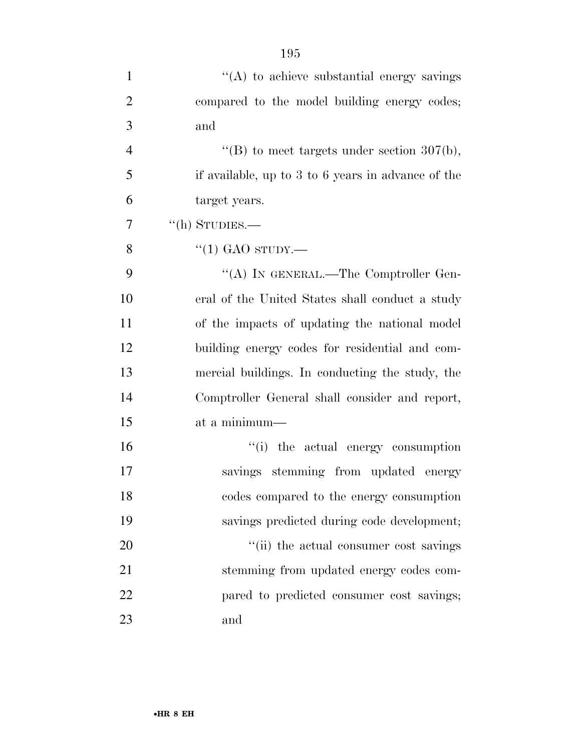| $\mathbf{1}$   | "(A) to achieve substantial energy savings         |
|----------------|----------------------------------------------------|
| $\overline{2}$ | compared to the model building energy codes;       |
| 3              | and                                                |
| $\overline{4}$ | "(B) to meet targets under section $307(b)$ ,      |
| 5              | if available, up to 3 to 6 years in advance of the |
| 6              | target years.                                      |
| 7              | $\lq\lq$ (h) STUDIES.—                             |
| 8              | $\cdot$ (1) GAO sTUDY.—                            |
| 9              | "(A) IN GENERAL.—The Comptroller Gen-              |
| 10             | eral of the United States shall conduct a study    |
| 11             | of the impacts of updating the national model      |
| 12             | building energy codes for residential and com-     |
| 13             | mercial buildings. In conducting the study, the    |
| 14             | Comptroller General shall consider and report,     |
| 15             | at a minimum-                                      |
| 16             | "(i) the actual energy consumption                 |
| 17             | savings stemming from updated energy               |
| 18             | codes compared to the energy consumption           |
| 19             | savings predicted during code development;         |
| 20             | "(ii) the actual consumer cost savings             |
| 21             | stemming from updated energy codes com-            |
| 22             | pared to predicted consumer cost savings;          |
| 23             | and                                                |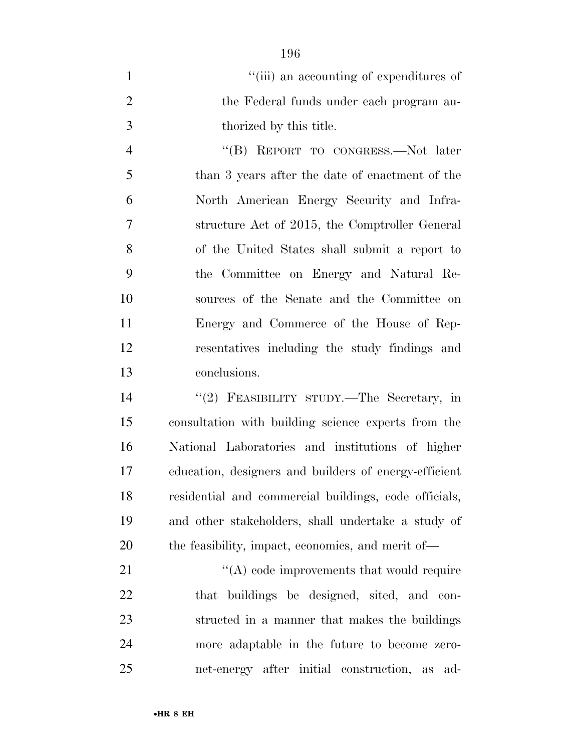| "(iii) an accounting of expenditures of  |
|------------------------------------------|
| the Federal funds under each program au- |
| thorized by this title.                  |

4 "(B) REPORT TO CONGRESS.—Not later than 3 years after the date of enactment of the North American Energy Security and Infra- structure Act of 2015, the Comptroller General of the United States shall submit a report to the Committee on Energy and Natural Re- sources of the Senate and the Committee on Energy and Commerce of the House of Rep- resentatives including the study findings and conclusions.

 ''(2) FEASIBILITY STUDY.—The Secretary, in consultation with building science experts from the National Laboratories and institutions of higher education, designers and builders of energy-efficient residential and commercial buildings, code officials, and other stakeholders, shall undertake a study of the feasibility, impact, economics, and merit of—

21 ''(A) code improvements that would require that buildings be designed, sited, and con- structed in a manner that makes the buildings more adaptable in the future to become zero-net-energy after initial construction, as ad-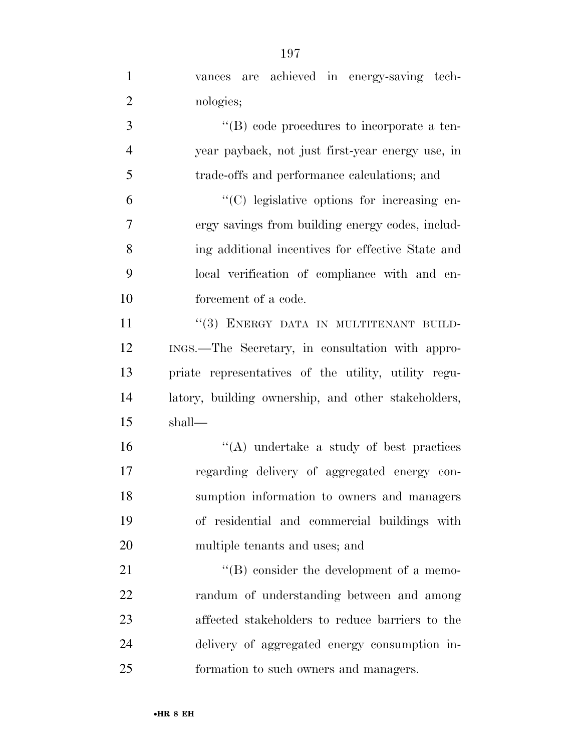| $\mathbf{1}$   | vances are achieved in energy-saving tech-           |
|----------------|------------------------------------------------------|
| $\overline{2}$ | nologies;                                            |
| 3              | "(B) code procedures to incorporate a ten-           |
| $\overline{4}$ | year payback, not just first-year energy use, in     |
| 5              | trade-offs and performance calculations; and         |
| 6              | "(C) legislative options for increasing en-          |
| 7              | ergy savings from building energy codes, includ-     |
| 8              | ing additional incentives for effective State and    |
| 9              | local verification of compliance with and en-        |
| 10             | forcement of a code.                                 |
| 11             | "(3) ENERGY DATA IN MULTITENANT BUILD-               |
| 12             | INGS.—The Secretary, in consultation with appro-     |
| 13             | priate representatives of the utility, utility regu- |
| 14             | latory, building ownership, and other stakeholders,  |
| 15             | shall—                                               |
| 16             | $\lq\lq$ undertake a study of best practices         |
| 17             | regarding delivery of aggregated energy con-         |
| 18             | sumption information to owners and managers          |
| 19             | of residential and commercial buildings with         |
| 20             | multiple tenants and uses; and                       |
| 21             | $\lq\lq (B)$ consider the development of a memo-     |
| 22             | randum of understanding between and among            |
| 23             | affected stakeholders to reduce barriers to the      |
| 24             | delivery of aggregated energy consumption in-        |
| 25             | formation to such owners and managers.               |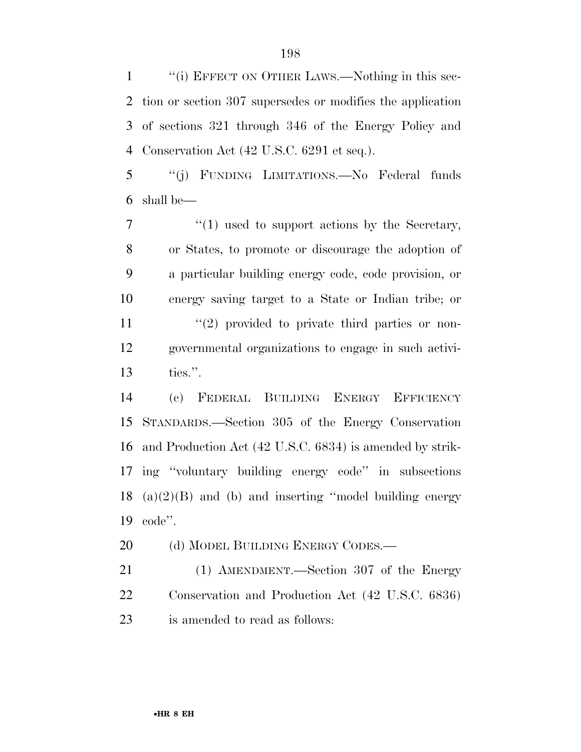1 "(i) EFFECT ON OTHER LAWS.—Nothing in this sec- tion or section 307 supersedes or modifies the application of sections 321 through 346 of the Energy Policy and Conservation Act (42 U.S.C. 6291 et seq.).

 ''(j) FUNDING LIMITATIONS.—No Federal funds shall be—

 $\frac{1}{1}$  used to support actions by the Secretary, or States, to promote or discourage the adoption of a particular building energy code, code provision, or energy saving target to a State or Indian tribe; or  $\frac{1}{2}$  provided to private third parties or non- governmental organizations to engage in such activi-ties.''.

 (c) FEDERAL BUILDING ENERGY EFFICIENCY STANDARDS.—Section 305 of the Energy Conservation and Production Act (42 U.S.C. 6834) is amended by strik- ing ''voluntary building energy code'' in subsections  $(a)(2)(B)$  and (b) and inserting "model building energy code''.

20 (d) MODEL BUILDING ENERGY CODES.—

 (1) AMENDMENT.—Section 307 of the Energy Conservation and Production Act (42 U.S.C. 6836) is amended to read as follows: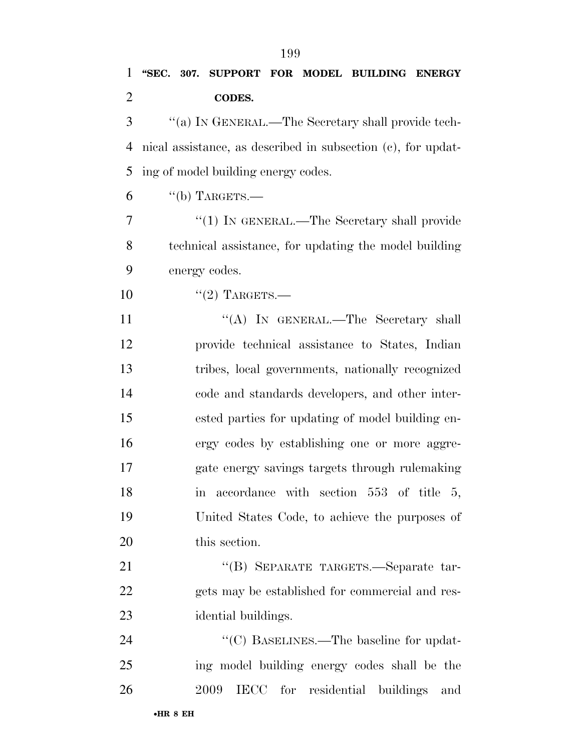## **''SEC. 307. SUPPORT FOR MODEL BUILDING ENERGY CODES.**

 ''(a) IN GENERAL.—The Secretary shall provide tech- nical assistance, as described in subsection (c), for updat-ing of model building energy codes.

"(b) TARGETS.—

7 "(1) IN GENERAL.—The Secretary shall provide technical assistance, for updating the model building energy codes.

 $(2)$  TARGETS.—

11 ""(A) In GENERAL.—The Secretary shall provide technical assistance to States, Indian tribes, local governments, nationally recognized code and standards developers, and other inter- ested parties for updating of model building en- ergy codes by establishing one or more aggre- gate energy savings targets through rulemaking 18 in accordance with section 553 of title 5, United States Code, to achieve the purposes of this section.

 ''(B) SEPARATE TARGETS.—Separate tar- gets may be established for commercial and res-idential buildings.

24  $\text{``(C) BASELINES.}$  The baseline for updat- ing model building energy codes shall be the 2009 IECC for residential buildings and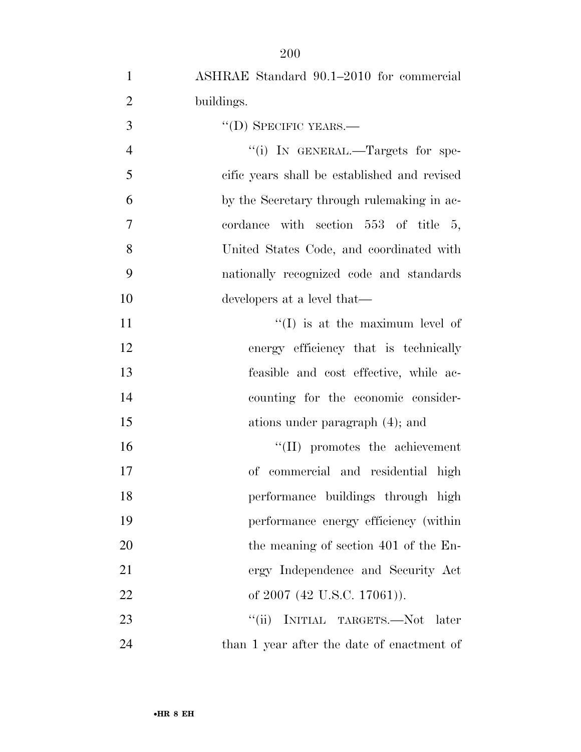| $\mathbf{1}$   | ASHRAE Standard 90.1–2010 for commercial     |
|----------------|----------------------------------------------|
| $\overline{2}$ | buildings.                                   |
| 3              | $\lq\lq$ (D) SPECIFIC YEARS.—                |
| $\overline{4}$ | "(i) IN GENERAL.—Targets for spe-            |
| 5              | cific years shall be established and revised |
| 6              | by the Secretary through rule making in ac-  |
| 7              | cordance with section 553 of title 5,        |
| 8              | United States Code, and coordinated with     |
| 9              | nationally recognized code and standards     |
| 10             | developers at a level that—                  |
| 11             | $\lq\lq$ (I) is at the maximum level of      |
| 12             | energy efficiency that is technically        |
| 13             | feasible and cost effective, while ac-       |
| 14             | counting for the economic consider-          |
| 15             | ations under paragraph (4); and              |
| 16             | $\lq\lq$ (II) promotes the achievement       |
| 17             | of commercial and residential high           |
| 18             | performance buildings through high           |
| 19             | performance energy efficiency (within        |
| 20             | the meaning of section 401 of the En-        |
| 21             | ergy Independence and Security Act           |
| 22             | of 2007 (42 U.S.C. 17061)).                  |
| 23             | "(ii) INITIAL TARGETS.—Not later             |
| 24             | than 1 year after the date of enactment of   |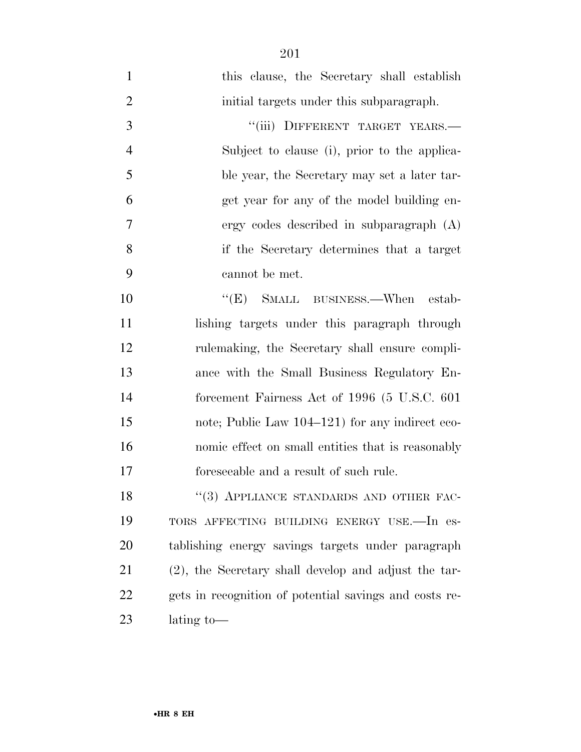this clause, the Secretary shall establish initial targets under this subparagraph. 3 "(iii) DIFFERENT TARGET YEARS.— Subject to clause (i), prior to the applica- ble year, the Secretary may set a later tar- get year for any of the model building en- ergy codes described in subparagraph (A) if the Secretary determines that a target cannot be met.

10 "(E) SMALL BUSINESS.—When estab- lishing targets under this paragraph through rulemaking, the Secretary shall ensure compli- ance with the Small Business Regulatory En- forcement Fairness Act of 1996 (5 U.S.C. 601 note; Public Law 104–121) for any indirect eco- nomic effect on small entities that is reasonably foreseeable and a result of such rule.

18 "(3) APPLIANCE STANDARDS AND OTHER FAC- TORS AFFECTING BUILDING ENERGY USE.—In es- tablishing energy savings targets under paragraph (2), the Secretary shall develop and adjust the tar- gets in recognition of potential savings and costs re-lating to—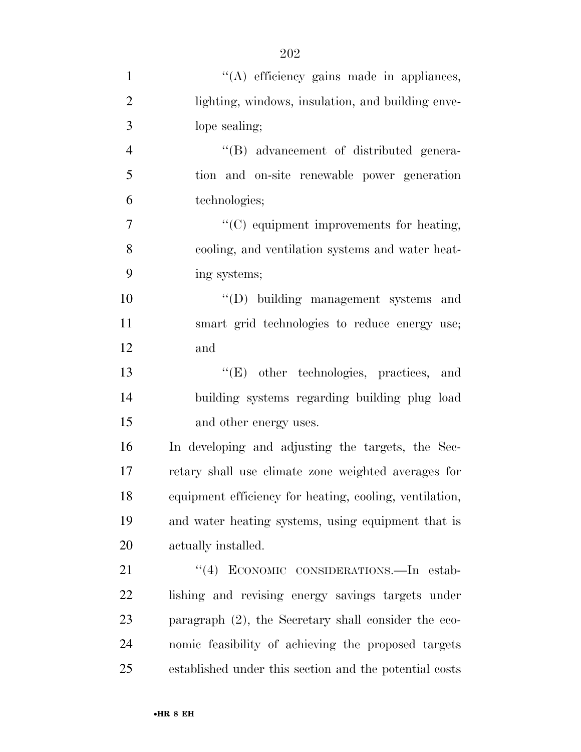| $\mathbf{1}$   | "(A) efficiency gains made in appliances,               |
|----------------|---------------------------------------------------------|
| $\overline{2}$ | lighting, windows, insulation, and building enve-       |
| 3              | lope sealing;                                           |
| $\overline{4}$ | "(B) advancement of distributed genera-                 |
| 5              | tion and on-site renewable power generation             |
| 6              | technologies;                                           |
| $\tau$         | "(C) equipment improvements for heating,                |
| 8              | cooling, and ventilation systems and water heat-        |
| 9              | ing systems;                                            |
| 10             | "(D) building management systems and                    |
| 11             | smart grid technologies to reduce energy use;           |
| 12             | and                                                     |
| 13             | "(E) other technologies, practices, and                 |
| 14             | building systems regarding building plug load           |
| 15             | and other energy uses.                                  |
| 16             | In developing and adjusting the targets, the Sec-       |
| 17             | retary shall use climate zone weighted averages for     |
| 18             | equipment efficiency for heating, cooling, ventilation, |
| 19             | and water heating systems, using equipment that is      |
| 20             | actually installed.                                     |
| 21             | ECONOMIC CONSIDERATIONS.-In estab-<br>(4)               |
| 22             | lishing and revising energy savings targets under       |
| 23             | paragraph $(2)$ , the Secretary shall consider the eco- |
| 24             | nomic feasibility of achieving the proposed targets     |
| 25             | established under this section and the potential costs  |
|                |                                                         |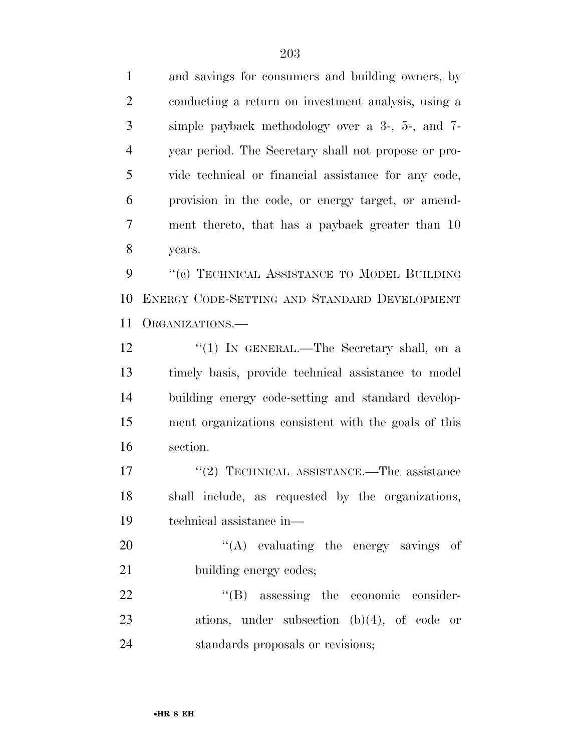and savings for consumers and building owners, by conducting a return on investment analysis, using a simple payback methodology over a 3-, 5-, and 7- year period. The Secretary shall not propose or pro- vide technical or financial assistance for any code, provision in the code, or energy target, or amend- ment thereto, that has a payback greater than 10 years.

9 "(c) TECHNICAL ASSISTANCE TO MODEL BUILDING ENERGY CODE-SETTING AND STANDARD DEVELOPMENT ORGANIZATIONS.—

12 "(1) IN GENERAL.—The Secretary shall, on a timely basis, provide technical assistance to model building energy code-setting and standard develop- ment organizations consistent with the goals of this section.

17 ''(2) TECHNICAL ASSISTANCE.—The assistance shall include, as requested by the organizations, technical assistance in—

20  $\langle (A) \rangle$  evaluating the energy savings of 21 building energy codes;

22  $\text{``(B)}$  assessing the economic consider- ations, under subsection (b)(4), of code or standards proposals or revisions;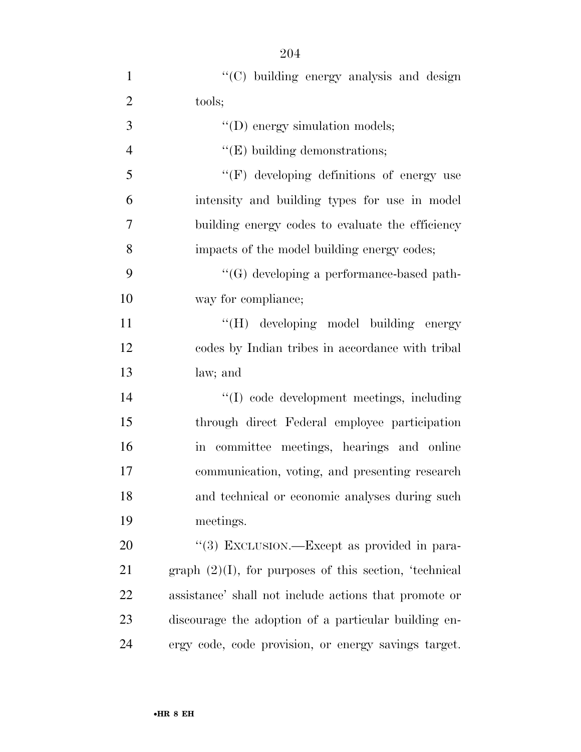| $\mathbf{1}$   | "(C) building energy analysis and design                  |
|----------------|-----------------------------------------------------------|
| $\overline{2}$ | tools;                                                    |
| 3              | $\lq\lq$ (D) energy simulation models;                    |
| $\overline{4}$ | $\lq\lq$ (E) building demonstrations;                     |
| 5              | "(F) developing definitions of energy use                 |
| 6              | intensity and building types for use in model             |
| 7              | building energy codes to evaluate the efficiency          |
| 8              | impacts of the model building energy codes;               |
| 9              | $\lq\lq(G)$ developing a performance-based path-          |
| 10             | way for compliance;                                       |
| 11             | "(H) developing model building energy                     |
| 12             | codes by Indian tribes in accordance with tribal          |
| 13             | law; and                                                  |
| 14             | "(I) code development meetings, including                 |
| 15             | through direct Federal employee participation             |
| 16             | in committee meetings, hearings and online                |
| 17             | communication, voting, and presenting research            |
| 18             | and technical or economic analyses during such            |
| 19             | meetings.                                                 |
| 20             | "(3) EXCLUSION.—Except as provided in para-               |
| 21             | graph $(2)(I)$ , for purposes of this section, 'technical |
| 22             | assistance' shall not include actions that promote or     |
| 23             | discourage the adoption of a particular building en-      |
| 24             | ergy code, code provision, or energy savings target.      |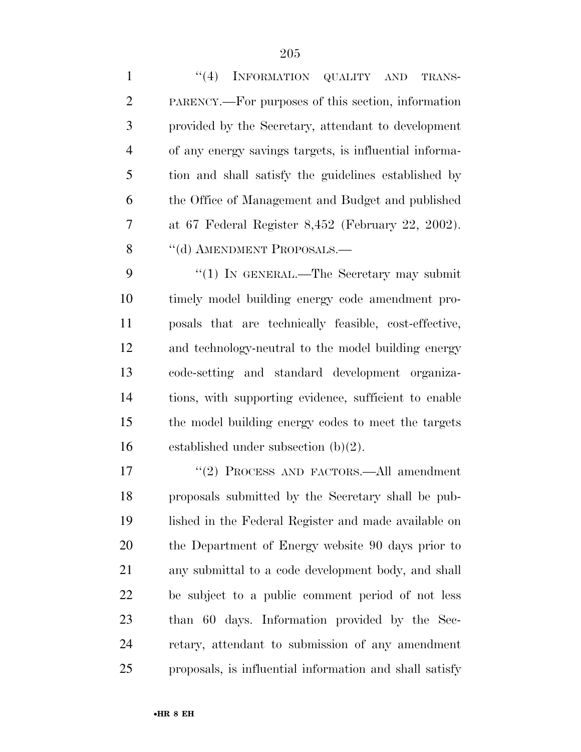| $\mathbf{1}$   | (4)<br>INFORMATION QUALITY AND<br>TRANS-               |
|----------------|--------------------------------------------------------|
| $\overline{2}$ | PARENCY.—For purposes of this section, information     |
| 3              | provided by the Secretary, attendant to development    |
| $\overline{4}$ | of any energy savings targets, is influential informa- |
| 5              | tion and shall satisfy the guidelines established by   |
| 6              | the Office of Management and Budget and published      |
| 7              | at 67 Federal Register 8,452 (February 22, 2002).      |
| 8              | "(d) AMENDMENT PROPOSALS.—                             |
| 9              | "(1) IN GENERAL.—The Secretary may submit              |
| 10             | timely model building energy code amendment pro-       |
| 11             | posals that are technically feasible, cost-effective,  |
| 12             | and technology-neutral to the model building energy    |
| 13             | code-setting and standard development organiza-        |
| 14             | tions, with supporting evidence, sufficient to enable  |
| 15             | the model building energy codes to meet the targets    |
| 16             | established under subsection $(b)(2)$ .                |
| 17             | "(2) PROCESS AND FACTORS.—All amendment                |
| 18             | proposals submitted by the Secretary shall be pub-     |
| 19             | lished in the Federal Register and made available on   |
| 20             | the Department of Energy website 90 days prior to      |
| 21             | any submittal to a code development body, and shall    |

 any submittal to a code development body, and shall be subject to a public comment period of not less than 60 days. Information provided by the Sec- retary, attendant to submission of any amendment proposals, is influential information and shall satisfy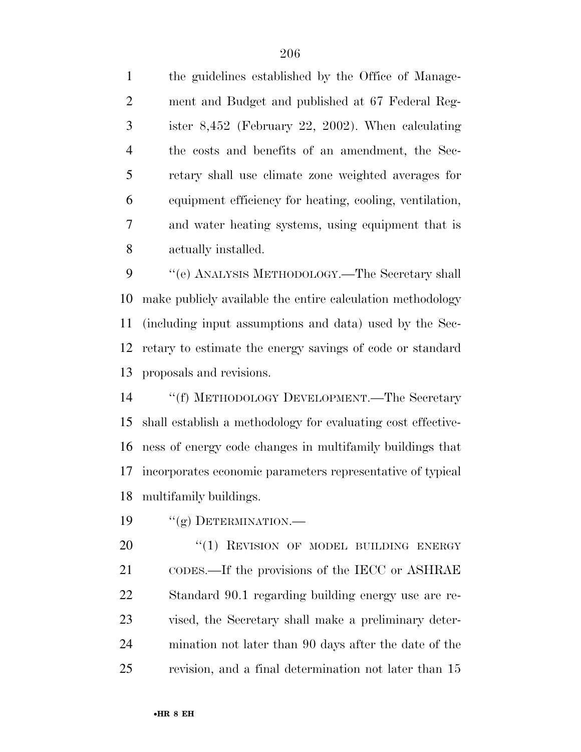the guidelines established by the Office of Manage- ment and Budget and published at 67 Federal Reg- ister 8,452 (February 22, 2002). When calculating the costs and benefits of an amendment, the Sec- retary shall use climate zone weighted averages for equipment efficiency for heating, cooling, ventilation, and water heating systems, using equipment that is actually installed.

9 "(e) ANALYSIS METHODOLOGY.—The Secretary shall make publicly available the entire calculation methodology (including input assumptions and data) used by the Sec- retary to estimate the energy savings of code or standard proposals and revisions.

 ''(f) METHODOLOGY DEVELOPMENT.—The Secretary shall establish a methodology for evaluating cost effective- ness of energy code changes in multifamily buildings that incorporates economic parameters representative of typical multifamily buildings.

19 "(g) DETERMINATION.—

20 "(1) REVISION OF MODEL BUILDING ENERGY CODES.—If the provisions of the IECC or ASHRAE Standard 90.1 regarding building energy use are re- vised, the Secretary shall make a preliminary deter- mination not later than 90 days after the date of the revision, and a final determination not later than 15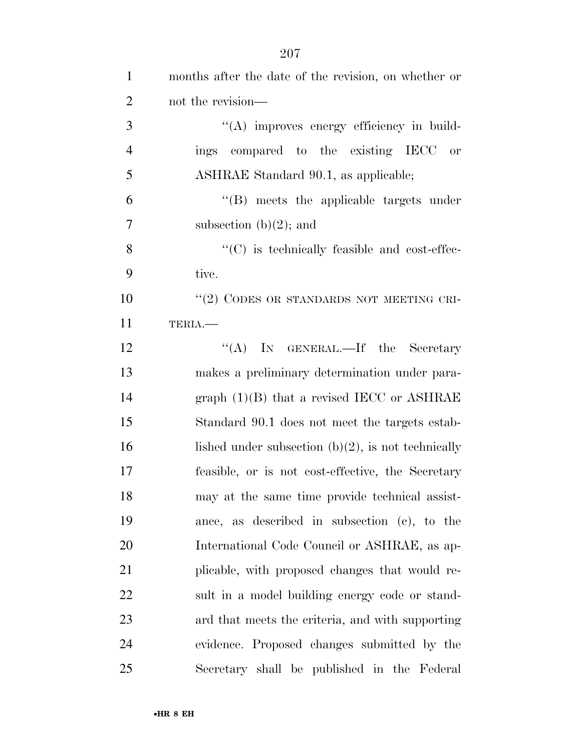| $\mathbf{1}$   | months after the date of the revision, on whether or  |
|----------------|-------------------------------------------------------|
| $\overline{2}$ | not the revision—                                     |
| 3              | "(A) improves energy efficiency in build-             |
| $\overline{4}$ | ings compared to the existing IECC<br>or              |
| 5              | ASHRAE Standard 90.1, as applicable;                  |
| 6              | "(B) meets the applicable targets under               |
| $\tau$         | subsection $(b)(2)$ ; and                             |
| 8              | $\cdot$ (C) is technically feasible and cost-effec-   |
| 9              | tive.                                                 |
| 10             | "(2) CODES OR STANDARDS NOT MEETING CRI-              |
| 11             | TERIA.                                                |
| 12             | "(A) IN GENERAL.—If the Secretary                     |
| 13             | makes a preliminary determination under para-         |
| 14             | graph $(1)(B)$ that a revised IECC or ASHRAE          |
| 15             | Standard 90.1 does not meet the targets estab-        |
| 16             | lished under subsection $(b)(2)$ , is not technically |
| 17             | feasible, or is not cost-effective, the Secretary     |
| 18             | may at the same time provide technical assist-        |
| 19             | ance, as described in subsection (c), to the          |
| 20             | International Code Council or ASHRAE, as ap-          |
| 21             | plicable, with proposed changes that would re-        |
| 22             | sult in a model building energy code or stand-        |
| 23             | ard that meets the criteria, and with supporting      |
| 24             | evidence. Proposed changes submitted by the           |
| 25             | Secretary shall be published in the Federal           |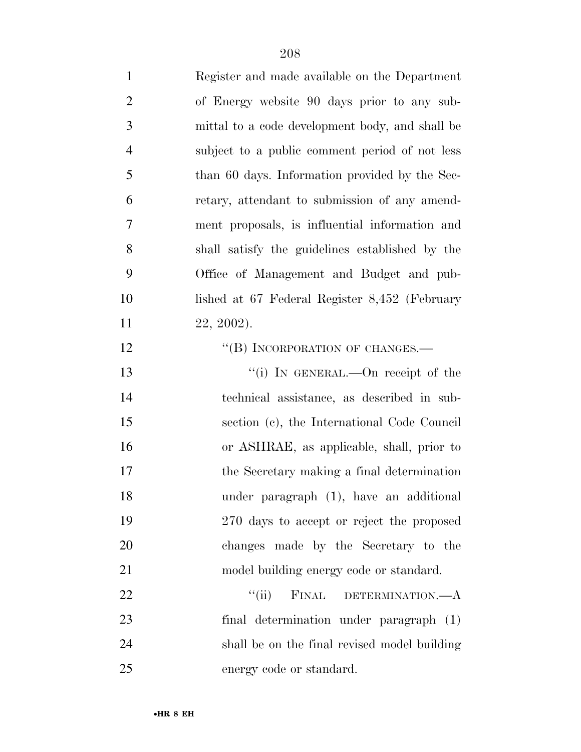| $\mathbf{1}$   | Register and made available on the Department   |
|----------------|-------------------------------------------------|
| $\overline{2}$ | of Energy website 90 days prior to any sub-     |
| 3              | mittal to a code development body, and shall be |
| $\overline{4}$ | subject to a public comment period of not less  |
| 5              | than 60 days. Information provided by the Sec-  |
| 6              | retary, attendant to submission of any amend-   |
| $\overline{7}$ | ment proposals, is influential information and  |
| 8              | shall satisfy the guidelines established by the |
| 9              | Office of Management and Budget and pub-        |
| 10             | lished at 67 Federal Register 8,452 (February   |
| 11             | 22, 2002).                                      |
| 12             | "(B) INCORPORATION OF CHANGES.—                 |
| 13             | "(i) IN GENERAL.—On receipt of the              |
| 14             | technical assistance, as described in sub-      |
| 15             | section (c), the International Code Council     |
| 16             | or ASHRAE, as applicable, shall, prior to       |
| 17             | the Secretary making a final determination      |
| 18             | under paragraph (1), have an additional         |
| 19             | 270 days to accept or reject the proposed       |
| 20             | changes made by the Secretary to the            |
| 21             | model building energy code or standard.         |
| 22             | FINAL<br>``(ii)<br>DETERMINATION.—A             |
| 23             | final determination under paragraph (1)         |
| 24             | shall be on the final revised model building    |
| 25             | energy code or standard.                        |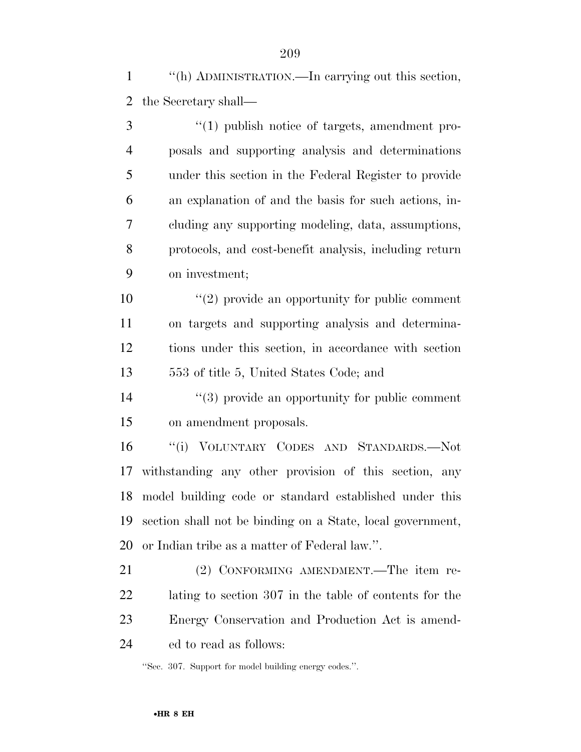''(h) ADMINISTRATION.—In carrying out this section, the Secretary shall—

3 (1) publish notice of targets, amendment pro- posals and supporting analysis and determinations under this section in the Federal Register to provide an explanation of and the basis for such actions, in- cluding any supporting modeling, data, assumptions, protocols, and cost-benefit analysis, including return on investment;

 ''(2) provide an opportunity for public comment on targets and supporting analysis and determina- tions under this section, in accordance with section 553 of title 5, United States Code; and

 ''(3) provide an opportunity for public comment on amendment proposals.

 ''(i) VOLUNTARY CODES AND STANDARDS.—Not withstanding any other provision of this section, any model building code or standard established under this section shall not be binding on a State, local government, or Indian tribe as a matter of Federal law.''.

 (2) CONFORMING AMENDMENT.—The item re- lating to section 307 in the table of contents for the Energy Conservation and Production Act is amend-ed to read as follows:

''Sec. 307. Support for model building energy codes.''.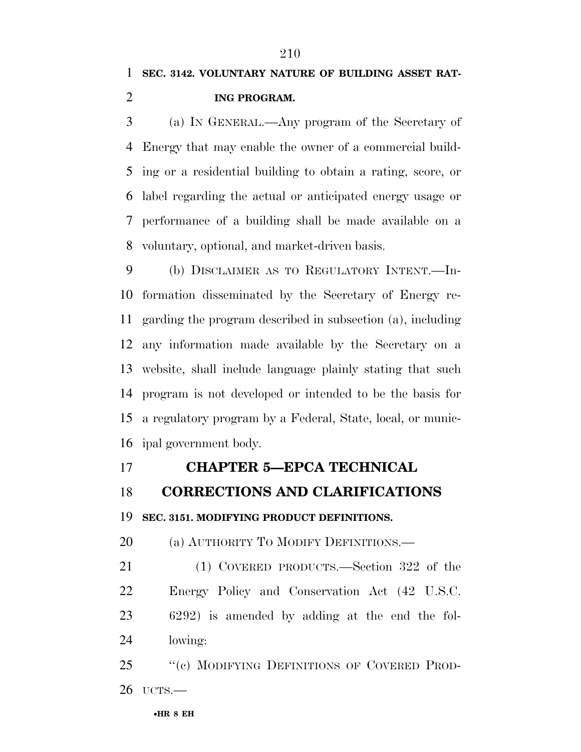**ING PROGRAM.** 

 (a) IN GENERAL.—Any program of the Secretary of Energy that may enable the owner of a commercial build- ing or a residential building to obtain a rating, score, or label regarding the actual or anticipated energy usage or performance of a building shall be made available on a voluntary, optional, and market-driven basis.

 (b) DISCLAIMER AS TO REGULATORY INTENT.—In- formation disseminated by the Secretary of Energy re- garding the program described in subsection (a), including any information made available by the Secretary on a website, shall include language plainly stating that such program is not developed or intended to be the basis for a regulatory program by a Federal, State, local, or munic-ipal government body.

## **CHAPTER 5—EPCA TECHNICAL**

**CORRECTIONS AND CLARIFICATIONS** 

**SEC. 3151. MODIFYING PRODUCT DEFINITIONS.** 

20 (a) AUTHORITY TO MODIFY DEFINITIONS.—

 (1) COVERED PRODUCTS.—Section 322 of the Energy Policy and Conservation Act (42 U.S.C. 6292) is amended by adding at the end the fol-lowing:

25 "(c) MODIFYING DEFINITIONS OF COVERED PROD-UCTS.—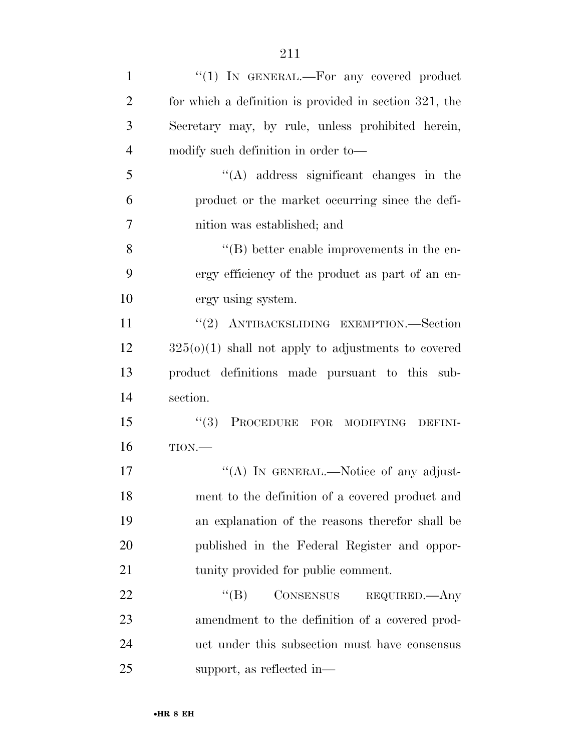| $\mathbf{1}$   | " $(1)$ IN GENERAL.—For any covered product            |
|----------------|--------------------------------------------------------|
| $\overline{2}$ | for which a definition is provided in section 321, the |
| 3              | Secretary may, by rule, unless prohibited herein,      |
| $\overline{4}$ | modify such definition in order to-                    |
| 5              | $\lq\lq$ address significant changes in the            |
| 6              | product or the market occurring since the defi-        |
| 7              | nition was established; and                            |
| 8              | $\lq\lq (B)$ better enable improvements in the en-     |
| 9              | ergy efficiency of the product as part of an en-       |
| 10             | ergy using system.                                     |
| 11             | "(2) ANTIBACKSLIDING EXEMPTION.—Section                |
| 12             | $325(0)(1)$ shall not apply to adjustments to covered  |
| 13             | product definitions made pursuant to this sub-         |
| 14             | section.                                               |
| 15             | (3)<br>PROCEDURE FOR MODIFYING<br>DEFINI-              |
| 16             | TION.                                                  |
| 17             | "(A) IN GENERAL.—Notice of any adjust-                 |
| 18             | ment to the definition of a covered product and        |
| 19             | an explanation of the reasons therefor shall be        |
| 20             | published in the Federal Register and oppor-           |
| 21             | tunity provided for public comment.                    |
| 22             | ``(B)<br>CONSENSUS REQUIRED.—Any                       |
| 23             | amendment to the definition of a covered prod-         |
| 24             | uct under this subsection must have consensus          |
|                |                                                        |

support, as reflected in—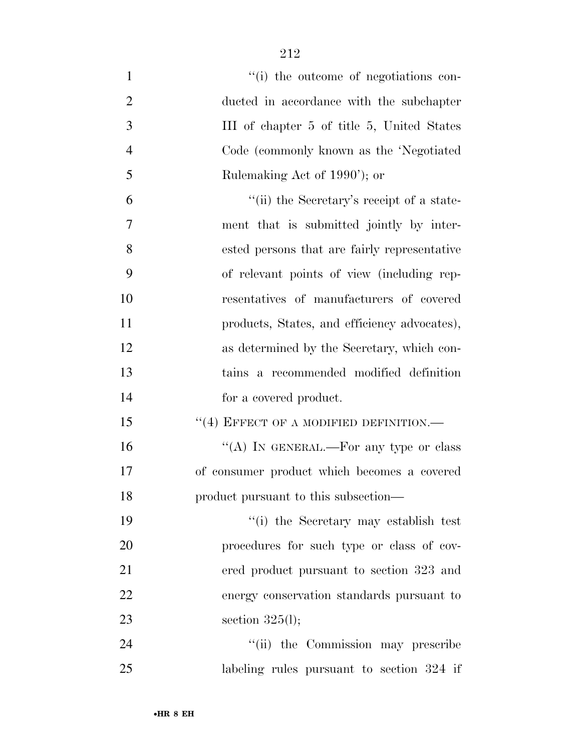- 1  $\frac{1}{1}$  the outcome of negotiations con- ducted in accordance with the subchapter III of chapter 5 of title 5, United States Code (commonly known as the 'Negotiated 5 Rulemaking Act of 1990'); or ''(ii) the Secretary's receipt of a state-
- ment that is submitted jointly by inter- ested persons that are fairly representative of relevant points of view (including rep- resentatives of manufacturers of covered 11 products, States, and efficiency advocates), as determined by the Secretary, which con- tains a recommended modified definition for a covered product.
- 15 "(4) EFFECT OF A MODIFIED DEFINITION.—
- 16  $"$ (A) In GENERAL.—For any type or class of consumer product which becomes a covered product pursuant to this subsection—

 ''(i) the Secretary may establish test procedures for such type or class of cov- ered product pursuant to section 323 and energy conservation standards pursuant to section 325(l);

24 ''(ii) the Commission may prescribe labeling rules pursuant to section 324 if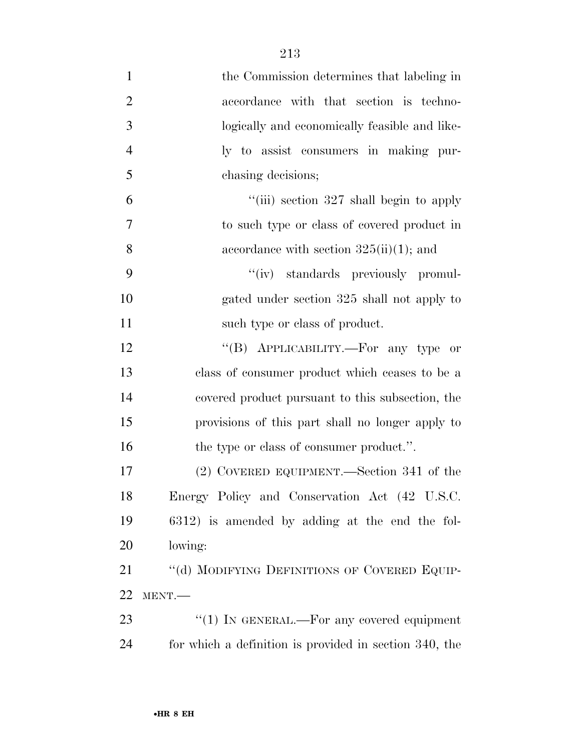| $\mathbf{1}$   | the Commission determines that labeling in             |
|----------------|--------------------------------------------------------|
| $\overline{2}$ | accordance with that section is techno-                |
| 3              | logically and economically feasible and like-          |
| $\overline{4}$ | ly to assist consumers in making pur-                  |
| 5              | chasing decisions;                                     |
| 6              | "(iii) section $327$ shall begin to apply              |
| 7              | to such type or class of covered product in            |
| 8              | accordance with section $325(ii)(1)$ ; and             |
| 9              | "(iv) standards previously promul-                     |
| 10             | gated under section 325 shall not apply to             |
| 11             | such type or class of product.                         |
| 12             | "(B) APPLICABILITY.—For any type or                    |
| 13             | class of consumer product which ceases to be a         |
| 14             | covered product pursuant to this subsection, the       |
| 15             | provisions of this part shall no longer apply to       |
| 16             | the type or class of consumer product.".               |
| 17             | (2) COVERED EQUIPMENT.—Section 341 of the              |
| 18             | Energy Policy and Conservation Act (42 U.S.C.          |
| 19             | 6312) is amended by adding at the end the fol-         |
| 20             | lowing:                                                |
| 21             | "(d) MODIFYING DEFINITIONS OF COVERED EQUIP-           |
| <u>22</u>      | MENT.-                                                 |
| 23             | "(1) IN GENERAL.—For any covered equipment             |
| 24             | for which a definition is provided in section 340, the |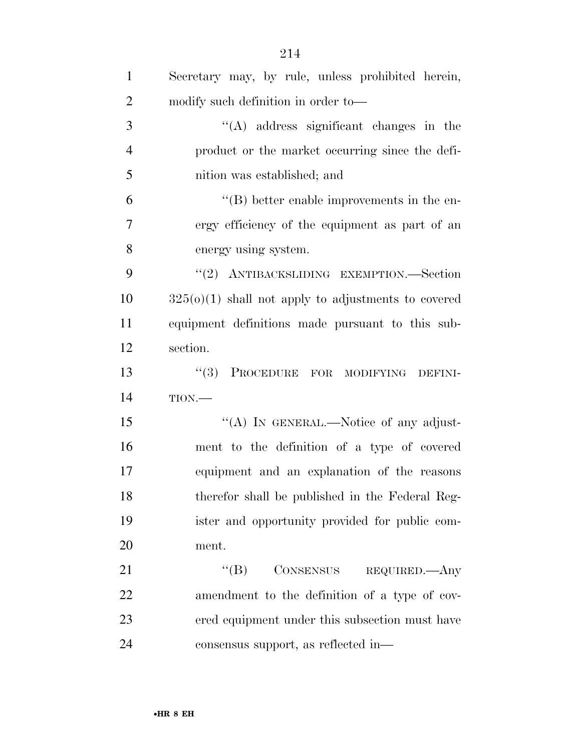| $\mathbf{1}$   | Secretary may, by rule, unless prohibited herein,     |
|----------------|-------------------------------------------------------|
| $\overline{2}$ | modify such definition in order to-                   |
| 3              | $\lq\lq$ address significant changes in the           |
| $\overline{4}$ | product or the market occurring since the defi-       |
| 5              | nition was established; and                           |
| 6              | $\lq\lq (B)$ better enable improvements in the en-    |
| 7              | ergy efficiency of the equipment as part of an        |
| 8              | energy using system.                                  |
| 9              | "(2) ANTIBACKSLIDING EXEMPTION.—Section               |
| 10             | $325(0)(1)$ shall not apply to adjustments to covered |
| 11             | equipment definitions made pursuant to this sub-      |
| 12             | section.                                              |
| 13             | (3)<br>PROCEDURE FOR MODIFYING DEFINI-                |
| 14             | TION.                                                 |
| 15             | "(A) IN GENERAL.—Notice of any adjust-                |
| 16             | ment to the definition of a type of covered           |
| 17             | equipment and an explanation of the reasons           |
| 18             | therefor shall be published in the Federal Reg-       |
| 19             | ister and opportunity provided for public com-        |
| 20             | ment.                                                 |
| 21             | CONSENSUS REQUIRED.—Any<br>$\lq\lq (B)$               |
| 22             | amendment to the definition of a type of cov-         |
| 23             | ered equipment under this subsection must have        |
| 24             | consensus support, as reflected in-                   |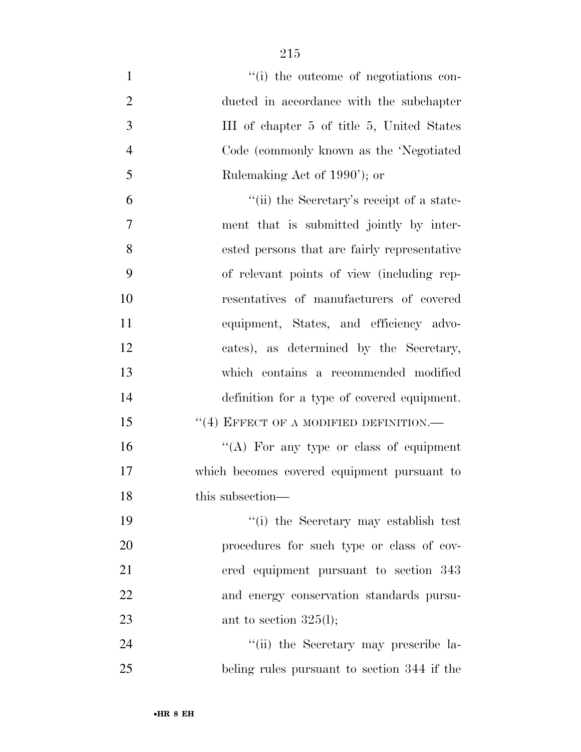| $\mathbf{1}$   | "(i) the outcome of negotiations con-        |
|----------------|----------------------------------------------|
| $\mathbf{2}$   | ducted in accordance with the subchapter     |
| 3              | III of chapter 5 of title 5, United States   |
| $\overline{4}$ | Code (commonly known as the 'Negotiated      |
| 5              | Rulemaking Act of 1990'); or                 |
| 6              | "(ii) the Secretary's receipt of a state-    |
| 7              | ment that is submitted jointly by inter-     |
| 8              | ested persons that are fairly representative |
| 9              | of relevant points of view (including rep-   |
| 10             | resentatives of manufacturers of covered     |
| 11             | equipment, States, and efficiency advo-      |
| 12             | cates), as determined by the Secretary,      |
| 13             | which contains a recommended modified        |
| 14             | definition for a type of covered equipment.  |
| 15             | $``(4)$ EFFECT OF A MODIFIED DEFINITION.—    |
| 16             | "(A) For any type or class of equipment      |
| 17             | which becomes covered equipment pursuant to  |
| 18             | this subsection-                             |
| 19             | "(i) the Secretary may establish test        |
| 20             | procedures for such type or class of cov-    |
| 21             | ered equipment pursuant to section 343       |
| 22             | and energy conservation standards pursu-     |
| 23             | ant to section $325(l)$ ;                    |
| 24             | "(ii) the Secretary may prescribe la-        |
| 25             | beling rules pursuant to section 344 if the  |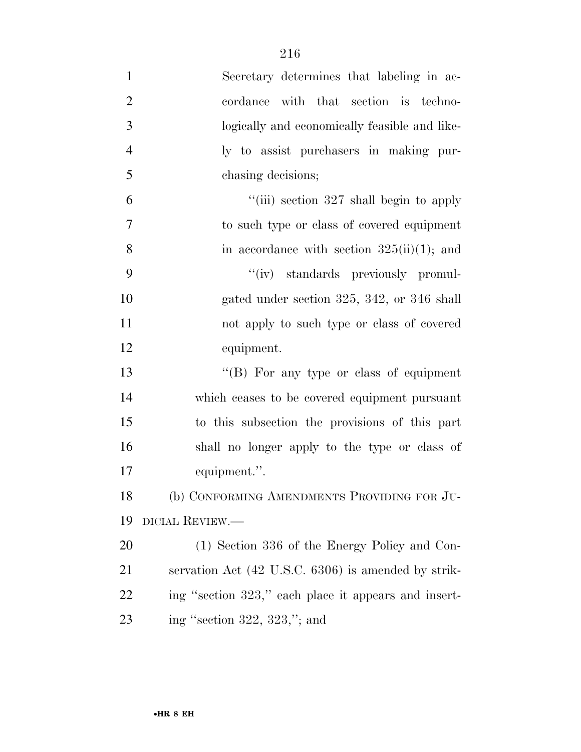| $\mathbf{1}$   | Secretary determines that labeling in ac-            |
|----------------|------------------------------------------------------|
| $\overline{2}$ | cordance with that section is techno-                |
| 3              | logically and economically feasible and like-        |
| $\overline{4}$ | ly to assist purchasers in making pur-               |
| 5              | chasing decisions;                                   |
| 6              | "(iii) section $327$ shall begin to apply            |
| 7              | to such type or class of covered equipment           |
| 8              | in accordance with section $325(ii)(1)$ ; and        |
| 9              | "(iv) standards previously promul-                   |
| 10             | gated under section $325, 342,$ or $346$ shall       |
| 11             | not apply to such type or class of covered           |
| 12             | equipment.                                           |
| 13             | " $(B)$ For any type or class of equipment           |
| 14             | which ceases to be covered equipment pursuant        |
| 15             | to this subsection the provisions of this part       |
| 16             | shall no longer apply to the type or class of        |
| 17             | equipment.".                                         |
| 18             | (b) CONFORMING AMENDMENTS PROVIDING FOR JU-          |
| 19             | DICIAL REVIEW.—                                      |
| 20             | (1) Section 336 of the Energy Policy and Con-        |
| 21             | servation Act (42 U.S.C. 6306) is amended by strik-  |
| 22             | ing "section 323," each place it appears and insert- |
| 23             | ing "section $322$ , $323$ ,"; and                   |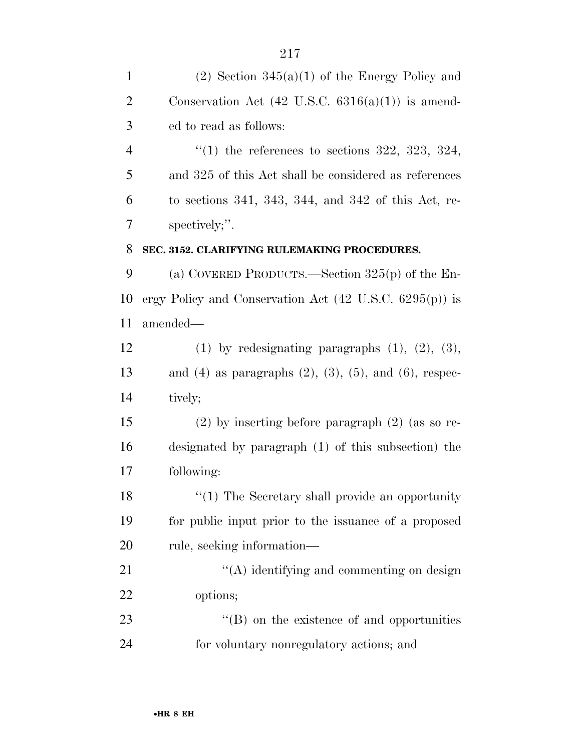| $\mathbf{1}$   | $(2)$ Section 345 $(a)(1)$ of the Energy Policy and                 |
|----------------|---------------------------------------------------------------------|
| $\overline{2}$ | Conservation Act $(42 \text{ U.S.C. } 6316(a)(1))$ is amend-        |
| 3              | ed to read as follows:                                              |
| $\overline{4}$ | "(1) the references to sections 322, 323, 324,                      |
| 5              | and 325 of this Act shall be considered as references               |
| 6              | to sections 341, 343, 344, and 342 of this Act, re-                 |
| 7              | spectively;".                                                       |
| 8              | SEC. 3152. CLARIFYING RULEMAKING PROCEDURES.                        |
| 9              | (a) COVERED PRODUCTS.—Section $325(p)$ of the En-                   |
| 10             | ergy Policy and Conservation Act $(42 \text{ U.S.C. } 6295(p))$ is  |
| 11             | amended—                                                            |
| 12             | $(1)$ by redesignating paragraphs $(1)$ , $(2)$ , $(3)$ ,           |
| 13             | and $(4)$ as paragraphs $(2)$ , $(3)$ , $(5)$ , and $(6)$ , respec- |
| 14             | tively;                                                             |
| 15             | $(2)$ by inserting before paragraph $(2)$ (as so re-                |
| 16             | designated by paragraph (1) of this subsection) the                 |
| 17             | following:                                                          |
| 18             | $\cdot\cdot\cdot(1)$ The Secretary shall provide an opportunity     |
| 19             | for public input prior to the issuance of a proposed                |
| 20             | rule, seeking information—                                          |
| 21             | "(A) identifying and commenting on design                           |
| 22             | options;                                                            |
| 23             | $\lq\lq (B)$ on the existence of and opportunities                  |
| 24             | for voluntary nonregulatory actions; and                            |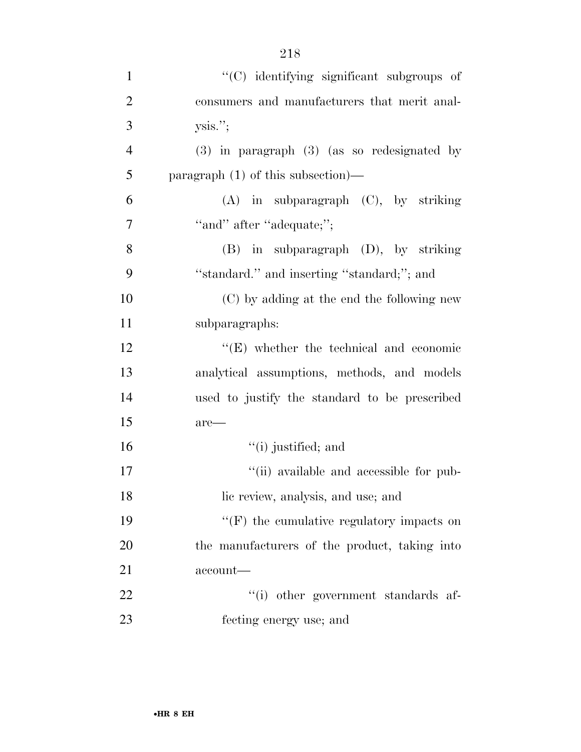| $\mathbf{1}$   | "(C) identifying significant subgroups of        |
|----------------|--------------------------------------------------|
| $\overline{2}$ | consumers and manufacturers that merit anal-     |
| 3              | ysis."                                           |
| $\overline{4}$ | $(3)$ in paragraph $(3)$ (as so redesignated by  |
| 5              | paragraph $(1)$ of this subsection)—             |
| 6              | $(A)$ in subparagraph $(C)$ , by striking        |
| 7              | "and" after "adequate;";                         |
| 8              | $(B)$ in subparagraph $(D)$ , by striking        |
| 9              | "standard." and inserting "standard;"; and       |
| 10             | (C) by adding at the end the following new       |
| 11             | subparagraphs:                                   |
| 12             | $\lq\lq$ (E) whether the technical and economic  |
| 13             | analytical assumptions, methods, and models      |
| 14             | used to justify the standard to be prescribed    |
| 15             | $are-$                                           |
| 16             | $``(i)$ justified; and                           |
| 17             | "(ii) available and accessible for pub-          |
| 18             | lic review, analysis, and use; and               |
| 19             | $\lq\lq(F)$ the cumulative regulatory impacts on |
| 20             | the manufacturers of the product, taking into    |
| 21             | $account$ —                                      |
| 22             | "(i) other government standards af-              |
| 23             | fecting energy use; and                          |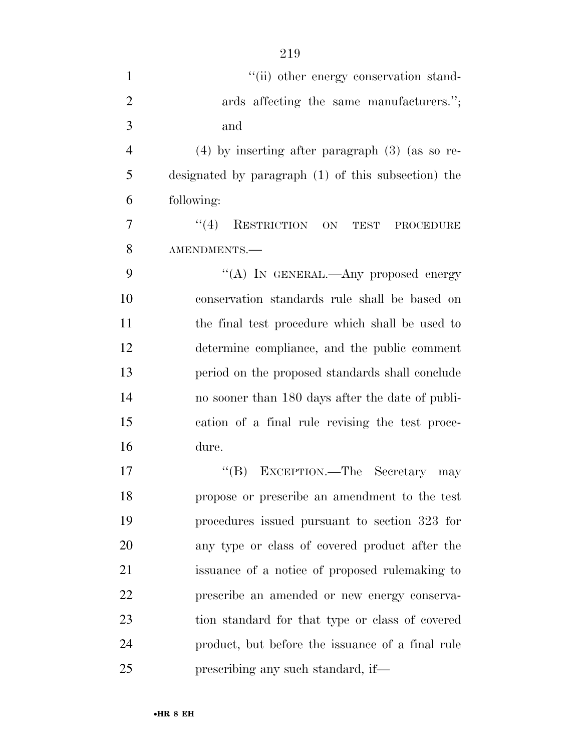| $\mathbf{1}$   | "(ii) other energy conservation stand-              |
|----------------|-----------------------------------------------------|
| $\overline{2}$ | ards affecting the same manufacturers.";            |
| 3              | and                                                 |
| $\overline{4}$ | $(4)$ by inserting after paragraph $(3)$ (as so re- |
| 5              | designated by paragraph (1) of this subsection) the |
| 6              | following:                                          |
| 7              | RESTRICTION ON TEST<br>(4)<br>PROCEDURE             |
| 8              | AMENDMENTS.-                                        |
| 9              | "(A) IN GENERAL.—Any proposed energy                |
| 10             | conservation standards rule shall be based on       |
| 11             | the final test procedure which shall be used to     |
| 12             | determine compliance, and the public comment        |
| 13             | period on the proposed standards shall conclude     |
| 14             | no sooner than 180 days after the date of publi-    |
| 15             | cation of a final rule revising the test proce-     |
| 16             | dure.                                               |
| 17             | "(B) EXCEPTION.—The Secretary may                   |
| 18             | propose or prescribe an amendment to the test       |
| 19             | procedures issued pursuant to section 323 for       |
| 20             | any type or class of covered product after the      |
| 21             | issuance of a notice of proposed rulemaking to      |
| 22             | prescribe an amended or new energy conserva-        |
| 23             | tion standard for that type or class of covered     |
| 24             | product, but before the issuance of a final rule    |
| 25             | prescribing any such standard, if—                  |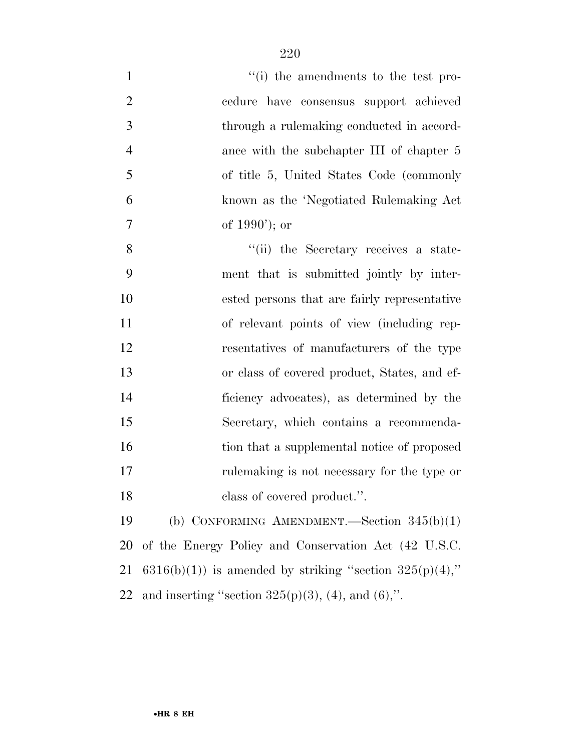| $\mathbf{1}$   | $\cdot$ (i) the amendments to the test pro-                 |
|----------------|-------------------------------------------------------------|
| $\overline{2}$ | cedure have consensus support achieved                      |
| 3              | through a rulemaking conducted in accord-                   |
| $\overline{4}$ | ance with the subchapter III of chapter 5                   |
| $\mathfrak{S}$ | of title 5, United States Code (commonly                    |
| 6              | known as the 'Negotiated Rulemaking Act                     |
| $\tau$         | of $1990'$ ; or                                             |
| 8              | "(ii) the Secretary receives a state-                       |
| 9              | ment that is submitted jointly by inter-                    |
| 10             | ested persons that are fairly representative                |
| 11             | of relevant points of view (including rep-                  |
| 12             | resentatives of manufacturers of the type                   |
| 13             | or class of covered product, States, and ef-                |
| 14             | ficiency advocates), as determined by the                   |
| 15             | Secretary, which contains a recommenda-                     |
| 16             | tion that a supplemental notice of proposed                 |
| 17             | rule making is not necessary for the type or                |
| 18             | class of covered product.".                                 |
| 19             | (b) CONFORMING AMENDMENT.—Section $345(b)(1)$               |
| 20             | of the Energy Policy and Conservation Act (42 U.S.C.        |
| 21             | $6316(b)(1)$ is amended by striking "section $325(p)(4)$ ," |
| 22             | and inserting "section $325(p)(3)$ , (4), and (6),".        |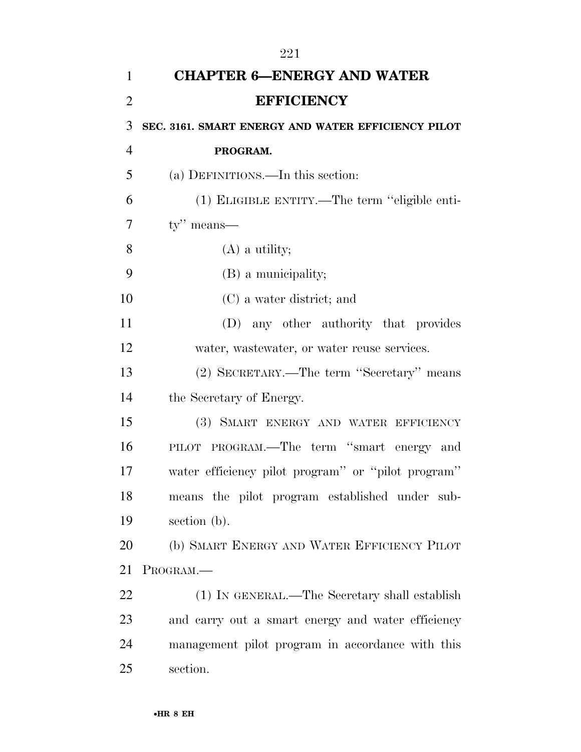| 1              | <b>CHAPTER 6-ENERGY AND WATER</b>                  |
|----------------|----------------------------------------------------|
| $\overline{2}$ | <b>EFFICIENCY</b>                                  |
| 3              | SEC. 3161. SMART ENERGY AND WATER EFFICIENCY PILOT |
| $\overline{4}$ | PROGRAM.                                           |
| 5              | (a) DEFINITIONS.—In this section:                  |
| 6              | (1) ELIGIBLE ENTITY.—The term "eligible enti-      |
| $\overline{7}$ | $ty''$ means—                                      |
| 8              | $(A)$ a utility;                                   |
| 9              | (B) a municipality;                                |
| 10             | (C) a water district; and                          |
| 11             | (D) any other authority that provides              |
| 12             | water, wastewater, or water reuse services.        |
| 13             | (2) SECRETARY.—The term "Secretary" means          |
| 14             | the Secretary of Energy.                           |
| 15             | (3) SMART ENERGY AND WATER EFFICIENCY              |
| 16             | PILOT PROGRAM.—The term "smart energy and          |
| 17             | water efficiency pilot program" or "pilot program" |
| 18             | means the pilot program established under sub-     |
| 19             | section (b).                                       |
| 20             | (b) SMART ENERGY AND WATER EFFICIENCY PILOT        |
| 21             | PROGRAM.                                           |
| 22             | (1) IN GENERAL.—The Secretary shall establish      |
| 23             | and carry out a smart energy and water efficiency  |
| 24             | management pilot program in accordance with this   |
| 25             | section.                                           |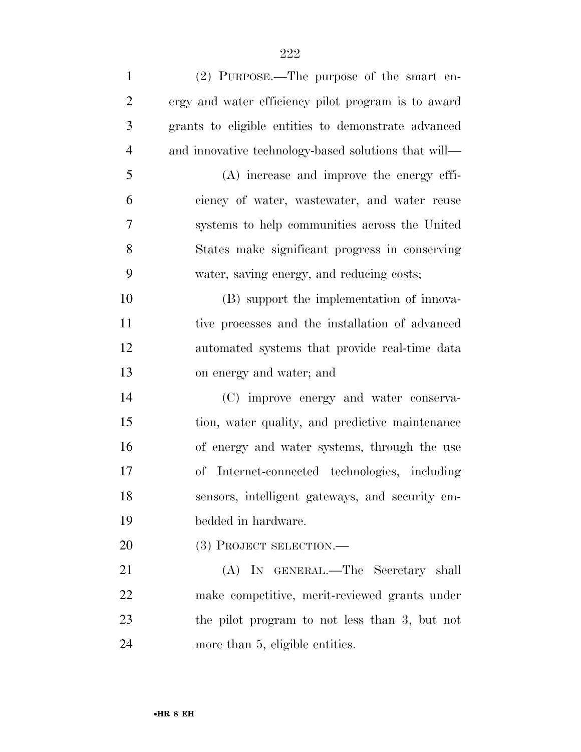| $\mathbf{1}$   | (2) PURPOSE.—The purpose of the smart en-            |
|----------------|------------------------------------------------------|
| $\overline{2}$ | ergy and water efficiency pilot program is to award  |
| 3              | grants to eligible entities to demonstrate advanced  |
| $\overline{4}$ | and innovative technology-based solutions that will— |
| 5              | (A) increase and improve the energy effi-            |
| 6              | ciency of water, wastewater, and water reuse         |
| 7              | systems to help communities across the United        |
| 8              | States make significant progress in conserving       |
| 9              | water, saving energy, and reducing costs;            |
| 10             | (B) support the implementation of innova-            |
| 11             | tive processes and the installation of advanced      |
| 12             | automated systems that provide real-time data        |
| 13             | on energy and water; and                             |
| 14             | (C) improve energy and water conserva-               |
| 15             | tion, water quality, and predictive maintenance      |
| 16             | of energy and water systems, through the use         |
| 17             | Internet-connected technologies, including<br>οf     |
| 18             | sensors, intelligent gateways, and security em-      |
| 19             | bedded in hardware.                                  |
| 20             | (3) PROJECT SELECTION.—                              |
| 21             | (A) IN GENERAL.—The Secretary shall                  |
| 22             | make competitive, merit-reviewed grants under        |
| 23             | the pilot program to not less than 3, but not        |
| 24             | more than 5, eligible entities.                      |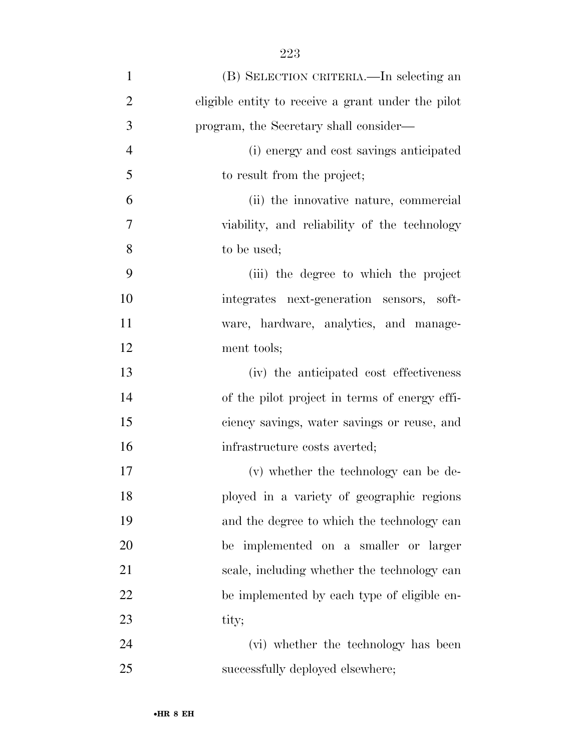| $\mathbf{1}$   | (B) SELECTION CRITERIA.—In selecting an            |
|----------------|----------------------------------------------------|
| $\overline{2}$ | eligible entity to receive a grant under the pilot |
| 3              | program, the Secretary shall consider—             |
| $\overline{4}$ | (i) energy and cost savings anticipated            |
| 5              | to result from the project;                        |
| 6              | (ii) the innovative nature, commercial             |
| 7              | viability, and reliability of the technology       |
| 8              | to be used;                                        |
| 9              | (iii) the degree to which the project              |
| 10             | integrates next-generation sensors, soft-          |
| 11             | ware, hardware, analytics, and manage-             |
| 12             | ment tools;                                        |
| 13             | (iv) the anticipated cost effectiveness            |
| 14             | of the pilot project in terms of energy effi-      |
| 15             | ciency savings, water savings or reuse, and        |
| 16             | infrastructure costs averted;                      |
| 17             | (v) whether the technology can be de-              |
| 18             | ployed in a variety of geographic regions          |
| 19             | and the degree to which the technology can         |
| <b>20</b>      | be implemented on a smaller or larger              |
| 21             | scale, including whether the technology can        |
| 22             | be implemented by each type of eligible en-        |
| 23             | tity;                                              |
| 24             | (vi) whether the technology has been               |
| 25             | successfully deployed elsewhere;                   |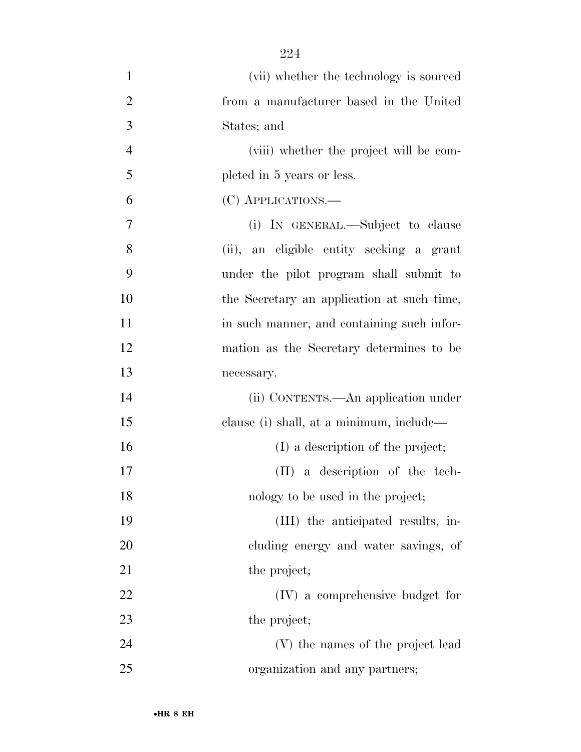| $\mathbf{1}$   | (vii) whether the technology is sourced    |
|----------------|--------------------------------------------|
| $\overline{2}$ | from a manufacturer based in the United    |
| 3              | States; and                                |
| $\overline{4}$ | (viii) whether the project will be com-    |
| 5              | pleted in 5 years or less.                 |
| 6              | (C) APPLICATIONS.—                         |
| $\overline{7}$ | (i) IN GENERAL.—Subject to clause          |
| 8              | (ii), an eligible entity seeking a grant   |
| 9              | under the pilot program shall submit to    |
| 10             | the Secretary an application at such time, |
| 11             | in such manner, and containing such infor- |
| 12             | mation as the Secretary determines to be   |
| 13             | necessary.                                 |
| 14             | (ii) CONTENTS.—An application under        |
| 15             | clause (i) shall, at a minimum, include—   |
| 16             | (I) a description of the project;          |
| 17             | (II) a description of the tech-            |
| 18             | nology to be used in the project;          |
| 19             | (III) the anticipated results, in-         |
| 20             | cluding energy and water savings, of       |
| 21             | the project;                               |
| 22             | (IV) a comprehensive budget for            |
| 23             | the project;                               |
| 24             | (V) the names of the project lead          |
| 25             | organization and any partners;             |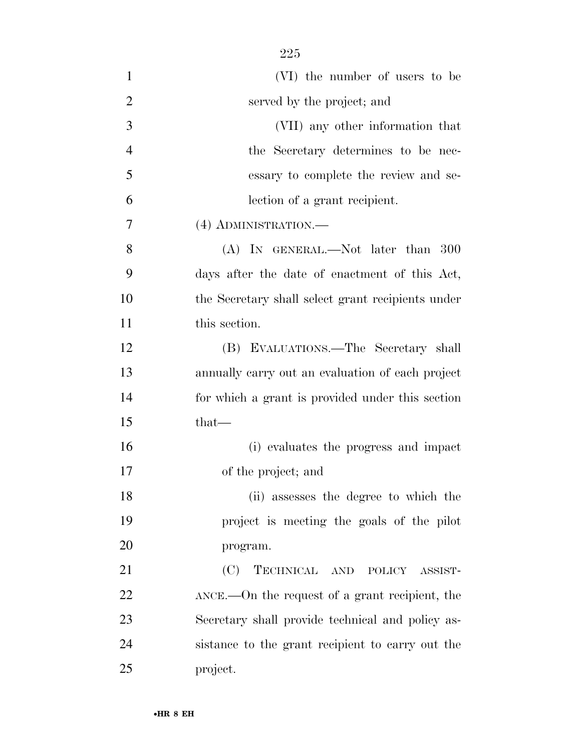| $\mathbf{1}$   | (VI) the number of users to be                          |
|----------------|---------------------------------------------------------|
| $\overline{2}$ | served by the project; and                              |
| 3              | (VII) any other information that                        |
| $\overline{4}$ | the Secretary determines to be nec-                     |
| 5              | essary to complete the review and se-                   |
| 6              | lection of a grant recipient.                           |
| 7              | (4) ADMINISTRATION.—                                    |
| 8              | (A) IN GENERAL.—Not later than 300                      |
| 9              | days after the date of enactment of this Act,           |
| 10             | the Secretary shall select grant recipients under       |
| 11             | this section.                                           |
| 12             | (B) EVALUATIONS.—The Secretary shall                    |
| 13             | annually carry out an evaluation of each project        |
| 14             | for which a grant is provided under this section        |
| 15             | $that-$                                                 |
| 16             | (i) evaluates the progress and impact                   |
| 17             | of the project; and                                     |
| 18             | (ii) assesses the degree to which the                   |
| 19             | project is meeting the goals of the pilot               |
| 20             | program.                                                |
| 21             | (C)<br>TECHNICAL AND POLICY ASSIST-                     |
| 22             | $\Delta NCE$ .—On the request of a grant recipient, the |
| 23             | Secretary shall provide technical and policy as-        |
| 24             | sistance to the grant recipient to carry out the        |
| 25             | project.                                                |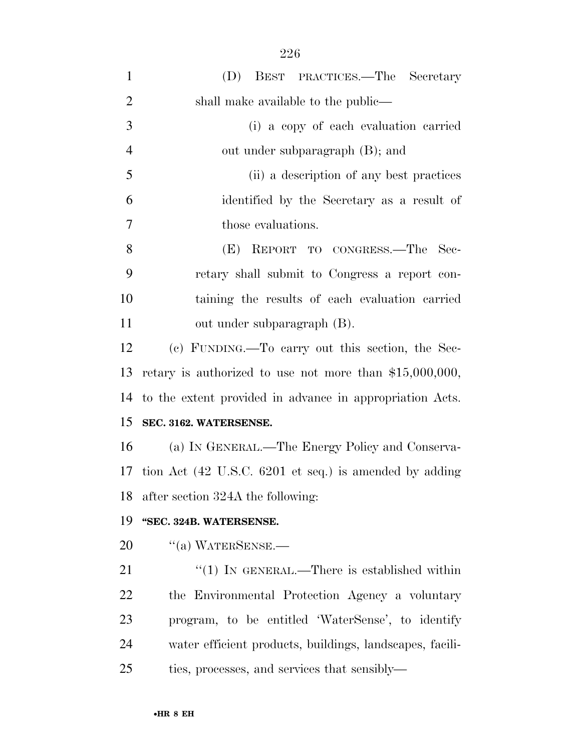| $\mathbf{1}$   | (D) BEST PRACTICES.—The Secretary                           |
|----------------|-------------------------------------------------------------|
| $\overline{2}$ | shall make available to the public—                         |
| 3              | (i) a copy of each evaluation carried                       |
| $\overline{4}$ | out under subparagraph (B); and                             |
| 5              | (ii) a description of any best practices                    |
| 6              | identified by the Secretary as a result of                  |
| 7              | those evaluations.                                          |
| 8              | (E) REPORT TO CONGRESS.—The<br>- Sec-                       |
| 9              | retary shall submit to Congress a report con-               |
| 10             | taining the results of each evaluation carried              |
| 11             | out under subparagraph (B).                                 |
| 12             | (c) FUNDING.—To carry out this section, the Sec-            |
| 13             | retary is authorized to use not more than $$15,000,000,$    |
|                | 14 to the extent provided in advance in appropriation Acts. |
| 15             | SEC. 3162. WATERSENSE.                                      |
| 16             | (a) IN GENERAL.—The Energy Policy and Conserva-             |
|                | 17 tion Act (42 U.S.C. 6201 et seq.) is amended by adding   |
|                | 18 after section 324A the following:                        |
| 19             | "SEC. 324B. WATERSENSE.                                     |
| 20             | $\lq\lq$ (a) WATERSENSE.—                                   |
| 21             | "(1) IN GENERAL.—There is established within                |
| 22             | the Environmental Protection Agency a voluntary             |
| 23             | program, to be entitled 'WaterSense', to identify           |
| 24             | water efficient products, buildings, landscapes, facili-    |
| 25             | ties, processes, and services that sensibly—                |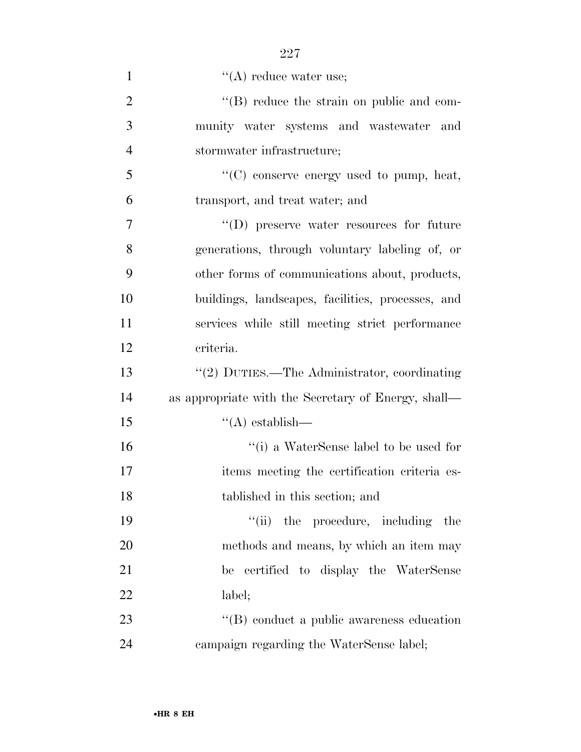| $\mathbf{1}$   | $\lq\lq$ reduce water use;                          |
|----------------|-----------------------------------------------------|
| $\overline{2}$ | $\lq\lq$ reduce the strain on public and com-       |
| 3              | munity water systems and wastewater and             |
| $\overline{4}$ | stormwater infrastructure;                          |
| 5              | "(C) conserve energy used to pump, heat,            |
| 6              | transport, and treat water; and                     |
| $\overline{7}$ | $\lq\lq$ (D) preserve water resources for future    |
| 8              | generations, through voluntary labeling of, or      |
| 9              | other forms of communications about, products,      |
| 10             | buildings, landscapes, facilities, processes, and   |
| 11             | services while still meeting strict performance     |
| 12             | criteria.                                           |
| 13             | "(2) DUTIES.—The Administrator, coordinating        |
| 14             | as appropriate with the Secretary of Energy, shall— |
| 15             | $\lq\lq$ establish—                                 |
| 16             | "(i) a WaterSense label to be used for              |
| 17             | items meeting the certification criteria es-        |
| 18             | tablished in this section; and                      |
| 19             | ``(ii)<br>the procedure, including the              |
| 20             | methods and means, by which an item may             |
| 21             | be certified to display the WaterSense              |
| 22             | label;                                              |
| 23             | $\lq\lq (B)$ conduct a public awareness education   |
| 24             | campaign regarding the WaterSense label;            |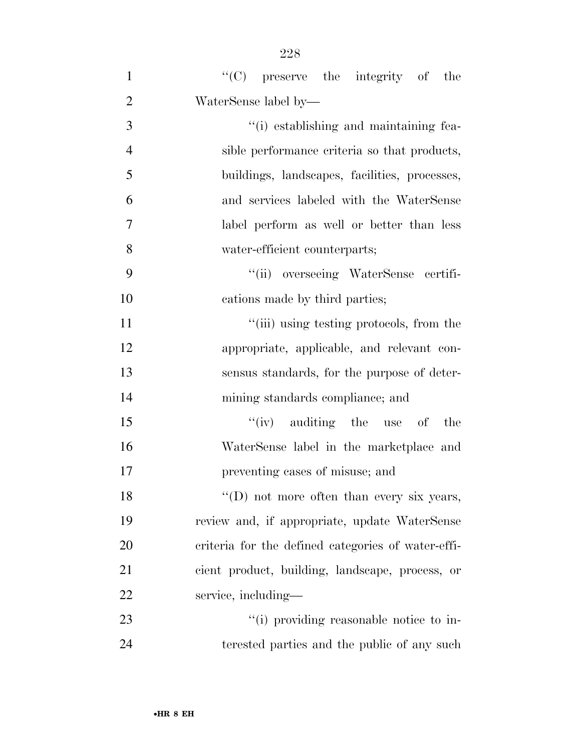| $\mathbf{1}$   | "(C) preserve the integrity of the                 |
|----------------|----------------------------------------------------|
| $\overline{2}$ | WaterSense label by—                               |
| 3              | "(i) establishing and maintaining fea-             |
| $\overline{4}$ | sible performance criteria so that products,       |
| 5              | buildings, landscapes, facilities, processes,      |
| 6              | and services labeled with the WaterSense           |
| 7              | label perform as well or better than less          |
| 8              | water-efficient counterparts;                      |
| 9              | "(ii) overseeing WaterSense certifi-               |
| 10             | cations made by third parties;                     |
| 11             | "(iii) using testing protocols, from the           |
| 12             | appropriate, applicable, and relevant con-         |
| 13             | sensus standards, for the purpose of deter-        |
| 14             | mining standards compliance; and                   |
| 15             | $f'(iv)$ auditing the use of the                   |
| 16             | WaterSense label in the marketplace and            |
| 17             | preventing cases of misuse; and                    |
| 18             | "(D) not more often than every six years,          |
| 19             | review and, if appropriate, update WaterSense      |
| 20             | criteria for the defined categories of water-effi- |
| 21             | cient product, building, landscape, process, or    |
| 22             | service, including—                                |
| 23             | "(i) providing reasonable notice to in-            |
| 24             | terested parties and the public of any such        |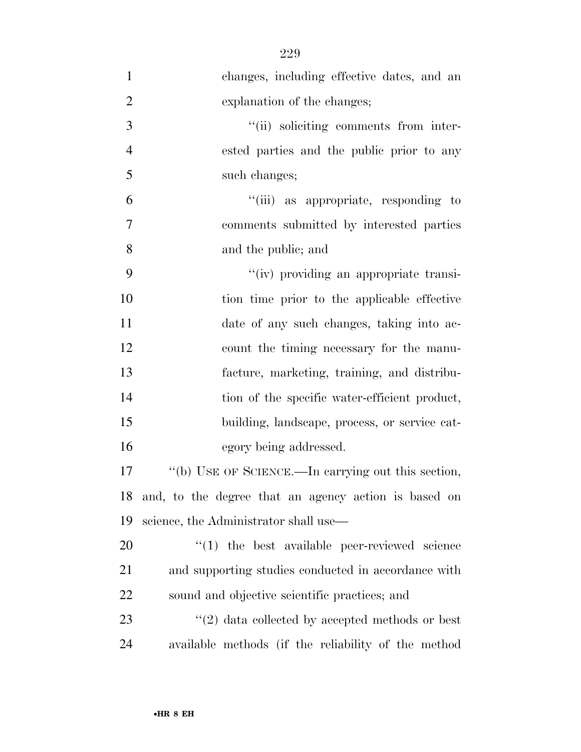changes, including effective dates, and an explanation of the changes;  $"(*ii*)$  soliciting comments from inter- ested parties and the public prior to any such changes; ''(iii) as appropriate, responding to comments submitted by interested parties and the public; and ''(iv) providing an appropriate transi- tion time prior to the applicable effective date of any such changes, taking into ac- count the timing necessary for the manu- facture, marketing, training, and distribu-14 tion of the specific water-efficient product, building, landscape, process, or service cat- egory being addressed. ''(b) USE OF SCIENCE.—In carrying out this section, and, to the degree that an agency action is based on science, the Administrator shall use—  $\frac{1}{20}$  the best available peer-reviewed science and supporting studies conducted in accordance with sound and objective scientific practices; and  $\frac{1}{23}$  ''(2) data collected by accepted methods or best available methods (if the reliability of the method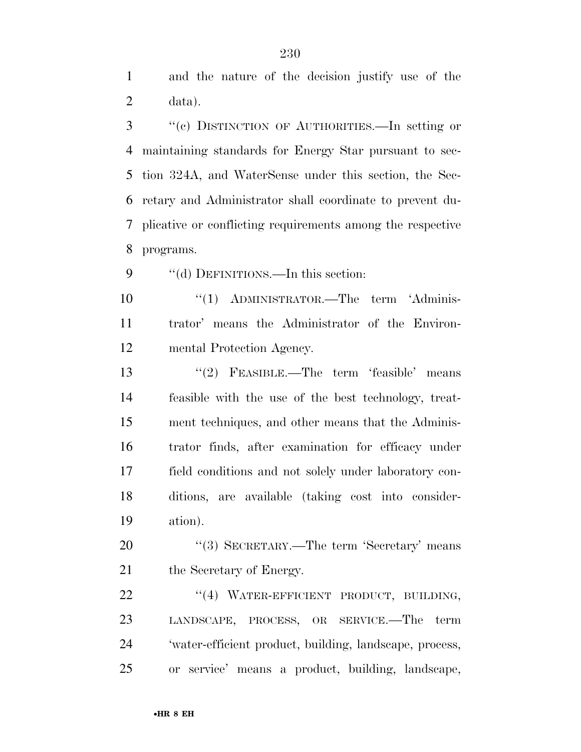and the nature of the decision justify use of the data).

 ''(c) DISTINCTION OF AUTHORITIES.—In setting or maintaining standards for Energy Star pursuant to sec- tion 324A, and WaterSense under this section, the Sec- retary and Administrator shall coordinate to prevent du- plicative or conflicting requirements among the respective programs.

9 "(d) DEFINITIONS.—In this section:

10 ''(1) ADMINISTRATOR.—The term 'Adminis- trator' means the Administrator of the Environ-mental Protection Agency.

 ''(2) FEASIBLE.—The term 'feasible' means feasible with the use of the best technology, treat- ment techniques, and other means that the Adminis- trator finds, after examination for efficacy under field conditions and not solely under laboratory con- ditions, are available (taking cost into consider-ation).

20 "(3) SECRETARY.—The term 'Secretary' means 21 the Secretary of Energy.

22 "(4) WATER-EFFICIENT PRODUCT, BUILDING, LANDSCAPE, PROCESS, OR SERVICE.—The term 'water-efficient product, building, landscape, process, or service' means a product, building, landscape,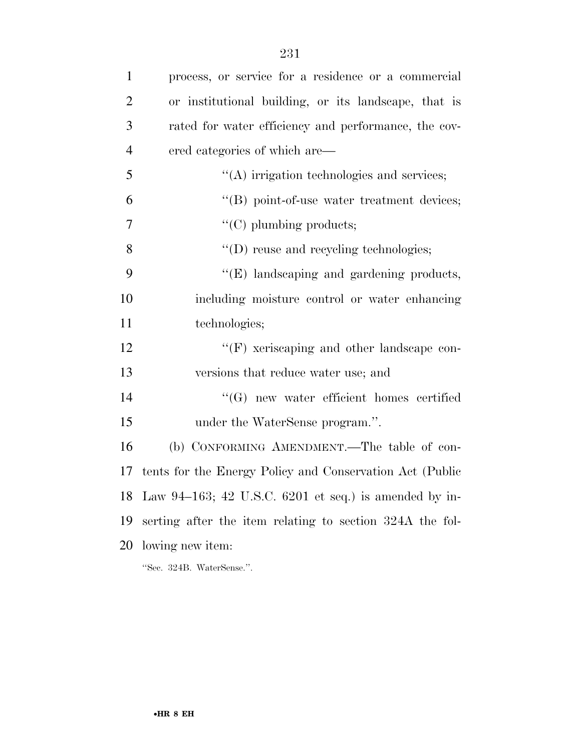| $\mathbf{1}$   | process, or service for a residence or a commercial      |
|----------------|----------------------------------------------------------|
| $\overline{2}$ | or institutional building, or its landscape, that is     |
| 3              | rated for water efficiency and performance, the cov-     |
| $\overline{4}$ | ered categories of which are—                            |
| 5              | $\lq\lq$ irrigation technologies and services;           |
| 6              | "(B) point-of-use water treatment devices;               |
| 7              | $\lq\lq$ (C) plumbing products;                          |
| 8              | $\lq\lq$ (D) reuse and recycling technologies;           |
| 9              | $\lq\lq(E)$ landscaping and gardening products,          |
| 10             | including moisture control or water enhancing            |
| 11             | technologies;                                            |
| 12             | "(F) xeriscaping and other landscape con-                |
| 13             | versions that reduce water use; and                      |
| 14             | "(G) new water efficient homes certified                 |
| 15             | under the WaterSense program.".                          |
| 16             | (b) CONFORMING AMENDMENT.—The table of con-              |
| 17             | tents for the Energy Policy and Conservation Act (Public |
|                | 18 Law 94-163; 42 U.S.C. 6201 et seq.) is amended by in- |
| 19             | serting after the item relating to section 324A the fol- |
| 20             | lowing new item:                                         |
|                | "Sec. 324B. WaterSense.".                                |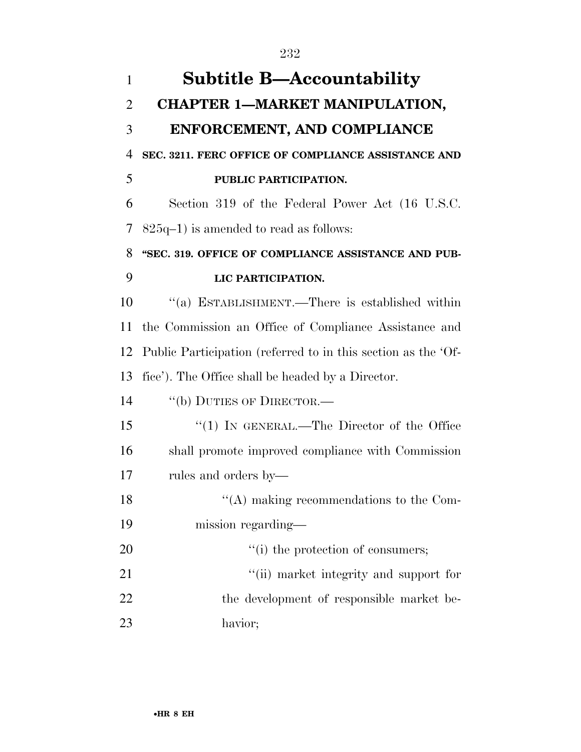| $\mathbf{1}$   | <b>Subtitle B-Accountability</b>                              |
|----------------|---------------------------------------------------------------|
| $\overline{2}$ | <b>CHAPTER 1-MARKET MANIPULATION,</b>                         |
| 3              | ENFORCEMENT, AND COMPLIANCE                                   |
| 4              | SEC. 3211. FERC OFFICE OF COMPLIANCE ASSISTANCE AND           |
| 5              | PUBLIC PARTICIPATION.                                         |
| 6              | Section 319 of the Federal Power Act (16 U.S.C.               |
| 7              | $825q-1$ ) is amended to read as follows:                     |
| 8              | "SEC. 319. OFFICE OF COMPLIANCE ASSISTANCE AND PUB-           |
| 9              | LIC PARTICIPATION.                                            |
| 10             | "(a) ESTABLISHMENT.—There is established within               |
| 11             | the Commission an Office of Compliance Assistance and         |
| 12             | Public Participation (referred to in this section as the 'Of- |
| 13             | fice'). The Office shall be headed by a Director.             |
| 14             | "(b) DUTIES OF DIRECTOR.—                                     |
| 15             | "(1) IN GENERAL.—The Director of the Office                   |
| 16             | shall promote improved compliance with Commission             |
| 17             | rules and orders by—                                          |
| 18             | $\lq\lq$ making recommendations to the Com-                   |
| 19             | mission regarding—                                            |
| 20             | "(i) the protection of consumers;                             |
| 21             | "(ii) market integrity and support for                        |
| 22             | the development of responsible market be-                     |
| 23             | havior;                                                       |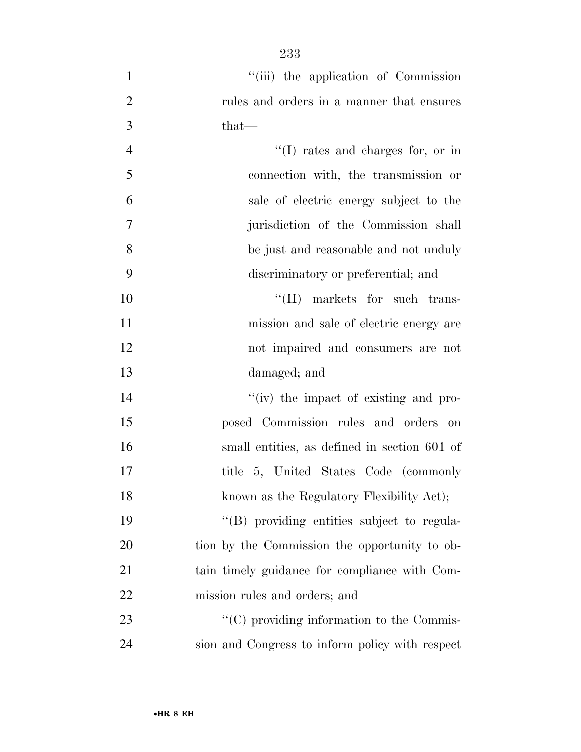- 1 ''(iii) the application of Commission rules and orders in a manner that ensures that— 4  $''(I)$  rates and charges for, or in connection with, the transmission or sale of electric energy subject to the jurisdiction of the Commission shall be just and reasonable and not unduly discriminatory or preferential; and 10  $\text{``(II)}$  markets for such trans- mission and sale of electric energy are not impaired and consumers are not damaged; and 14  $''(iv)$  the impact of existing and pro- posed Commission rules and orders on small entities, as defined in section 601 of
- title 5, United States Code (commonly 18 known as the Regulatory Flexibility Act); ''(B) providing entities subject to regula- tion by the Commission the opportunity to ob-tain timely guidance for compliance with Com-
- 23  $\cdot$  (C) providing information to the Commis-sion and Congress to inform policy with respect

mission rules and orders; and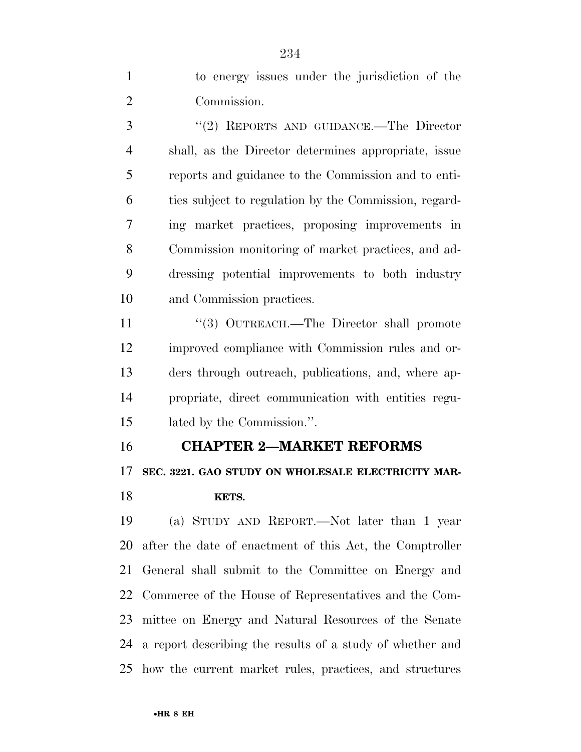to energy issues under the jurisdiction of the Commission.

 ''(2) REPORTS AND GUIDANCE.—The Director shall, as the Director determines appropriate, issue reports and guidance to the Commission and to enti- ties subject to regulation by the Commission, regard- ing market practices, proposing improvements in Commission monitoring of market practices, and ad- dressing potential improvements to both industry and Commission practices.

11 "(3) OUTREACH.—The Director shall promote improved compliance with Commission rules and or- ders through outreach, publications, and, where ap- propriate, direct communication with entities regu-lated by the Commission.''.

#### **CHAPTER 2—MARKET REFORMS**

 **SEC. 3221. GAO STUDY ON WHOLESALE ELECTRICITY MAR-KETS.** 

 (a) STUDY AND REPORT.—Not later than 1 year after the date of enactment of this Act, the Comptroller General shall submit to the Committee on Energy and Commerce of the House of Representatives and the Com- mittee on Energy and Natural Resources of the Senate a report describing the results of a study of whether and how the current market rules, practices, and structures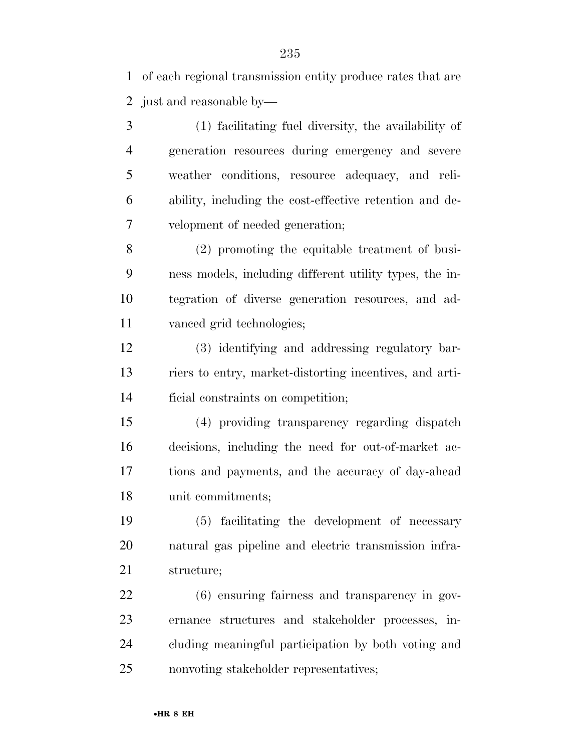of each regional transmission entity produce rates that are just and reasonable by—

 (1) facilitating fuel diversity, the availability of generation resources during emergency and severe weather conditions, resource adequacy, and reli- ability, including the cost-effective retention and de-velopment of needed generation;

 (2) promoting the equitable treatment of busi- ness models, including different utility types, the in- tegration of diverse generation resources, and ad-vanced grid technologies;

 (3) identifying and addressing regulatory bar- riers to entry, market-distorting incentives, and arti-ficial constraints on competition;

 (4) providing transparency regarding dispatch decisions, including the need for out-of-market ac- tions and payments, and the accuracy of day-ahead unit commitments;

 (5) facilitating the development of necessary natural gas pipeline and electric transmission infra-structure;

 (6) ensuring fairness and transparency in gov- ernance structures and stakeholder processes, in- cluding meaningful participation by both voting and nonvoting stakeholder representatives;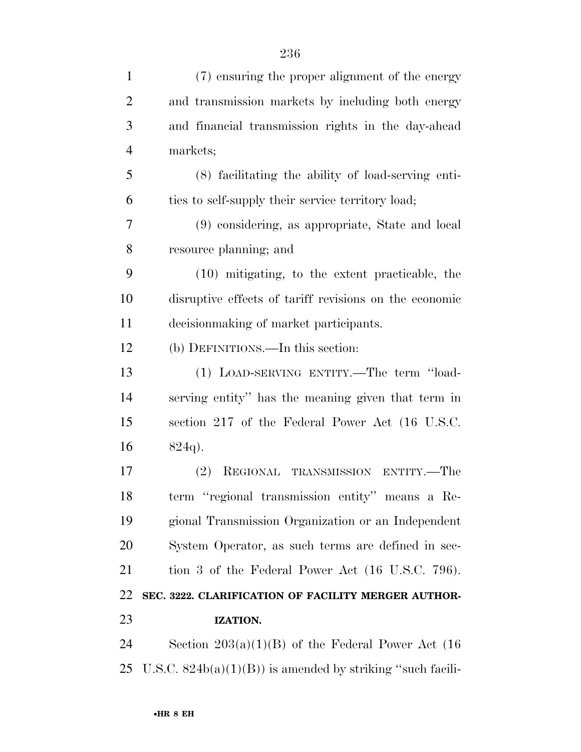| $\mathbf{1}$   | (7) ensuring the proper alignment of the energy             |
|----------------|-------------------------------------------------------------|
| $\overline{2}$ | and transmission markets by including both energy           |
| 3              | and financial transmission rights in the day-ahead          |
| $\overline{4}$ | markets;                                                    |
| 5              | (8) facilitating the ability of load-serving enti-          |
| 6              | ties to self-supply their service territory load;           |
| 7              | (9) considering, as appropriate, State and local            |
| 8              | resource planning; and                                      |
| 9              | (10) mitigating, to the extent practicable, the             |
| 10             | disruptive effects of tariff revisions on the economic      |
| 11             | decision making of market participants.                     |
| 12             | (b) DEFINITIONS.—In this section:                           |
| 13             | (1) LOAD-SERVING ENTITY.—The term "load-                    |
| 14             | serving entity" has the meaning given that term in          |
| 15             | section 217 of the Federal Power Act (16 U.S.C.             |
| 16             | $824q$ .                                                    |
| 17             | REGIONAL TRANSMISSION ENTITY.—The<br>(2)                    |
| 18             | term "regional transmission entity" means a Re-             |
| 19             | gional Transmission Organization or an Independent          |
| 20             | System Operator, as such terms are defined in sec-          |
| 21             | tion 3 of the Federal Power Act (16 U.S.C. 796).            |
| 22             | SEC. 3222. CLARIFICATION OF FACILITY MERGER AUTHOR-         |
| 23             | IZATION.                                                    |
| 24             | Section $203(a)(1)(B)$ of the Federal Power Act (16)        |
| 25             | U.S.C. $824b(a)(1)(B)$ is amended by striking "such facili- |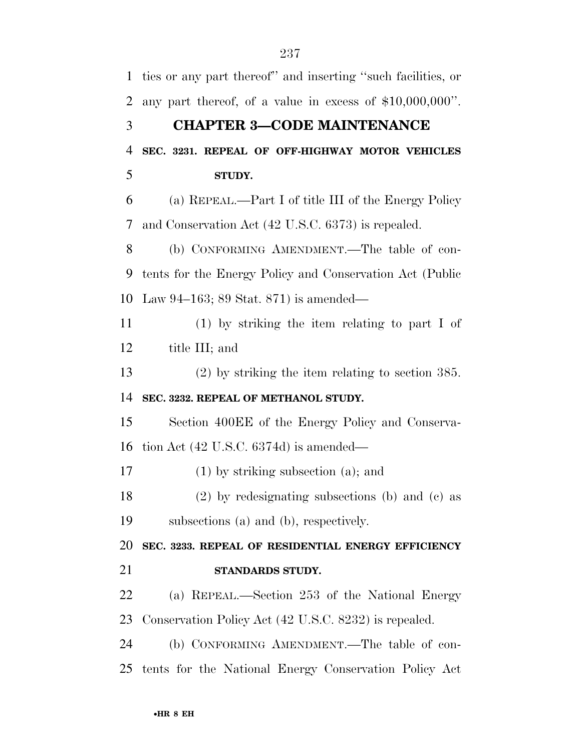ties or any part thereof'' and inserting ''such facilities, or any part thereof, of a value in excess of \$10,000,000''. **CHAPTER 3—CODE MAINTENANCE SEC. 3231. REPEAL OF OFF-HIGHWAY MOTOR VEHICLES STUDY.**  (a) REPEAL.—Part I of title III of the Energy Policy and Conservation Act (42 U.S.C. 6373) is repealed. (b) CONFORMING AMENDMENT.—The table of con- tents for the Energy Policy and Conservation Act (Public Law 94–163; 89 Stat. 871) is amended— (1) by striking the item relating to part I of title III; and (2) by striking the item relating to section 385. **SEC. 3232. REPEAL OF METHANOL STUDY.**  Section 400EE of the Energy Policy and Conserva- tion Act (42 U.S.C. 6374d) is amended— (1) by striking subsection (a); and (2) by redesignating subsections (b) and (c) as subsections (a) and (b), respectively. **SEC. 3233. REPEAL OF RESIDENTIAL ENERGY EFFICIENCY STANDARDS STUDY.**  (a) REPEAL.—Section 253 of the National Energy Conservation Policy Act (42 U.S.C. 8232) is repealed. (b) CONFORMING AMENDMENT.—The table of con-tents for the National Energy Conservation Policy Act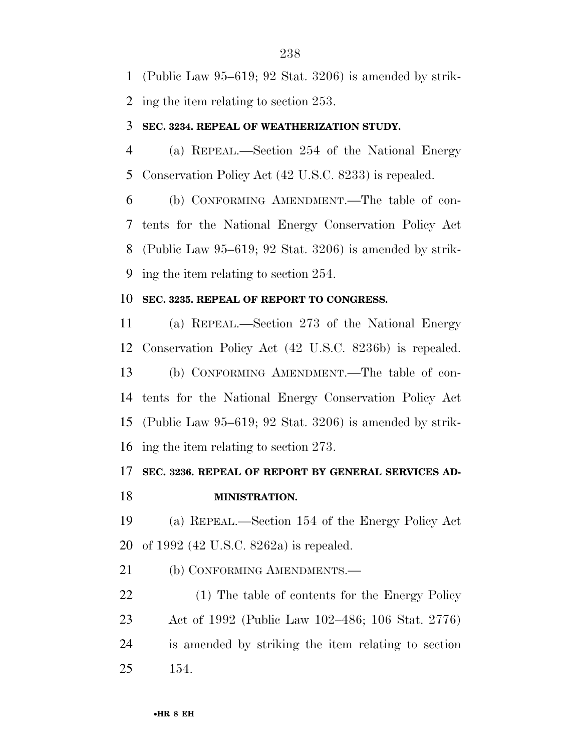(Public Law 95–619; 92 Stat. 3206) is amended by strik-

ing the item relating to section 253.

#### **SEC. 3234. REPEAL OF WEATHERIZATION STUDY.**

 (a) REPEAL.—Section 254 of the National Energy Conservation Policy Act (42 U.S.C. 8233) is repealed.

 (b) CONFORMING AMENDMENT.—The table of con- tents for the National Energy Conservation Policy Act (Public Law 95–619; 92 Stat. 3206) is amended by strik-ing the item relating to section 254.

#### **SEC. 3235. REPEAL OF REPORT TO CONGRESS.**

 (a) REPEAL.—Section 273 of the National Energy Conservation Policy Act (42 U.S.C. 8236b) is repealed. (b) CONFORMING AMENDMENT.—The table of con- tents for the National Energy Conservation Policy Act (Public Law 95–619; 92 Stat. 3206) is amended by strik-ing the item relating to section 273.

### **SEC. 3236. REPEAL OF REPORT BY GENERAL SERVICES AD-**

**MINISTRATION.** 

 (a) REPEAL.—Section 154 of the Energy Policy Act of 1992 (42 U.S.C. 8262a) is repealed.

21 (b) CONFORMING AMENDMENTS.—

 (1) The table of contents for the Energy Policy Act of 1992 (Public Law 102–486; 106 Stat. 2776) is amended by striking the item relating to section 154.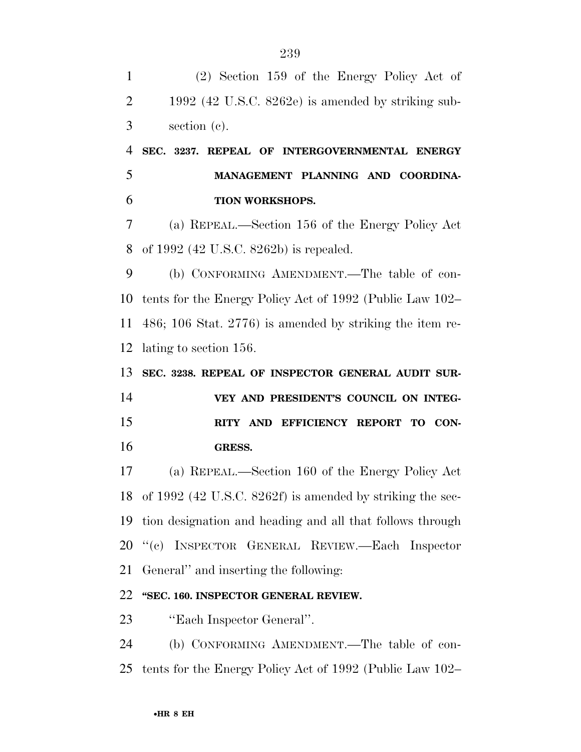(2) Section 159 of the Energy Policy Act of 1992 (42 U.S.C. 8262e) is amended by striking sub- section (c). **SEC. 3237. REPEAL OF INTERGOVERNMENTAL ENERGY MANAGEMENT PLANNING AND COORDINA- TION WORKSHOPS.**  (a) REPEAL.—Section 156 of the Energy Policy Act of 1992 (42 U.S.C. 8262b) is repealed. (b) CONFORMING AMENDMENT.—The table of con- tents for the Energy Policy Act of 1992 (Public Law 102– 486; 106 Stat. 2776) is amended by striking the item re- lating to section 156. **SEC. 3238. REPEAL OF INSPECTOR GENERAL AUDIT SUR- VEY AND PRESIDENT'S COUNCIL ON INTEG- RITY AND EFFICIENCY REPORT TO CON- GRESS.**  (a) REPEAL.—Section 160 of the Energy Policy Act of 1992 (42 U.S.C. 8262f) is amended by striking the sec- tion designation and heading and all that follows through ''(c) INSPECTOR GENERAL REVIEW.—Each Inspector General'' and inserting the following: **''SEC. 160. INSPECTOR GENERAL REVIEW.**  ''Each Inspector General''. (b) CONFORMING AMENDMENT.—The table of con-tents for the Energy Policy Act of 1992 (Public Law 102–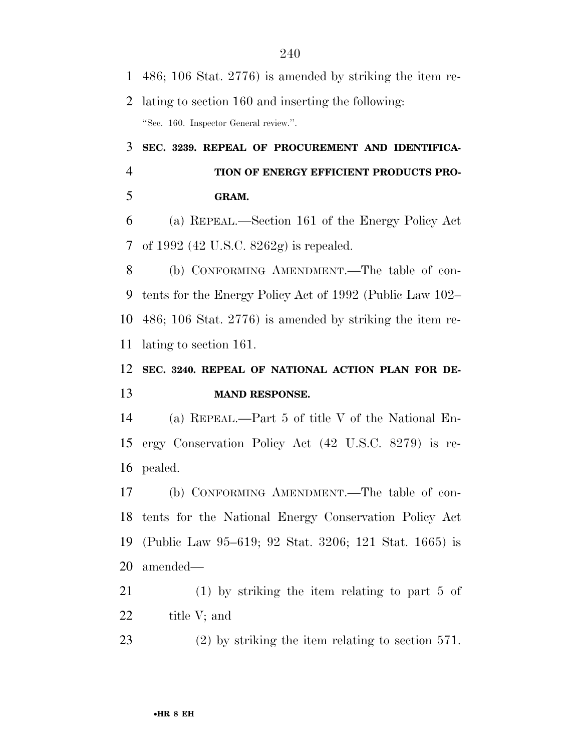486; 106 Stat. 2776) is amended by striking the item re- lating to section 160 and inserting the following: ''Sec. 160. Inspector General review.''. **SEC. 3239. REPEAL OF PROCUREMENT AND IDENTIFICA- TION OF ENERGY EFFICIENT PRODUCTS PRO- GRAM.**  (a) REPEAL.—Section 161 of the Energy Policy Act of 1992 (42 U.S.C. 8262g) is repealed. (b) CONFORMING AMENDMENT.—The table of con- tents for the Energy Policy Act of 1992 (Public Law 102– 486; 106 Stat. 2776) is amended by striking the item re-

lating to section 161.

## **SEC. 3240. REPEAL OF NATIONAL ACTION PLAN FOR DE-MAND RESPONSE.**

 (a) REPEAL.—Part 5 of title V of the National En- ergy Conservation Policy Act (42 U.S.C. 8279) is re-pealed.

 (b) CONFORMING AMENDMENT.—The table of con- tents for the National Energy Conservation Policy Act (Public Law 95–619; 92 Stat. 3206; 121 Stat. 1665) is amended—

- (1) by striking the item relating to part 5 of title V; and
- (2) by striking the item relating to section 571.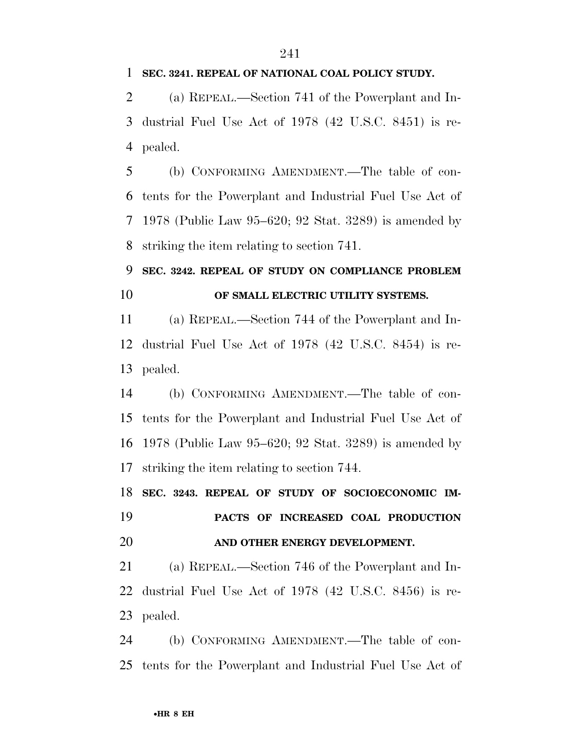#### **SEC. 3241. REPEAL OF NATIONAL COAL POLICY STUDY.**

 (a) REPEAL.—Section 741 of the Powerplant and In- dustrial Fuel Use Act of 1978 (42 U.S.C. 8451) is re-pealed.

 (b) CONFORMING AMENDMENT.—The table of con- tents for the Powerplant and Industrial Fuel Use Act of 1978 (Public Law 95–620; 92 Stat. 3289) is amended by striking the item relating to section 741.

 **SEC. 3242. REPEAL OF STUDY ON COMPLIANCE PROBLEM OF SMALL ELECTRIC UTILITY SYSTEMS.** 

 (a) REPEAL.—Section 744 of the Powerplant and In- dustrial Fuel Use Act of 1978 (42 U.S.C. 8454) is re-pealed.

 (b) CONFORMING AMENDMENT.—The table of con- tents for the Powerplant and Industrial Fuel Use Act of 1978 (Public Law 95–620; 92 Stat. 3289) is amended by striking the item relating to section 744.

 **SEC. 3243. REPEAL OF STUDY OF SOCIOECONOMIC IM- PACTS OF INCREASED COAL PRODUCTION AND OTHER ENERGY DEVELOPMENT.** 

 (a) REPEAL.—Section 746 of the Powerplant and In- dustrial Fuel Use Act of 1978 (42 U.S.C. 8456) is re-pealed.

 (b) CONFORMING AMENDMENT.—The table of con-tents for the Powerplant and Industrial Fuel Use Act of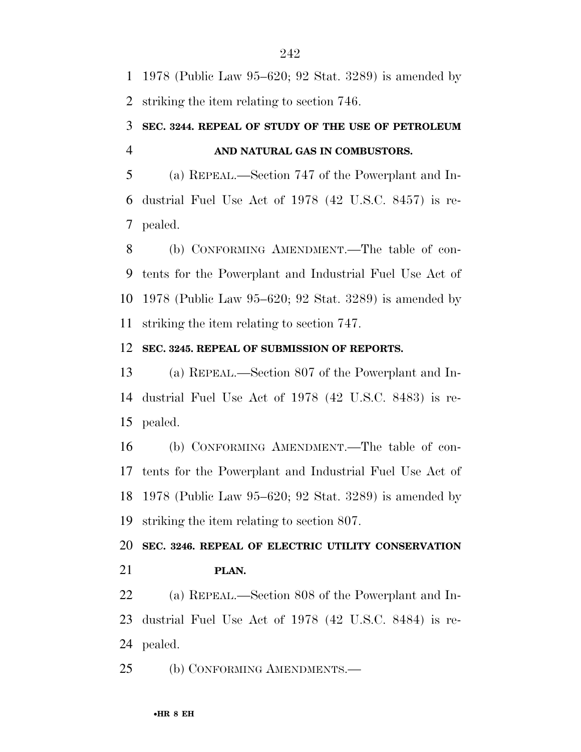1978 (Public Law 95–620; 92 Stat. 3289) is amended by striking the item relating to section 746.

### **SEC. 3244. REPEAL OF STUDY OF THE USE OF PETROLEUM AND NATURAL GAS IN COMBUSTORS.**

 (a) REPEAL.—Section 747 of the Powerplant and In- dustrial Fuel Use Act of 1978 (42 U.S.C. 8457) is re-pealed.

 (b) CONFORMING AMENDMENT.—The table of con- tents for the Powerplant and Industrial Fuel Use Act of 1978 (Public Law 95–620; 92 Stat. 3289) is amended by striking the item relating to section 747.

#### **SEC. 3245. REPEAL OF SUBMISSION OF REPORTS.**

 (a) REPEAL.—Section 807 of the Powerplant and In- dustrial Fuel Use Act of 1978 (42 U.S.C. 8483) is re-pealed.

 (b) CONFORMING AMENDMENT.—The table of con- tents for the Powerplant and Industrial Fuel Use Act of 1978 (Public Law 95–620; 92 Stat. 3289) is amended by striking the item relating to section 807.

 **SEC. 3246. REPEAL OF ELECTRIC UTILITY CONSERVATION PLAN.** 

 (a) REPEAL.—Section 808 of the Powerplant and In- dustrial Fuel Use Act of 1978 (42 U.S.C. 8484) is re-pealed.

(b) CONFORMING AMENDMENTS.—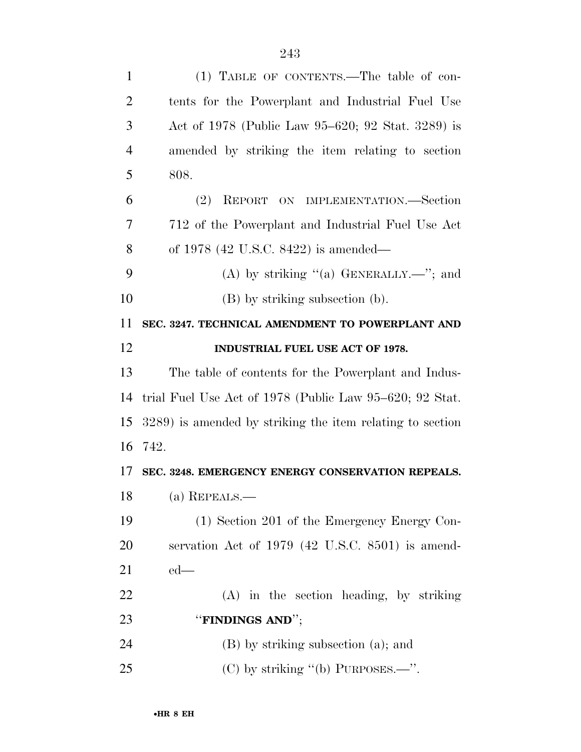| $\mathbf{1}$   | (1) TABLE OF CONTENTS.—The table of con-                  |
|----------------|-----------------------------------------------------------|
| $\overline{2}$ | tents for the Powerplant and Industrial Fuel Use          |
| 3              | Act of 1978 (Public Law 95–620; 92 Stat. 3289) is         |
| $\overline{4}$ | amended by striking the item relating to section          |
| 5              | 808.                                                      |
| 6              | REPORT ON IMPLEMENTATION.-Section<br>(2)                  |
| $\overline{7}$ | 712 of the Powerplant and Industrial Fuel Use Act         |
| 8              | of 1978 $(42 \text{ U.S.C. } 8422)$ is amended—           |
| 9              | (A) by striking $(4)$ GENERALLY.—"; and                   |
| 10             | (B) by striking subsection (b).                           |
| 11             | SEC. 3247. TECHNICAL AMENDMENT TO POWERPLANT AND          |
| 12             | INDUSTRIAL FUEL USE ACT OF 1978.                          |
| 13             | The table of contents for the Powerplant and Indus-       |
| 14             | trial Fuel Use Act of 1978 (Public Law 95–620; 92 Stat.   |
| 15             | 3289) is amended by striking the item relating to section |
| 16             | 742.                                                      |
| 17             | SEC. 3248. EMERGENCY ENERGY CONSERVATION REPEALS.         |
| 18             | (a) REPEALS.—                                             |
| 19             | (1) Section 201 of the Emergency Energy Con-              |
| 20             | servation Act of 1979 (42 U.S.C. 8501) is amend-          |
| 21             | $ed$ —                                                    |
| 22             | $(A)$ in the section heading, by striking                 |
| 23             | "FINDINGS AND";                                           |
| 24             | (B) by striking subsection (a); and                       |
| 25             | (C) by striking "(b) PURPOSES.—".                         |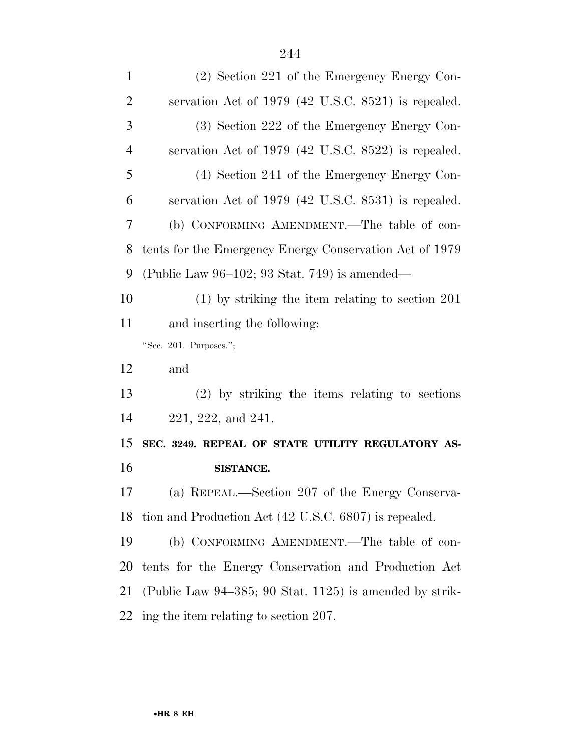| $\mathbf{1}$   | (2) Section 221 of the Emergency Energy Con-            |
|----------------|---------------------------------------------------------|
| 2              | servation Act of $1979$ (42 U.S.C. 8521) is repealed.   |
| 3              | (3) Section 222 of the Emergency Energy Con-            |
| $\overline{4}$ | servation Act of 1979 (42 U.S.C. 8522) is repealed.     |
| 5              | (4) Section 241 of the Emergency Energy Con-            |
| 6              | servation Act of 1979 (42 U.S.C. 8531) is repealed.     |
| 7              | (b) CONFORMING AMENDMENT.—The table of con-             |
| 8              | tents for the Emergency Energy Conservation Act of 1979 |
| 9              | (Public Law $96-102$ ; 93 Stat. 749) is amended—        |
| 10             | $(1)$ by striking the item relating to section 201      |
| 11             | and inserting the following:                            |
|                |                                                         |
|                | "Sec. 201. Purposes.";                                  |
| 12             | and                                                     |
| 13             | (2) by striking the items relating to sections          |
| 14             | 221, 222, and 241.                                      |
| 15             | SEC. 3249. REPEAL OF STATE UTILITY REGULATORY AS-       |
|                | SISTANCE.                                               |
|                | (a) REPEAL.—Section 207 of the Energy Conserva-         |
| 16<br>17<br>18 | tion and Production Act (42 U.S.C. 6807) is repealed.   |
| 19             | (b) CONFORMING AMENDMENT.—The table of con-             |
|                | tents for the Energy Conservation and Production Act    |
| 20<br>21       | (Public Law 94–385; 90 Stat. 1125) is amended by strik- |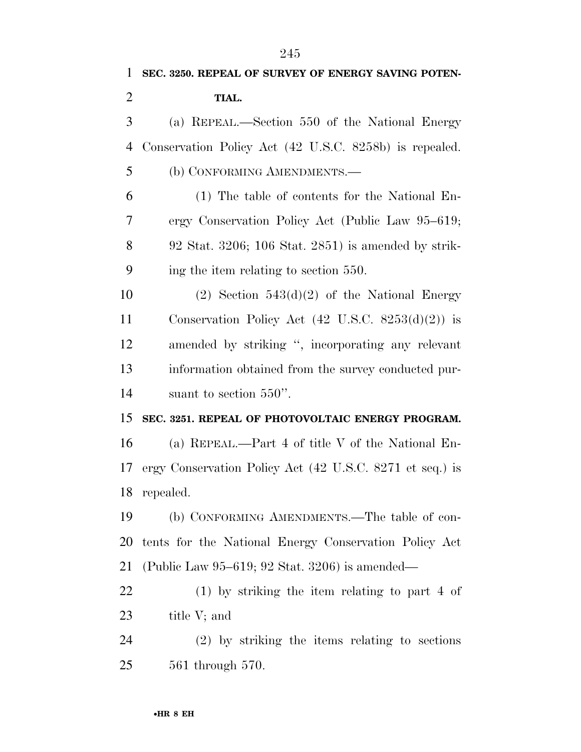Conservation Policy Act (42 U.S.C. 8258b) is repealed. (b) CONFORMING AMENDMENTS.—

 (1) The table of contents for the National En- ergy Conservation Policy Act (Public Law 95–619; 92 Stat. 3206; 106 Stat. 2851) is amended by strik-ing the item relating to section 550.

10 (2) Section  $543(d)(2)$  of the National Energy Conservation Policy Act (42 U.S.C. 8253(d)(2)) is amended by striking '', incorporating any relevant information obtained from the survey conducted pur-suant to section 550''.

#### **SEC. 3251. REPEAL OF PHOTOVOLTAIC ENERGY PROGRAM.**

 (a) REPEAL.—Part 4 of title V of the National En- ergy Conservation Policy Act (42 U.S.C. 8271 et seq.) is repealed.

 (b) CONFORMING AMENDMENTS.—The table of con- tents for the National Energy Conservation Policy Act (Public Law 95–619; 92 Stat. 3206) is amended—

 (1) by striking the item relating to part 4 of title V; and

 (2) by striking the items relating to sections 561 through 570.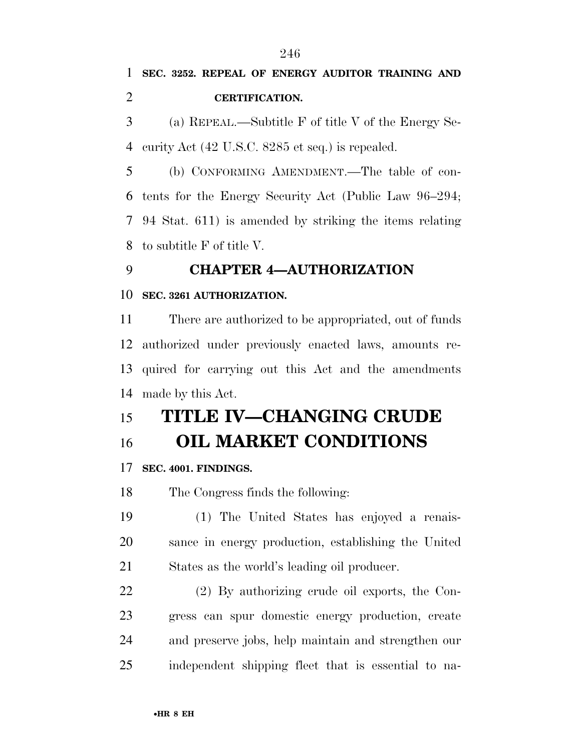**SEC. 3252. REPEAL OF ENERGY AUDITOR TRAINING AND CERTIFICATION.** 

 (a) REPEAL.—Subtitle F of title V of the Energy Se-curity Act (42 U.S.C. 8285 et seq.) is repealed.

 (b) CONFORMING AMENDMENT.—The table of con- tents for the Energy Security Act (Public Law 96–294; 94 Stat. 611) is amended by striking the items relating to subtitle F of title V.

### **CHAPTER 4—AUTHORIZATION**

#### **SEC. 3261 AUTHORIZATION.**

 There are authorized to be appropriated, out of funds authorized under previously enacted laws, amounts re- quired for carrying out this Act and the amendments made by this Act.

# **TITLE IV—CHANGING CRUDE**

**OIL MARKET CONDITIONS** 

#### **SEC. 4001. FINDINGS.**

The Congress finds the following:

 (1) The United States has enjoyed a renais- sance in energy production, establishing the United States as the world's leading oil producer.

 (2) By authorizing crude oil exports, the Con- gress can spur domestic energy production, create and preserve jobs, help maintain and strengthen our independent shipping fleet that is essential to na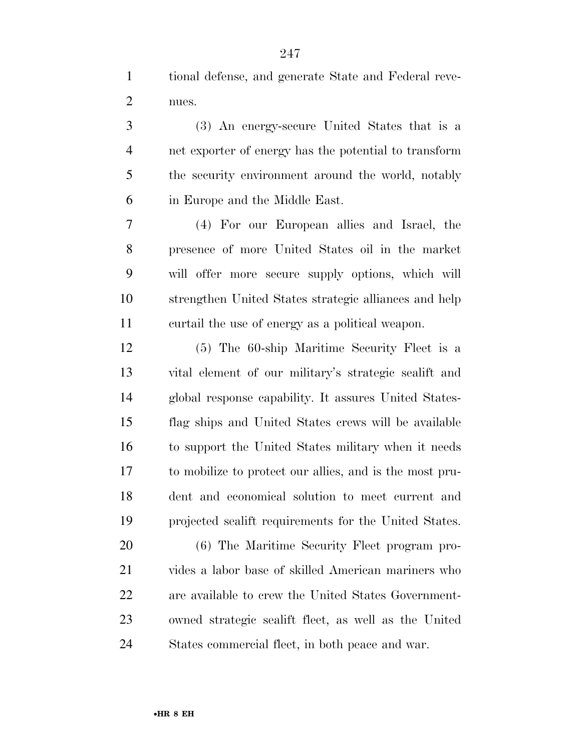tional defense, and generate State and Federal reve-nues.

 (3) An energy-secure United States that is a net exporter of energy has the potential to transform the security environment around the world, notably in Europe and the Middle East.

 (4) For our European allies and Israel, the presence of more United States oil in the market will offer more secure supply options, which will strengthen United States strategic alliances and help curtail the use of energy as a political weapon.

 (5) The 60-ship Maritime Security Fleet is a vital element of our military's strategic sealift and global response capability. It assures United States- flag ships and United States crews will be available to support the United States military when it needs to mobilize to protect our allies, and is the most pru- dent and economical solution to meet current and projected sealift requirements for the United States.

 (6) The Maritime Security Fleet program pro- vides a labor base of skilled American mariners who are available to crew the United States Government- owned strategic sealift fleet, as well as the United States commercial fleet, in both peace and war.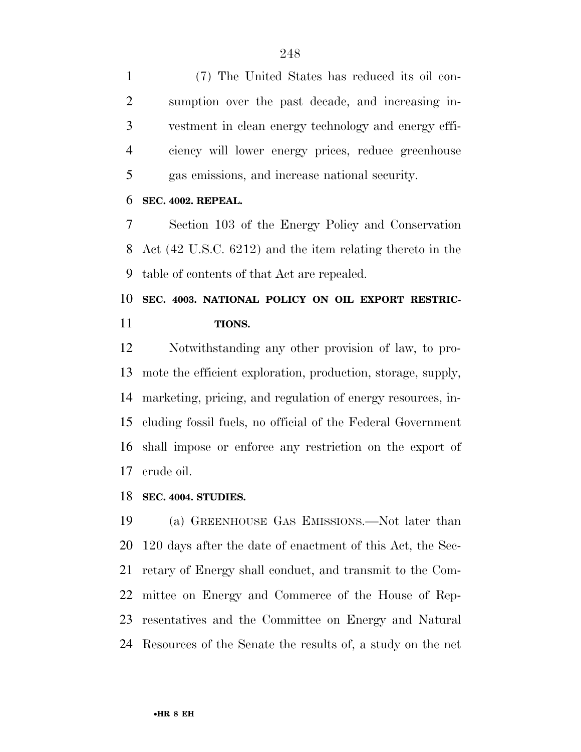(7) The United States has reduced its oil con- sumption over the past decade, and increasing in- vestment in clean energy technology and energy effi- ciency will lower energy prices, reduce greenhouse gas emissions, and increase national security.

#### **SEC. 4002. REPEAL.**

 Section 103 of the Energy Policy and Conservation Act (42 U.S.C. 6212) and the item relating thereto in the table of contents of that Act are repealed.

## **SEC. 4003. NATIONAL POLICY ON OIL EXPORT RESTRIC-TIONS.**

 Notwithstanding any other provision of law, to pro- mote the efficient exploration, production, storage, supply, marketing, pricing, and regulation of energy resources, in- cluding fossil fuels, no official of the Federal Government shall impose or enforce any restriction on the export of crude oil.

#### **SEC. 4004. STUDIES.**

 (a) GREENHOUSE GAS EMISSIONS.—Not later than 120 days after the date of enactment of this Act, the Sec- retary of Energy shall conduct, and transmit to the Com- mittee on Energy and Commerce of the House of Rep- resentatives and the Committee on Energy and Natural Resources of the Senate the results of, a study on the net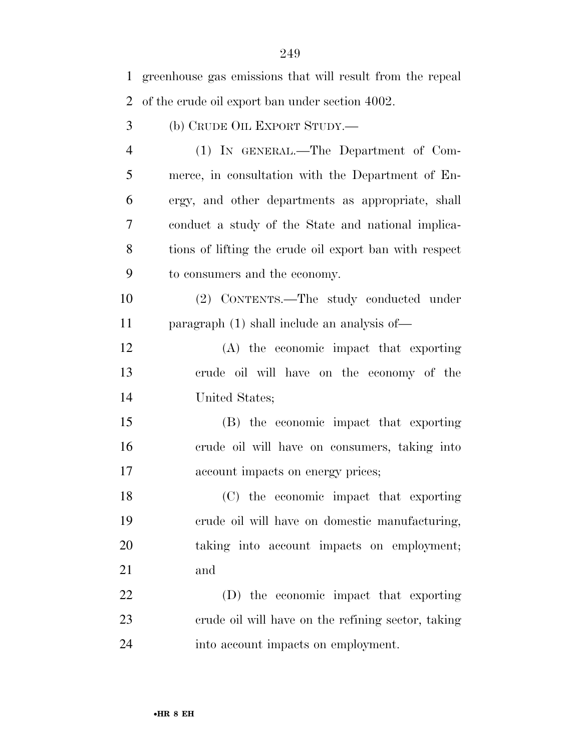| 1              | greenhouse gas emissions that will result from the repeal |
|----------------|-----------------------------------------------------------|
| $\overline{2}$ | of the crude oil export ban under section 4002.           |
| 3              | (b) CRUDE OIL EXPORT STUDY.—                              |
| $\overline{4}$ | (1) IN GENERAL.—The Department of Com-                    |
| 5              | merce, in consultation with the Department of En-         |
| 6              | ergy, and other departments as appropriate, shall         |
| 7              | conduct a study of the State and national implica-        |
| 8              | tions of lifting the crude oil export ban with respect    |
| 9              | to consumers and the economy.                             |
| 10             | (2) CONTENTS.—The study conducted under                   |
| 11             | paragraph $(1)$ shall include an analysis of —            |
| 12             | (A) the economic impact that exporting                    |
| 13             | crude oil will have on the economy of the                 |
| 14             | United States;                                            |
| 15             | (B) the economic impact that exporting                    |
| 16             | erude oil will have on consumers, taking into             |
| 17             | account impacts on energy prices;                         |
| 18             | (C) the economic impact that exporting                    |
| 19             | crude oil will have on domestic manufacturing,            |
| 20             | taking into account impacts on employment;                |
| 21             | and                                                       |
| 22             | (D) the economic impact that exporting                    |
| 23             | erude oil will have on the refining sector, taking        |
| 24             | into account impacts on employment.                       |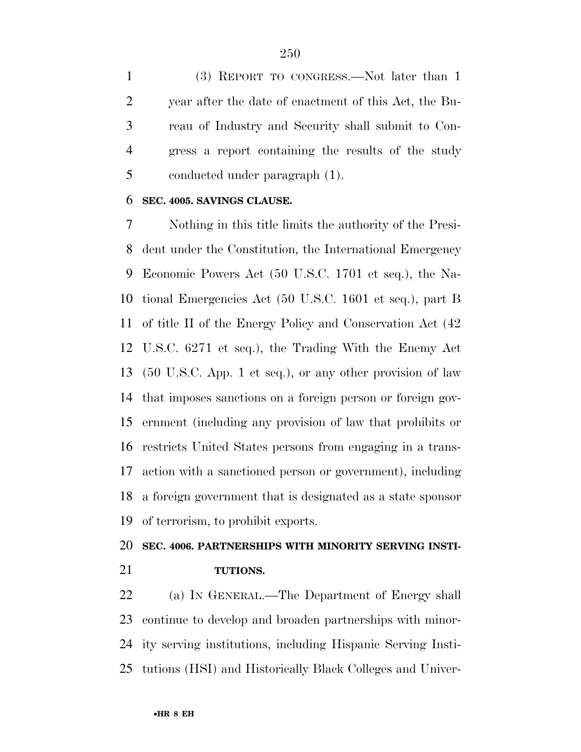(3) REPORT TO CONGRESS.—Not later than 1 year after the date of enactment of this Act, the Bu- reau of Industry and Security shall submit to Con- gress a report containing the results of the study conducted under paragraph (1).

#### **SEC. 4005. SAVINGS CLAUSE.**

 Nothing in this title limits the authority of the Presi- dent under the Constitution, the International Emergency Economic Powers Act (50 U.S.C. 1701 et seq.), the Na- tional Emergencies Act (50 U.S.C. 1601 et seq.), part B of title II of the Energy Policy and Conservation Act (42 U.S.C. 6271 et seq.), the Trading With the Enemy Act (50 U.S.C. App. 1 et seq.), or any other provision of law that imposes sanctions on a foreign person or foreign gov- ernment (including any provision of law that prohibits or restricts United States persons from engaging in a trans- action with a sanctioned person or government), including a foreign government that is designated as a state sponsor of terrorism, to prohibit exports.

### **SEC. 4006. PARTNERSHIPS WITH MINORITY SERVING INSTI-TUTIONS.**

 (a) IN GENERAL.—The Department of Energy shall continue to develop and broaden partnerships with minor- ity serving institutions, including Hispanic Serving Insti-tutions (HSI) and Historically Black Colleges and Univer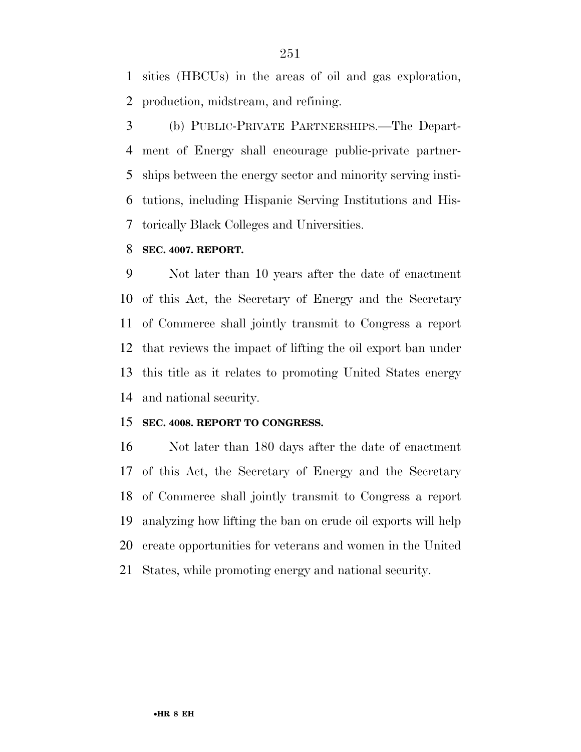sities (HBCUs) in the areas of oil and gas exploration, production, midstream, and refining.

 (b) PUBLIC-PRIVATE PARTNERSHIPS.—The Depart- ment of Energy shall encourage public-private partner- ships between the energy sector and minority serving insti- tutions, including Hispanic Serving Institutions and His-torically Black Colleges and Universities.

#### **SEC. 4007. REPORT.**

 Not later than 10 years after the date of enactment of this Act, the Secretary of Energy and the Secretary of Commerce shall jointly transmit to Congress a report that reviews the impact of lifting the oil export ban under this title as it relates to promoting United States energy and national security.

#### **SEC. 4008. REPORT TO CONGRESS.**

 Not later than 180 days after the date of enactment of this Act, the Secretary of Energy and the Secretary of Commerce shall jointly transmit to Congress a report analyzing how lifting the ban on crude oil exports will help create opportunities for veterans and women in the United States, while promoting energy and national security.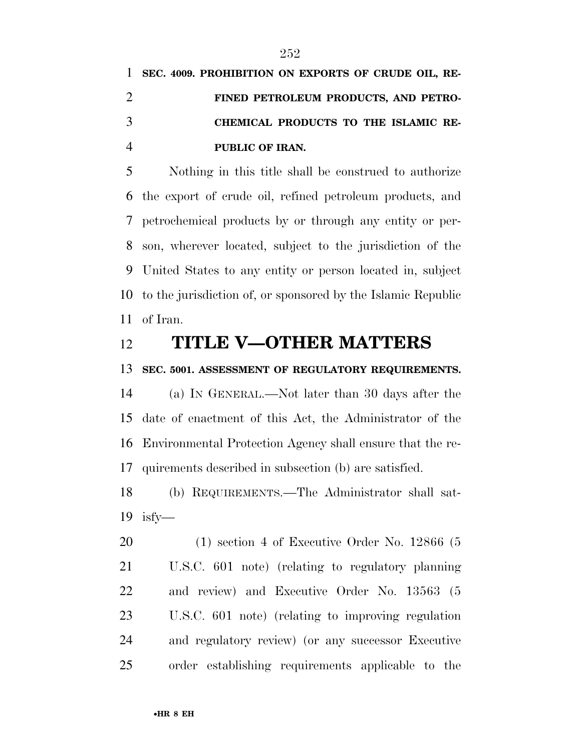# **SEC. 4009. PROHIBITION ON EXPORTS OF CRUDE OIL, RE- FINED PETROLEUM PRODUCTS, AND PETRO- CHEMICAL PRODUCTS TO THE ISLAMIC RE-PUBLIC OF IRAN.**

 Nothing in this title shall be construed to authorize the export of crude oil, refined petroleum products, and petrochemical products by or through any entity or per- son, wherever located, subject to the jurisdiction of the United States to any entity or person located in, subject to the jurisdiction of, or sponsored by the Islamic Republic of Iran.

### **TITLE V—OTHER MATTERS**

#### **SEC. 5001. ASSESSMENT OF REGULATORY REQUIREMENTS.**

 (a) IN GENERAL.—Not later than 30 days after the date of enactment of this Act, the Administrator of the Environmental Protection Agency shall ensure that the re-quirements described in subsection (b) are satisfied.

 (b) REQUIREMENTS.—The Administrator shall sat-isfy—

 (1) section 4 of Executive Order No. 12866 (5 U.S.C. 601 note) (relating to regulatory planning and review) and Executive Order No. 13563 (5 U.S.C. 601 note) (relating to improving regulation and regulatory review) (or any successor Executive order establishing requirements applicable to the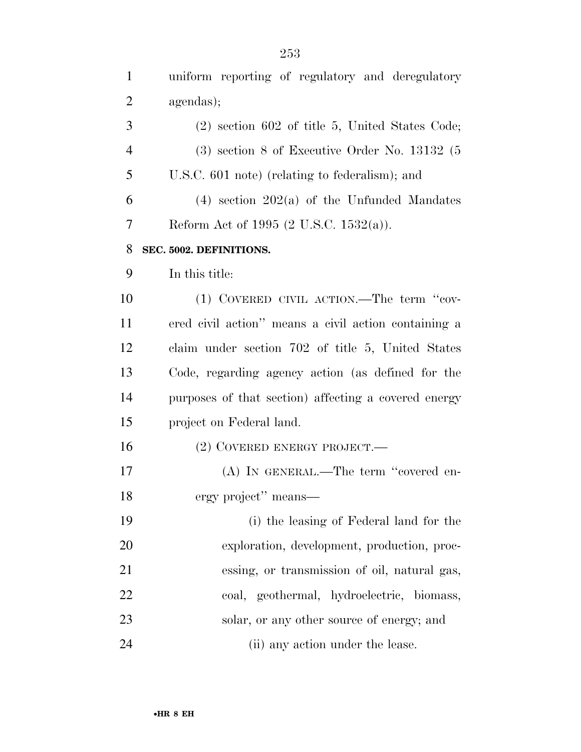uniform reporting of regulatory and deregulatory

| $\overline{2}$ | agendas);                                            |
|----------------|------------------------------------------------------|
| 3              | $(2)$ section 602 of title 5, United States Code;    |
| $\overline{4}$ | $(3)$ section 8 of Executive Order No. 13132 $(5)$   |
| 5              | U.S.C. 601 note) (relating to federalism); and       |
| 6              | $(4)$ section $202(a)$ of the Unfunded Mandates      |
| 7              | Reform Act of 1995 $(2 \text{ U.S.C. } 1532(a))$ .   |
| 8              | SEC. 5002. DEFINITIONS.                              |
| 9              | In this title:                                       |
| 10             | (1) COVERED CIVIL ACTION.—The term "cov-             |
| 11             | ered civil action" means a civil action containing a |
| 12             | claim under section 702 of title 5, United States    |
| 13             | Code, regarding agency action (as defined for the    |
| 14             | purposes of that section) affecting a covered energy |
| 15             | project on Federal land.                             |
| 16             | $(2)$ COVERED ENERGY PROJECT.—                       |
| 17             | (A) IN GENERAL.—The term "covered en-                |
| 18             | ergy project" means—                                 |
| 19             | (i) the leasing of Federal land for the              |
| 20             | exploration, development, production, proc-          |
| 21             | essing, or transmission of oil, natural gas,         |
| 22             | coal, geothermal, hydroelectric, biomass,            |
| 23             | solar, or any other source of energy; and            |
| 24             | (ii) any action under the lease.                     |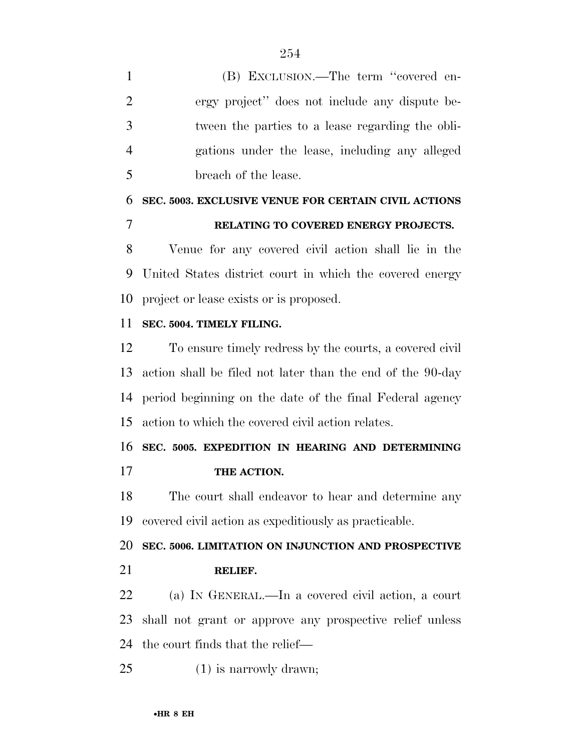(B) EXCLUSION.—The term ''covered en- ergy project'' does not include any dispute be- tween the parties to a lease regarding the obli- gations under the lease, including any alleged breach of the lease.

## **SEC. 5003. EXCLUSIVE VENUE FOR CERTAIN CIVIL ACTIONS RELATING TO COVERED ENERGY PROJECTS.**

 Venue for any covered civil action shall lie in the United States district court in which the covered energy project or lease exists or is proposed.

#### **SEC. 5004. TIMELY FILING.**

 To ensure timely redress by the courts, a covered civil action shall be filed not later than the end of the 90-day period beginning on the date of the final Federal agency action to which the covered civil action relates.

### **SEC. 5005. EXPEDITION IN HEARING AND DETERMINING THE ACTION.**

 The court shall endeavor to hear and determine any covered civil action as expeditiously as practicable.

 **SEC. 5006. LIMITATION ON INJUNCTION AND PROSPECTIVE RELIEF.** 

 (a) IN GENERAL.—In a covered civil action, a court shall not grant or approve any prospective relief unless the court finds that the relief—

(1) is narrowly drawn;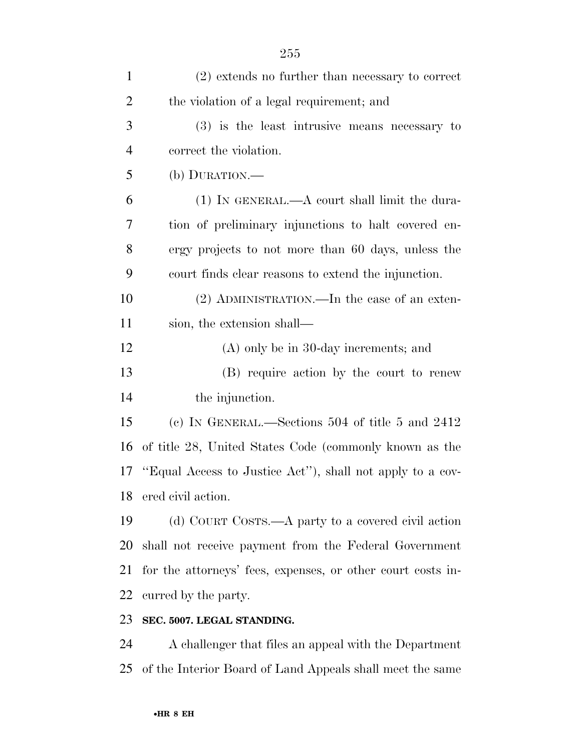| $\mathbf{1}$   | $(2)$ extends no further than necessary to correct          |
|----------------|-------------------------------------------------------------|
| $\overline{2}$ | the violation of a legal requirement; and                   |
| 3              | $(3)$ is the least intrusive means necessary to             |
| $\overline{4}$ | correct the violation.                                      |
| 5              | (b) DURATION.—                                              |
| 6              | $(1)$ In GENERAL.—A court shall limit the dura-             |
| 7              | tion of preliminary injunctions to halt covered en-         |
| 8              | ergy projects to not more than 60 days, unless the          |
| 9              | court finds clear reasons to extend the injunction.         |
| 10             | $(2)$ ADMINISTRATION.—In the case of an exten-              |
| 11             | sion, the extension shall—                                  |
| 12             | $(A)$ only be in 30-day increments; and                     |
| 13             | (B) require action by the court to renew                    |
| 14             | the injunction.                                             |
| 15             | (c) IN GENERAL.—Sections 504 of title 5 and $2412$          |
| 16             | of title 28, United States Code (commonly known as the      |
| 17             | "Equal Access to Justice Act"), shall not apply to a cov-   |
|                | 18 ered civil action.                                       |
| 19             | (d) COURT COSTS.—A party to a covered civil action          |
| 20             | shall not receive payment from the Federal Government       |
| 21             | for the attorneys' fees, expenses, or other court costs in- |
| 22             | curred by the party.                                        |
| 23             | SEC. 5007. LEGAL STANDING.                                  |
| $\mathcal{L}$  | A shallowgay that files are expected with the Department    |

 A challenger that files an appeal with the Department of the Interior Board of Land Appeals shall meet the same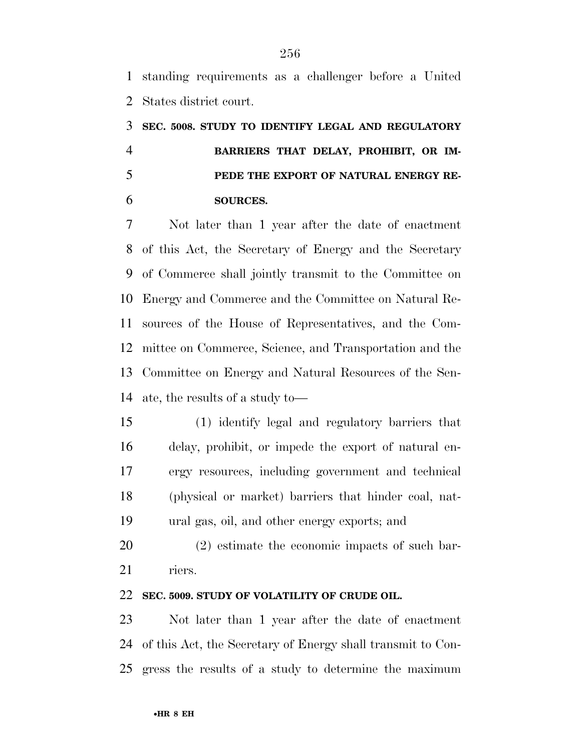standing requirements as a challenger before a United States district court.

# **SEC. 5008. STUDY TO IDENTIFY LEGAL AND REGULATORY BARRIERS THAT DELAY, PROHIBIT, OR IM- PEDE THE EXPORT OF NATURAL ENERGY RE-SOURCES.**

 Not later than 1 year after the date of enactment of this Act, the Secretary of Energy and the Secretary of Commerce shall jointly transmit to the Committee on Energy and Commerce and the Committee on Natural Re- sources of the House of Representatives, and the Com- mittee on Commerce, Science, and Transportation and the Committee on Energy and Natural Resources of the Sen-ate, the results of a study to—

 (1) identify legal and regulatory barriers that delay, prohibit, or impede the export of natural en- ergy resources, including government and technical (physical or market) barriers that hinder coal, nat-ural gas, oil, and other energy exports; and

 (2) estimate the economic impacts of such bar-riers.

#### **SEC. 5009. STUDY OF VOLATILITY OF CRUDE OIL.**

 Not later than 1 year after the date of enactment of this Act, the Secretary of Energy shall transmit to Con-gress the results of a study to determine the maximum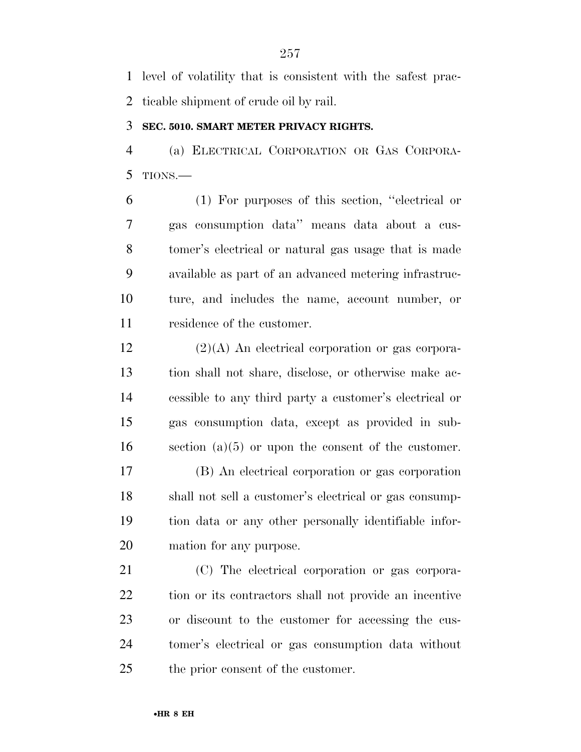level of volatility that is consistent with the safest prac-ticable shipment of crude oil by rail.

#### **SEC. 5010. SMART METER PRIVACY RIGHTS.**

 (a) ELECTRICAL CORPORATION OR GAS CORPORA-TIONS.—

 (1) For purposes of this section, ''electrical or gas consumption data'' means data about a cus- tomer's electrical or natural gas usage that is made available as part of an advanced metering infrastruc- ture, and includes the name, account number, or residence of the customer.

 (2)(A) An electrical corporation or gas corpora- tion shall not share, disclose, or otherwise make ac- cessible to any third party a customer's electrical or gas consumption data, except as provided in sub-section (a)(5) or upon the consent of the customer.

 (B) An electrical corporation or gas corporation shall not sell a customer's electrical or gas consump- tion data or any other personally identifiable infor-mation for any purpose.

 (C) The electrical corporation or gas corpora- tion or its contractors shall not provide an incentive or discount to the customer for accessing the cus- tomer's electrical or gas consumption data without the prior consent of the customer.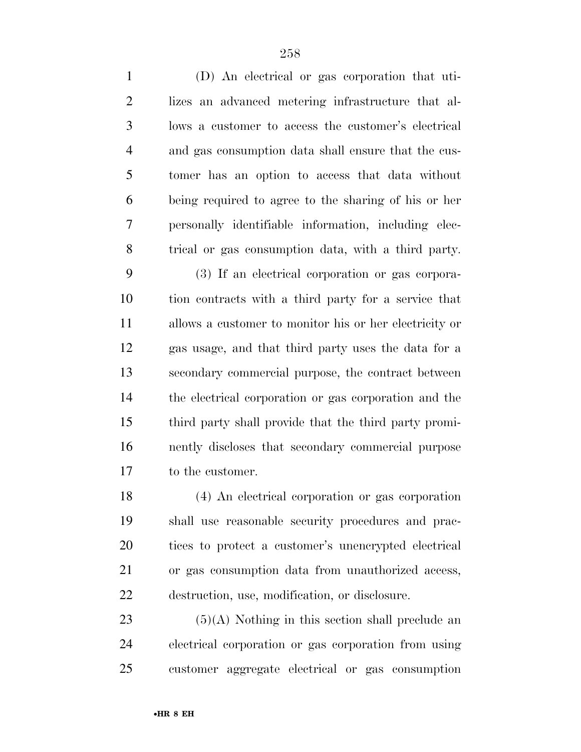| $\mathbf{1}$   | (D) An electrical or gas corporation that uti-         |
|----------------|--------------------------------------------------------|
| $\overline{2}$ | lizes an advanced metering infrastructure that al-     |
| 3              | lows a customer to access the customer's electrical    |
| 4              | and gas consumption data shall ensure that the cus-    |
| 5              | tomer has an option to access that data without        |
| 6              | being required to agree to the sharing of his or her   |
| 7              | personally identifiable information, including elec-   |
| 8              | trical or gas consumption data, with a third party.    |
| 9              | (3) If an electrical corporation or gas corpora-       |
| 10             | tion contracts with a third party for a service that   |
| 11             | allows a customer to monitor his or her electricity or |
| 12             | gas usage, and that third party uses the data for a    |
| 13             | secondary commercial purpose, the contract between     |
| 14             | the electrical corporation or gas corporation and the  |
| 15             | third party shall provide that the third party promi-  |
| 16             | nently discloses that secondary commercial purpose     |
| 17             | to the customer.                                       |
| 18             | (4) An electrical corporation or gas corporation       |
| 19             | shall use reasonable security procedures and prac-     |
| 20             | tices to protect a customer's unencrypted electrical   |
| 21             | or gas consumption data from unauthorized access,      |
| 22             | destruction, use, modification, or disclosure.         |

 (5)(A) Nothing in this section shall preclude an electrical corporation or gas corporation from using customer aggregate electrical or gas consumption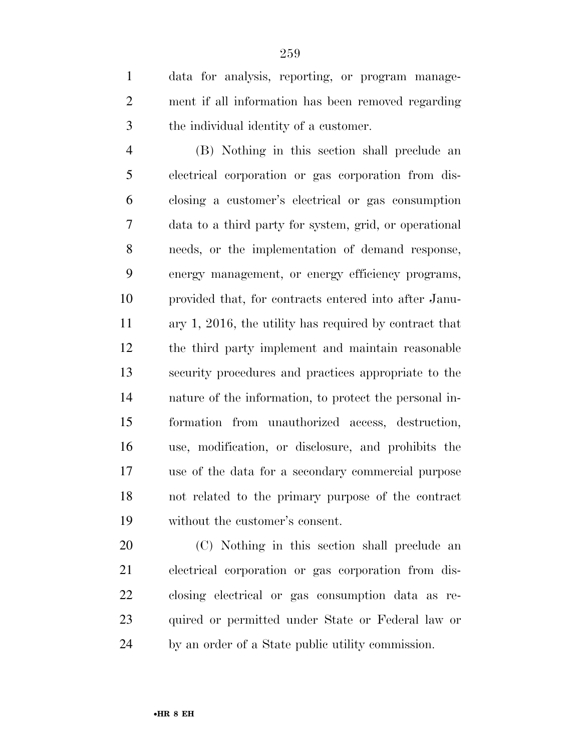data for analysis, reporting, or program manage- ment if all information has been removed regarding the individual identity of a customer.

 (B) Nothing in this section shall preclude an electrical corporation or gas corporation from dis- closing a customer's electrical or gas consumption data to a third party for system, grid, or operational needs, or the implementation of demand response, energy management, or energy efficiency programs, provided that, for contracts entered into after Janu- ary 1, 2016, the utility has required by contract that the third party implement and maintain reasonable security procedures and practices appropriate to the nature of the information, to protect the personal in- formation from unauthorized access, destruction, use, modification, or disclosure, and prohibits the use of the data for a secondary commercial purpose not related to the primary purpose of the contract without the customer's consent.

 (C) Nothing in this section shall preclude an electrical corporation or gas corporation from dis- closing electrical or gas consumption data as re- quired or permitted under State or Federal law or by an order of a State public utility commission.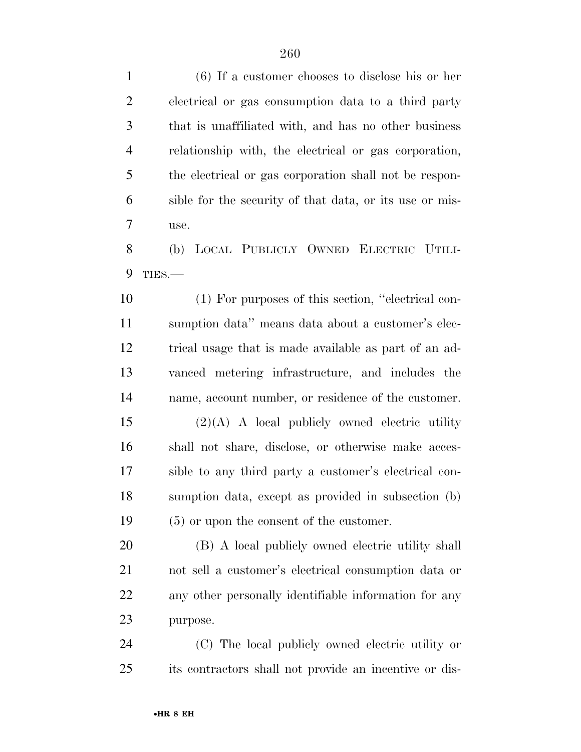(6) If a customer chooses to disclose his or her electrical or gas consumption data to a third party that is unaffiliated with, and has no other business relationship with, the electrical or gas corporation, the electrical or gas corporation shall not be respon- sible for the security of that data, or its use or mis- use. (b) LOCAL PUBLICLY OWNED ELECTRIC UTILI- TIES.— (1) For purposes of this section, ''electrical con- sumption data'' means data about a customer's elec- trical usage that is made available as part of an ad- vanced metering infrastructure, and includes the name, account number, or residence of the customer. (2)(A) A local publicly owned electric utility shall not share, disclose, or otherwise make acces- sible to any third party a customer's electrical con- sumption data, except as provided in subsection (b) (5) or upon the consent of the customer. (B) A local publicly owned electric utility shall not sell a customer's electrical consumption data or any other personally identifiable information for any purpose. (C) The local publicly owned electric utility or

its contractors shall not provide an incentive or dis-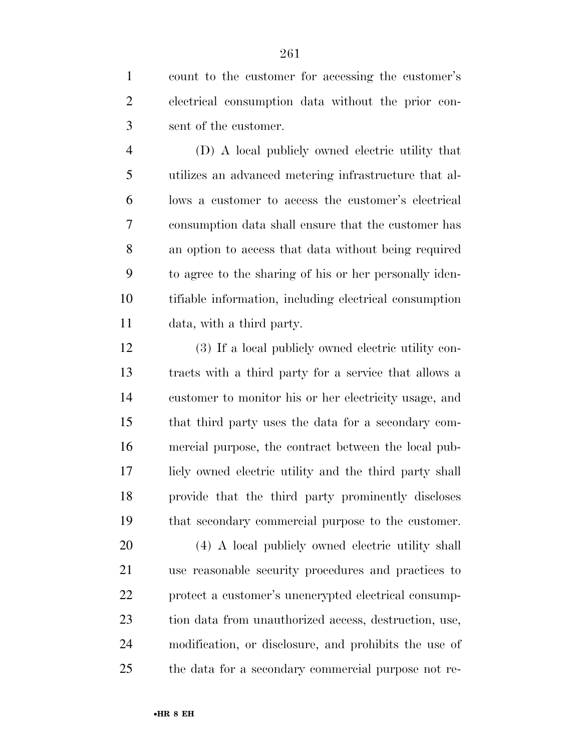count to the customer for accessing the customer's electrical consumption data without the prior con-sent of the customer.

 (D) A local publicly owned electric utility that utilizes an advanced metering infrastructure that al- lows a customer to access the customer's electrical consumption data shall ensure that the customer has an option to access that data without being required to agree to the sharing of his or her personally iden- tifiable information, including electrical consumption data, with a third party.

 (3) If a local publicly owned electric utility con- tracts with a third party for a service that allows a customer to monitor his or her electricity usage, and that third party uses the data for a secondary com- mercial purpose, the contract between the local pub- licly owned electric utility and the third party shall provide that the third party prominently discloses that secondary commercial purpose to the customer.

 (4) A local publicly owned electric utility shall use reasonable security procedures and practices to protect a customer's unencrypted electrical consump- tion data from unauthorized access, destruction, use, modification, or disclosure, and prohibits the use of the data for a secondary commercial purpose not re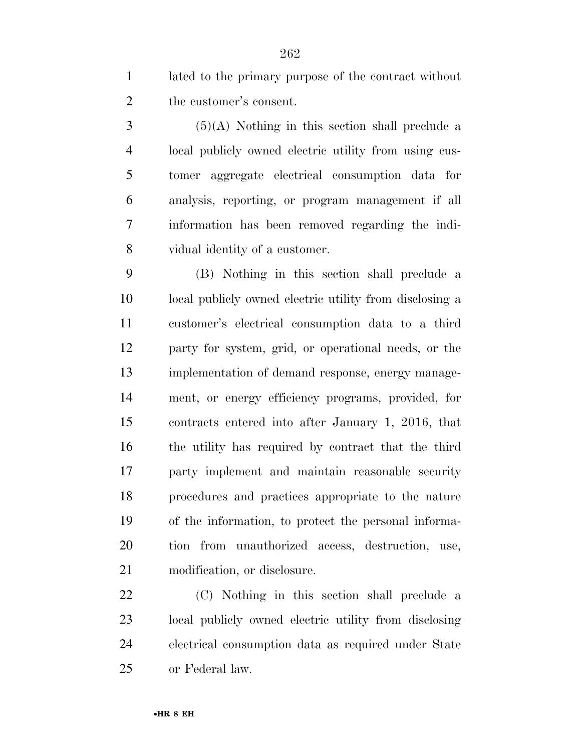lated to the primary purpose of the contract without the customer's consent.

 $3 \qquad (5)(A)$  Nothing in this section shall preclude a local publicly owned electric utility from using cus- tomer aggregate electrical consumption data for analysis, reporting, or program management if all information has been removed regarding the indi-vidual identity of a customer.

 (B) Nothing in this section shall preclude a local publicly owned electric utility from disclosing a customer's electrical consumption data to a third party for system, grid, or operational needs, or the implementation of demand response, energy manage- ment, or energy efficiency programs, provided, for contracts entered into after January 1, 2016, that the utility has required by contract that the third party implement and maintain reasonable security procedures and practices appropriate to the nature of the information, to protect the personal informa- tion from unauthorized access, destruction, use, modification, or disclosure.

 (C) Nothing in this section shall preclude a local publicly owned electric utility from disclosing electrical consumption data as required under State or Federal law.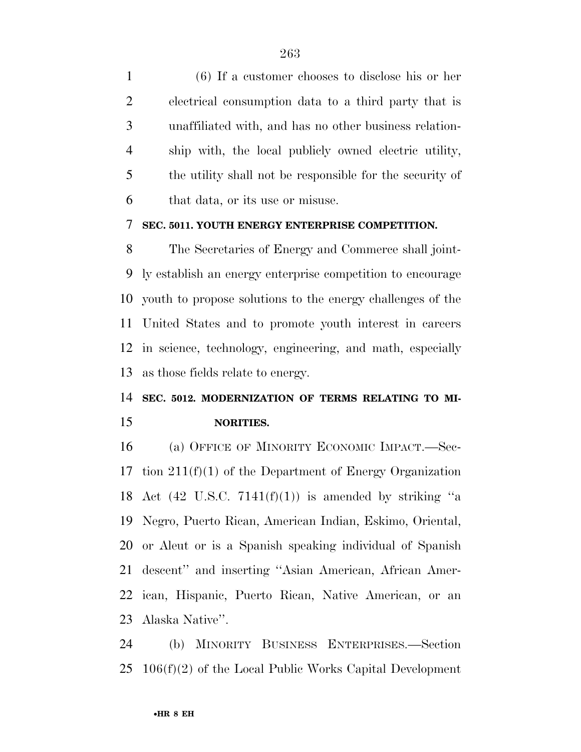(6) If a customer chooses to disclose his or her electrical consumption data to a third party that is unaffiliated with, and has no other business relation- ship with, the local publicly owned electric utility, the utility shall not be responsible for the security of that data, or its use or misuse.

#### **SEC. 5011. YOUTH ENERGY ENTERPRISE COMPETITION.**

 The Secretaries of Energy and Commerce shall joint- ly establish an energy enterprise competition to encourage youth to propose solutions to the energy challenges of the United States and to promote youth interest in careers in science, technology, engineering, and math, especially as those fields relate to energy.

## **SEC. 5012. MODERNIZATION OF TERMS RELATING TO MI-NORITIES.**

 (a) OFFICE OF MINORITY ECONOMIC IMPACT.—Sec- tion 211(f)(1) of the Department of Energy Organization 18 Act (42 U.S.C.  $7141(f)(1)$ ) is amended by striking "a Negro, Puerto Rican, American Indian, Eskimo, Oriental, or Aleut or is a Spanish speaking individual of Spanish descent'' and inserting ''Asian American, African Amer- ican, Hispanic, Puerto Rican, Native American, or an Alaska Native''.

 (b) MINORITY BUSINESS ENTERPRISES.—Section 106(f)(2) of the Local Public Works Capital Development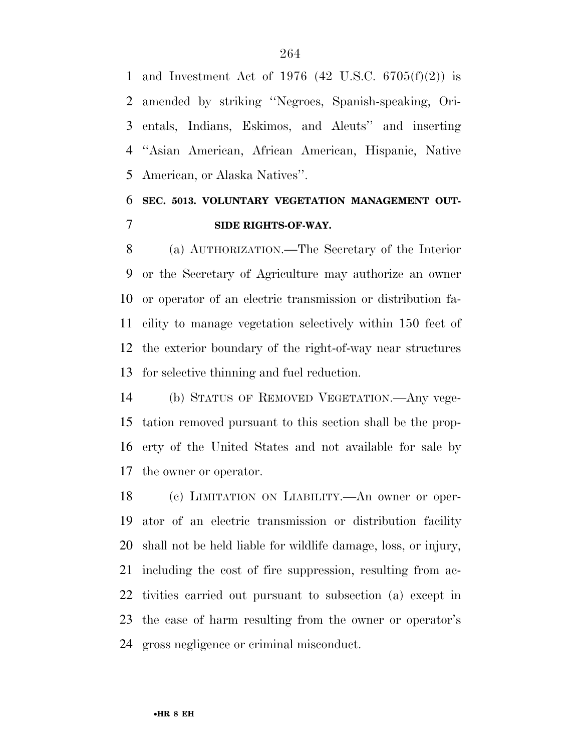and Investment Act of 1976 (42 U.S.C. 6705(f)(2)) is amended by striking ''Negroes, Spanish-speaking, Ori- entals, Indians, Eskimos, and Aleuts'' and inserting ''Asian American, African American, Hispanic, Native American, or Alaska Natives''.

## **SEC. 5013. VOLUNTARY VEGETATION MANAGEMENT OUT-SIDE RIGHTS-OF-WAY.**

 (a) AUTHORIZATION.—The Secretary of the Interior or the Secretary of Agriculture may authorize an owner or operator of an electric transmission or distribution fa- cility to manage vegetation selectively within 150 feet of the exterior boundary of the right-of-way near structures for selective thinning and fuel reduction.

 (b) STATUS OF REMOVED VEGETATION.—Any vege- tation removed pursuant to this section shall be the prop- erty of the United States and not available for sale by the owner or operator.

 (c) LIMITATION ON LIABILITY.—An owner or oper- ator of an electric transmission or distribution facility shall not be held liable for wildlife damage, loss, or injury, including the cost of fire suppression, resulting from ac- tivities carried out pursuant to subsection (a) except in the case of harm resulting from the owner or operator's gross negligence or criminal misconduct.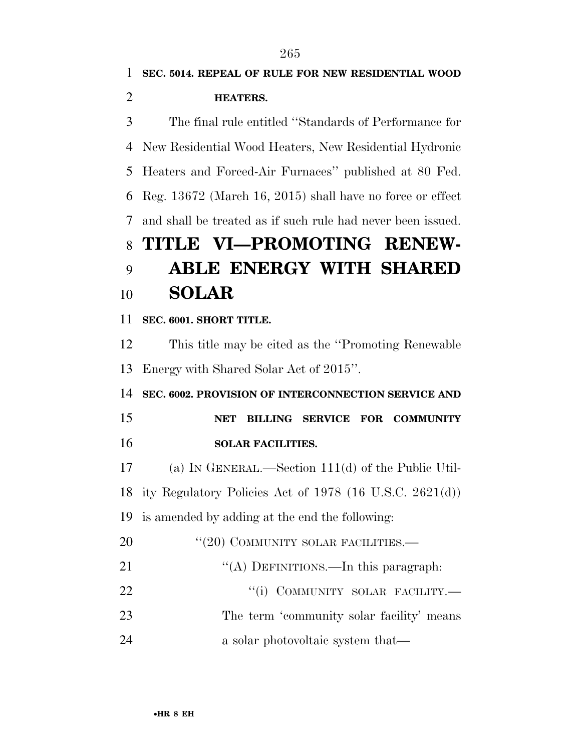**SEC. 5014. REPEAL OF RULE FOR NEW RESIDENTIAL WOOD HEATERS.**  The final rule entitled ''Standards of Performance for New Residential Wood Heaters, New Residential Hydronic Heaters and Forced-Air Furnaces'' published at 80 Fed. Reg. 13672 (March 16, 2015) shall have no force or effect and shall be treated as if such rule had never been issued. **TITLE VI—PROMOTING RENEW- ABLE ENERGY WITH SHARED SOLAR SEC. 6001. SHORT TITLE.**  This title may be cited as the ''Promoting Renewable Energy with Shared Solar Act of 2015''. **SEC. 6002. PROVISION OF INTERCONNECTION SERVICE AND NET BILLING SERVICE FOR COMMUNITY SOLAR FACILITIES.**  (a) IN GENERAL.—Section 111(d) of the Public Util- ity Regulatory Policies Act of 1978 (16 U.S.C. 2621(d)) is amended by adding at the end the following: 20 "(20) COMMUNITY SOLAR FACILITIES.— 21 "(A) DEFINITIONS.—In this paragraph:  $"(i)$  COMMUNITY SOLAR FACILITY. 23 The term 'community solar facility' means 24 a solar photovoltaic system that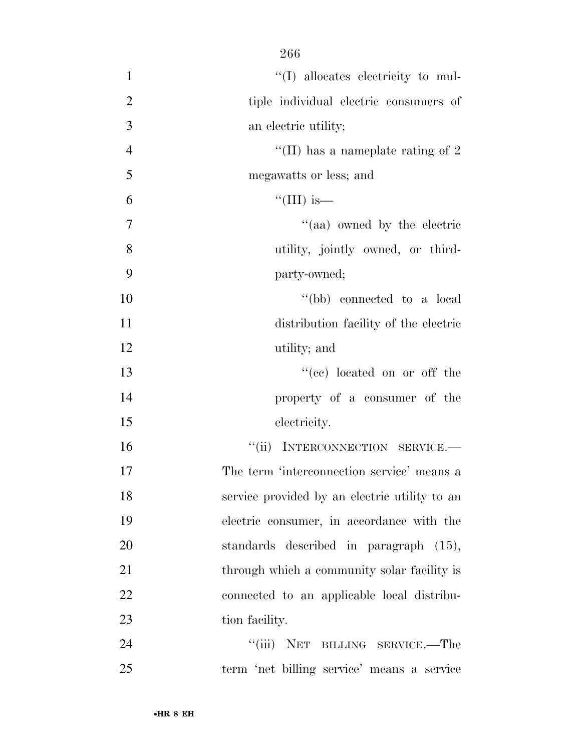| $\mathbf{1}$   | $\lq\lq$ (I) allocates electricity to mul-    |
|----------------|-----------------------------------------------|
| $\overline{2}$ | tiple individual electric consumers of        |
| 3              | an electric utility;                          |
| $\overline{4}$ | "(II) has a nameplate rating of $2$           |
| 5              | megawatts or less; and                        |
| 6              | "(III) is—                                    |
| $\overline{7}$ | "(aa) owned by the electric                   |
| 8              | utility, jointly owned, or third-             |
| 9              | party-owned;                                  |
| 10             | "(bb) connected to a local                    |
| 11             | distribution facility of the electric         |
| 12             | utility; and                                  |
| 13             | "(ce) located on or off the                   |
| 14             | property of a consumer of the                 |
| 15             | electricity.                                  |
| 16             | "(ii) INTERCONNECTION SERVICE.-               |
| 17             | The term 'interconnection service' means a    |
| 18             | service provided by an electric utility to an |
| 19             | electric consumer, in accordance with the     |
| 20             | standards described in paragraph (15),        |
| 21             | through which a community solar facility is   |
| 22             | connected to an applicable local distribu-    |
| 23             | tion facility.                                |
| 24             | "(iii) NET BILLING SERVICE.—The               |
| 25             | term 'net billing service' means a service    |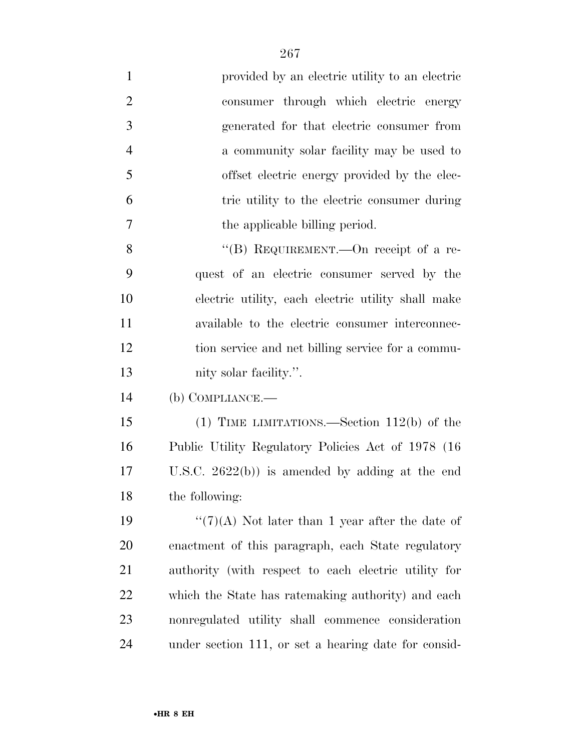| $\mathbf{1}$   | provided by an electric utility to an electric       |
|----------------|------------------------------------------------------|
| $\overline{2}$ | consumer through which electric energy               |
| 3              | generated for that electric consumer from            |
| 4              | a community solar facility may be used to            |
| 5              | offset electric energy provided by the elec-         |
| 6              | tric utility to the electric consumer during         |
| 7              | the applicable billing period.                       |
| 8              | "(B) REQUIREMENT.—On receipt of a re-                |
| 9              | quest of an electric consumer served by the          |
| 10             | electric utility, each electric utility shall make   |
| <sup>11</sup>  | available to the electric consumer interconnec-      |
| 12             | tion service and net billing service for a commu-    |
| 13             | nity solar facility.".                               |
| 14             | $(b)$ COMPLIANCE.—                                   |
| 15             | (1) TIME LIMITATIONS.—Section $112(b)$ of the        |
| 16             | Public Utility Regulatory Policies Act of 1978 (16)  |
| 17             | U.S.C. $2622(b)$ is amended by adding at the end     |
| 18             | the following:                                       |
| 19             | " $(7)(A)$ Not later than 1 year after the date of   |
| 20             | enactment of this paragraph, each State regulatory   |
| 21             | authority (with respect to each electric utility for |
| 22             | which the State has ratemaking authority) and each   |
| 23             | nonregulated utility shall commence consideration    |
| 24             | under section 111, or set a hearing date for consid- |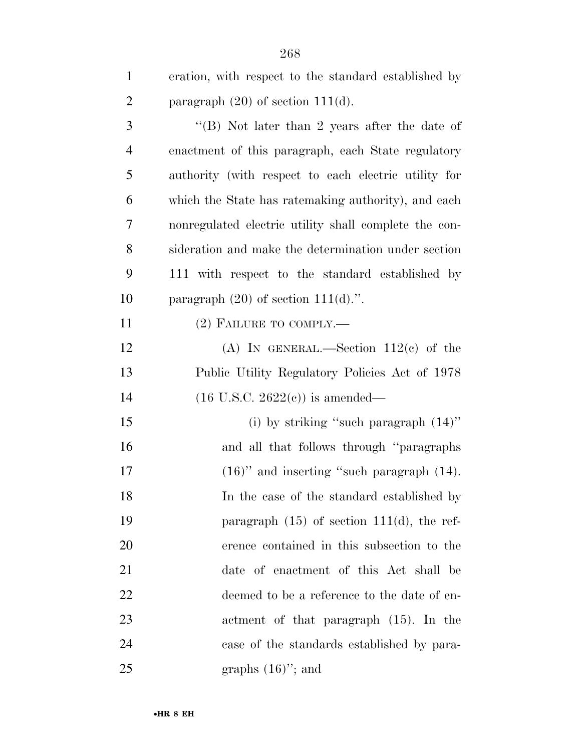| $\mathbf{1}$   | eration, with respect to the standard established by  |
|----------------|-------------------------------------------------------|
| $\overline{2}$ | paragraph $(20)$ of section 111(d).                   |
| 3              | "(B) Not later than 2 years after the date of         |
| $\overline{4}$ | enactment of this paragraph, each State regulatory    |
| 5              | authority (with respect to each electric utility for  |
| 6              | which the State has ratemaking authority), and each   |
| 7              | nonregulated electric utility shall complete the con- |
| 8              | sideration and make the determination under section   |
| 9              | 111 with respect to the standard established by       |
| 10             | paragraph $(20)$ of section $111(d)$ .".              |
| 11             | $(2)$ FAILURE TO COMPLY.—                             |
| 12             | (A) IN GENERAL.—Section $112(c)$ of the               |
| 13             | Public Utility Regulatory Policies Act of 1978        |
| 14             | $(16 \text{ U.S.C. } 2622(c))$ is amended—            |
| 15             | (i) by striking "such paragraph $(14)$ "              |
| 16             | and all that follows through "paragraphs              |
| 17             | $(16)$ " and inserting "such paragraph $(14)$ .       |
| 18             | In the case of the standard established by            |
| 19             | paragraph $(15)$ of section 111 $(d)$ , the ref-      |
| 20             | erence contained in this subsection to the            |
| 21             | date of enactment of this Act shall be                |
| 22             | deemed to be a reference to the date of en-           |
| 23             | actment of that paragraph (15). In the                |
| 24             | case of the standards established by para-            |
| 25             | graphs $(16)$ "; and                                  |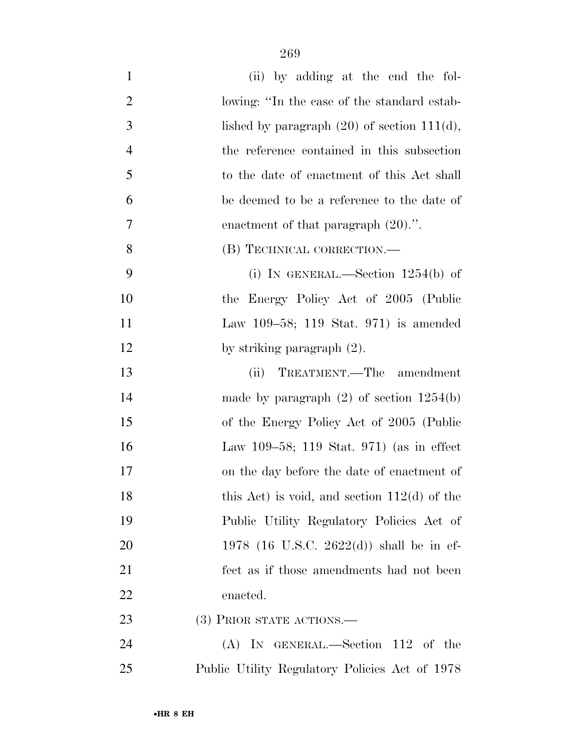| $\mathbf{1}$   | (ii) by adding at the end the fol-                |
|----------------|---------------------------------------------------|
| $\overline{2}$ | lowing: "In the case of the standard estab-       |
| 3              | lished by paragraph $(20)$ of section 111 $(d)$ , |
| $\overline{4}$ | the reference contained in this subsection        |
| 5              | to the date of enactment of this Act shall        |
| 6              | be deemed to be a reference to the date of        |
| 7              | enactment of that paragraph $(20)$ .".            |
| 8              | (B) TECHNICAL CORRECTION.—                        |
| 9              | (i) IN GENERAL.—Section $1254(b)$ of              |
| 10             | the Energy Policy Act of 2005 (Public             |
| 11             | Law 109–58; 119 Stat. 971) is amended             |
| 12             | by striking paragraph $(2)$ .                     |
| 13             | TREATMENT.—The amendment<br>(ii)                  |
| 14             | made by paragraph $(2)$ of section $1254(b)$      |
| 15             | of the Energy Policy Act of 2005 (Public          |
| 16             | Law 109–58; 119 Stat. 971) (as in effect          |
| 17             | on the day before the date of enactment of        |
| 18             | this Act) is void, and section $112(d)$ of the    |
| 19             | Public Utility Regulatory Policies Act of         |
| 20             | 1978 (16 U.S.C. 2622(d)) shall be in ef-          |
| 21             | fect as if those amendments had not been          |
| 22             | enacted.                                          |
| 23             | (3) PRIOR STATE ACTIONS.—                         |
| 24             | $(A)$ In GENERAL.—Section 112 of the              |
| 25             | Public Utility Regulatory Policies Act of 1978    |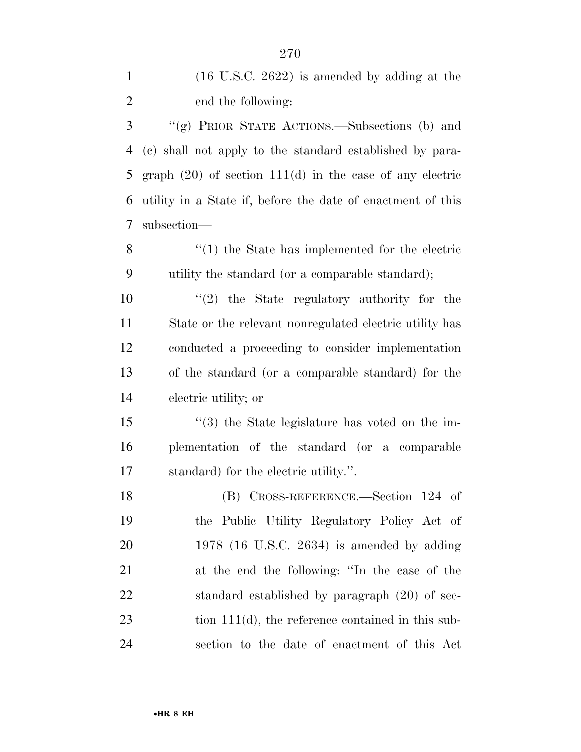| $\mathbf{1}$   | $(16 \text{ U.S.C. } 2622)$ is amended by adding at the       |
|----------------|---------------------------------------------------------------|
| $\overline{2}$ | end the following:                                            |
| 3              | "(g) PRIOR STATE ACTIONS.—Subsections (b) and                 |
| 4              | (c) shall not apply to the standard established by para-      |
| 5              | graph $(20)$ of section 111 $(d)$ in the case of any electric |
| 6              | utility in a State if, before the date of enactment of this   |
| 7              | subsection-                                                   |
| 8              | $\cdot$ (1) the State has implemented for the electric        |
| 9              | utility the standard (or a comparable standard);              |
| 10             | $\lq(2)$ the State regulatory authority for the               |
| 11             | State or the relevant nonregulated electric utility has       |
| 12             | conducted a proceeding to consider implementation             |
| 13             | of the standard (or a comparable standard) for the            |
| 14             | electric utility; or                                          |
| 15             | $\cdot\cdot$ (3) the State legislature has voted on the im-   |
| 16             | plementation of the standard (or a comparable                 |
| 17             | standard) for the electric utility.".                         |
| 18             | (B) CROSS-REFERENCE.—Section 124 of                           |
| 19             | the Public Utility Regulatory Policy Act of                   |
| 20             | $1978$ (16 U.S.C. 2634) is amended by adding                  |
| 21             | at the end the following: "In the case of the                 |
| 22             | standard established by paragraph (20) of sec-                |
| 23             | tion $111(d)$ , the reference contained in this sub-          |
|                |                                                               |

section to the date of enactment of this Act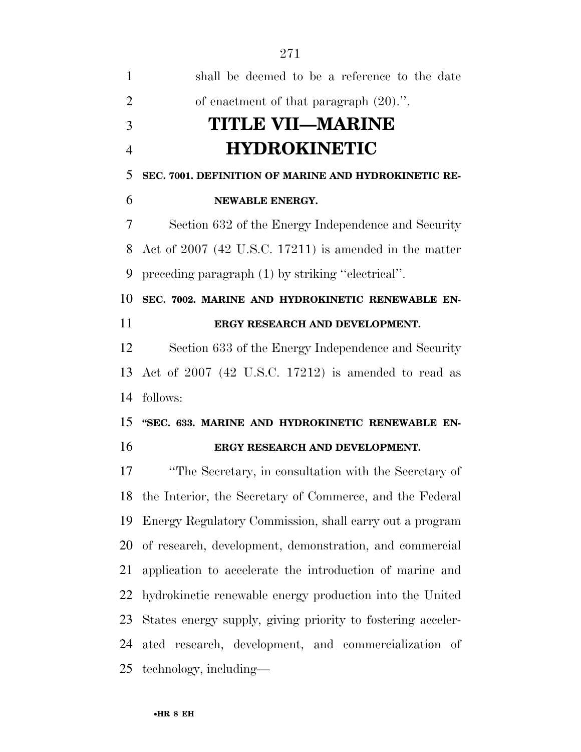| $\mathbf{1}$   | shall be deemed to be a reference to the date               |
|----------------|-------------------------------------------------------------|
| $\overline{2}$ | of enactment of that paragraph $(20)$ .".                   |
| 3              | <b>TITLE VII—MARINE</b>                                     |
| $\overline{4}$ | <b>HYDROKINETIC</b>                                         |
| 5              | SEC. 7001. DEFINITION OF MARINE AND HYDROKINETIC RE-        |
| 6              | NEWABLE ENERGY.                                             |
| 7              | Section 632 of the Energy Independence and Security         |
| 8              | Act of $2007$ (42 U.S.C. 17211) is amended in the matter    |
| 9              | preceding paragraph (1) by striking "electrical".           |
| 10             | SEC. 7002. MARINE AND HYDROKINETIC RENEWABLE EN-            |
| 11             | ERGY RESEARCH AND DEVELOPMENT.                              |
| 12             | Section 633 of the Energy Independence and Security         |
| 13             | Act of 2007 (42 U.S.C. 17212) is amended to read as         |
| 14             | follows:                                                    |
| 15             | "SEC. 633. MARINE AND HYDROKINETIC RENEWABLE EN-            |
| 16             | ERGY RESEARCH AND DEVELOPMENT.                              |
| 17             | "The Secretary, in consultation with the Secretary of       |
|                | 18 the Interior, the Secretary of Commerce, and the Federal |
| 19             | Energy Regulatory Commission, shall carry out a program     |
| 20             | of research, development, demonstration, and commercial     |
| 21             | application to accelerate the introduction of marine and    |
| 22             | hydrokinetic renewable energy production into the United    |
| 23             | States energy supply, giving priority to fostering acceler- |
| 24             | ated research, development, and commercialization of        |
|                | 25 technology, including—                                   |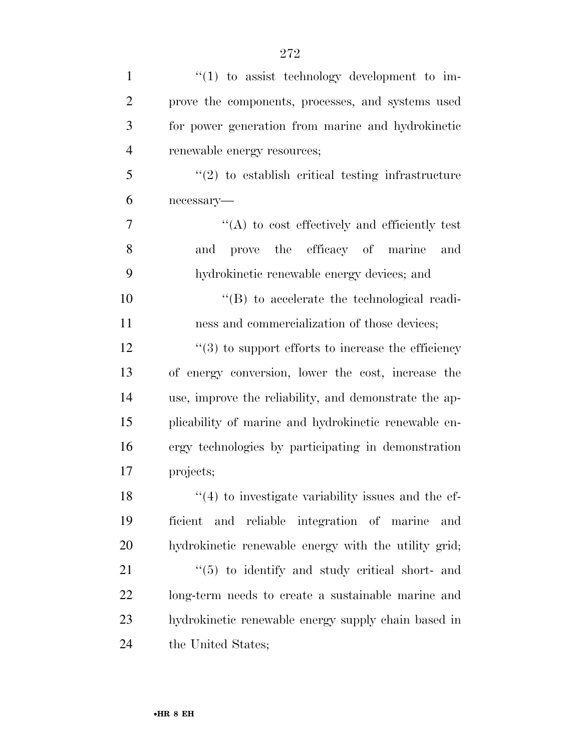| $\mathbf{1}$   | $\lq(1)$ to assist technology development to im-               |
|----------------|----------------------------------------------------------------|
| $\overline{2}$ | prove the components, processes, and systems used              |
| 3              | for power generation from marine and hydrokinetic              |
| $\overline{4}$ | renewable energy resources;                                    |
| 5              | $\lq(2)$ to establish critical testing infrastructure          |
| 6              | necessary-                                                     |
| $\overline{7}$ | $\lq\lq$ to cost effectively and efficiently test              |
| 8              | prove the efficacy of marine<br>and<br>and                     |
| 9              | hydrokinetic renewable energy devices; and                     |
| 10             | $\lq\lq (B)$ to accelerate the technological readi-            |
| 11             | ness and commercialization of those devices;                   |
| 12             | $\cdot\cdot$ (3) to support efforts to increase the efficiency |
| 13             | of energy conversion, lower the cost, increase the             |
| 14             | use, improve the reliability, and demonstrate the ap-          |
| 15             | plicability of marine and hydrokinetic renewable en-           |
| 16             | ergy technologies by participating in demonstration            |
| 17             | projects;                                                      |
| 18             | $\mathcal{L}(4)$ to investigate variability issues and the ef- |
| 19             | ficient and reliable integration of marine<br>and              |
| 20             | hydrokinetic renewable energy with the utility grid;           |
| 21             | "(5) to identify and study critical short- and                 |
| 22             | long-term needs to create a sustainable marine and             |
| 23             | hydrokinetic renewable energy supply chain based in            |
| 24             | the United States;                                             |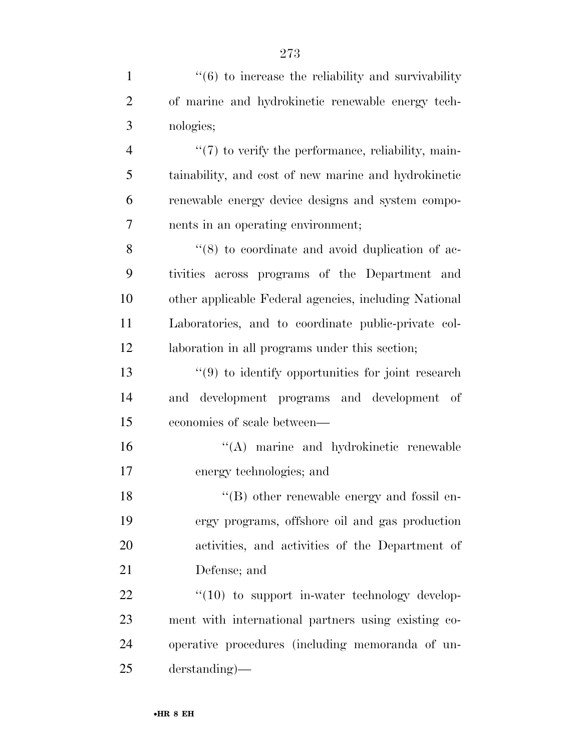| $\mathbf{1}$   | $\cdot\cdot\cdot(6)$ to increase the reliability and survivability |
|----------------|--------------------------------------------------------------------|
| $\overline{2}$ | of marine and hydrokinetic renewable energy tech-                  |
| 3              | nologies;                                                          |
| $\overline{4}$ | $\lq(7)$ to verify the performance, reliability, main-             |
| 5              | tainability, and cost of new marine and hydrokinetic               |
| 6              | renewable energy device designs and system compo-                  |
| 7              | nents in an operating environment;                                 |
| 8              | $\cdot$ (8) to coordinate and avoid duplication of ac-             |
| 9              | tivities across programs of the Department and                     |
| 10             | other applicable Federal agencies, including National              |
| 11             | Laboratories, and to coordinate public-private col-                |
| 12             | laboration in all programs under this section;                     |
| 13             | $\lq(9)$ to identify opportunities for joint research              |
| 14             | development programs and development of<br>and                     |
| 15             | economies of scale between—                                        |
| 16             | "(A) marine and hydrokinetic renewable                             |
| 17             | energy technologies; and                                           |
| 18             | $\lq\lq$ other renewable energy and fossil en-                     |
| 19             | ergy programs, offshore oil and gas production                     |
| 20             | activities, and activities of the Department of                    |
| 21             | Defense; and                                                       |
| 22             | $\lq(10)$ to support in-water technology develop-                  |
| 23             | ment with international partners using existing co-                |
| 24             | operative procedures (including memoranda of un-                   |
| 25             | $derstanding)$ —                                                   |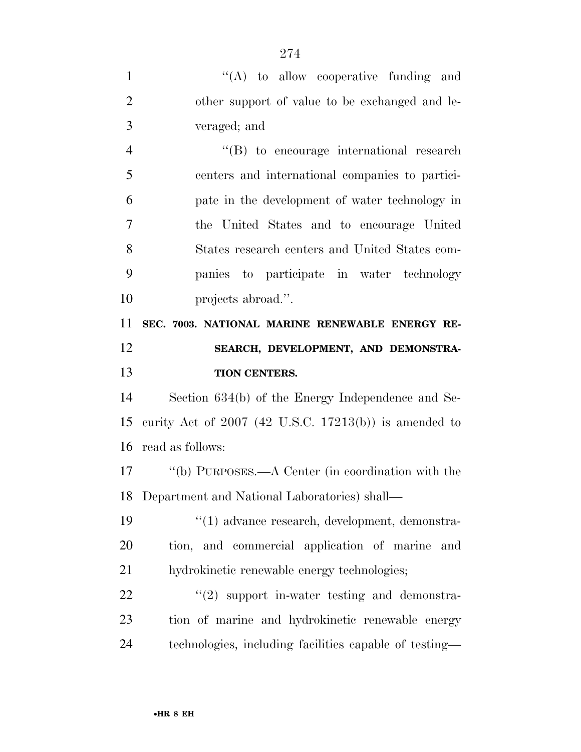| $\mathbf{1}$   | $\lq\lq$ to allow cooperative funding and               |
|----------------|---------------------------------------------------------|
| $\overline{2}$ | other support of value to be exchanged and le-          |
| 3              | veraged; and                                            |
| $\overline{4}$ | $\lq\lq(B)$ to encourage international research         |
| 5              | centers and international companies to partici-         |
| 6              | pate in the development of water technology in          |
| 7              | the United States and to encourage United               |
| 8              | States research centers and United States com-          |
| 9              | panies to participate in water technology               |
| 10             | projects abroad.".                                      |
| 11             | SEC. 7003. NATIONAL MARINE RENEWABLE ENERGY RE-         |
| 12             | SEARCH, DEVELOPMENT, AND DEMONSTRA-                     |
| 13             | TION CENTERS.                                           |
| 14             |                                                         |
|                | Section 634(b) of the Energy Independence and Se-       |
| 15             | curity Act of $2007$ (42 U.S.C. 17213(b)) is amended to |
| 16             | read as follows:                                        |
| 17             | "(b) PURPOSES.—A Center (in coordination with the       |
| 18             | Department and National Laboratories) shall—            |
| 19             | $\lq(1)$ advance research, development, demonstra-      |
| <b>20</b>      | tion, and commercial application of marine<br>and       |
| 21             | hydrokinetic renewable energy technologies;             |
| 22             | $\lq(2)$ support in-water testing and demonstra-        |
| 23             | tion of marine and hydrokinetic renewable energy        |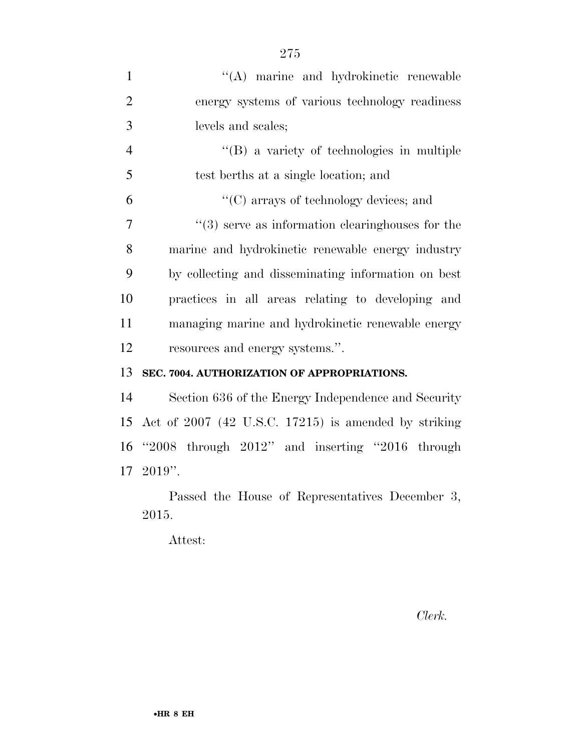| $\mathbf{1}$   | "(A) marine and hydrokinetic renewable                 |
|----------------|--------------------------------------------------------|
| $\overline{2}$ | energy systems of various technology readiness         |
| 3              | levels and scales;                                     |
| $\overline{4}$ | $\lq\lq (B)$ a variety of technologies in multiple     |
| 5              | test berths at a single location; and                  |
| 6              | "(C) arrays of technology devices; and                 |
| $\overline{7}$ | $"$ (3) serve as information clearinghouses for the    |
| 8              | marine and hydrokinetic renewable energy industry      |
| 9              | by collecting and disseminating information on best    |
| 10             | practices in all areas relating to developing and      |
| 11             | managing marine and hydrokinetic renewable energy      |
| 12             | resources and energy systems.".                        |
| 13             | SEC. 7004. AUTHORIZATION OF APPROPRIATIONS.            |
| 14             | Section 636 of the Energy Independence and Security    |
| 15             | Act of $2007$ (42 U.S.C. 17215) is amended by striking |
| 16             | "2008 through $2012$ " and inserting "2016 through     |
|                | $17 \text{ } 2019$ ".                                  |

Passed the House of Representatives December 3, 2015.

Attest:

*Clerk.*